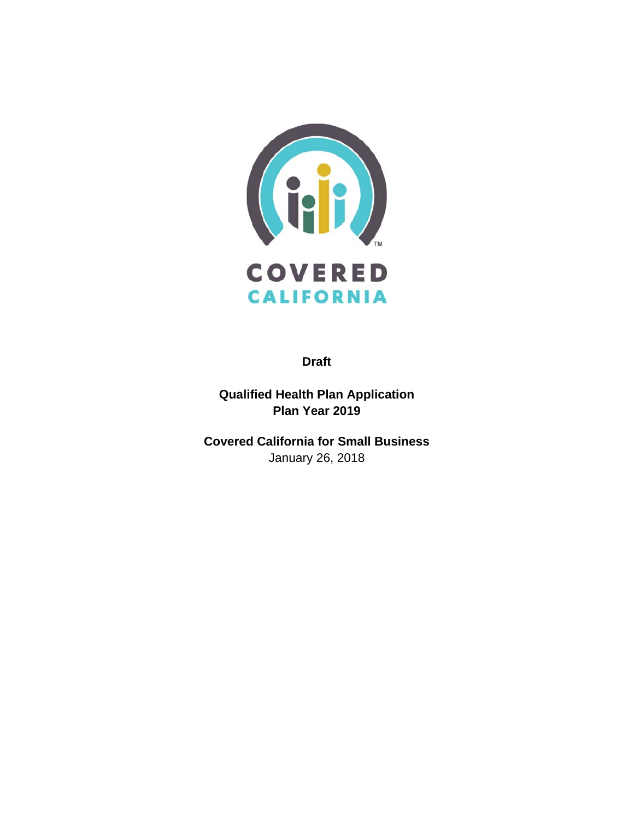

**Draft** 

**Qualified Health Plan Application Plan Year 2019** 

**Covered California for Small Business**  January 26, 2018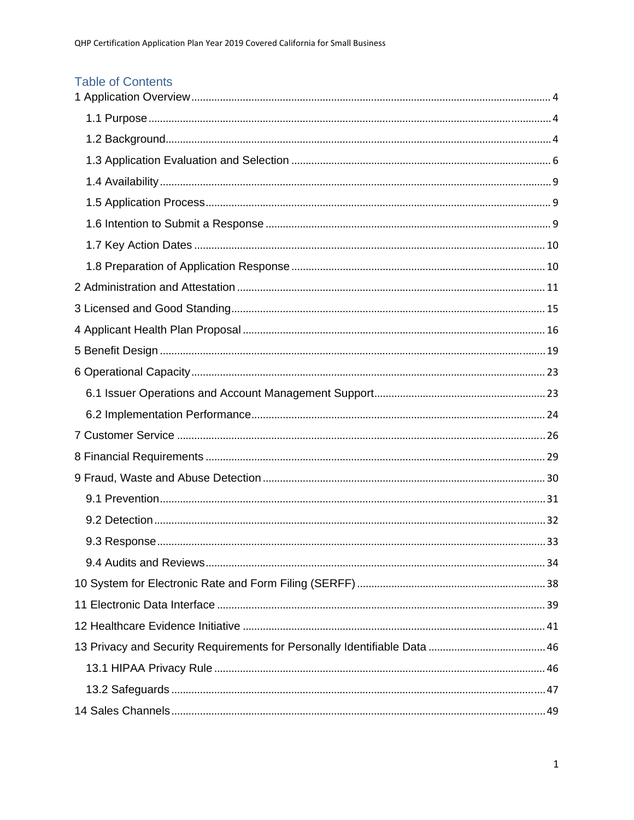| <b>Table of Contents</b> |  |
|--------------------------|--|
|                          |  |
|                          |  |
|                          |  |
|                          |  |
|                          |  |
|                          |  |
|                          |  |
|                          |  |
|                          |  |
|                          |  |
|                          |  |
|                          |  |
|                          |  |
|                          |  |
|                          |  |
|                          |  |
|                          |  |
|                          |  |
|                          |  |
|                          |  |
|                          |  |
|                          |  |
|                          |  |
|                          |  |
|                          |  |
|                          |  |
|                          |  |
|                          |  |
|                          |  |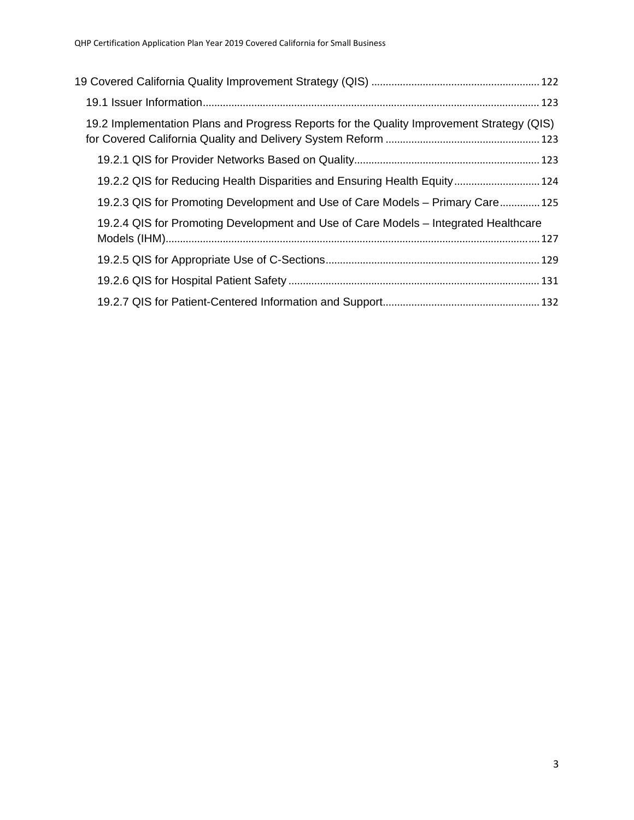| 19.2 Implementation Plans and Progress Reports for the Quality Improvement Strategy (QIS) |  |
|-------------------------------------------------------------------------------------------|--|
|                                                                                           |  |
| 19.2.2 QIS for Reducing Health Disparities and Ensuring Health Equity 124                 |  |
| 19.2.3 QIS for Promoting Development and Use of Care Models - Primary Care 125            |  |
| 19.2.4 QIS for Promoting Development and Use of Care Models – Integrated Healthcare       |  |
|                                                                                           |  |
|                                                                                           |  |
|                                                                                           |  |
|                                                                                           |  |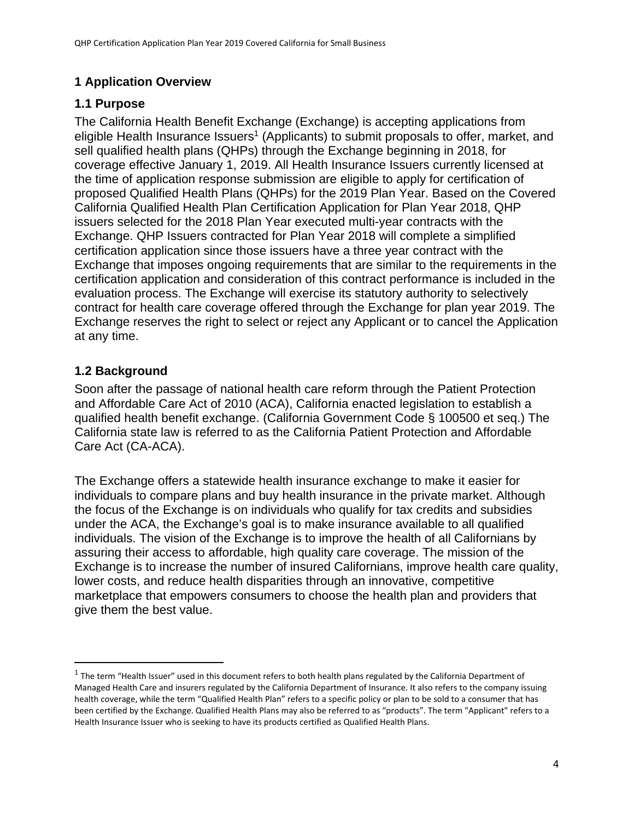# **1 Application Overview**

# **1.1 Purpose**

The California Health Benefit Exchange (Exchange) is accepting applications from eligible Health Insurance Issuers<sup>1</sup> (Applicants) to submit proposals to offer, market, and sell qualified health plans (QHPs) through the Exchange beginning in 2018, for coverage effective January 1, 2019. All Health Insurance Issuers currently licensed at the time of application response submission are eligible to apply for certification of proposed Qualified Health Plans (QHPs) for the 2019 Plan Year. Based on the Covered California Qualified Health Plan Certification Application for Plan Year 2018, QHP issuers selected for the 2018 Plan Year executed multi-year contracts with the Exchange. QHP Issuers contracted for Plan Year 2018 will complete a simplified certification application since those issuers have a three year contract with the Exchange that imposes ongoing requirements that are similar to the requirements in the certification application and consideration of this contract performance is included in the evaluation process. The Exchange will exercise its statutory authority to selectively contract for health care coverage offered through the Exchange for plan year 2019. The Exchange reserves the right to select or reject any Applicant or to cancel the Application at any time.

# **1.2 Background**

Soon after the passage of national health care reform through the Patient Protection and Affordable Care Act of 2010 (ACA), California enacted legislation to establish a qualified health benefit exchange. (California Government Code § 100500 et seq.) The California state law is referred to as the California Patient Protection and Affordable Care Act (CA-ACA).

The Exchange offers a statewide health insurance exchange to make it easier for individuals to compare plans and buy health insurance in the private market. Although the focus of the Exchange is on individuals who qualify for tax credits and subsidies under the ACA, the Exchange's goal is to make insurance available to all qualified individuals. The vision of the Exchange is to improve the health of all Californians by assuring their access to affordable, high quality care coverage. The mission of the Exchange is to increase the number of insured Californians, improve health care quality, lower costs, and reduce health disparities through an innovative, competitive marketplace that empowers consumers to choose the health plan and providers that give them the best value.

 $1$  The term "Health Issuer" used in this document refers to both health plans regulated by the California Department of Managed Health Care and insurers regulated by the California Department of Insurance. It also refers to the company issuing health coverage, while the term "Qualified Health Plan" refers to a specific policy or plan to be sold to a consumer that has been certified by the Exchange. Qualified Health Plans may also be referred to as "products". The term "Applicant" refers to a Health Insurance Issuer who is seeking to have its products certified as Qualified Health Plans.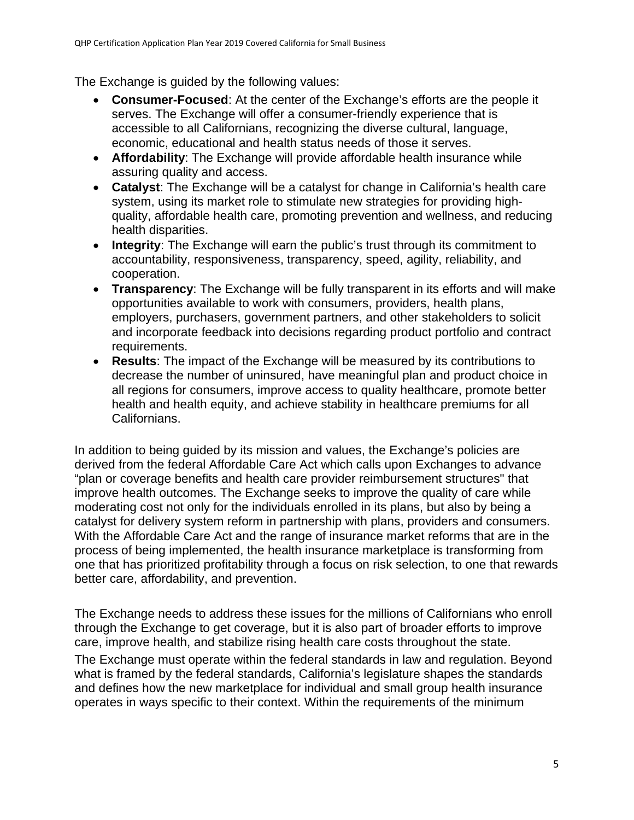The Exchange is guided by the following values:

- **Consumer-Focused**: At the center of the Exchange's efforts are the people it serves. The Exchange will offer a consumer-friendly experience that is accessible to all Californians, recognizing the diverse cultural, language, economic, educational and health status needs of those it serves.
- **Affordability**: The Exchange will provide affordable health insurance while assuring quality and access.
- **Catalyst**: The Exchange will be a catalyst for change in California's health care system, using its market role to stimulate new strategies for providing highquality, affordable health care, promoting prevention and wellness, and reducing health disparities.
- **Integrity**: The Exchange will earn the public's trust through its commitment to accountability, responsiveness, transparency, speed, agility, reliability, and cooperation.
- **Transparency**: The Exchange will be fully transparent in its efforts and will make opportunities available to work with consumers, providers, health plans, employers, purchasers, government partners, and other stakeholders to solicit and incorporate feedback into decisions regarding product portfolio and contract requirements.
- **Results**: The impact of the Exchange will be measured by its contributions to decrease the number of uninsured, have meaningful plan and product choice in all regions for consumers, improve access to quality healthcare, promote better health and health equity, and achieve stability in healthcare premiums for all Californians.

In addition to being guided by its mission and values, the Exchange's policies are derived from the federal Affordable Care Act which calls upon Exchanges to advance "plan or coverage benefits and health care provider reimbursement structures" that improve health outcomes. The Exchange seeks to improve the quality of care while moderating cost not only for the individuals enrolled in its plans, but also by being a catalyst for delivery system reform in partnership with plans, providers and consumers. With the Affordable Care Act and the range of insurance market reforms that are in the process of being implemented, the health insurance marketplace is transforming from one that has prioritized profitability through a focus on risk selection, to one that rewards better care, affordability, and prevention.

The Exchange needs to address these issues for the millions of Californians who enroll through the Exchange to get coverage, but it is also part of broader efforts to improve care, improve health, and stabilize rising health care costs throughout the state.

The Exchange must operate within the federal standards in law and regulation. Beyond what is framed by the federal standards, California's legislature shapes the standards and defines how the new marketplace for individual and small group health insurance operates in ways specific to their context. Within the requirements of the minimum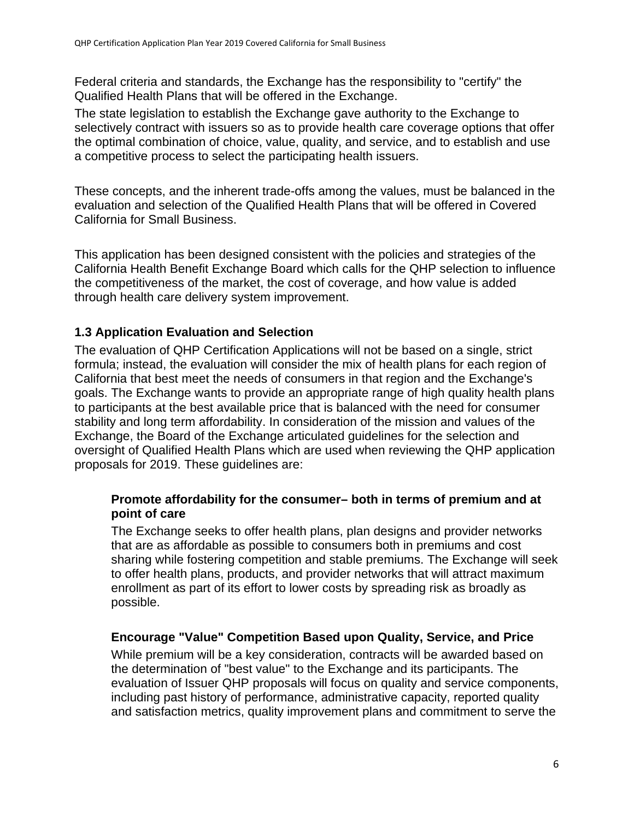Federal criteria and standards, the Exchange has the responsibility to "certify" the Qualified Health Plans that will be offered in the Exchange.

The state legislation to establish the Exchange gave authority to the Exchange to selectively contract with issuers so as to provide health care coverage options that offer the optimal combination of choice, value, quality, and service, and to establish and use a competitive process to select the participating health issuers.

These concepts, and the inherent trade-offs among the values, must be balanced in the evaluation and selection of the Qualified Health Plans that will be offered in Covered California for Small Business.

This application has been designed consistent with the policies and strategies of the California Health Benefit Exchange Board which calls for the QHP selection to influence the competitiveness of the market, the cost of coverage, and how value is added through health care delivery system improvement.

## **1.3 Application Evaluation and Selection**

The evaluation of QHP Certification Applications will not be based on a single, strict formula; instead, the evaluation will consider the mix of health plans for each region of California that best meet the needs of consumers in that region and the Exchange's goals. The Exchange wants to provide an appropriate range of high quality health plans to participants at the best available price that is balanced with the need for consumer stability and long term affordability. In consideration of the mission and values of the Exchange, the Board of the Exchange articulated guidelines for the selection and oversight of Qualified Health Plans which are used when reviewing the QHP application proposals for 2019. These guidelines are:

#### **Promote affordability for the consumer– both in terms of premium and at point of care**

The Exchange seeks to offer health plans, plan designs and provider networks that are as affordable as possible to consumers both in premiums and cost sharing while fostering competition and stable premiums. The Exchange will seek to offer health plans, products, and provider networks that will attract maximum enrollment as part of its effort to lower costs by spreading risk as broadly as possible.

#### **Encourage "Value" Competition Based upon Quality, Service, and Price**

While premium will be a key consideration, contracts will be awarded based on the determination of "best value" to the Exchange and its participants. The evaluation of Issuer QHP proposals will focus on quality and service components, including past history of performance, administrative capacity, reported quality and satisfaction metrics, quality improvement plans and commitment to serve the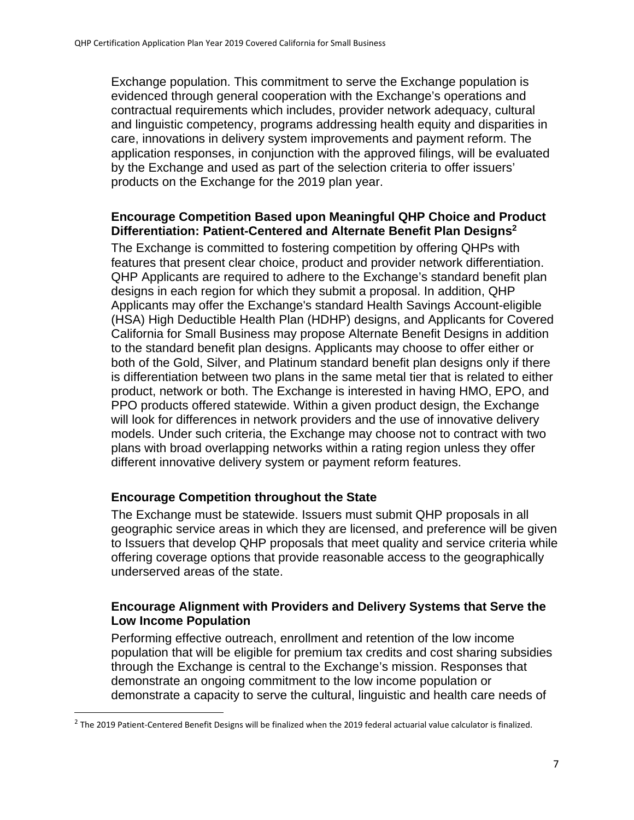Exchange population. This commitment to serve the Exchange population is evidenced through general cooperation with the Exchange's operations and contractual requirements which includes, provider network adequacy, cultural and linguistic competency, programs addressing health equity and disparities in care, innovations in delivery system improvements and payment reform. The application responses, in conjunction with the approved filings, will be evaluated by the Exchange and used as part of the selection criteria to offer issuers' products on the Exchange for the 2019 plan year.

#### **Encourage Competition Based upon Meaningful QHP Choice and Product Differentiation: Patient-Centered and Alternate Benefit Plan Designs2**

The Exchange is committed to fostering competition by offering QHPs with features that present clear choice, product and provider network differentiation. QHP Applicants are required to adhere to the Exchange's standard benefit plan designs in each region for which they submit a proposal. In addition, QHP Applicants may offer the Exchange's standard Health Savings Account-eligible (HSA) High Deductible Health Plan (HDHP) designs, and Applicants for Covered California for Small Business may propose Alternate Benefit Designs in addition to the standard benefit plan designs. Applicants may choose to offer either or both of the Gold, Silver, and Platinum standard benefit plan designs only if there is differentiation between two plans in the same metal tier that is related to either product, network or both. The Exchange is interested in having HMO, EPO, and PPO products offered statewide. Within a given product design, the Exchange will look for differences in network providers and the use of innovative delivery models. Under such criteria, the Exchange may choose not to contract with two plans with broad overlapping networks within a rating region unless they offer different innovative delivery system or payment reform features.

## **Encourage Competition throughout the State**

The Exchange must be statewide. Issuers must submit QHP proposals in all geographic service areas in which they are licensed, and preference will be given to Issuers that develop QHP proposals that meet quality and service criteria while offering coverage options that provide reasonable access to the geographically underserved areas of the state.

#### **Encourage Alignment with Providers and Delivery Systems that Serve the Low Income Population**

Performing effective outreach, enrollment and retention of the low income population that will be eligible for premium tax credits and cost sharing subsidies through the Exchange is central to the Exchange's mission. Responses that demonstrate an ongoing commitment to the low income population or demonstrate a capacity to serve the cultural, linguistic and health care needs of

<sup>&</sup>lt;sup>2</sup> The 2019 Patient-Centered Benefit Designs will be finalized when the 2019 federal actuarial value calculator is finalized.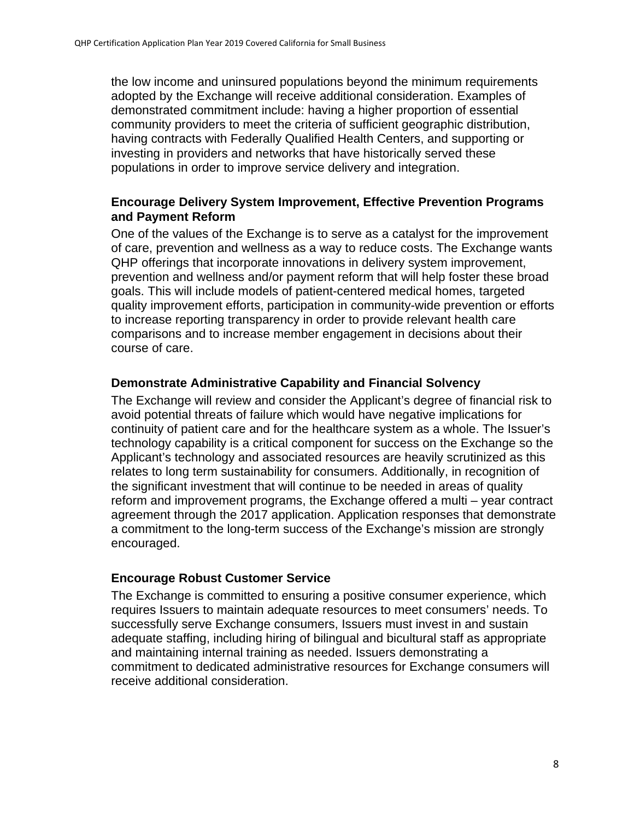the low income and uninsured populations beyond the minimum requirements adopted by the Exchange will receive additional consideration. Examples of demonstrated commitment include: having a higher proportion of essential community providers to meet the criteria of sufficient geographic distribution, having contracts with Federally Qualified Health Centers, and supporting or investing in providers and networks that have historically served these populations in order to improve service delivery and integration.

#### **Encourage Delivery System Improvement, Effective Prevention Programs and Payment Reform**

One of the values of the Exchange is to serve as a catalyst for the improvement of care, prevention and wellness as a way to reduce costs. The Exchange wants QHP offerings that incorporate innovations in delivery system improvement, prevention and wellness and/or payment reform that will help foster these broad goals. This will include models of patient-centered medical homes, targeted quality improvement efforts, participation in community-wide prevention or efforts to increase reporting transparency in order to provide relevant health care comparisons and to increase member engagement in decisions about their course of care.

#### **Demonstrate Administrative Capability and Financial Solvency**

The Exchange will review and consider the Applicant's degree of financial risk to avoid potential threats of failure which would have negative implications for continuity of patient care and for the healthcare system as a whole. The Issuer's technology capability is a critical component for success on the Exchange so the Applicant's technology and associated resources are heavily scrutinized as this relates to long term sustainability for consumers. Additionally, in recognition of the significant investment that will continue to be needed in areas of quality reform and improvement programs, the Exchange offered a multi – year contract agreement through the 2017 application. Application responses that demonstrate a commitment to the long-term success of the Exchange's mission are strongly encouraged.

#### **Encourage Robust Customer Service**

The Exchange is committed to ensuring a positive consumer experience, which requires Issuers to maintain adequate resources to meet consumers' needs. To successfully serve Exchange consumers, Issuers must invest in and sustain adequate staffing, including hiring of bilingual and bicultural staff as appropriate and maintaining internal training as needed. Issuers demonstrating a commitment to dedicated administrative resources for Exchange consumers will receive additional consideration.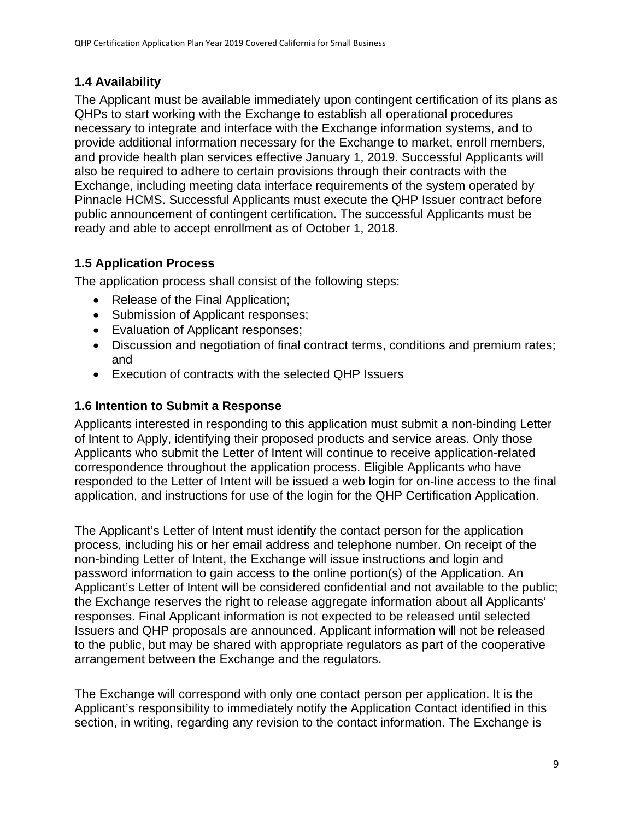# **1.4 Availability**

The Applicant must be available immediately upon contingent certification of its plans as QHPs to start working with the Exchange to establish all operational procedures necessary to integrate and interface with the Exchange information systems, and to provide additional information necessary for the Exchange to market, enroll members, and provide health plan services effective January 1, 2019. Successful Applicants will also be required to adhere to certain provisions through their contracts with the Exchange, including meeting data interface requirements of the system operated by Pinnacle HCMS. Successful Applicants must execute the QHP Issuer contract before public announcement of contingent certification. The successful Applicants must be ready and able to accept enrollment as of October 1, 2018.

# **1.5 Application Process**

The application process shall consist of the following steps:

- Release of the Final Application;
- Submission of Applicant responses;
- Evaluation of Applicant responses;
- Discussion and negotiation of final contract terms, conditions and premium rates; and
- Execution of contracts with the selected QHP Issuers

## **1.6 Intention to Submit a Response**

Applicants interested in responding to this application must submit a non-binding Letter of Intent to Apply, identifying their proposed products and service areas. Only those Applicants who submit the Letter of Intent will continue to receive application-related correspondence throughout the application process. Eligible Applicants who have responded to the Letter of Intent will be issued a web login for on-line access to the final application, and instructions for use of the login for the QHP Certification Application.

The Applicant's Letter of Intent must identify the contact person for the application process, including his or her email address and telephone number. On receipt of the non-binding Letter of Intent, the Exchange will issue instructions and login and password information to gain access to the online portion(s) of the Application. An Applicant's Letter of Intent will be considered confidential and not available to the public; the Exchange reserves the right to release aggregate information about all Applicants' responses. Final Applicant information is not expected to be released until selected Issuers and QHP proposals are announced. Applicant information will not be released to the public, but may be shared with appropriate regulators as part of the cooperative arrangement between the Exchange and the regulators.

The Exchange will correspond with only one contact person per application. It is the Applicant's responsibility to immediately notify the Application Contact identified in this section, in writing, regarding any revision to the contact information. The Exchange is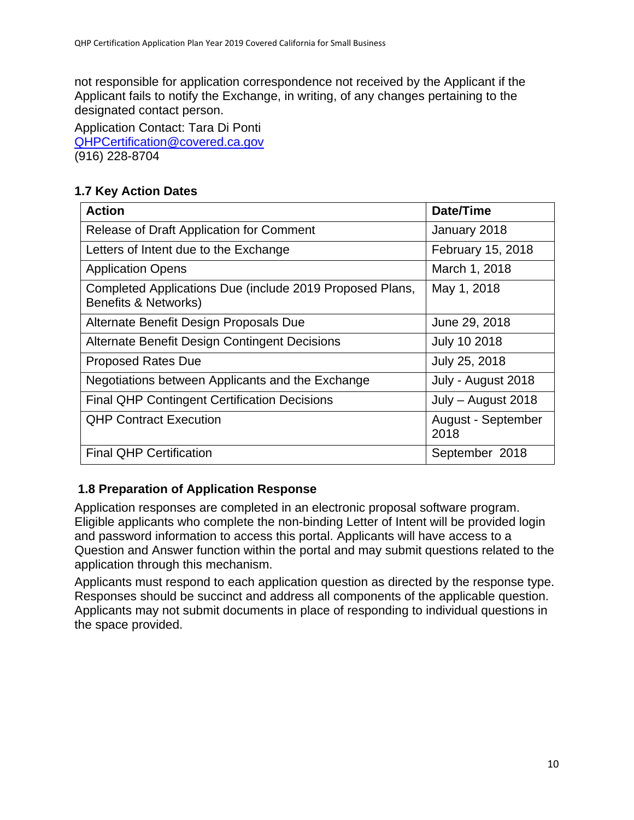not responsible for application correspondence not received by the Applicant if the Applicant fails to notify the Exchange, in writing, of any changes pertaining to the designated contact person.

Application Contact: Tara Di Ponti QHPCertification@covered.ca.gov (916) 228-8704

# **1.7 Key Action Dates**

| <b>Action</b>                                                                               | Date/Time                  |
|---------------------------------------------------------------------------------------------|----------------------------|
| Release of Draft Application for Comment                                                    | January 2018               |
| Letters of Intent due to the Exchange                                                       | February 15, 2018          |
| <b>Application Opens</b>                                                                    | March 1, 2018              |
| Completed Applications Due (include 2019 Proposed Plans,<br><b>Benefits &amp; Networks)</b> | May 1, 2018                |
| Alternate Benefit Design Proposals Due                                                      | June 29, 2018              |
| <b>Alternate Benefit Design Contingent Decisions</b>                                        | <b>July 10 2018</b>        |
| <b>Proposed Rates Due</b>                                                                   | July 25, 2018              |
| Negotiations between Applicants and the Exchange                                            | July - August 2018         |
| <b>Final QHP Contingent Certification Decisions</b>                                         | July - August 2018         |
| <b>QHP Contract Execution</b>                                                               | August - September<br>2018 |
| <b>Final QHP Certification</b>                                                              | September 2018             |

# **1.8 Preparation of Application Response**

Application responses are completed in an electronic proposal software program. Eligible applicants who complete the non-binding Letter of Intent will be provided login and password information to access this portal. Applicants will have access to a Question and Answer function within the portal and may submit questions related to the application through this mechanism.

Applicants must respond to each application question as directed by the response type. Responses should be succinct and address all components of the applicable question. Applicants may not submit documents in place of responding to individual questions in the space provided.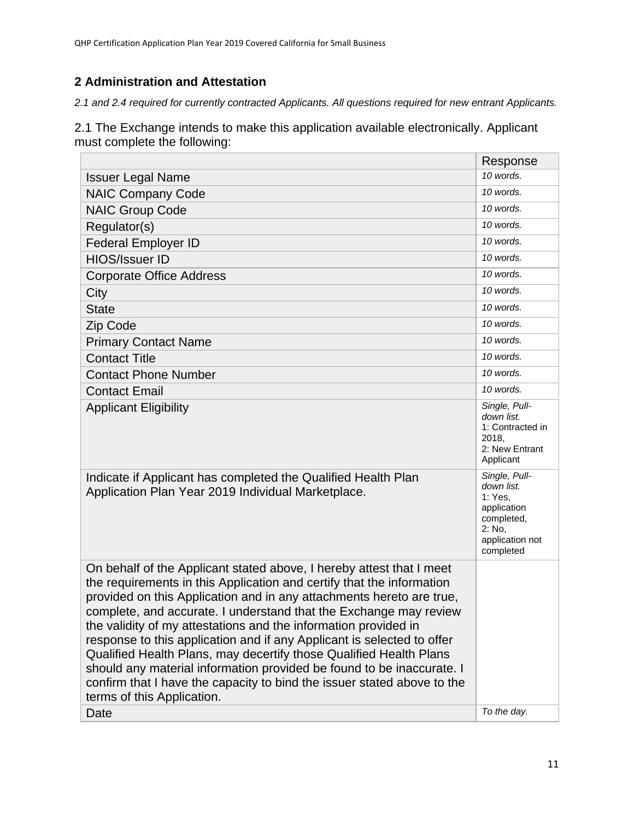# **2 Administration and Attestation**

*2.1 and 2.4 required for currently contracted Applicants. All questions required for new entrant Applicants.* 

2.1 The Exchange intends to make this application available electronically. Applicant must complete the following:

|                                                                                                                                                                                                                                                                                                                                                                                                                                                                                                                                                                                                                                                                                                 | Response                                                                                                      |
|-------------------------------------------------------------------------------------------------------------------------------------------------------------------------------------------------------------------------------------------------------------------------------------------------------------------------------------------------------------------------------------------------------------------------------------------------------------------------------------------------------------------------------------------------------------------------------------------------------------------------------------------------------------------------------------------------|---------------------------------------------------------------------------------------------------------------|
| <b>Issuer Legal Name</b>                                                                                                                                                                                                                                                                                                                                                                                                                                                                                                                                                                                                                                                                        | 10 words.                                                                                                     |
| <b>NAIC Company Code</b>                                                                                                                                                                                                                                                                                                                                                                                                                                                                                                                                                                                                                                                                        | 10 words.                                                                                                     |
| <b>NAIC Group Code</b>                                                                                                                                                                                                                                                                                                                                                                                                                                                                                                                                                                                                                                                                          | 10 words.                                                                                                     |
| Regulator(s)                                                                                                                                                                                                                                                                                                                                                                                                                                                                                                                                                                                                                                                                                    | 10 words.                                                                                                     |
| <b>Federal Employer ID</b>                                                                                                                                                                                                                                                                                                                                                                                                                                                                                                                                                                                                                                                                      | 10 words.                                                                                                     |
| <b>HIOS/Issuer ID</b>                                                                                                                                                                                                                                                                                                                                                                                                                                                                                                                                                                                                                                                                           | 10 words.                                                                                                     |
| <b>Corporate Office Address</b>                                                                                                                                                                                                                                                                                                                                                                                                                                                                                                                                                                                                                                                                 | 10 words.                                                                                                     |
| City                                                                                                                                                                                                                                                                                                                                                                                                                                                                                                                                                                                                                                                                                            | 10 words.                                                                                                     |
| <b>State</b>                                                                                                                                                                                                                                                                                                                                                                                                                                                                                                                                                                                                                                                                                    | 10 words.                                                                                                     |
| Zip Code                                                                                                                                                                                                                                                                                                                                                                                                                                                                                                                                                                                                                                                                                        | 10 words.                                                                                                     |
| <b>Primary Contact Name</b>                                                                                                                                                                                                                                                                                                                                                                                                                                                                                                                                                                                                                                                                     | 10 words.                                                                                                     |
| <b>Contact Title</b>                                                                                                                                                                                                                                                                                                                                                                                                                                                                                                                                                                                                                                                                            | 10 words.                                                                                                     |
| <b>Contact Phone Number</b>                                                                                                                                                                                                                                                                                                                                                                                                                                                                                                                                                                                                                                                                     | 10 words.                                                                                                     |
| <b>Contact Email</b>                                                                                                                                                                                                                                                                                                                                                                                                                                                                                                                                                                                                                                                                            | 10 words.                                                                                                     |
| <b>Applicant Eligibility</b>                                                                                                                                                                                                                                                                                                                                                                                                                                                                                                                                                                                                                                                                    | Single, Pull-<br>down list.<br>1: Contracted in<br>2018.<br>2: New Entrant<br>Applicant                       |
| Indicate if Applicant has completed the Qualified Health Plan<br>Application Plan Year 2019 Individual Marketplace.                                                                                                                                                                                                                                                                                                                                                                                                                                                                                                                                                                             | Single, Pull-<br>down list.<br>1: Yes,<br>application<br>completed,<br>2: No,<br>application not<br>completed |
| On behalf of the Applicant stated above, I hereby attest that I meet<br>the requirements in this Application and certify that the information<br>provided on this Application and in any attachments hereto are true,<br>complete, and accurate. I understand that the Exchange may review<br>the validity of my attestations and the information provided in<br>response to this application and if any Applicant is selected to offer<br>Qualified Health Plans, may decertify those Qualified Health Plans<br>should any material information provided be found to be inaccurate. I<br>confirm that I have the capacity to bind the issuer stated above to the<br>terms of this Application. |                                                                                                               |
| Date                                                                                                                                                                                                                                                                                                                                                                                                                                                                                                                                                                                                                                                                                            | To the day.                                                                                                   |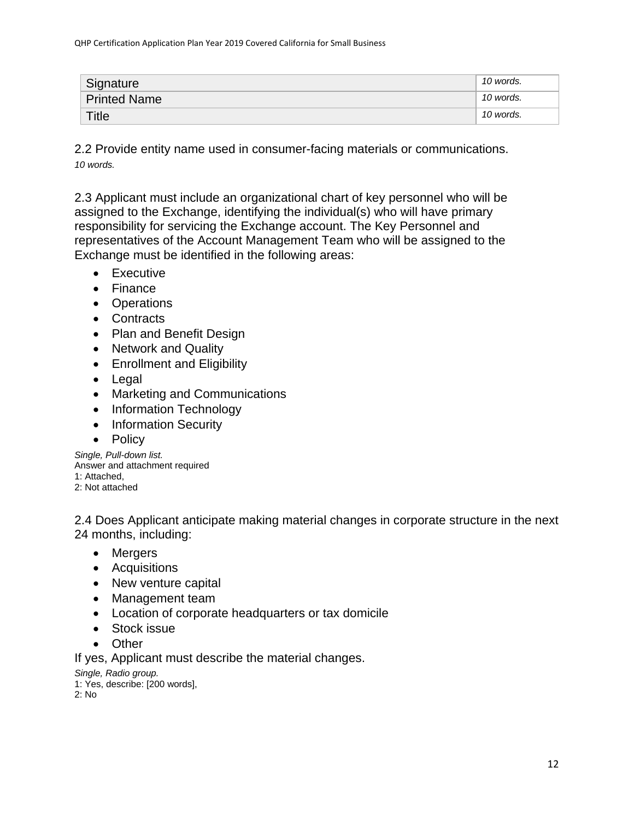| Signature           | 10 words. |
|---------------------|-----------|
| <b>Printed Name</b> | 10 words. |
| Title               | 10 words. |

2.2 Provide entity name used in consumer-facing materials or communications. *10 words.*

2.3 Applicant must include an organizational chart of key personnel who will be assigned to the Exchange, identifying the individual(s) who will have primary responsibility for servicing the Exchange account. The Key Personnel and representatives of the Account Management Team who will be assigned to the Exchange must be identified in the following areas:

- Executive
- Finance
- Operations
- Contracts
- Plan and Benefit Design
- Network and Quality
- Enrollment and Eligibility
- Legal
- Marketing and Communications
- Information Technology
- Information Security
- Policy

*Single, Pull-down list.* Answer and attachment required 1: Attached, 2: Not attached

2.4 Does Applicant anticipate making material changes in corporate structure in the next 24 months, including:

- Mergers
- Acquisitions
- New venture capital
- Management team
- Location of corporate headquarters or tax domicile
- Stock issue
- Other

If yes, Applicant must describe the material changes.

*Single, Radio group.*

1: Yes, describe: [200 words],

2: No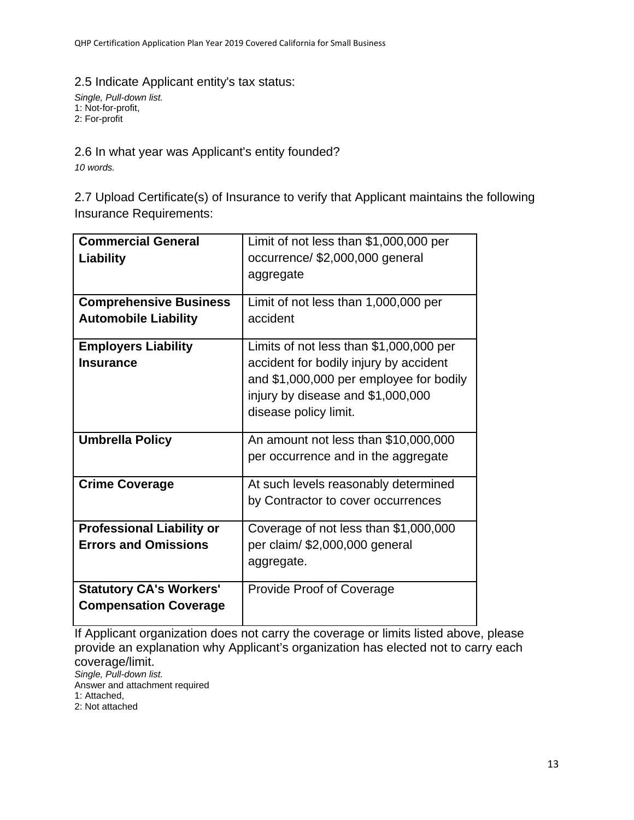2.5 Indicate Applicant entity's tax status:

*Single, Pull-down list.* 1: Not-for-profit, 2: For-profit

2.6 In what year was Applicant's entity founded? *10 words.*

2.7 Upload Certificate(s) of Insurance to verify that Applicant maintains the following Insurance Requirements:

| <b>Commercial General</b><br>Liability                          | Limit of not less than $$1,000,000$ per<br>occurrence/ \$2,000,000 general<br>aggregate                                                                                                     |
|-----------------------------------------------------------------|---------------------------------------------------------------------------------------------------------------------------------------------------------------------------------------------|
| <b>Comprehensive Business</b><br><b>Automobile Liability</b>    | Limit of not less than 1,000,000 per<br>accident                                                                                                                                            |
| <b>Employers Liability</b><br><b>Insurance</b>                  | Limits of not less than $$1,000,000$ per<br>accident for bodily injury by accident<br>and \$1,000,000 per employee for bodily<br>injury by disease and \$1,000,000<br>disease policy limit. |
| <b>Umbrella Policy</b>                                          | An amount not less than \$10,000,000<br>per occurrence and in the aggregate                                                                                                                 |
| <b>Crime Coverage</b>                                           | At such levels reasonably determined<br>by Contractor to cover occurrences                                                                                                                  |
| <b>Professional Liability or</b><br><b>Errors and Omissions</b> | Coverage of not less than \$1,000,000<br>per claim/ \$2,000,000 general<br>aggregate.                                                                                                       |
| <b>Statutory CA's Workers'</b><br><b>Compensation Coverage</b>  | Provide Proof of Coverage                                                                                                                                                                   |

If Applicant organization does not carry the coverage or limits listed above, please provide an explanation why Applicant's organization has elected not to carry each coverage/limit.

*Single, Pull-down list.*

Answer and attachment required

1: Attached,

2: Not attached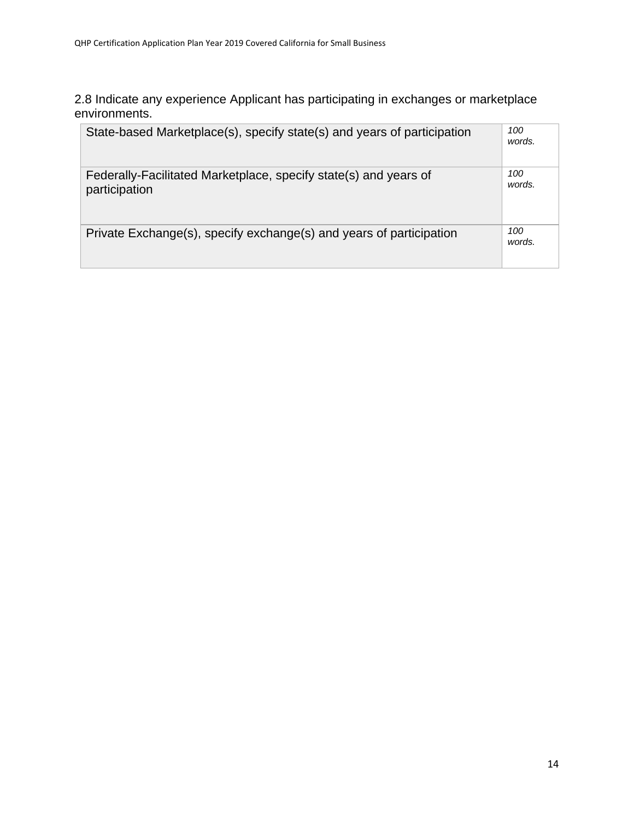2.8 Indicate any experience Applicant has participating in exchanges or marketplace environments.

| State-based Marketplace(s), specify state(s) and years of participation           | 100<br>words. |
|-----------------------------------------------------------------------------------|---------------|
| Federally-Facilitated Marketplace, specify state(s) and years of<br>participation | 100<br>words. |
| Private Exchange(s), specify exchange(s) and years of participation               | 100<br>words. |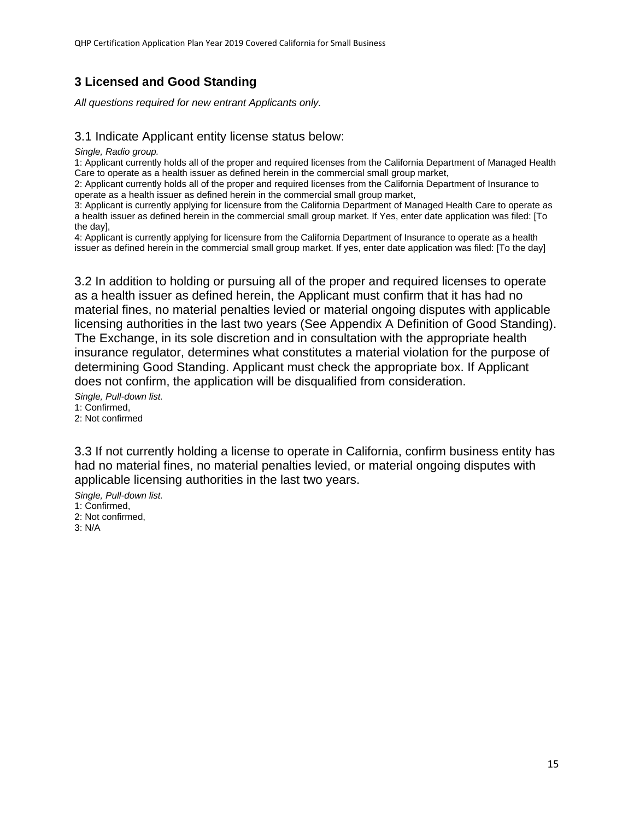# **3 Licensed and Good Standing**

*All questions required for new entrant Applicants only.* 

#### 3.1 Indicate Applicant entity license status below:

*Single, Radio group.*

1: Applicant currently holds all of the proper and required licenses from the California Department of Managed Health Care to operate as a health issuer as defined herein in the commercial small group market,

2: Applicant currently holds all of the proper and required licenses from the California Department of Insurance to operate as a health issuer as defined herein in the commercial small group market,

3: Applicant is currently applying for licensure from the California Department of Managed Health Care to operate as a health issuer as defined herein in the commercial small group market. If Yes, enter date application was filed: [To the day],

4: Applicant is currently applying for licensure from the California Department of Insurance to operate as a health issuer as defined herein in the commercial small group market. If yes, enter date application was filed: [To the day]

3.2 In addition to holding or pursuing all of the proper and required licenses to operate as a health issuer as defined herein, the Applicant must confirm that it has had no material fines, no material penalties levied or material ongoing disputes with applicable licensing authorities in the last two years (See Appendix A Definition of Good Standing). The Exchange, in its sole discretion and in consultation with the appropriate health insurance regulator, determines what constitutes a material violation for the purpose of determining Good Standing. Applicant must check the appropriate box. If Applicant does not confirm, the application will be disqualified from consideration.

*Single, Pull-down list.* 1: Confirmed, 2: Not confirmed

3.3 If not currently holding a license to operate in California, confirm business entity has had no material fines, no material penalties levied, or material ongoing disputes with applicable licensing authorities in the last two years.

*Single, Pull-down list.* 1: Confirmed, 2: Not confirmed,

3: N/A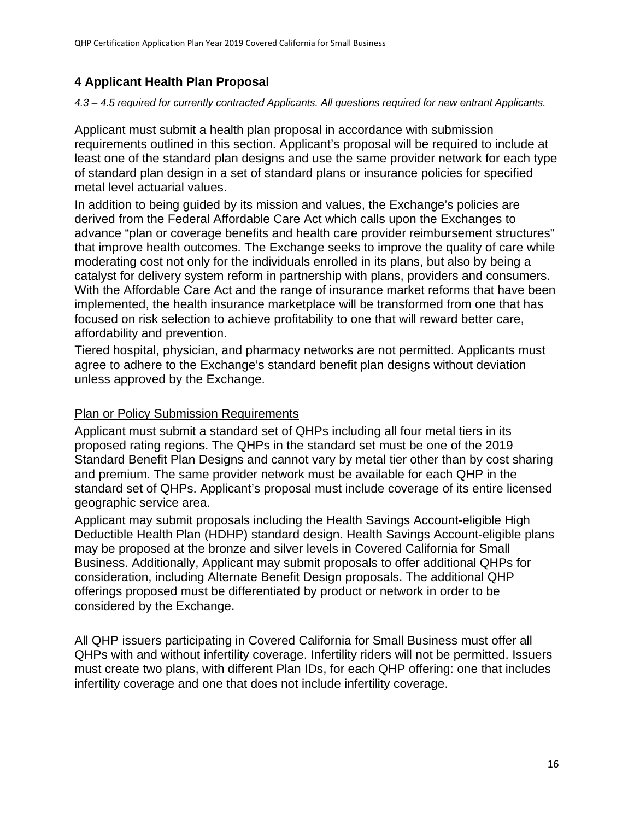# **4 Applicant Health Plan Proposal**

#### *4.3 – 4.5 required for currently contracted Applicants. All questions required for new entrant Applicants.*

Applicant must submit a health plan proposal in accordance with submission requirements outlined in this section. Applicant's proposal will be required to include at least one of the standard plan designs and use the same provider network for each type of standard plan design in a set of standard plans or insurance policies for specified metal level actuarial values.

In addition to being guided by its mission and values, the Exchange's policies are derived from the Federal Affordable Care Act which calls upon the Exchanges to advance "plan or coverage benefits and health care provider reimbursement structures" that improve health outcomes. The Exchange seeks to improve the quality of care while moderating cost not only for the individuals enrolled in its plans, but also by being a catalyst for delivery system reform in partnership with plans, providers and consumers. With the Affordable Care Act and the range of insurance market reforms that have been implemented, the health insurance marketplace will be transformed from one that has focused on risk selection to achieve profitability to one that will reward better care, affordability and prevention.

Tiered hospital, physician, and pharmacy networks are not permitted. Applicants must agree to adhere to the Exchange's standard benefit plan designs without deviation unless approved by the Exchange.

#### Plan or Policy Submission Requirements

Applicant must submit a standard set of QHPs including all four metal tiers in its proposed rating regions. The QHPs in the standard set must be one of the 2019 Standard Benefit Plan Designs and cannot vary by metal tier other than by cost sharing and premium. The same provider network must be available for each QHP in the standard set of QHPs. Applicant's proposal must include coverage of its entire licensed geographic service area.

Applicant may submit proposals including the Health Savings Account-eligible High Deductible Health Plan (HDHP) standard design. Health Savings Account-eligible plans may be proposed at the bronze and silver levels in Covered California for Small Business. Additionally, Applicant may submit proposals to offer additional QHPs for consideration, including Alternate Benefit Design proposals. The additional QHP offerings proposed must be differentiated by product or network in order to be considered by the Exchange.

All QHP issuers participating in Covered California for Small Business must offer all QHPs with and without infertility coverage. Infertility riders will not be permitted. Issuers must create two plans, with different Plan IDs, for each QHP offering: one that includes infertility coverage and one that does not include infertility coverage.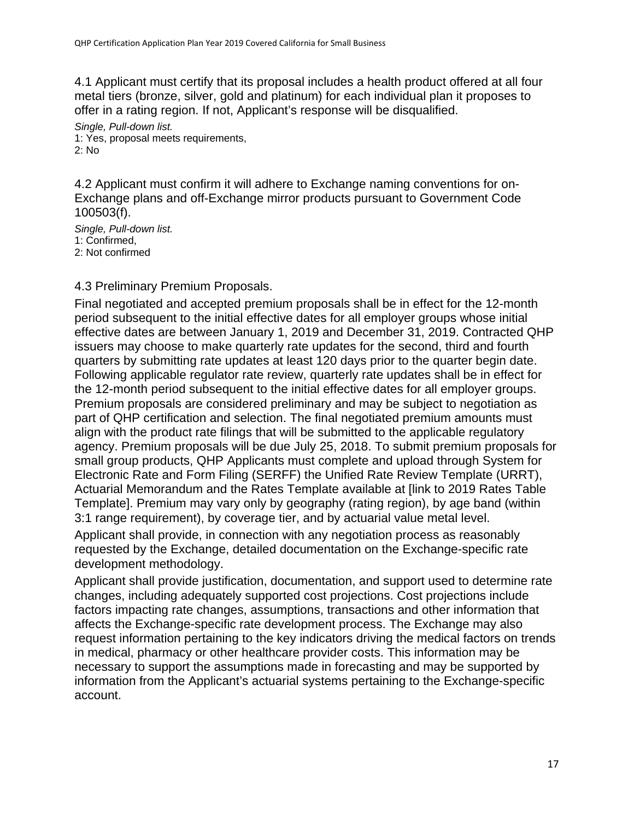4.1 Applicant must certify that its proposal includes a health product offered at all four metal tiers (bronze, silver, gold and platinum) for each individual plan it proposes to offer in a rating region. If not, Applicant's response will be disqualified.

*Single, Pull-down list.* 1: Yes, proposal meets requirements, 2: No

4.2 Applicant must confirm it will adhere to Exchange naming conventions for on-Exchange plans and off-Exchange mirror products pursuant to Government Code 100503(f).

*Single, Pull-down list.* 1: Confirmed, 2: Not confirmed

#### 4.3 Preliminary Premium Proposals.

Final negotiated and accepted premium proposals shall be in effect for the 12-month period subsequent to the initial effective dates for all employer groups whose initial effective dates are between January 1, 2019 and December 31, 2019. Contracted QHP issuers may choose to make quarterly rate updates for the second, third and fourth quarters by submitting rate updates at least 120 days prior to the quarter begin date. Following applicable regulator rate review, quarterly rate updates shall be in effect for the 12-month period subsequent to the initial effective dates for all employer groups. Premium proposals are considered preliminary and may be subject to negotiation as part of QHP certification and selection. The final negotiated premium amounts must align with the product rate filings that will be submitted to the applicable regulatory agency. Premium proposals will be due July 25, 2018. To submit premium proposals for small group products, QHP Applicants must complete and upload through System for Electronic Rate and Form Filing (SERFF) the Unified Rate Review Template (URRT), Actuarial Memorandum and the Rates Template available at [link to 2019 Rates Table Template]. Premium may vary only by geography (rating region), by age band (within 3:1 range requirement), by coverage tier, and by actuarial value metal level.

Applicant shall provide, in connection with any negotiation process as reasonably requested by the Exchange, detailed documentation on the Exchange-specific rate development methodology.

Applicant shall provide justification, documentation, and support used to determine rate changes, including adequately supported cost projections. Cost projections include factors impacting rate changes, assumptions, transactions and other information that affects the Exchange-specific rate development process. The Exchange may also request information pertaining to the key indicators driving the medical factors on trends in medical, pharmacy or other healthcare provider costs. This information may be necessary to support the assumptions made in forecasting and may be supported by information from the Applicant's actuarial systems pertaining to the Exchange-specific account.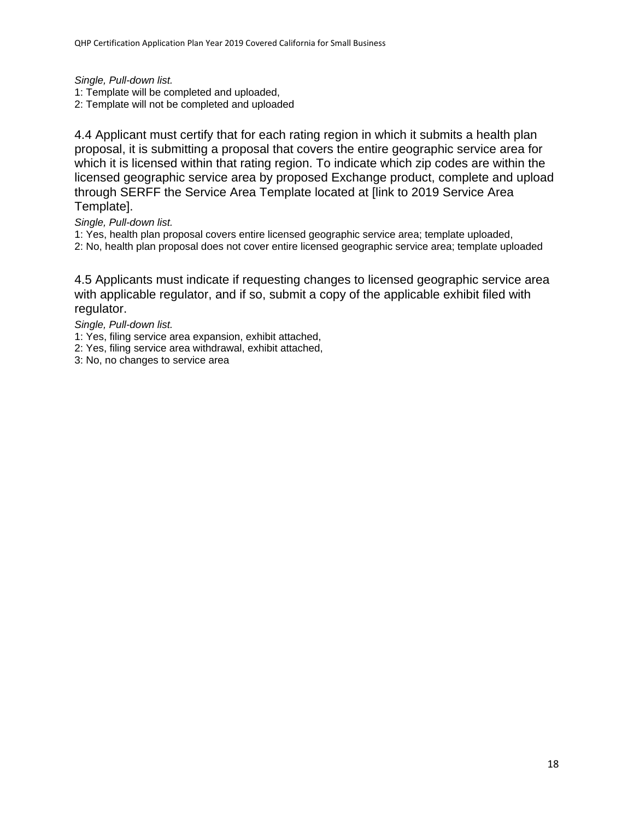*Single, Pull-down list.*

- 1: Template will be completed and uploaded,
- 2: Template will not be completed and uploaded

4.4 Applicant must certify that for each rating region in which it submits a health plan proposal, it is submitting a proposal that covers the entire geographic service area for which it is licensed within that rating region. To indicate which zip codes are within the licensed geographic service area by proposed Exchange product, complete and upload through SERFF the Service Area Template located at [link to 2019 Service Area Template].

*Single, Pull-down list.*

1: Yes, health plan proposal covers entire licensed geographic service area; template uploaded,

2: No, health plan proposal does not cover entire licensed geographic service area; template uploaded

4.5 Applicants must indicate if requesting changes to licensed geographic service area with applicable regulator, and if so, submit a copy of the applicable exhibit filed with regulator.

*Single, Pull-down list.*

1: Yes, filing service area expansion, exhibit attached,

2: Yes, filing service area withdrawal, exhibit attached,

3: No, no changes to service area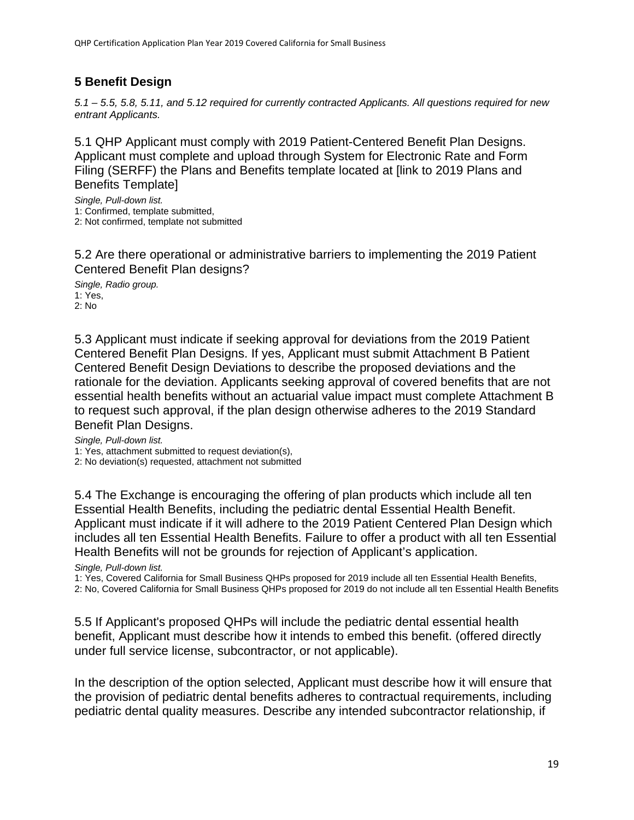# **5 Benefit Design**

*5.1 – 5.5, 5.8, 5.11, and 5.12 required for currently contracted Applicants. All questions required for new entrant Applicants.* 

5.1 QHP Applicant must comply with 2019 Patient-Centered Benefit Plan Designs. Applicant must complete and upload through System for Electronic Rate and Form Filing (SERFF) the Plans and Benefits template located at [link to 2019 Plans and Benefits Template]

*Single, Pull-down list.* 1: Confirmed, template submitted,

2: Not confirmed, template not submitted

5.2 Are there operational or administrative barriers to implementing the 2019 Patient Centered Benefit Plan designs?

*Single, Radio group.* 1: Yes, 2: No

5.3 Applicant must indicate if seeking approval for deviations from the 2019 Patient Centered Benefit Plan Designs. If yes, Applicant must submit Attachment B Patient Centered Benefit Design Deviations to describe the proposed deviations and the rationale for the deviation. Applicants seeking approval of covered benefits that are not essential health benefits without an actuarial value impact must complete Attachment B to request such approval, if the plan design otherwise adheres to the 2019 Standard Benefit Plan Designs.

*Single, Pull-down list.*

1: Yes, attachment submitted to request deviation(s),

2: No deviation(s) requested, attachment not submitted

5.4 The Exchange is encouraging the offering of plan products which include all ten Essential Health Benefits, including the pediatric dental Essential Health Benefit. Applicant must indicate if it will adhere to the 2019 Patient Centered Plan Design which includes all ten Essential Health Benefits. Failure to offer a product with all ten Essential Health Benefits will not be grounds for rejection of Applicant's application.

*Single, Pull-down list.*

1: Yes, Covered California for Small Business QHPs proposed for 2019 include all ten Essential Health Benefits,

2: No, Covered California for Small Business QHPs proposed for 2019 do not include all ten Essential Health Benefits

5.5 If Applicant's proposed QHPs will include the pediatric dental essential health benefit, Applicant must describe how it intends to embed this benefit. (offered directly under full service license, subcontractor, or not applicable).

In the description of the option selected, Applicant must describe how it will ensure that the provision of pediatric dental benefits adheres to contractual requirements, including pediatric dental quality measures. Describe any intended subcontractor relationship, if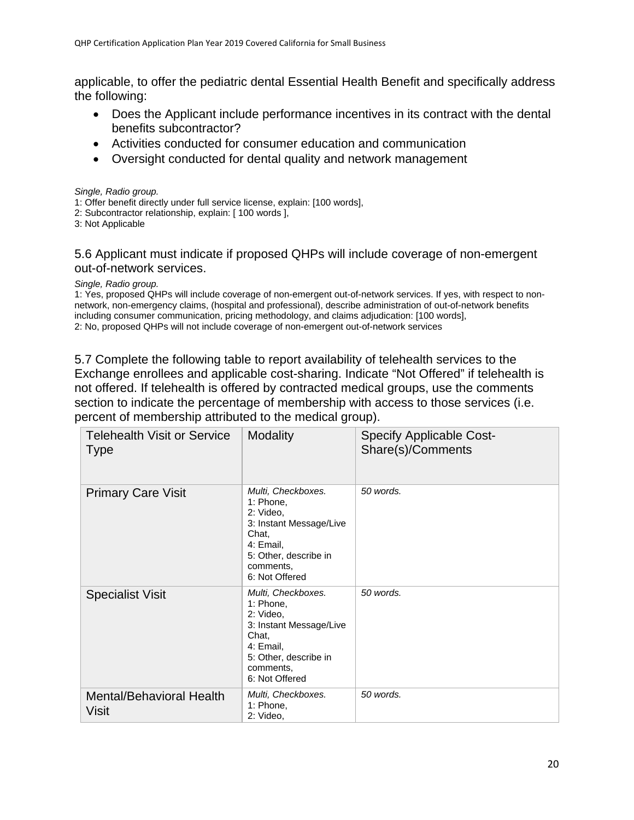applicable, to offer the pediatric dental Essential Health Benefit and specifically address the following:

- Does the Applicant include performance incentives in its contract with the dental benefits subcontractor?
- Activities conducted for consumer education and communication
- Oversight conducted for dental quality and network management

#### *Single, Radio group.*

1: Offer benefit directly under full service license, explain: [100 words],

2: Subcontractor relationship, explain: [ 100 words ],

3: Not Applicable

5.6 Applicant must indicate if proposed QHPs will include coverage of non-emergent out-of-network services.

*Single, Radio group.*

1: Yes, proposed QHPs will include coverage of non-emergent out-of-network services. If yes, with respect to nonnetwork, non-emergency claims, (hospital and professional), describe administration of out-of-network benefits including consumer communication, pricing methodology, and claims adjudication: [100 words], 2: No, proposed QHPs will not include coverage of non-emergent out-of-network services

5.7 Complete the following table to report availability of telehealth services to the Exchange enrollees and applicable cost-sharing. Indicate "Not Offered" if telehealth is not offered. If telehealth is offered by contracted medical groups, use the comments section to indicate the percentage of membership with access to those services (i.e. percent of membership attributed to the medical group).

| <b>Telehealth Visit or Service</b><br><b>Type</b> | Modality                                                                                                                                              | <b>Specify Applicable Cost-</b><br>Share(s)/Comments |
|---------------------------------------------------|-------------------------------------------------------------------------------------------------------------------------------------------------------|------------------------------------------------------|
| <b>Primary Care Visit</b>                         | Multi, Checkboxes.<br>1: Phone,<br>2: Video,<br>3: Instant Message/Live<br>Chat,<br>4: Email,<br>5: Other, describe in<br>comments,<br>6: Not Offered | 50 words.                                            |
| <b>Specialist Visit</b>                           | Multi, Checkboxes.<br>1: Phone,<br>2: Video,<br>3: Instant Message/Live<br>Chat,<br>4: Email,<br>5: Other, describe in<br>comments,<br>6: Not Offered | 50 words.                                            |
| <b>Mental/Behavioral Health</b><br>Visit          | Multi, Checkboxes.<br>1: Phone,<br>2: Video,                                                                                                          | 50 words.                                            |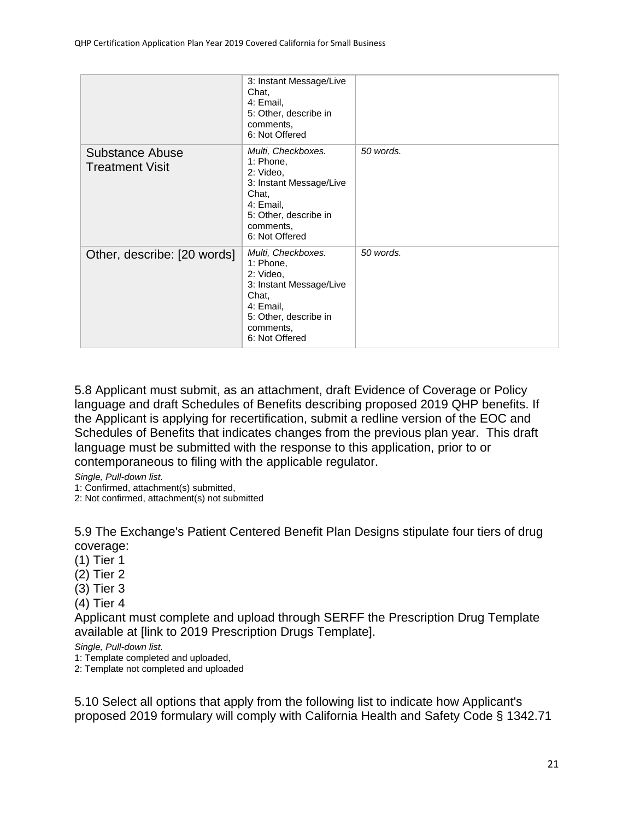|                                                  | 3: Instant Message/Live<br>Chat,<br>4: Email,<br>5: Other, describe in<br>comments,<br>6: Not Offered                                                 |           |
|--------------------------------------------------|-------------------------------------------------------------------------------------------------------------------------------------------------------|-----------|
| <b>Substance Abuse</b><br><b>Treatment Visit</b> | Multi, Checkboxes.<br>1: Phone,<br>2: Video,<br>3: Instant Message/Live<br>Chat,<br>4: Email,<br>5: Other, describe in<br>comments,<br>6: Not Offered | 50 words. |
| Other, describe: [20 words]                      | Multi, Checkboxes.<br>1: Phone,<br>2: Video,<br>3: Instant Message/Live<br>Chat,<br>4: Email,<br>5: Other, describe in<br>comments,<br>6: Not Offered | 50 words. |

5.8 Applicant must submit, as an attachment, draft Evidence of Coverage or Policy language and draft Schedules of Benefits describing proposed 2019 QHP benefits. If the Applicant is applying for recertification, submit a redline version of the EOC and Schedules of Benefits that indicates changes from the previous plan year. This draft language must be submitted with the response to this application, prior to or contemporaneous to filing with the applicable regulator.

*Single, Pull-down list.*

1: Confirmed, attachment(s) submitted,

2: Not confirmed, attachment(s) not submitted

5.9 The Exchange's Patient Centered Benefit Plan Designs stipulate four tiers of drug coverage:

(1) Tier 1

- (2) Tier 2
- (3) Tier 3
- (4) Tier 4

Applicant must complete and upload through SERFF the Prescription Drug Template available at [link to 2019 Prescription Drugs Template].

*Single, Pull-down list.*

1: Template completed and uploaded, 2: Template not completed and uploaded

5.10 Select all options that apply from the following list to indicate how Applicant's proposed 2019 formulary will comply with California Health and Safety Code § 1342.71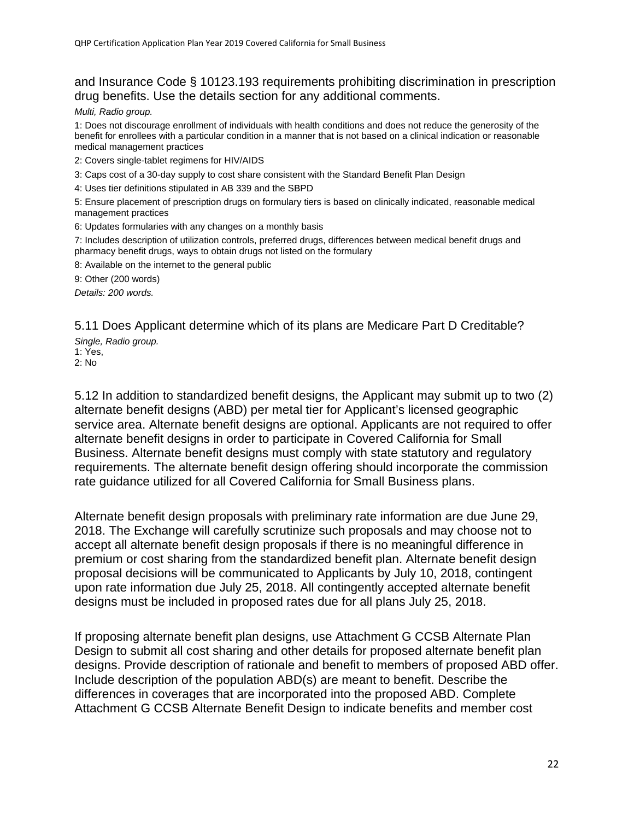and Insurance Code § 10123.193 requirements prohibiting discrimination in prescription drug benefits. Use the details section for any additional comments.

*Multi, Radio group.* 

1: Does not discourage enrollment of individuals with health conditions and does not reduce the generosity of the benefit for enrollees with a particular condition in a manner that is not based on a clinical indication or reasonable medical management practices

2: Covers single-tablet regimens for HIV/AIDS

3: Caps cost of a 30-day supply to cost share consistent with the Standard Benefit Plan Design

4: Uses tier definitions stipulated in AB 339 and the SBPD

5: Ensure placement of prescription drugs on formulary tiers is based on clinically indicated, reasonable medical management practices

6: Updates formularies with any changes on a monthly basis

7: Includes description of utilization controls, preferred drugs, differences between medical benefit drugs and pharmacy benefit drugs, ways to obtain drugs not listed on the formulary

8: Available on the internet to the general public

9: Other (200 words)

*Details: 200 words.*

5.11 Does Applicant determine which of its plans are Medicare Part D Creditable?

*Single, Radio group.* 1: Yes,

2: No

5.12 In addition to standardized benefit designs, the Applicant may submit up to two (2) alternate benefit designs (ABD) per metal tier for Applicant's licensed geographic service area. Alternate benefit designs are optional. Applicants are not required to offer alternate benefit designs in order to participate in Covered California for Small Business. Alternate benefit designs must comply with state statutory and regulatory requirements. The alternate benefit design offering should incorporate the commission rate guidance utilized for all Covered California for Small Business plans.

Alternate benefit design proposals with preliminary rate information are due June 29, 2018. The Exchange will carefully scrutinize such proposals and may choose not to accept all alternate benefit design proposals if there is no meaningful difference in premium or cost sharing from the standardized benefit plan. Alternate benefit design proposal decisions will be communicated to Applicants by July 10, 2018, contingent upon rate information due July 25, 2018. All contingently accepted alternate benefit designs must be included in proposed rates due for all plans July 25, 2018.

If proposing alternate benefit plan designs, use Attachment G CCSB Alternate Plan Design to submit all cost sharing and other details for proposed alternate benefit plan designs. Provide description of rationale and benefit to members of proposed ABD offer. Include description of the population ABD(s) are meant to benefit. Describe the differences in coverages that are incorporated into the proposed ABD. Complete Attachment G CCSB Alternate Benefit Design to indicate benefits and member cost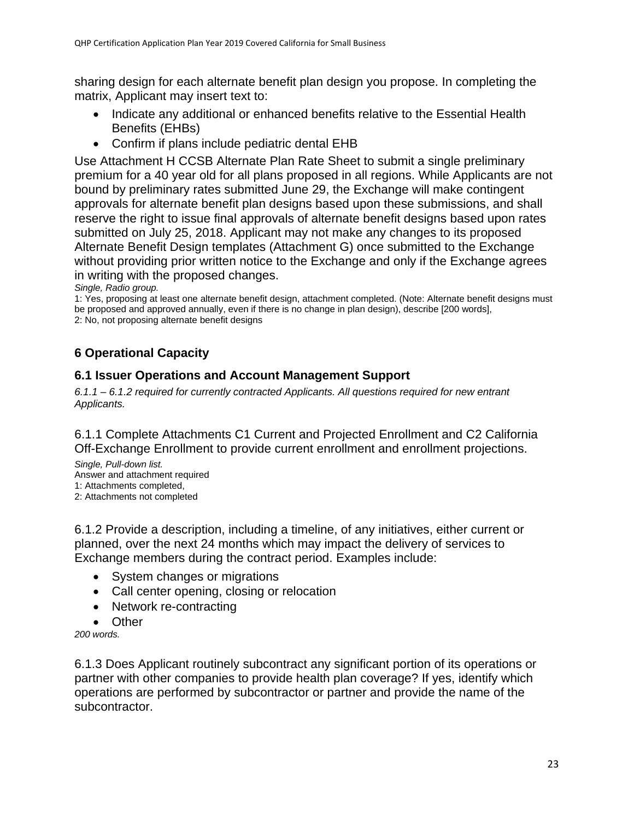sharing design for each alternate benefit plan design you propose. In completing the matrix, Applicant may insert text to:

- Indicate any additional or enhanced benefits relative to the Essential Health Benefits (EHBs)
- Confirm if plans include pediatric dental EHB

Use Attachment H CCSB Alternate Plan Rate Sheet to submit a single preliminary premium for a 40 year old for all plans proposed in all regions. While Applicants are not bound by preliminary rates submitted June 29, the Exchange will make contingent approvals for alternate benefit plan designs based upon these submissions, and shall reserve the right to issue final approvals of alternate benefit designs based upon rates submitted on July 25, 2018. Applicant may not make any changes to its proposed Alternate Benefit Design templates (Attachment G) once submitted to the Exchange without providing prior written notice to the Exchange and only if the Exchange agrees in writing with the proposed changes.

*Single, Radio group.*

1: Yes, proposing at least one alternate benefit design, attachment completed. (Note: Alternate benefit designs must be proposed and approved annually, even if there is no change in plan design), describe [200 words],

2: No, not proposing alternate benefit designs

# **6 Operational Capacity**

#### **6.1 Issuer Operations and Account Management Support**

*6.1.1 – 6.1.2 required for currently contracted Applicants. All questions required for new entrant Applicants.* 

6.1.1 Complete Attachments C1 Current and Projected Enrollment and C2 California Off-Exchange Enrollment to provide current enrollment and enrollment projections.

*Single, Pull-down list.* Answer and attachment required 1: Attachments completed, 2: Attachments not completed

6.1.2 Provide a description, including a timeline, of any initiatives, either current or planned, over the next 24 months which may impact the delivery of services to Exchange members during the contract period. Examples include:

- System changes or migrations
- Call center opening, closing or relocation
- Network re-contracting
- Other

*200 words.*

6.1.3 Does Applicant routinely subcontract any significant portion of its operations or partner with other companies to provide health plan coverage? If yes, identify which operations are performed by subcontractor or partner and provide the name of the subcontractor.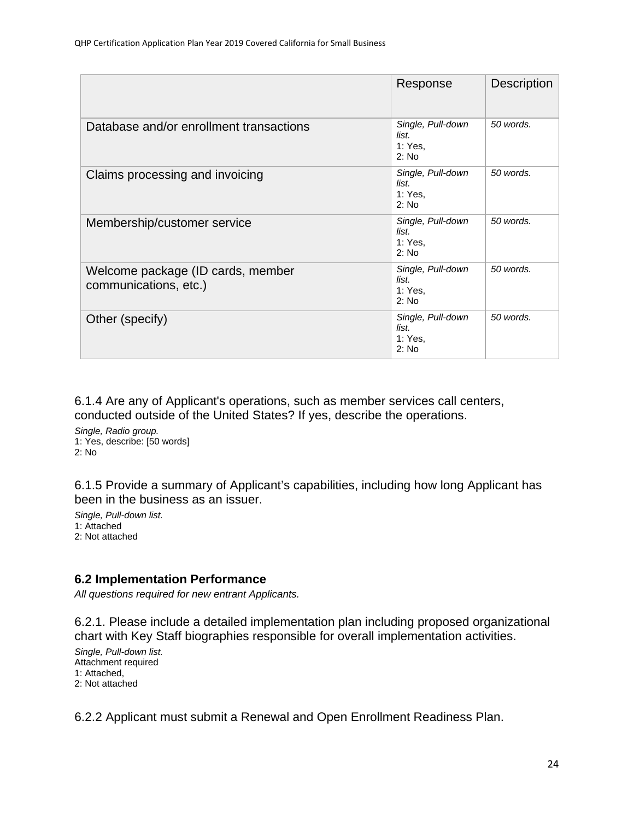|                                                            | Response                                       | <b>Description</b> |
|------------------------------------------------------------|------------------------------------------------|--------------------|
| Database and/or enrollment transactions                    | Single, Pull-down<br>list.<br>1: Yes,<br>2: No | 50 words.          |
| Claims processing and invoicing                            | Single, Pull-down<br>list.<br>1: Yes.<br>2: No | 50 words.          |
| Membership/customer service                                | Single, Pull-down<br>list.<br>1: Yes,<br>2: No | 50 words.          |
| Welcome package (ID cards, member<br>communications, etc.) | Single, Pull-down<br>list.<br>1: Yes.<br>2: No | 50 words.          |
| Other (specify)                                            | Single, Pull-down<br>list.<br>1: Yes.<br>2: No | 50 words.          |

6.1.4 Are any of Applicant's operations, such as member services call centers, conducted outside of the United States? If yes, describe the operations.

*Single, Radio group.* 1: Yes, describe: [50 words] 2: No

6.1.5 Provide a summary of Applicant's capabilities, including how long Applicant has been in the business as an issuer.

*Single, Pull-down list.* 1: Attached 2: Not attached

## **6.2 Implementation Performance**

*All questions required for new entrant Applicants.* 

6.2.1. Please include a detailed implementation plan including proposed organizational chart with Key Staff biographies responsible for overall implementation activities. *Single, Pull-down list.* Attachment required 1: Attached,

2: Not attached

6.2.2 Applicant must submit a Renewal and Open Enrollment Readiness Plan.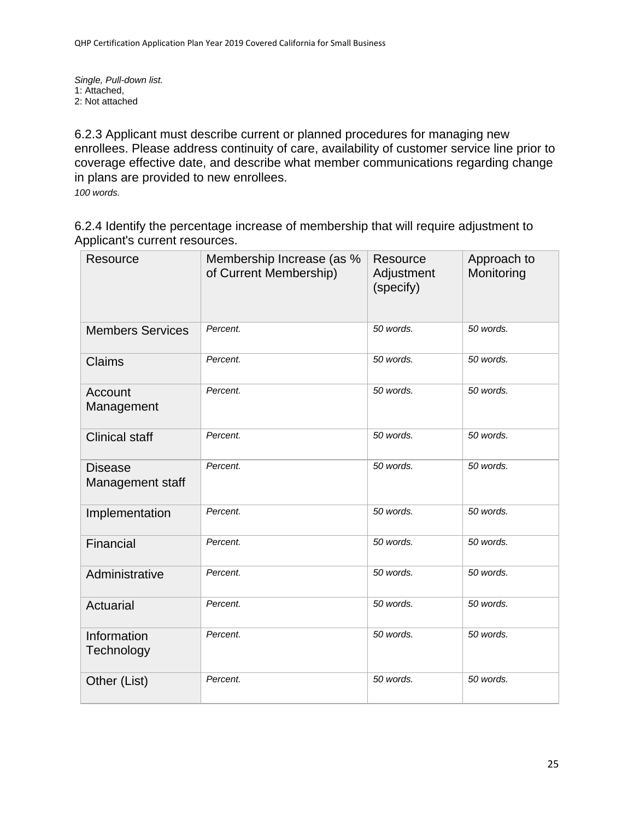*Single, Pull-down list.* 1: Attached, 2: Not attached

6.2.3 Applicant must describe current or planned procedures for managing new enrollees. Please address continuity of care, availability of customer service line prior to coverage effective date, and describe what member communications regarding change in plans are provided to new enrollees. *100 words.*

6.2.4 Identify the percentage increase of membership that will require adjustment to Applicant's current resources.

| Resource                           | Membership Increase (as %<br>of Current Membership) | Resource<br>Adjustment<br>(specify) | Approach to<br>Monitoring |
|------------------------------------|-----------------------------------------------------|-------------------------------------|---------------------------|
| <b>Members Services</b>            | Percent.                                            | 50 words.                           | 50 words.                 |
| Claims                             | Percent.                                            | 50 words.                           | 50 words.                 |
| Account<br>Management              | Percent.                                            | 50 words.                           | 50 words.                 |
| <b>Clinical staff</b>              | Percent.                                            | 50 words.                           | 50 words.                 |
| <b>Disease</b><br>Management staff | Percent.                                            | 50 words.                           | 50 words.                 |
| Implementation                     | Percent.                                            | 50 words.                           | 50 words.                 |
| Financial                          | Percent.                                            | 50 words.                           | 50 words.                 |
| Administrative                     | Percent.                                            | 50 words.                           | 50 words.                 |
| Actuarial                          | Percent.                                            | 50 words.                           | 50 words.                 |
| Information<br>Technology          | Percent.                                            | 50 words.                           | 50 words.                 |
| Other (List)                       | Percent.                                            | 50 words.                           | 50 words.                 |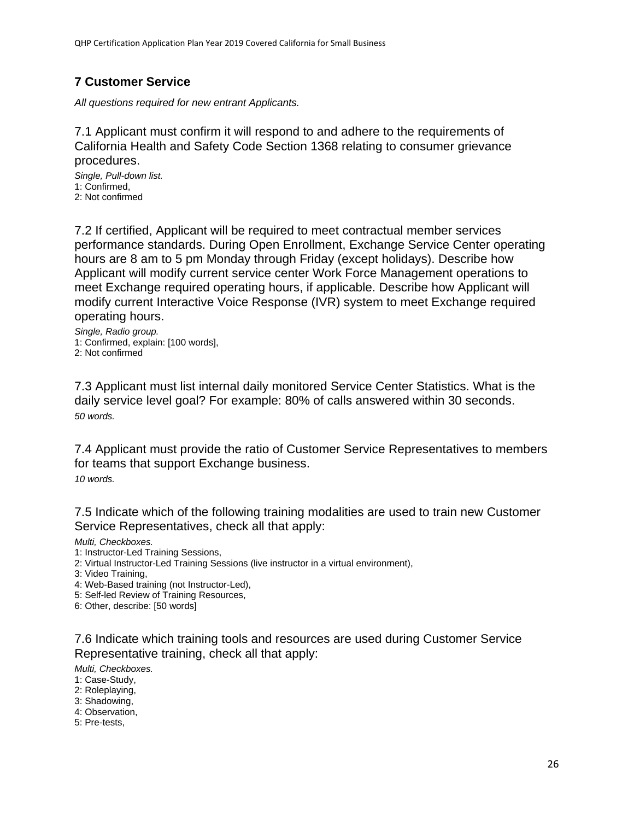# **7 Customer Service**

*All questions required for new entrant Applicants.*

7.1 Applicant must confirm it will respond to and adhere to the requirements of California Health and Safety Code Section 1368 relating to consumer grievance procedures.

*Single, Pull-down list.* 1: Confirmed, 2: Not confirmed

7.2 If certified, Applicant will be required to meet contractual member services performance standards. During Open Enrollment, Exchange Service Center operating hours are 8 am to 5 pm Monday through Friday (except holidays). Describe how Applicant will modify current service center Work Force Management operations to meet Exchange required operating hours, if applicable. Describe how Applicant will modify current Interactive Voice Response (IVR) system to meet Exchange required operating hours.

*Single, Radio group.* 1: Confirmed, explain: [100 words], 2: Not confirmed

7.3 Applicant must list internal daily monitored Service Center Statistics. What is the daily service level goal? For example: 80% of calls answered within 30 seconds. *50 words.*

7.4 Applicant must provide the ratio of Customer Service Representatives to members for teams that support Exchange business.

*10 words.* 

7.5 Indicate which of the following training modalities are used to train new Customer Service Representatives, check all that apply:

*Multi, Checkboxes.*

- 1: Instructor-Led Training Sessions,
- 2: Virtual Instructor-Led Training Sessions (live instructor in a virtual environment),
- 3: Video Training,
- 4: Web-Based training (not Instructor-Led),
- 5: Self-led Review of Training Resources,
- 6: Other, describe: [50 words]

7.6 Indicate which training tools and resources are used during Customer Service Representative training, check all that apply:

*Multi, Checkboxes.*

- 1: Case-Study,
- 2: Roleplaying,
- 3: Shadowing,
- 4: Observation,
- 5: Pre-tests,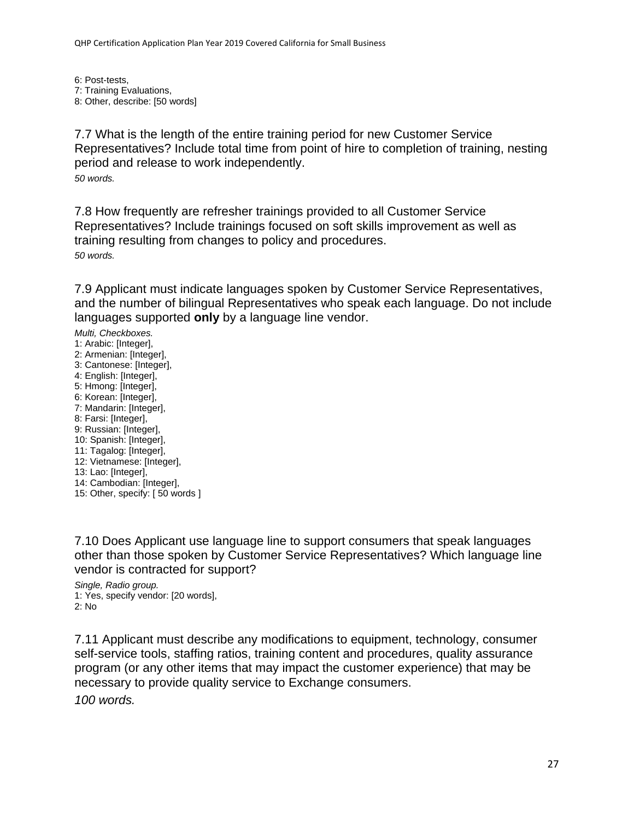6: Post-tests, 7: Training Evaluations, 8: Other, describe: [50 words]

7.7 What is the length of the entire training period for new Customer Service Representatives? Include total time from point of hire to completion of training, nesting period and release to work independently. *50 words.*

7.8 How frequently are refresher trainings provided to all Customer Service Representatives? Include trainings focused on soft skills improvement as well as training resulting from changes to policy and procedures. *50 words.*

7.9 Applicant must indicate languages spoken by Customer Service Representatives, and the number of bilingual Representatives who speak each language. Do not include languages supported **only** by a language line vendor.

*Multi, Checkboxes.*

- 1: Arabic: [Integer],
- 2: Armenian: [Integer],
- 3: Cantonese: [Integer],
- 4: English: [Integer], 5: Hmong: [Integer],
- 6: Korean: [Integer],
- 7: Mandarin: [Integer],
- 8: Farsi: [Integer],
- 9: Russian: [Integer],
- 10: Spanish: [Integer],
- 11: Tagalog: [Integer],
- 12: Vietnamese: [Integer],
- 13: Lao: [Integer],
- 14: Cambodian: [Integer],
- 15: Other, specify: [ 50 words ]

7.10 Does Applicant use language line to support consumers that speak languages other than those spoken by Customer Service Representatives? Which language line vendor is contracted for support?

*Single, Radio group.* 1: Yes, specify vendor: [20 words], 2: No

7.11 Applicant must describe any modifications to equipment, technology, consumer self-service tools, staffing ratios, training content and procedures, quality assurance program (or any other items that may impact the customer experience) that may be necessary to provide quality service to Exchange consumers.

*100 words.*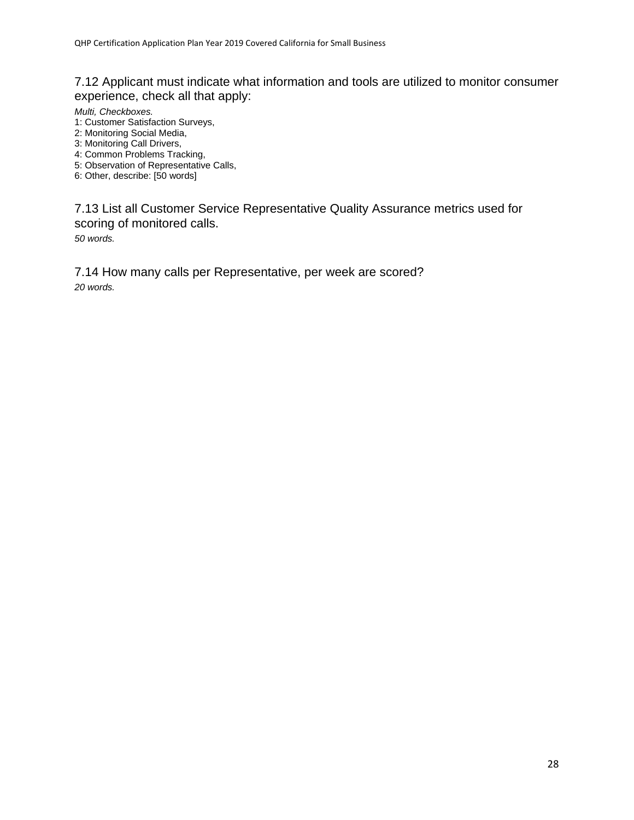7.12 Applicant must indicate what information and tools are utilized to monitor consumer experience, check all that apply:

*Multi, Checkboxes.*

- 1: Customer Satisfaction Surveys,
- 2: Monitoring Social Media,
- 3: Monitoring Call Drivers,
- 4: Common Problems Tracking,
- 5: Observation of Representative Calls,
- 6: Other, describe: [50 words]

7.13 List all Customer Service Representative Quality Assurance metrics used for scoring of monitored calls.

*50 words.*

7.14 How many calls per Representative, per week are scored? *20 words.*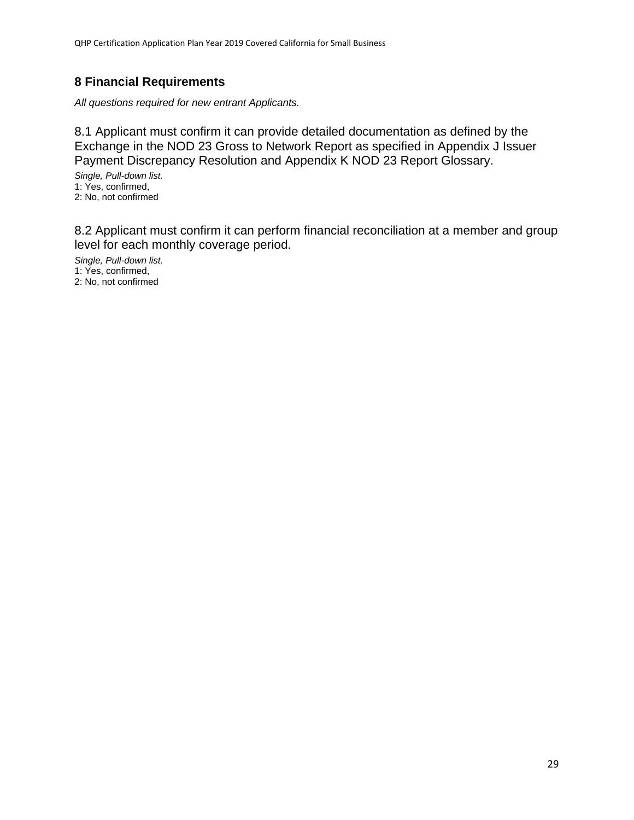## **8 Financial Requirements**

*All questions required for new entrant Applicants.*

8.1 Applicant must confirm it can provide detailed documentation as defined by the Exchange in the NOD 23 Gross to Network Report as specified in Appendix J Issuer Payment Discrepancy Resolution and Appendix K NOD 23 Report Glossary.

*Single, Pull-down list.* 1: Yes, confirmed, 2: No, not confirmed

8.2 Applicant must confirm it can perform financial reconciliation at a member and group level for each monthly coverage period.

*Single, Pull-down list.* 1: Yes, confirmed, 2: No, not confirmed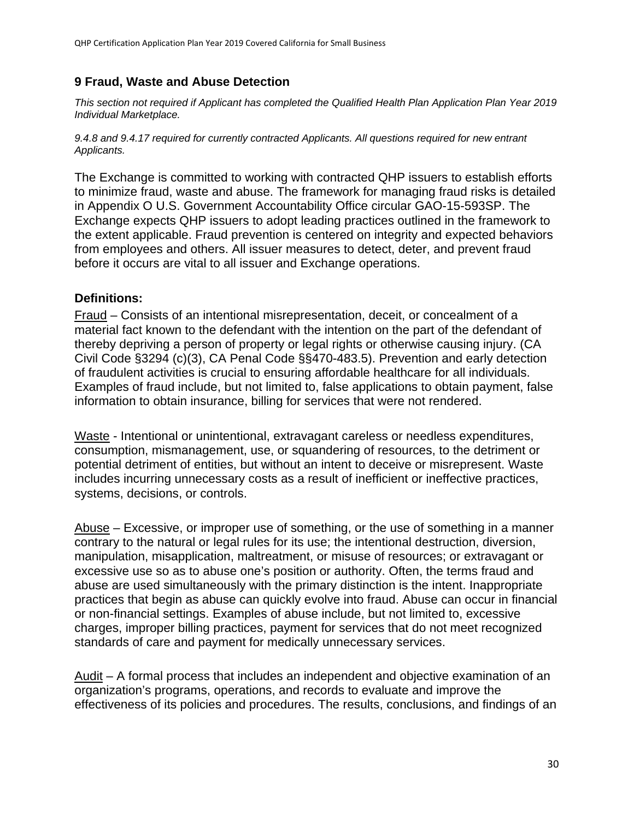#### **9 Fraud, Waste and Abuse Detection**

*This section not required if Applicant has completed the Qualified Health Plan Application Plan Year 2019 Individual Marketplace.* 

*9.4.8 and 9.4.17 required for currently contracted Applicants. All questions required for new entrant Applicants.* 

The Exchange is committed to working with contracted QHP issuers to establish efforts to minimize fraud, waste and abuse. The framework for managing fraud risks is detailed in Appendix O U.S. Government Accountability Office circular GAO-15-593SP. The Exchange expects QHP issuers to adopt leading practices outlined in the framework to the extent applicable. Fraud prevention is centered on integrity and expected behaviors from employees and others. All issuer measures to detect, deter, and prevent fraud before it occurs are vital to all issuer and Exchange operations.

#### **Definitions:**

Fraud – Consists of an intentional misrepresentation, deceit, or concealment of a material fact known to the defendant with the intention on the part of the defendant of thereby depriving a person of property or legal rights or otherwise causing injury. (CA Civil Code §3294 (c)(3), CA Penal Code §§470-483.5). Prevention and early detection of fraudulent activities is crucial to ensuring affordable healthcare for all individuals. Examples of fraud include, but not limited to, false applications to obtain payment, false information to obtain insurance, billing for services that were not rendered.

Waste - Intentional or unintentional, extravagant careless or needless expenditures, consumption, mismanagement, use, or squandering of resources, to the detriment or potential detriment of entities, but without an intent to deceive or misrepresent. Waste includes incurring unnecessary costs as a result of inefficient or ineffective practices, systems, decisions, or controls.

Abuse – Excessive, or improper use of something, or the use of something in a manner contrary to the natural or legal rules for its use; the intentional destruction, diversion, manipulation, misapplication, maltreatment, or misuse of resources; or extravagant or excessive use so as to abuse one's position or authority. Often, the terms fraud and abuse are used simultaneously with the primary distinction is the intent. Inappropriate practices that begin as abuse can quickly evolve into fraud. Abuse can occur in financial or non-financial settings. Examples of abuse include, but not limited to, excessive charges, improper billing practices, payment for services that do not meet recognized standards of care and payment for medically unnecessary services.

Audit – A formal process that includes an independent and objective examination of an organization's programs, operations, and records to evaluate and improve the effectiveness of its policies and procedures. The results, conclusions, and findings of an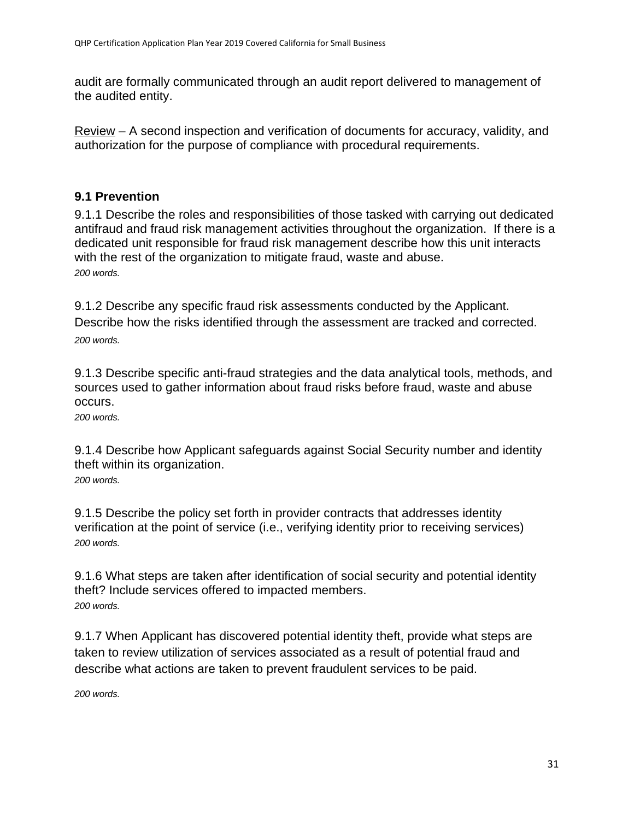audit are formally communicated through an audit report delivered to management of the audited entity.

Review – A second inspection and verification of documents for accuracy, validity, and authorization for the purpose of compliance with procedural requirements.

# **9.1 Prevention**

9.1.1 Describe the roles and responsibilities of those tasked with carrying out dedicated antifraud and fraud risk management activities throughout the organization. If there is a dedicated unit responsible for fraud risk management describe how this unit interacts with the rest of the organization to mitigate fraud, waste and abuse. *200 words.*

9.1.2 Describe any specific fraud risk assessments conducted by the Applicant. Describe how the risks identified through the assessment are tracked and corrected. *200 words.*

9.1.3 Describe specific anti-fraud strategies and the data analytical tools, methods, and sources used to gather information about fraud risks before fraud, waste and abuse occurs.

*200 words.*

9.1.4 Describe how Applicant safeguards against Social Security number and identity theft within its organization.

*200 words.*

9.1.5 Describe the policy set forth in provider contracts that addresses identity verification at the point of service (i.e., verifying identity prior to receiving services) *200 words.*

9.1.6 What steps are taken after identification of social security and potential identity theft? Include services offered to impacted members. *200 words.*

9.1.7 When Applicant has discovered potential identity theft, provide what steps are taken to review utilization of services associated as a result of potential fraud and describe what actions are taken to prevent fraudulent services to be paid.

*200 words.*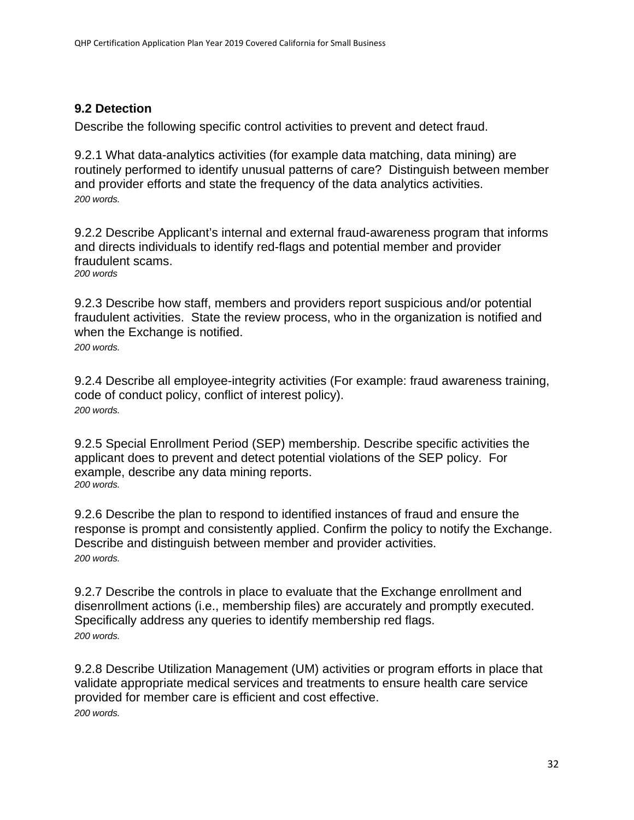## **9.2 Detection**

Describe the following specific control activities to prevent and detect fraud.

9.2.1 What data-analytics activities (for example data matching, data mining) are routinely performed to identify unusual patterns of care? Distinguish between member and provider efforts and state the frequency of the data analytics activities. *200 words.*

9.2.2 Describe Applicant's internal and external fraud-awareness program that informs and directs individuals to identify red-flags and potential member and provider fraudulent scams. *200 words*

9.2.3 Describe how staff, members and providers report suspicious and/or potential fraudulent activities. State the review process, who in the organization is notified and when the Exchange is notified.

*200 words.*

9.2.4 Describe all employee-integrity activities (For example: fraud awareness training, code of conduct policy, conflict of interest policy). *200 words.*

9.2.5 Special Enrollment Period (SEP) membership. Describe specific activities the applicant does to prevent and detect potential violations of the SEP policy. For example, describe any data mining reports. *200 words.*

9.2.6 Describe the plan to respond to identified instances of fraud and ensure the response is prompt and consistently applied. Confirm the policy to notify the Exchange. Describe and distinguish between member and provider activities. *200 words.*

9.2.7 Describe the controls in place to evaluate that the Exchange enrollment and disenrollment actions (i.e., membership files) are accurately and promptly executed. Specifically address any queries to identify membership red flags. *200 words.*

9.2.8 Describe Utilization Management (UM) activities or program efforts in place that validate appropriate medical services and treatments to ensure health care service provided for member care is efficient and cost effective. *200 words.*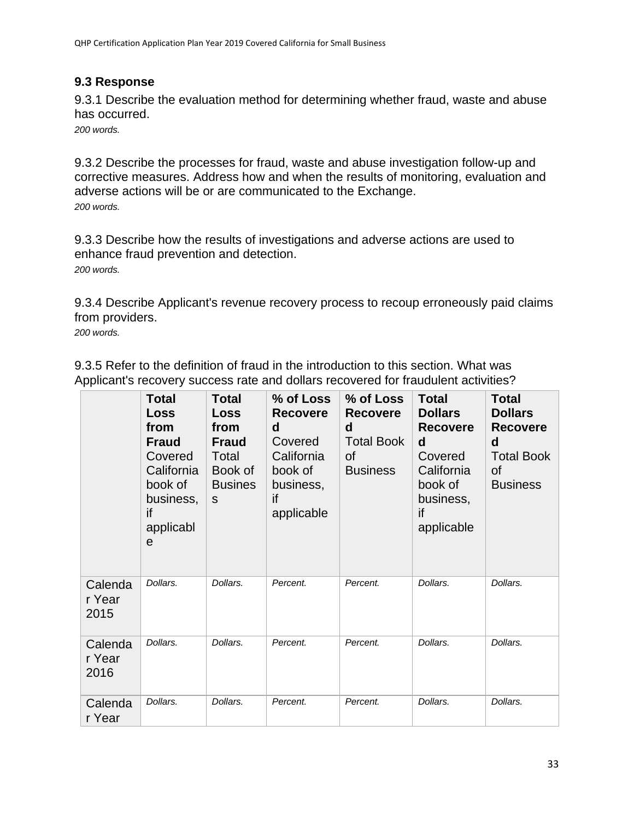#### **9.3 Response**

9.3.1 Describe the evaluation method for determining whether fraud, waste and abuse has occurred.

*200 words.*

9.3.2 Describe the processes for fraud, waste and abuse investigation follow-up and corrective measures. Address how and when the results of monitoring, evaluation and adverse actions will be or are communicated to the Exchange. *200 words.*

9.3.3 Describe how the results of investigations and adverse actions are used to enhance fraud prevention and detection. *200 words.*

9.3.4 Describe Applicant's revenue recovery process to recoup erroneously paid claims from providers.

*200 words.*

9.3.5 Refer to the definition of fraud in the introduction to this section. What was Applicant's recovery success rate and dollars recovered for fraudulent activities?

|                           | <b>Total</b><br>Loss<br>from<br><b>Fraud</b><br>Covered<br>California<br>book of<br>business,<br>if<br>applicabl<br>е | Total<br><b>Loss</b><br>from<br><b>Fraud</b><br>Total<br>Book of<br><b>Busines</b><br>S | % of Loss<br><b>Recovere</b><br>d<br>Covered<br>California<br>book of<br>business,<br>if<br>applicable | % of Loss<br><b>Recovere</b><br>d<br><b>Total Book</b><br>οf<br><b>Business</b> | <b>Total</b><br><b>Dollars</b><br><b>Recovere</b><br>d<br>Covered<br>California<br>book of<br>business,<br>if<br>applicable | <b>Total</b><br><b>Dollars</b><br><b>Recovere</b><br>d<br><b>Total Book</b><br>0f<br><b>Business</b> |
|---------------------------|-----------------------------------------------------------------------------------------------------------------------|-----------------------------------------------------------------------------------------|--------------------------------------------------------------------------------------------------------|---------------------------------------------------------------------------------|-----------------------------------------------------------------------------------------------------------------------------|------------------------------------------------------------------------------------------------------|
| Calenda<br>r Year<br>2015 | Dollars.                                                                                                              | Dollars.                                                                                | Percent.                                                                                               | Percent.                                                                        | Dollars.                                                                                                                    | Dollars.                                                                                             |
| Calenda<br>r Year<br>2016 | Dollars.                                                                                                              | Dollars.                                                                                | Percent.                                                                                               | Percent.                                                                        | Dollars.                                                                                                                    | Dollars.                                                                                             |
| Calenda<br>r Year         | Dollars.                                                                                                              | Dollars.                                                                                | Percent.                                                                                               | Percent.                                                                        | Dollars.                                                                                                                    | Dollars.                                                                                             |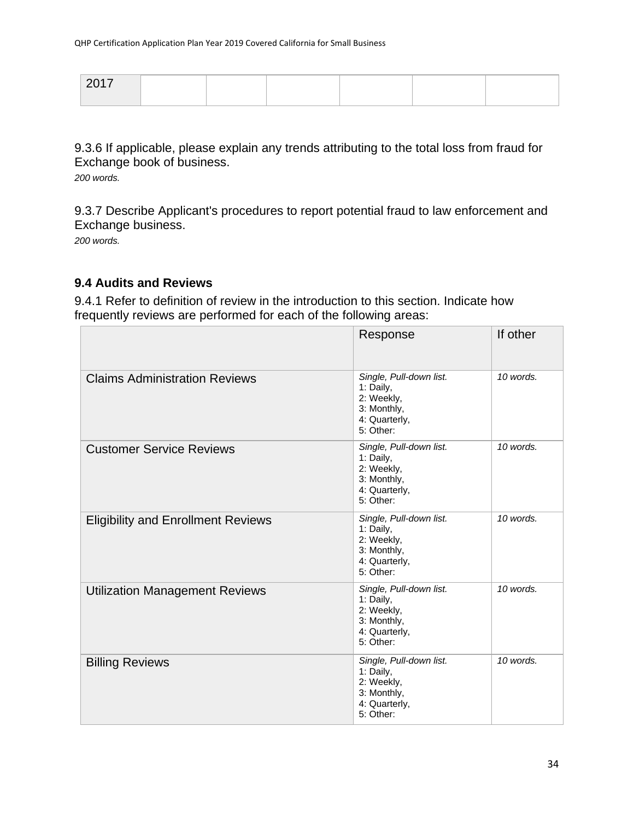| 0017 |  |  |  |
|------|--|--|--|
|      |  |  |  |

9.3.6 If applicable, please explain any trends attributing to the total loss from fraud for Exchange book of business.

*200 words.*

9.3.7 Describe Applicant's procedures to report potential fraud to law enforcement and Exchange business.

*200 words.*

#### **9.4 Audits and Reviews**

9.4.1 Refer to definition of review in the introduction to this section. Indicate how frequently reviews are performed for each of the following areas:

|                                           | Response                                                                                        | If other  |
|-------------------------------------------|-------------------------------------------------------------------------------------------------|-----------|
| <b>Claims Administration Reviews</b>      | Single, Pull-down list.<br>1: Daily,<br>2: Weekly,<br>3: Monthly,<br>4: Quarterly,<br>5: Other: | 10 words. |
| <b>Customer Service Reviews</b>           | Single, Pull-down list.<br>1: Daily,<br>2: Weekly,<br>3: Monthly,<br>4: Quarterly,<br>5: Other: | 10 words. |
| <b>Eligibility and Enrollment Reviews</b> | Single, Pull-down list.<br>1: Daily,<br>2: Weekly,<br>3: Monthly,<br>4: Quarterly,<br>5: Other: | 10 words. |
| <b>Utilization Management Reviews</b>     | Single, Pull-down list.<br>1: Daily,<br>2: Weekly,<br>3: Monthly,<br>4: Quarterly,<br>5: Other: | 10 words. |
| <b>Billing Reviews</b>                    | Single, Pull-down list.<br>1: Daily,<br>2: Weekly,<br>3: Monthly,<br>4: Quarterly,<br>5: Other: | 10 words. |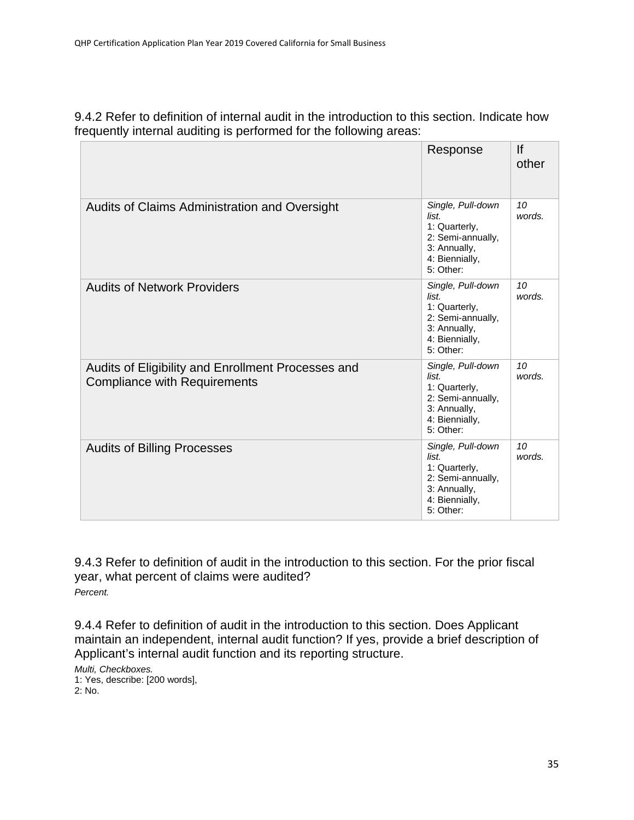9.4.2 Refer to definition of internal audit in the introduction to this section. Indicate how frequently internal auditing is performed for the following areas:

|                                                                                           | Response                                                                                                        | If<br>other  |
|-------------------------------------------------------------------------------------------|-----------------------------------------------------------------------------------------------------------------|--------------|
| Audits of Claims Administration and Oversight                                             | Single, Pull-down<br>list.<br>1: Quarterly,<br>2: Semi-annually,<br>3: Annually,<br>4: Biennially,<br>5: Other: | 10<br>words. |
| <b>Audits of Network Providers</b>                                                        | Single, Pull-down<br>list.<br>1: Quarterly,<br>2: Semi-annually,<br>3: Annually,<br>4: Biennially,<br>5: Other: | 10<br>words. |
| Audits of Eligibility and Enrollment Processes and<br><b>Compliance with Requirements</b> | Single, Pull-down<br>list.<br>1: Quarterly,<br>2: Semi-annually,<br>3: Annually,<br>4: Biennially,<br>5: Other: | 10<br>words. |
| <b>Audits of Billing Processes</b>                                                        | Single, Pull-down<br>list.<br>1: Quarterly,<br>2: Semi-annually,<br>3: Annually,<br>4: Biennially,<br>5: Other: | 10<br>words. |

9.4.3 Refer to definition of audit in the introduction to this section. For the prior fiscal year, what percent of claims were audited? *Percent.*

9.4.4 Refer to definition of audit in the introduction to this section. Does Applicant maintain an independent, internal audit function? If yes, provide a brief description of Applicant's internal audit function and its reporting structure.

*Multi, Checkboxes.* 1: Yes, describe: [200 words], 2: No.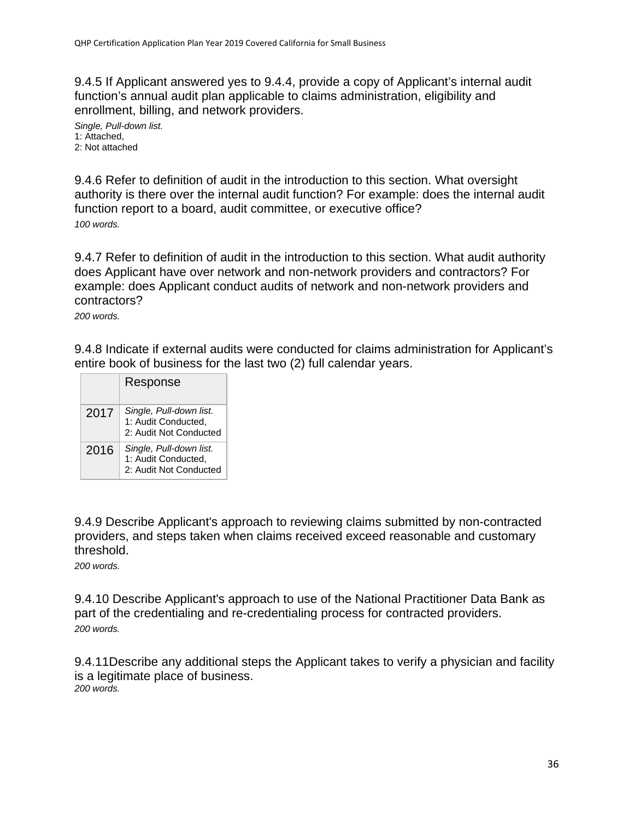9.4.5 If Applicant answered yes to 9.4.4, provide a copy of Applicant's internal audit function's annual audit plan applicable to claims administration, eligibility and enrollment, billing, and network providers.

*Single, Pull-down list.* 1: Attached, 2: Not attached

9.4.6 Refer to definition of audit in the introduction to this section. What oversight authority is there over the internal audit function? For example: does the internal audit function report to a board, audit committee, or executive office? *100 words.*

9.4.7 Refer to definition of audit in the introduction to this section. What audit authority does Applicant have over network and non-network providers and contractors? For example: does Applicant conduct audits of network and non-network providers and contractors?

*200 words.*

9.4.8 Indicate if external audits were conducted for claims administration for Applicant's entire book of business for the last two (2) full calendar years.

|      | Response                                                                 |
|------|--------------------------------------------------------------------------|
| 2017 | Single, Pull-down list.<br>1: Audit Conducted,<br>2: Audit Not Conducted |
| 2016 | Single, Pull-down list.<br>1: Audit Conducted,<br>2: Audit Not Conducted |

9.4.9 Describe Applicant's approach to reviewing claims submitted by non-contracted providers, and steps taken when claims received exceed reasonable and customary threshold.

*200 words.*

9.4.10 Describe Applicant's approach to use of the National Practitioner Data Bank as part of the credentialing and re-credentialing process for contracted providers. *200 words.*

9.4.11Describe any additional steps the Applicant takes to verify a physician and facility is a legitimate place of business. *200 words.*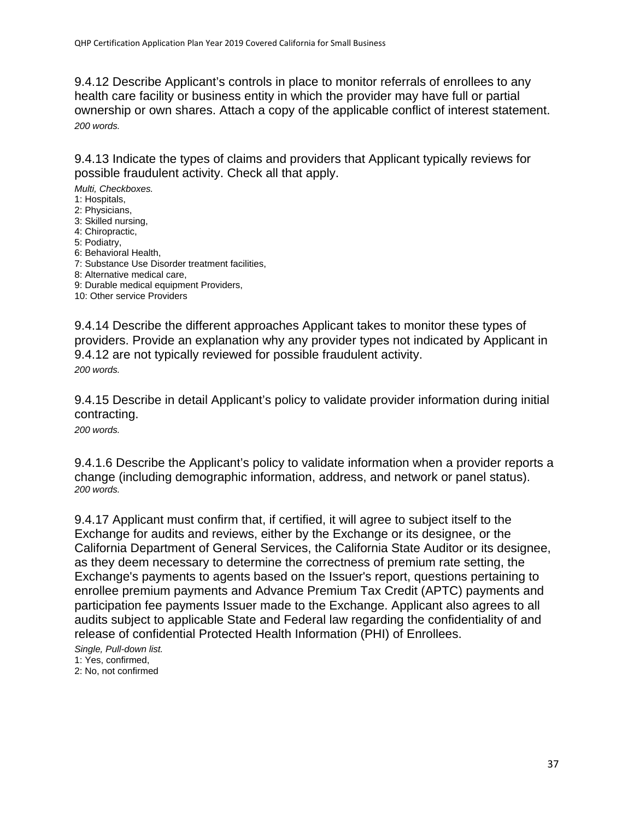9.4.12 Describe Applicant's controls in place to monitor referrals of enrollees to any health care facility or business entity in which the provider may have full or partial ownership or own shares. Attach a copy of the applicable conflict of interest statement. *200 words.*

9.4.13 Indicate the types of claims and providers that Applicant typically reviews for possible fraudulent activity. Check all that apply.

*Multi, Checkboxes.*

- 1: Hospitals,
- 2: Physicians,
- 3: Skilled nursing,
- 4: Chiropractic,
- 5: Podiatry,
- 6: Behavioral Health,
- 7: Substance Use Disorder treatment facilities,
- 8: Alternative medical care,
- 9: Durable medical equipment Providers,
- 10: Other service Providers

9.4.14 Describe the different approaches Applicant takes to monitor these types of providers. Provide an explanation why any provider types not indicated by Applicant in 9.4.12 are not typically reviewed for possible fraudulent activity. *200 words.*

9.4.15 Describe in detail Applicant's policy to validate provider information during initial contracting.

*200 words.*

9.4.1.6 Describe the Applicant's policy to validate information when a provider reports a change (including demographic information, address, and network or panel status). *200 words.*

9.4.17 Applicant must confirm that, if certified, it will agree to subject itself to the Exchange for audits and reviews, either by the Exchange or its designee, or the California Department of General Services, the California State Auditor or its designee, as they deem necessary to determine the correctness of premium rate setting, the Exchange's payments to agents based on the Issuer's report, questions pertaining to enrollee premium payments and Advance Premium Tax Credit (APTC) payments and participation fee payments Issuer made to the Exchange. Applicant also agrees to all audits subject to applicable State and Federal law regarding the confidentiality of and release of confidential Protected Health Information (PHI) of Enrollees.

*Single, Pull-down list.* 1: Yes, confirmed,

2: No, not confirmed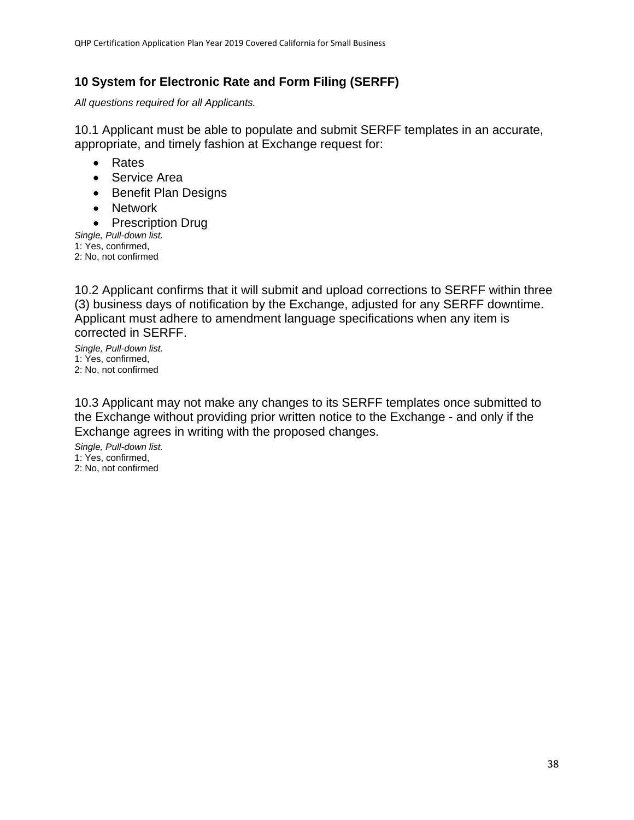## **10 System for Electronic Rate and Form Filing (SERFF)**

*All questions required for all Applicants.* 

10.1 Applicant must be able to populate and submit SERFF templates in an accurate, appropriate, and timely fashion at Exchange request for:

- Rates
- Service Area
- Benefit Plan Designs
- Network
- Prescription Drug

*Single, Pull-down list.* 1: Yes, confirmed, 2: No, not confirmed

10.2 Applicant confirms that it will submit and upload corrections to SERFF within three (3) business days of notification by the Exchange, adjusted for any SERFF downtime. Applicant must adhere to amendment language specifications when any item is corrected in SERFF.

*Single, Pull-down list.* 1: Yes, confirmed, 2: No, not confirmed

10.3 Applicant may not make any changes to its SERFF templates once submitted to the Exchange without providing prior written notice to the Exchange - and only if the Exchange agrees in writing with the proposed changes.

*Single, Pull-down list.* 1: Yes, confirmed, 2: No, not confirmed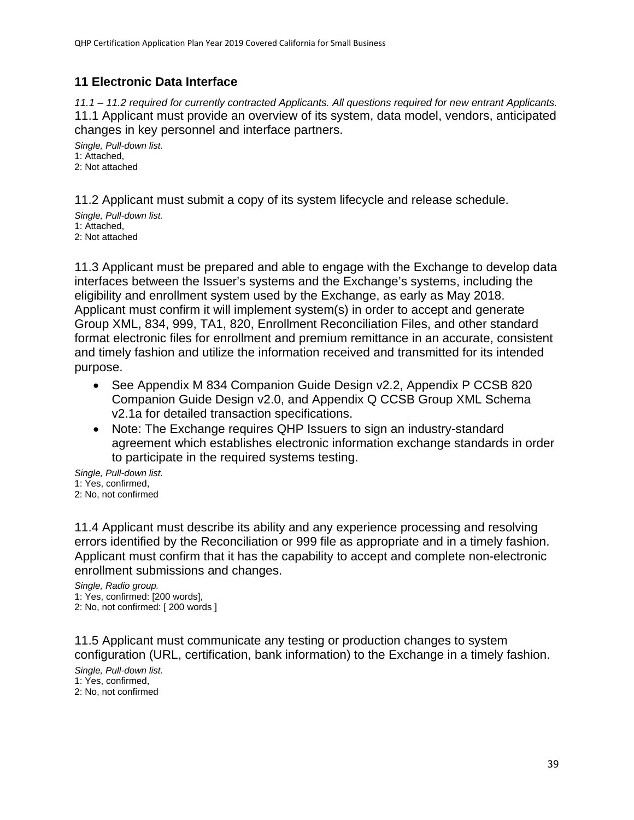### **11 Electronic Data Interface**

*11.1 – 11.2 required for currently contracted Applicants. All questions required for new entrant Applicants.* 11.1 Applicant must provide an overview of its system, data model, vendors, anticipated changes in key personnel and interface partners.

*Single, Pull-down list.* 1: Attached, 2: Not attached

11.2 Applicant must submit a copy of its system lifecycle and release schedule.

*Single, Pull-down list.* 1: Attached, 2: Not attached

11.3 Applicant must be prepared and able to engage with the Exchange to develop data interfaces between the Issuer's systems and the Exchange's systems, including the eligibility and enrollment system used by the Exchange, as early as May 2018. Applicant must confirm it will implement system(s) in order to accept and generate Group XML, 834, 999, TA1, 820, Enrollment Reconciliation Files, and other standard format electronic files for enrollment and premium remittance in an accurate, consistent and timely fashion and utilize the information received and transmitted for its intended purpose.

- See Appendix M 834 Companion Guide Design v2.2, Appendix P CCSB 820 Companion Guide Design v2.0, and Appendix Q CCSB Group XML Schema v2.1a for detailed transaction specifications.
- Note: The Exchange requires QHP Issuers to sign an industry-standard agreement which establishes electronic information exchange standards in order to participate in the required systems testing.

*Single, Pull-down list.*

1: Yes, confirmed, 2: No, not confirmed

11.4 Applicant must describe its ability and any experience processing and resolving errors identified by the Reconciliation or 999 file as appropriate and in a timely fashion. Applicant must confirm that it has the capability to accept and complete non-electronic enrollment submissions and changes.

*Single, Radio group.* 1: Yes, confirmed: [200 words], 2: No, not confirmed: [ 200 words ]

11.5 Applicant must communicate any testing or production changes to system configuration (URL, certification, bank information) to the Exchange in a timely fashion.

*Single, Pull-down list.* 1: Yes, confirmed, 2: No, not confirmed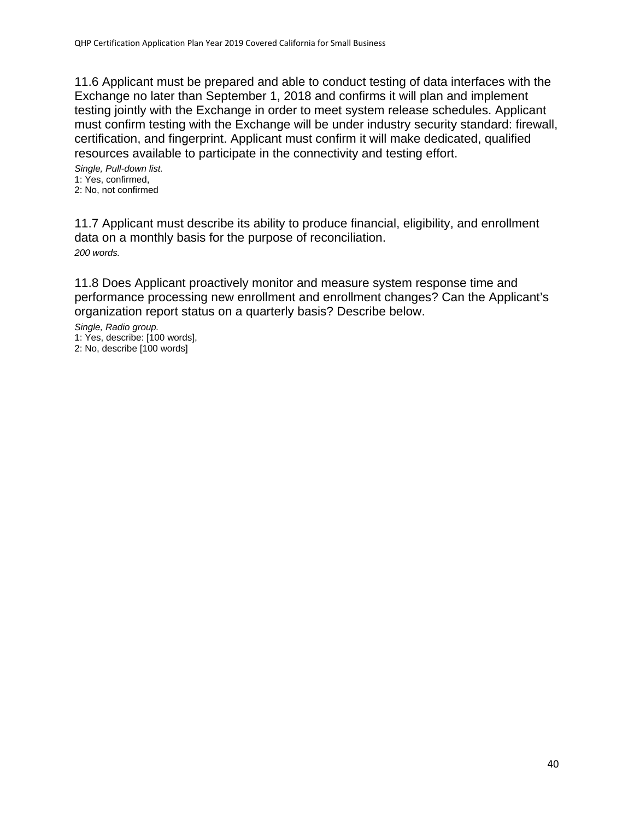11.6 Applicant must be prepared and able to conduct testing of data interfaces with the Exchange no later than September 1, 2018 and confirms it will plan and implement testing jointly with the Exchange in order to meet system release schedules. Applicant must confirm testing with the Exchange will be under industry security standard: firewall, certification, and fingerprint. Applicant must confirm it will make dedicated, qualified resources available to participate in the connectivity and testing effort.

*Single, Pull-down list.* 1: Yes, confirmed, 2: No, not confirmed

11.7 Applicant must describe its ability to produce financial, eligibility, and enrollment data on a monthly basis for the purpose of reconciliation. *200 words.*

11.8 Does Applicant proactively monitor and measure system response time and performance processing new enrollment and enrollment changes? Can the Applicant's organization report status on a quarterly basis? Describe below.

*Single, Radio group.* 1: Yes, describe: [100 words], 2: No, describe [100 words]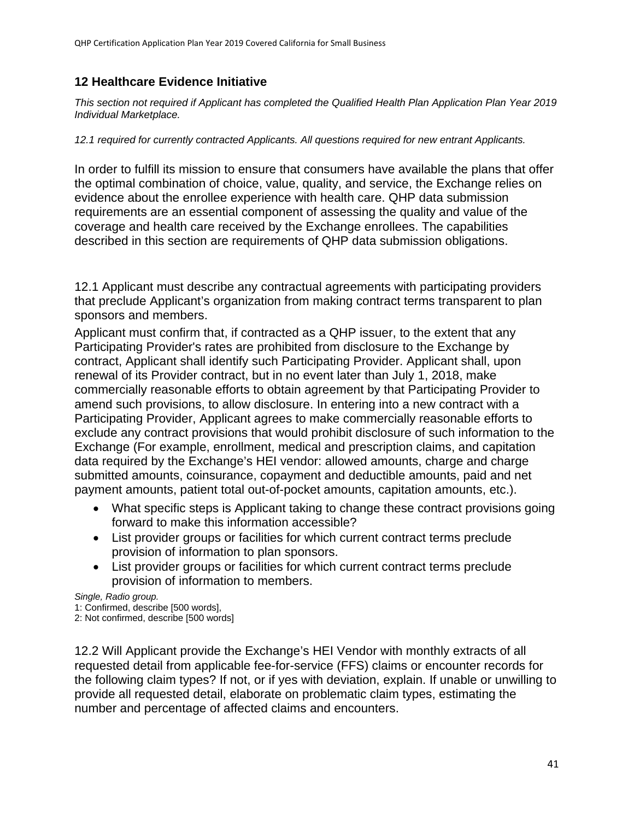### **12 Healthcare Evidence Initiative**

*This section not required if Applicant has completed the Qualified Health Plan Application Plan Year 2019 Individual Marketplace.* 

12.1 required for currently contracted Applicants. All questions required for new entrant Applicants.

In order to fulfill its mission to ensure that consumers have available the plans that offer the optimal combination of choice, value, quality, and service, the Exchange relies on evidence about the enrollee experience with health care. QHP data submission requirements are an essential component of assessing the quality and value of the coverage and health care received by the Exchange enrollees. The capabilities described in this section are requirements of QHP data submission obligations.

12.1 Applicant must describe any contractual agreements with participating providers that preclude Applicant's organization from making contract terms transparent to plan sponsors and members.

Applicant must confirm that, if contracted as a QHP issuer, to the extent that any Participating Provider's rates are prohibited from disclosure to the Exchange by contract, Applicant shall identify such Participating Provider. Applicant shall, upon renewal of its Provider contract, but in no event later than July 1, 2018, make commercially reasonable efforts to obtain agreement by that Participating Provider to amend such provisions, to allow disclosure. In entering into a new contract with a Participating Provider, Applicant agrees to make commercially reasonable efforts to exclude any contract provisions that would prohibit disclosure of such information to the Exchange (For example, enrollment, medical and prescription claims, and capitation data required by the Exchange's HEI vendor: allowed amounts, charge and charge submitted amounts, coinsurance, copayment and deductible amounts, paid and net payment amounts, patient total out-of-pocket amounts, capitation amounts, etc.).

- What specific steps is Applicant taking to change these contract provisions going forward to make this information accessible?
- List provider groups or facilities for which current contract terms preclude provision of information to plan sponsors.
- List provider groups or facilities for which current contract terms preclude provision of information to members.

*Single, Radio group.*

1: Confirmed, describe [500 words],

2: Not confirmed, describe [500 words]

12.2 Will Applicant provide the Exchange's HEI Vendor with monthly extracts of all requested detail from applicable fee-for-service (FFS) claims or encounter records for the following claim types? If not, or if yes with deviation, explain. If unable or unwilling to provide all requested detail, elaborate on problematic claim types, estimating the number and percentage of affected claims and encounters.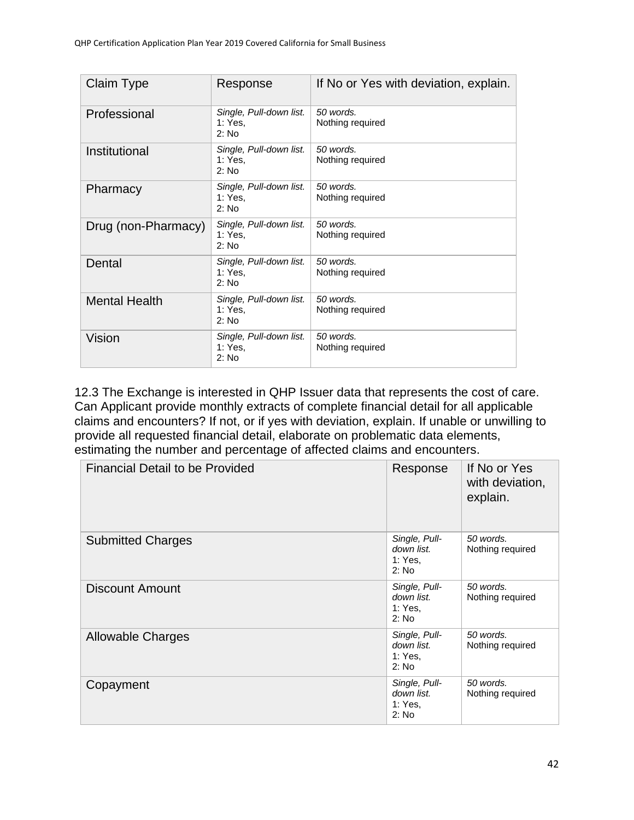| Claim Type           | Response                                    | If No or Yes with deviation, explain. |
|----------------------|---------------------------------------------|---------------------------------------|
| Professional         | Single, Pull-down list.<br>1: Yes,<br>2: No | 50 words.<br>Nothing required         |
| Institutional        | Single, Pull-down list.<br>1: Yes,<br>2: No | 50 words.<br>Nothing required         |
| Pharmacy             | Single, Pull-down list.<br>1: Yes.<br>2: No | 50 words.<br>Nothing required         |
| Drug (non-Pharmacy)  | Single, Pull-down list.<br>1: Yes.<br>2: No | 50 words.<br>Nothing required         |
| Dental               | Single, Pull-down list.<br>1: Yes,<br>2: No | 50 words.<br>Nothing required         |
| <b>Mental Health</b> | Single, Pull-down list.<br>1: Yes,<br>2: No | 50 words.<br>Nothing required         |
| Vision               | Single, Pull-down list.<br>1: Yes,<br>2: No | 50 words.<br>Nothing required         |

12.3 The Exchange is interested in QHP Issuer data that represents the cost of care. Can Applicant provide monthly extracts of complete financial detail for all applicable claims and encounters? If not, or if yes with deviation, explain. If unable or unwilling to provide all requested financial detail, elaborate on problematic data elements, estimating the number and percentage of affected claims and encounters.

| <b>Financial Detail to be Provided</b> | Response                                        | If No or Yes<br>with deviation,<br>explain. |
|----------------------------------------|-------------------------------------------------|---------------------------------------------|
| <b>Submitted Charges</b>               | Single, Pull-<br>down list.<br>1: Yes,<br>2: No | 50 words.<br>Nothing required               |
| <b>Discount Amount</b>                 | Single, Pull-<br>down list.<br>1: Yes,<br>2: No | 50 words.<br>Nothing required               |
| <b>Allowable Charges</b>               | Single, Pull-<br>down list.<br>1: Yes,<br>2: No | 50 words.<br>Nothing required               |
| Copayment                              | Single, Pull-<br>down list.<br>1: Yes,<br>2: No | 50 words.<br>Nothing required               |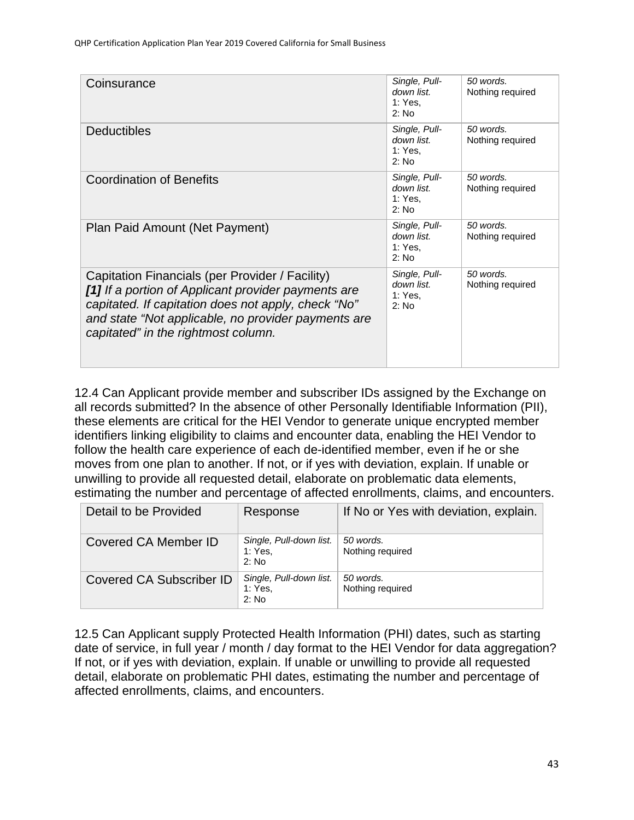| Coinsurance                                                                                                                                                                                                                                                 | Single, Pull-<br>down list.<br>1: Yes.<br>2: No   | 50 words.<br>Nothing required   |
|-------------------------------------------------------------------------------------------------------------------------------------------------------------------------------------------------------------------------------------------------------------|---------------------------------------------------|---------------------------------|
| <b>Deductibles</b>                                                                                                                                                                                                                                          | Single, Pull-<br>down list.<br>1: Yes,<br>2: No   | $50$ words.<br>Nothing required |
| <b>Coordination of Benefits</b>                                                                                                                                                                                                                             | Single, Pull-<br>down list.<br>1: Yes,<br>$2:$ No | 50 words.<br>Nothing required   |
| Plan Paid Amount (Net Payment)                                                                                                                                                                                                                              | Single, Pull-<br>down list.<br>1: Yes.<br>2: No   | $50$ words.<br>Nothing required |
| Capitation Financials (per Provider / Facility)<br>[1] If a portion of Applicant provider payments are<br>capitated. If capitation does not apply, check "No"<br>and state "Not applicable, no provider payments are<br>capitated" in the rightmost column. | Single, Pull-<br>down list.<br>1: Yes.<br>2: No   | $50$ words.<br>Nothing required |

12.4 Can Applicant provide member and subscriber IDs assigned by the Exchange on all records submitted? In the absence of other Personally Identifiable Information (PII), these elements are critical for the HEI Vendor to generate unique encrypted member identifiers linking eligibility to claims and encounter data, enabling the HEI Vendor to follow the health care experience of each de-identified member, even if he or she moves from one plan to another. If not, or if yes with deviation, explain. If unable or unwilling to provide all requested detail, elaborate on problematic data elements, estimating the number and percentage of affected enrollments, claims, and encounters.

| Detail to be Provided    | Response                                    | If No or Yes with deviation, explain. |
|--------------------------|---------------------------------------------|---------------------------------------|
| Covered CA Member ID     | Single, Pull-down list.<br>1: Yes.<br>2: No | 50 words.<br>Nothing required         |
| Covered CA Subscriber ID | Single, Pull-down list.<br>1: Yes.<br>2: No | 50 words.<br>Nothing required         |

12.5 Can Applicant supply Protected Health Information (PHI) dates, such as starting date of service, in full year / month / day format to the HEI Vendor for data aggregation? If not, or if yes with deviation, explain. If unable or unwilling to provide all requested detail, elaborate on problematic PHI dates, estimating the number and percentage of affected enrollments, claims, and encounters.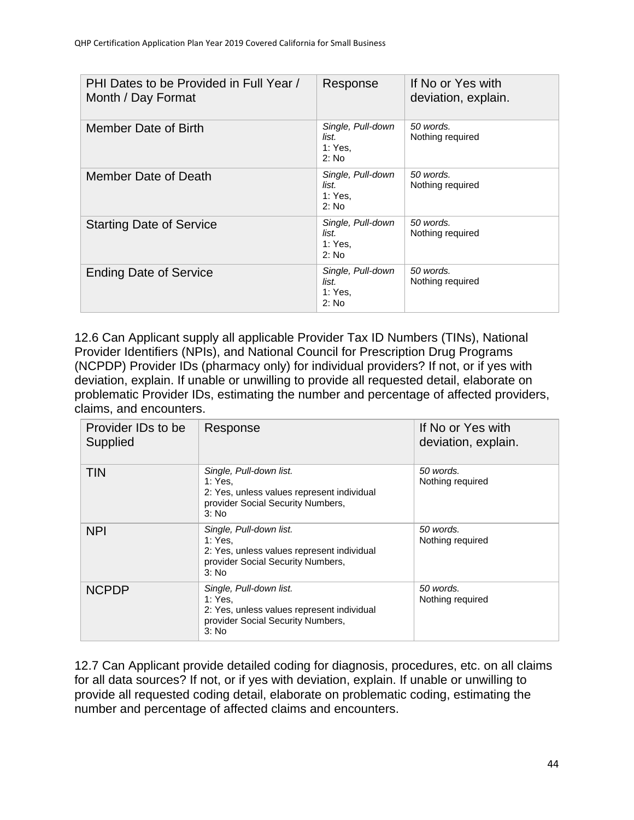| PHI Dates to be Provided in Full Year /<br>Month / Day Format | Response                                       | If No or Yes with<br>deviation, explain. |
|---------------------------------------------------------------|------------------------------------------------|------------------------------------------|
| Member Date of Birth                                          | Single, Pull-down<br>list.<br>1: Yes,<br>2: No | 50 words.<br>Nothing required            |
| Member Date of Death                                          | Single, Pull-down<br>list.<br>1: Yes,<br>2: No | 50 words.<br>Nothing required            |
| <b>Starting Date of Service</b>                               | Single, Pull-down<br>list.<br>1: Yes,<br>2: No | 50 words.<br>Nothing required            |
| <b>Ending Date of Service</b>                                 | Single, Pull-down<br>list.<br>1: Yes,<br>2: No | 50 words.<br>Nothing required            |

12.6 Can Applicant supply all applicable Provider Tax ID Numbers (TINs), National Provider Identifiers (NPIs), and National Council for Prescription Drug Programs (NCPDP) Provider IDs (pharmacy only) for individual providers? If not, or if yes with deviation, explain. If unable or unwilling to provide all requested detail, elaborate on problematic Provider IDs, estimating the number and percentage of affected providers, claims, and encounters.

| Provider IDs to be<br>Supplied | Response                                                                                                                       | If No or Yes with<br>deviation, explain. |
|--------------------------------|--------------------------------------------------------------------------------------------------------------------------------|------------------------------------------|
| <b>TIN</b>                     | Single, Pull-down list.<br>1: Yes.<br>2: Yes, unless values represent individual<br>provider Social Security Numbers,<br>3: No | 50 words.<br>Nothing required            |
| <b>NPI</b>                     | Single, Pull-down list.<br>1: Yes.<br>2: Yes, unless values represent individual<br>provider Social Security Numbers,<br>3: No | 50 words.<br>Nothing required            |
| <b>NCPDP</b>                   | Single, Pull-down list.<br>1: Yes.<br>2: Yes, unless values represent individual<br>provider Social Security Numbers,<br>3: No | 50 words.<br>Nothing required            |

12.7 Can Applicant provide detailed coding for diagnosis, procedures, etc. on all claims for all data sources? If not, or if yes with deviation, explain. If unable or unwilling to provide all requested coding detail, elaborate on problematic coding, estimating the number and percentage of affected claims and encounters.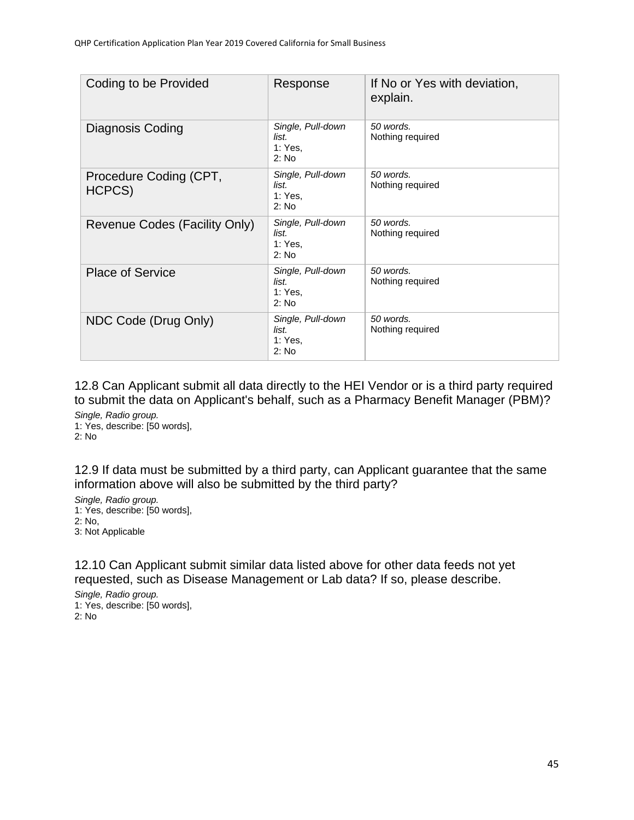| Coding to be Provided            | Response                                       | If No or Yes with deviation,<br>explain. |
|----------------------------------|------------------------------------------------|------------------------------------------|
| <b>Diagnosis Coding</b>          | Single, Pull-down<br>list.<br>1: Yes.<br>2: No | 50 words.<br>Nothing required            |
| Procedure Coding (CPT,<br>HCPCS) | Single, Pull-down<br>list.<br>1: Yes,<br>2: No | 50 words.<br>Nothing required            |
| Revenue Codes (Facility Only)    | Single, Pull-down<br>list.<br>1: Yes.<br>2: No | $50$ words.<br>Nothing required          |
| <b>Place of Service</b>          | Single, Pull-down<br>list.<br>1: Yes.<br>2: No | 50 words.<br>Nothing required            |
| NDC Code (Drug Only)             | Single, Pull-down<br>list.<br>1: Yes.<br>2: No | 50 words.<br>Nothing required            |

12.8 Can Applicant submit all data directly to the HEI Vendor or is a third party required to submit the data on Applicant's behalf, such as a Pharmacy Benefit Manager (PBM)?

*Single, Radio group.* 1: Yes, describe: [50 words], 2: No

12.9 If data must be submitted by a third party, can Applicant guarantee that the same information above will also be submitted by the third party?

*Single, Radio group.* 1: Yes, describe: [50 words], 2: No, 3: Not Applicable

12.10 Can Applicant submit similar data listed above for other data feeds not yet requested, such as Disease Management or Lab data? If so, please describe.

*Single, Radio group.* 1: Yes, describe: [50 words], 2: No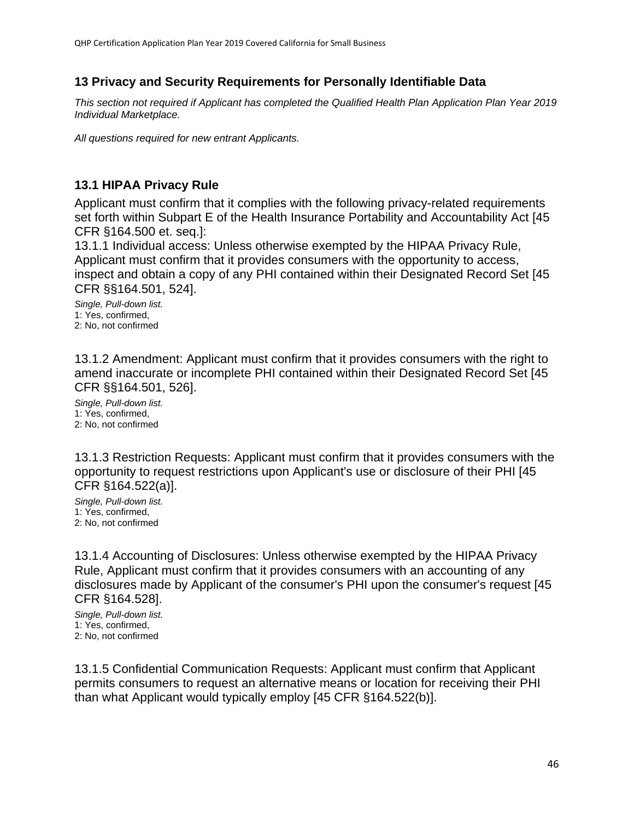### **13 Privacy and Security Requirements for Personally Identifiable Data**

*This section not required if Applicant has completed the Qualified Health Plan Application Plan Year 2019 Individual Marketplace.* 

*All questions required for new entrant Applicants.* 

#### **13.1 HIPAA Privacy Rule**

Applicant must confirm that it complies with the following privacy-related requirements set forth within Subpart E of the Health Insurance Portability and Accountability Act [45] CFR §164.500 et. seq.]:

13.1.1 Individual access: Unless otherwise exempted by the HIPAA Privacy Rule, Applicant must confirm that it provides consumers with the opportunity to access, inspect and obtain a copy of any PHI contained within their Designated Record Set [45 CFR §§164.501, 524].

*Single, Pull-down list.* 1: Yes, confirmed, 2: No, not confirmed

13.1.2 Amendment: Applicant must confirm that it provides consumers with the right to amend inaccurate or incomplete PHI contained within their Designated Record Set [45 CFR §§164.501, 526].

*Single, Pull-down list.* 1: Yes, confirmed, 2: No, not confirmed

13.1.3 Restriction Requests: Applicant must confirm that it provides consumers with the opportunity to request restrictions upon Applicant's use or disclosure of their PHI [45 CFR §164.522(a)].

*Single, Pull-down list.* 1: Yes, confirmed, 2: No, not confirmed

13.1.4 Accounting of Disclosures: Unless otherwise exempted by the HIPAA Privacy Rule, Applicant must confirm that it provides consumers with an accounting of any disclosures made by Applicant of the consumer's PHI upon the consumer's request [45 CFR §164.528].

*Single, Pull-down list.* 1: Yes, confirmed, 2: No, not confirmed

13.1.5 Confidential Communication Requests: Applicant must confirm that Applicant permits consumers to request an alternative means or location for receiving their PHI than what Applicant would typically employ [45 CFR §164.522(b)].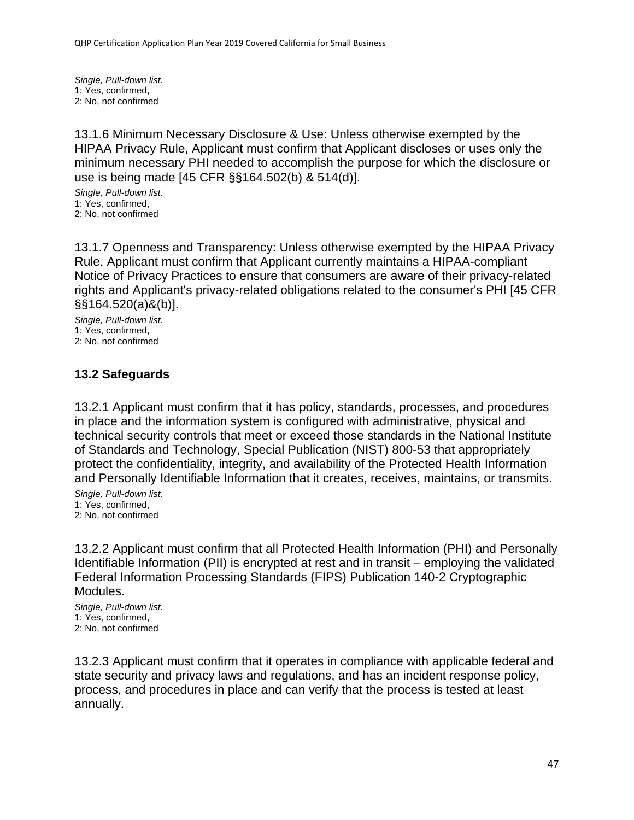*Single, Pull-down list.* 1: Yes, confirmed, 2: No, not confirmed

13.1.6 Minimum Necessary Disclosure & Use: Unless otherwise exempted by the HIPAA Privacy Rule, Applicant must confirm that Applicant discloses or uses only the minimum necessary PHI needed to accomplish the purpose for which the disclosure or use is being made [45 CFR §§164.502(b) & 514(d)].

*Single, Pull-down list.* 1: Yes, confirmed, 2: No, not confirmed

13.1.7 Openness and Transparency: Unless otherwise exempted by the HIPAA Privacy Rule, Applicant must confirm that Applicant currently maintains a HIPAA-compliant Notice of Privacy Practices to ensure that consumers are aware of their privacy-related rights and Applicant's privacy-related obligations related to the consumer's PHI [45 CFR §§164.520(a)&(b)].

*Single, Pull-down list.* 1: Yes, confirmed, 2: No, not confirmed

### **13.2 Safeguards**

13.2.1 Applicant must confirm that it has policy, standards, processes, and procedures in place and the information system is configured with administrative, physical and technical security controls that meet or exceed those standards in the National Institute of Standards and Technology, Special Publication (NIST) 800-53 that appropriately protect the confidentiality, integrity, and availability of the Protected Health Information and Personally Identifiable Information that it creates, receives, maintains, or transmits.

*Single, Pull-down list.* 1: Yes, confirmed, 2: No, not confirmed

13.2.2 Applicant must confirm that all Protected Health Information (PHI) and Personally Identifiable Information (PII) is encrypted at rest and in transit – employing the validated Federal Information Processing Standards (FIPS) Publication 140-2 Cryptographic Modules.

*Single, Pull-down list.* 1: Yes, confirmed, 2: No, not confirmed

13.2.3 Applicant must confirm that it operates in compliance with applicable federal and state security and privacy laws and regulations, and has an incident response policy, process, and procedures in place and can verify that the process is tested at least annually.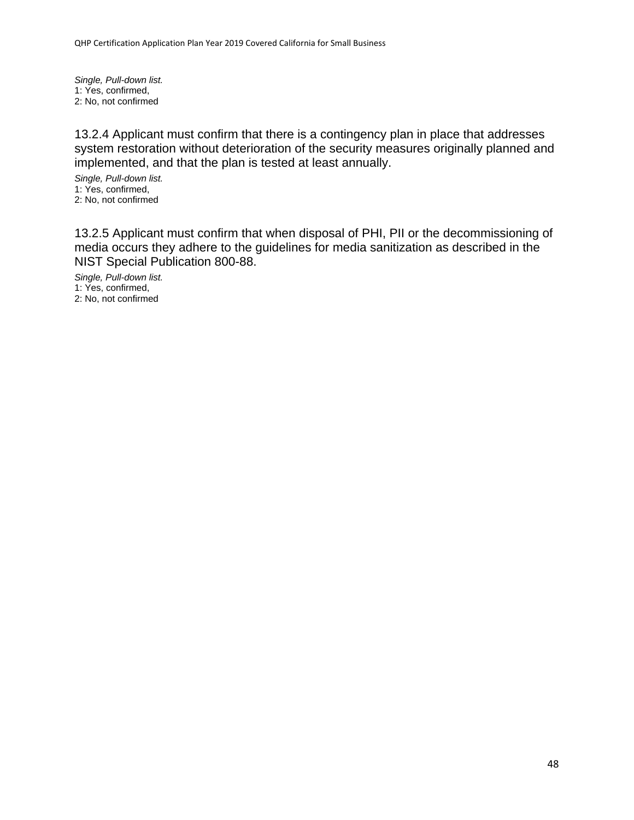*Single, Pull-down list.* 1: Yes, confirmed, 2: No, not confirmed

13.2.4 Applicant must confirm that there is a contingency plan in place that addresses system restoration without deterioration of the security measures originally planned and implemented, and that the plan is tested at least annually.

*Single, Pull-down list.* 1: Yes, confirmed, 2: No, not confirmed

13.2.5 Applicant must confirm that when disposal of PHI, PII or the decommissioning of media occurs they adhere to the guidelines for media sanitization as described in the NIST Special Publication 800-88.

*Single, Pull-down list.* 1: Yes, confirmed, 2: No, not confirmed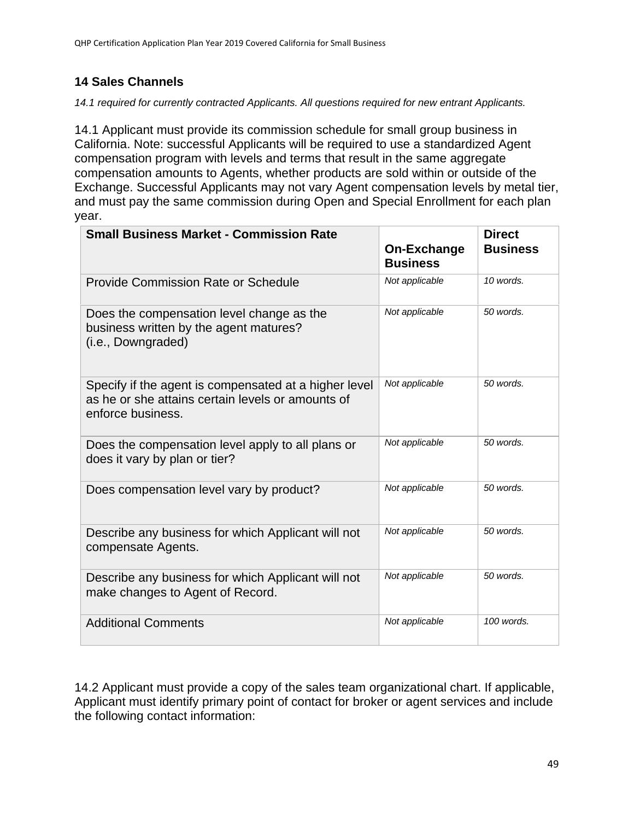# **14 Sales Channels**

*14.1 required for currently contracted Applicants. All questions required for new entrant Applicants.* 

14.1 Applicant must provide its commission schedule for small group business in California. Note: successful Applicants will be required to use a standardized Agent compensation program with levels and terms that result in the same aggregate compensation amounts to Agents, whether products are sold within or outside of the Exchange. Successful Applicants may not vary Agent compensation levels by metal tier, and must pay the same commission during Open and Special Enrollment for each plan year.

| <b>Small Business Market - Commission Rate</b>                                                                                  | <b>On-Exchange</b><br><b>Business</b> | <b>Direct</b><br><b>Business</b> |
|---------------------------------------------------------------------------------------------------------------------------------|---------------------------------------|----------------------------------|
| <b>Provide Commission Rate or Schedule</b>                                                                                      | Not applicable                        | 10 words.                        |
| Does the compensation level change as the<br>business written by the agent matures?<br>(i.e., Downgraded)                       | Not applicable                        | 50 words.                        |
| Specify if the agent is compensated at a higher level<br>as he or she attains certain levels or amounts of<br>enforce business. | Not applicable                        | 50 words.                        |
| Does the compensation level apply to all plans or<br>does it vary by plan or tier?                                              | Not applicable                        | 50 words.                        |
| Does compensation level vary by product?                                                                                        | Not applicable                        | 50 words.                        |
| Describe any business for which Applicant will not<br>compensate Agents.                                                        | Not applicable                        | 50 words.                        |
| Describe any business for which Applicant will not<br>make changes to Agent of Record.                                          | Not applicable                        | 50 words.                        |
| <b>Additional Comments</b>                                                                                                      | Not applicable                        | 100 words.                       |

14.2 Applicant must provide a copy of the sales team organizational chart. If applicable, Applicant must identify primary point of contact for broker or agent services and include the following contact information: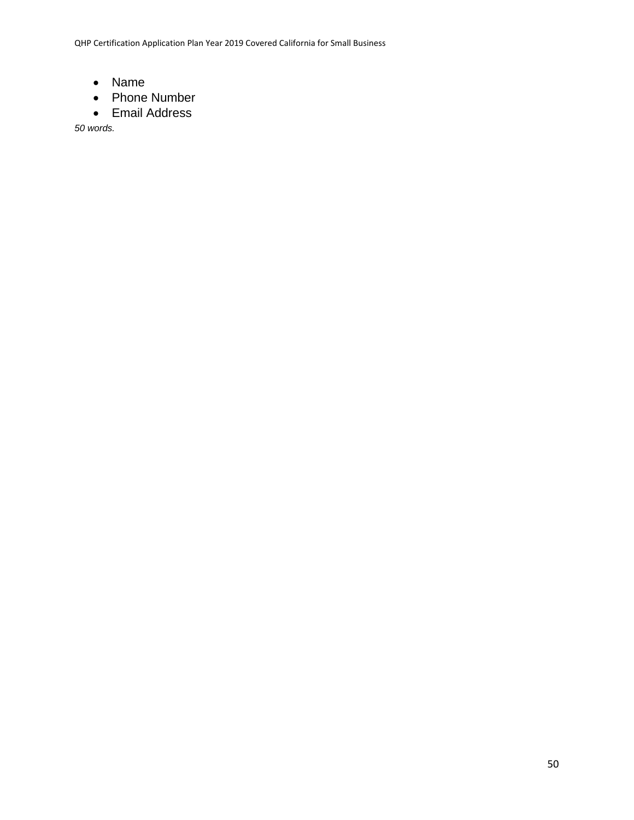QHP Certification Application Plan Year 2019 Covered California for Small Business

- Name
- Phone Number
- Email Address

*50 words.*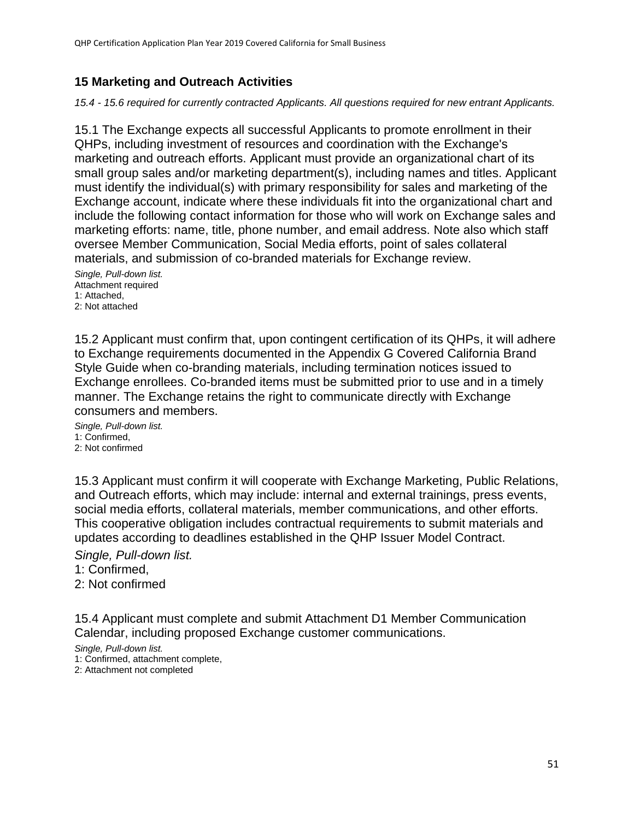### **15 Marketing and Outreach Activities**

*15.4 - 15.6 required for currently contracted Applicants. All questions required for new entrant Applicants.* 

15.1 The Exchange expects all successful Applicants to promote enrollment in their QHPs, including investment of resources and coordination with the Exchange's marketing and outreach efforts. Applicant must provide an organizational chart of its small group sales and/or marketing department(s), including names and titles. Applicant must identify the individual(s) with primary responsibility for sales and marketing of the Exchange account, indicate where these individuals fit into the organizational chart and include the following contact information for those who will work on Exchange sales and marketing efforts: name, title, phone number, and email address. Note also which staff oversee Member Communication, Social Media efforts, point of sales collateral materials, and submission of co-branded materials for Exchange review.

*Single, Pull-down list.* Attachment required 1: Attached, 2: Not attached

15.2 Applicant must confirm that, upon contingent certification of its QHPs, it will adhere to Exchange requirements documented in the Appendix G Covered California Brand Style Guide when co-branding materials, including termination notices issued to Exchange enrollees. Co-branded items must be submitted prior to use and in a timely manner. The Exchange retains the right to communicate directly with Exchange consumers and members.

*Single, Pull-down list.* 1: Confirmed, 2: Not confirmed

15.3 Applicant must confirm it will cooperate with Exchange Marketing, Public Relations, and Outreach efforts, which may include: internal and external trainings, press events, social media efforts, collateral materials, member communications, and other efforts. This cooperative obligation includes contractual requirements to submit materials and updates according to deadlines established in the QHP Issuer Model Contract.

*Single, Pull-down list.*

- 1: Confirmed,
- 2: Not confirmed

15.4 Applicant must complete and submit Attachment D1 Member Communication Calendar, including proposed Exchange customer communications.

*Single, Pull-down list.*

1: Confirmed, attachment complete,

2: Attachment not completed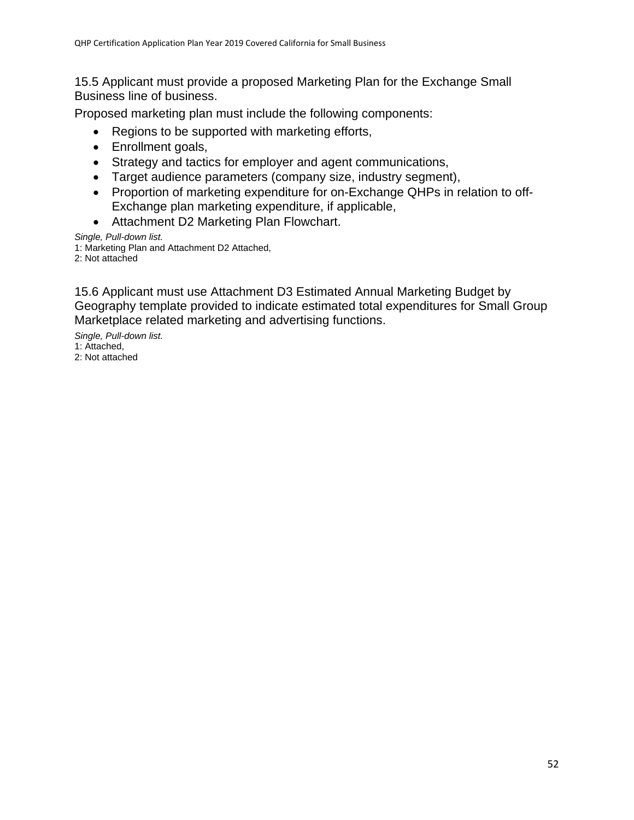15.5 Applicant must provide a proposed Marketing Plan for the Exchange Small Business line of business.

Proposed marketing plan must include the following components:

- Regions to be supported with marketing efforts,
- Enrollment goals,
- Strategy and tactics for employer and agent communications,
- Target audience parameters (company size, industry segment),
- Proportion of marketing expenditure for on-Exchange QHPs in relation to off-Exchange plan marketing expenditure, if applicable,
- Attachment D2 Marketing Plan Flowchart.

*Single, Pull-down list.* 1: Marketing Plan and Attachment D2 Attached, 2: Not attached

15.6 Applicant must use Attachment D3 Estimated Annual Marketing Budget by Geography template provided to indicate estimated total expenditures for Small Group Marketplace related marketing and advertising functions.

*Single, Pull-down list.*

1: Attached,

2: Not attached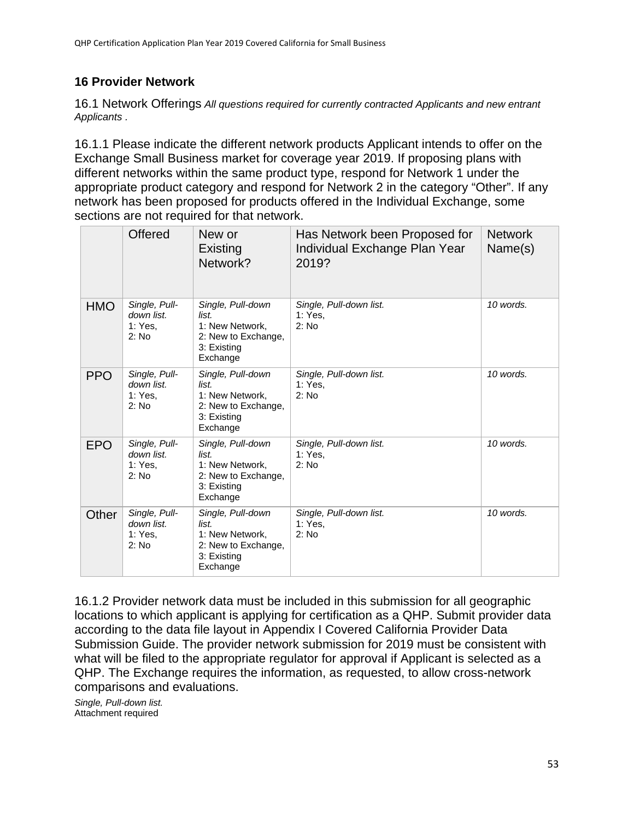### **16 Provider Network**

16.1 Network Offerings *All questions required for currently contracted Applicants and new entrant Applicants .* 

16.1.1 Please indicate the different network products Applicant intends to offer on the Exchange Small Business market for coverage year 2019. If proposing plans with different networks within the same product type, respond for Network 1 under the appropriate product category and respond for Network 2 in the category "Other". If any network has been proposed for products offered in the Individual Exchange, some sections are not required for that network.

|            | <b>Offered</b>                                  | New or<br>Existing<br>Network?                                                                  | Has Network been Proposed for<br>Individual Exchange Plan Year<br>2019? | <b>Network</b><br>Name(s) |
|------------|-------------------------------------------------|-------------------------------------------------------------------------------------------------|-------------------------------------------------------------------------|---------------------------|
| <b>HMO</b> | Single, Pull-<br>down list.<br>1: Yes.<br>2: No | Single, Pull-down<br>list.<br>1: New Network,<br>2: New to Exchange,<br>3: Existing<br>Exchange | Single, Pull-down list.<br>1: Yes.<br>2: No                             | 10 words.                 |
| <b>PPO</b> | Single, Pull-<br>down list.<br>1: Yes,<br>2: No | Single, Pull-down<br>list.<br>1: New Network,<br>2: New to Exchange,<br>3: Existing<br>Exchange | Single, Pull-down list.<br>1: Yes.<br>2: No                             | 10 words.                 |
| <b>EPO</b> | Single, Pull-<br>down list.<br>1: Yes,<br>2: No | Single, Pull-down<br>list.<br>1: New Network,<br>2: New to Exchange,<br>3: Existing<br>Exchange | Single, Pull-down list.<br>1: Yes.<br>2: No                             | 10 words.                 |
| Other      | Single, Pull-<br>down list.<br>1: Yes,<br>2: No | Single, Pull-down<br>list.<br>1: New Network,<br>2: New to Exchange,<br>3: Existing<br>Exchange | Single, Pull-down list.<br>1: Yes.<br>2: No                             | 10 words.                 |

16.1.2 Provider network data must be included in this submission for all geographic locations to which applicant is applying for certification as a QHP. Submit provider data according to the data file layout in Appendix I Covered California Provider Data Submission Guide. The provider network submission for 2019 must be consistent with what will be filed to the appropriate regulator for approval if Applicant is selected as a QHP. The Exchange requires the information, as requested, to allow cross-network comparisons and evaluations.

*Single, Pull-down list.* Attachment required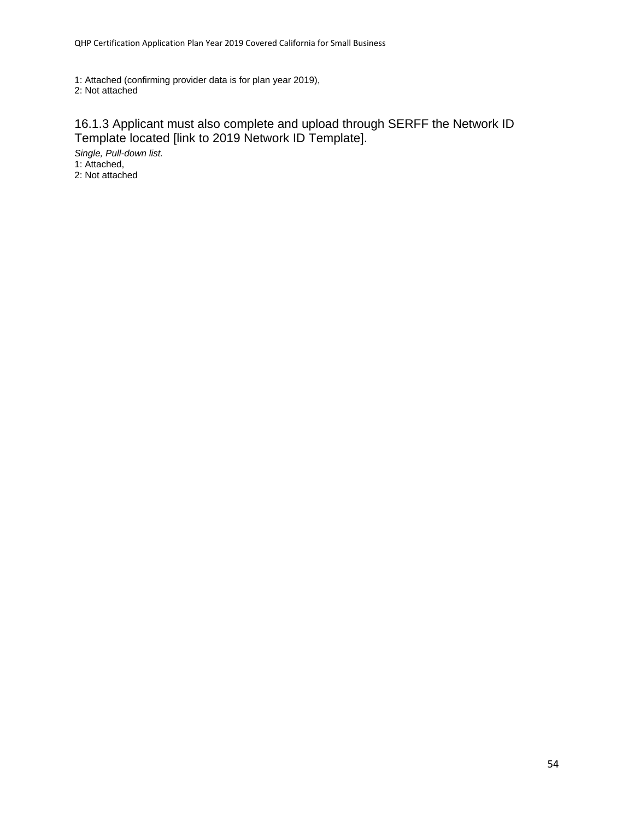1: Attached (confirming provider data is for plan year 2019),

2: Not attached

#### 16.1.3 Applicant must also complete and upload through SERFF the Network ID Template located [link to 2019 Network ID Template].

*Single, Pull-down list.* 1: Attached, 2: Not attached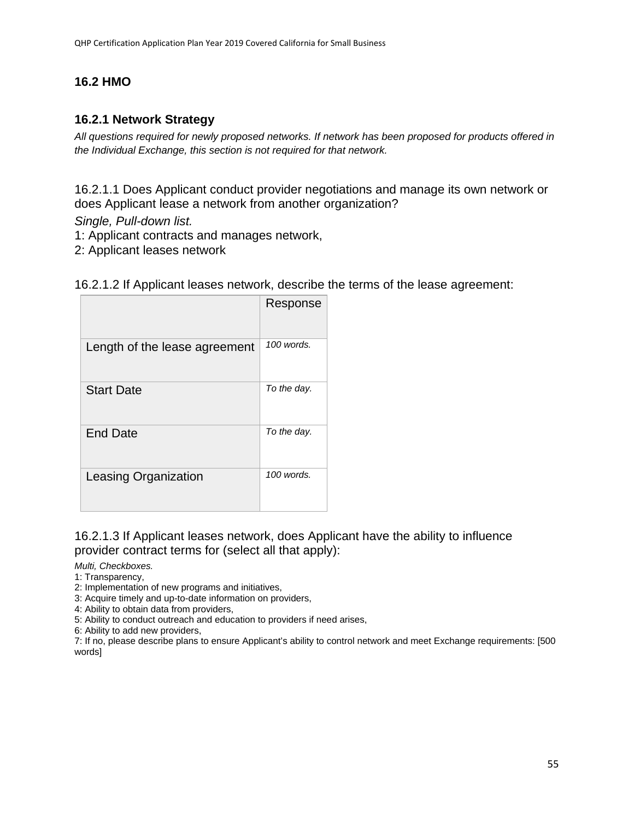### **16.2 HMO**

### **16.2.1 Network Strategy**

*All questions required for newly proposed networks. If network has been proposed for products offered in the Individual Exchange, this section is not required for that network.*

16.2.1.1 Does Applicant conduct provider negotiations and manage its own network or does Applicant lease a network from another organization?

*Single, Pull-down list.*

- 1: Applicant contracts and manages network,
- 2: Applicant leases network

| 16.2.1.2 If Applicant leases network, describe the terms of the lease agreement: |  |  |
|----------------------------------------------------------------------------------|--|--|
|                                                                                  |  |  |

|                               | Response    |
|-------------------------------|-------------|
| Length of the lease agreement | 100 words.  |
| <b>Start Date</b>             | To the day. |
| End Date                      | To the day. |
| <b>Leasing Organization</b>   | 100 words.  |

16.2.1.3 If Applicant leases network, does Applicant have the ability to influence provider contract terms for (select all that apply):

*Multi, Checkboxes.*

1: Transparency,

- 2: Implementation of new programs and initiatives,
- 3: Acquire timely and up-to-date information on providers,
- 4: Ability to obtain data from providers,
- 5: Ability to conduct outreach and education to providers if need arises,
- 6: Ability to add new providers,

<sup>7:</sup> If no, please describe plans to ensure Applicant's ability to control network and meet Exchange requirements: [500 words]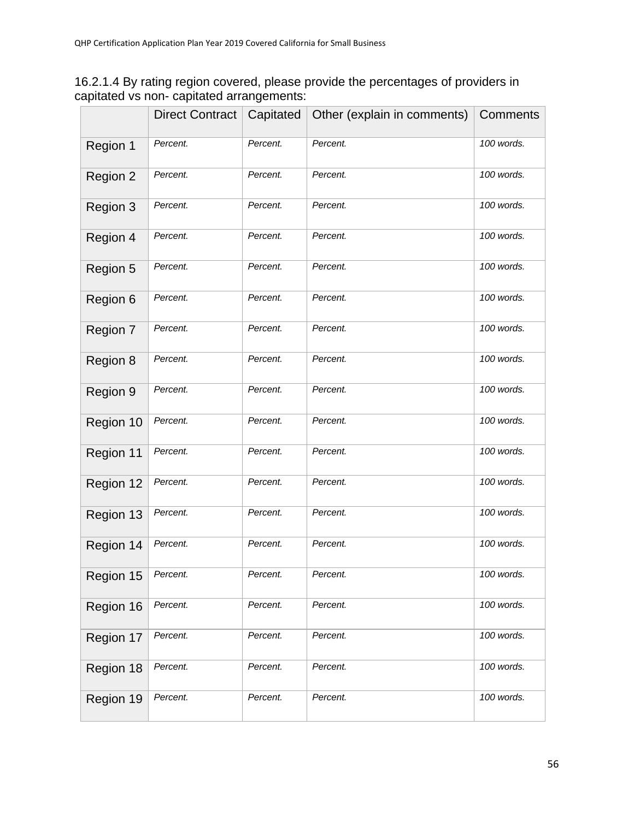### 16.2.1.4 By rating region covered, please provide the percentages of providers in capitated vs non- capitated arrangements:

|           | <b>Direct Contract</b> | Capitated | Other (explain in comments) | Comments   |
|-----------|------------------------|-----------|-----------------------------|------------|
| Region 1  | Percent.               | Percent.  | Percent.                    | 100 words. |
| Region 2  | Percent.               | Percent.  | Percent.                    | 100 words. |
| Region 3  | Percent.               | Percent.  | Percent.                    | 100 words. |
| Region 4  | Percent.               | Percent.  | Percent.                    | 100 words. |
| Region 5  | Percent.               | Percent.  | Percent.                    | 100 words. |
| Region 6  | Percent.               | Percent.  | Percent.                    | 100 words. |
| Region 7  | Percent.               | Percent.  | Percent.                    | 100 words. |
| Region 8  | Percent.               | Percent.  | Percent.                    | 100 words. |
| Region 9  | Percent.               | Percent.  | Percent.                    | 100 words. |
| Region 10 | Percent.               | Percent.  | Percent.                    | 100 words. |
| Region 11 | Percent.               | Percent.  | Percent.                    | 100 words. |
| Region 12 | Percent.               | Percent.  | Percent.                    | 100 words. |
| Region 13 | Percent.               | Percent.  | Percent.                    | 100 words. |
| Region 14 | Percent.               | Percent.  | Percent.                    | 100 words. |
| Region 15 | Percent.               | Percent.  | Percent.                    | 100 words. |
| Region 16 | Percent.               | Percent.  | Percent.                    | 100 words. |
| Region 17 | Percent.               | Percent.  | Percent.                    | 100 words. |
| Region 18 | Percent.               | Percent.  | Percent.                    | 100 words. |
| Region 19 | Percent.               | Percent.  | Percent.                    | 100 words. |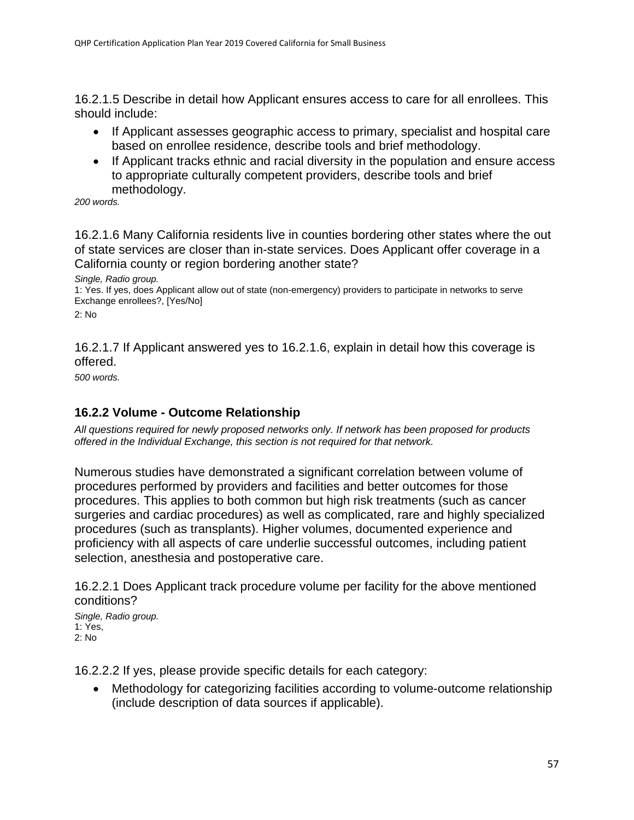16.2.1.5 Describe in detail how Applicant ensures access to care for all enrollees. This should include:

- If Applicant assesses geographic access to primary, specialist and hospital care based on enrollee residence, describe tools and brief methodology.
- If Applicant tracks ethnic and racial diversity in the population and ensure access to appropriate culturally competent providers, describe tools and brief methodology.

*200 words.*

16.2.1.6 Many California residents live in counties bordering other states where the out of state services are closer than in-state services. Does Applicant offer coverage in a California county or region bordering another state?

*Single, Radio group.*

1: Yes. If yes, does Applicant allow out of state (non-emergency) providers to participate in networks to serve Exchange enrollees?, [Yes/No]

2: No

16.2.1.7 If Applicant answered yes to 16.2.1.6, explain in detail how this coverage is offered.

*500 words.*

### **16.2.2 Volume - Outcome Relationship**

*All questions required for newly proposed networks only. If network has been proposed for products offered in the Individual Exchange, this section is not required for that network.* 

Numerous studies have demonstrated a significant correlation between volume of procedures performed by providers and facilities and better outcomes for those procedures. This applies to both common but high risk treatments (such as cancer surgeries and cardiac procedures) as well as complicated, rare and highly specialized procedures (such as transplants). Higher volumes, documented experience and proficiency with all aspects of care underlie successful outcomes, including patient selection, anesthesia and postoperative care.

16.2.2.1 Does Applicant track procedure volume per facility for the above mentioned conditions?

*Single, Radio group.* 1: Yes, 2: No

16.2.2.2 If yes, please provide specific details for each category:

 Methodology for categorizing facilities according to volume-outcome relationship (include description of data sources if applicable).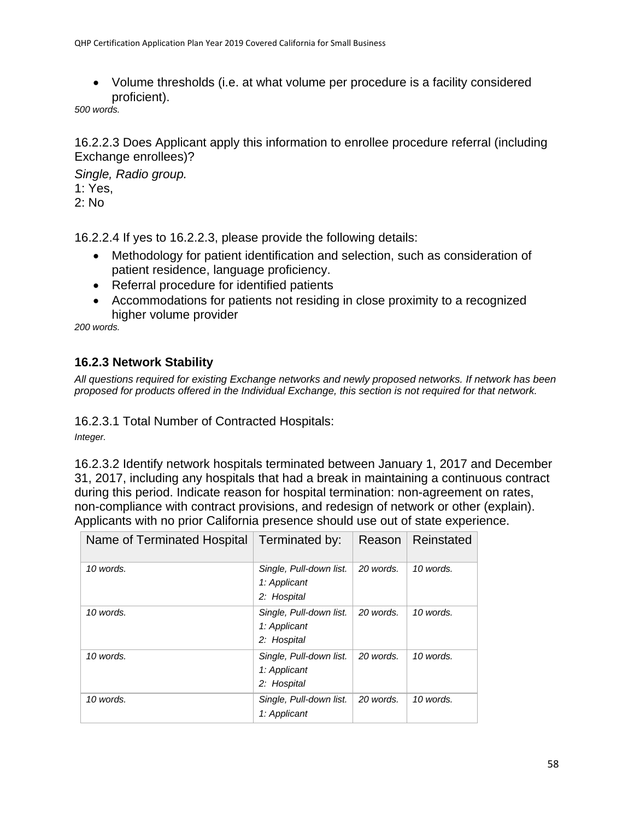Volume thresholds (i.e. at what volume per procedure is a facility considered proficient).

*500 words.*

16.2.2.3 Does Applicant apply this information to enrollee procedure referral (including Exchange enrollees)?

*Single, Radio group.* 1: Yes, 2: No

16.2.2.4 If yes to 16.2.2.3, please provide the following details:

- Methodology for patient identification and selection, such as consideration of patient residence, language proficiency.
- Referral procedure for identified patients
- Accommodations for patients not residing in close proximity to a recognized higher volume provider

*200 words.*

## **16.2.3 Network Stability**

*All questions required for existing Exchange networks and newly proposed networks. If network has been proposed for products offered in the Individual Exchange, this section is not required for that network.* 

16.2.3.1 Total Number of Contracted Hospitals:

*Integer.* 

16.2.3.2 Identify network hospitals terminated between January 1, 2017 and December 31, 2017, including any hospitals that had a break in maintaining a continuous contract during this period. Indicate reason for hospital termination: non-agreement on rates, non-compliance with contract provisions, and redesign of network or other (explain). Applicants with no prior California presence should use out of state experience.

| Name of Terminated Hospital | Terminated by:                                         | Reason    | Reinstated |
|-----------------------------|--------------------------------------------------------|-----------|------------|
| 10 words.                   | Single, Pull-down list.<br>1: Applicant<br>2: Hospital | 20 words. | 10 words.  |
| 10 words.                   | Single, Pull-down list.<br>1: Applicant<br>2: Hospital | 20 words. | 10 words.  |
| 10 words.                   | Single, Pull-down list.<br>1: Applicant<br>2: Hospital | 20 words. | 10 words.  |
| 10 words.                   | Single, Pull-down list.<br>1: Applicant                | 20 words. | 10 words.  |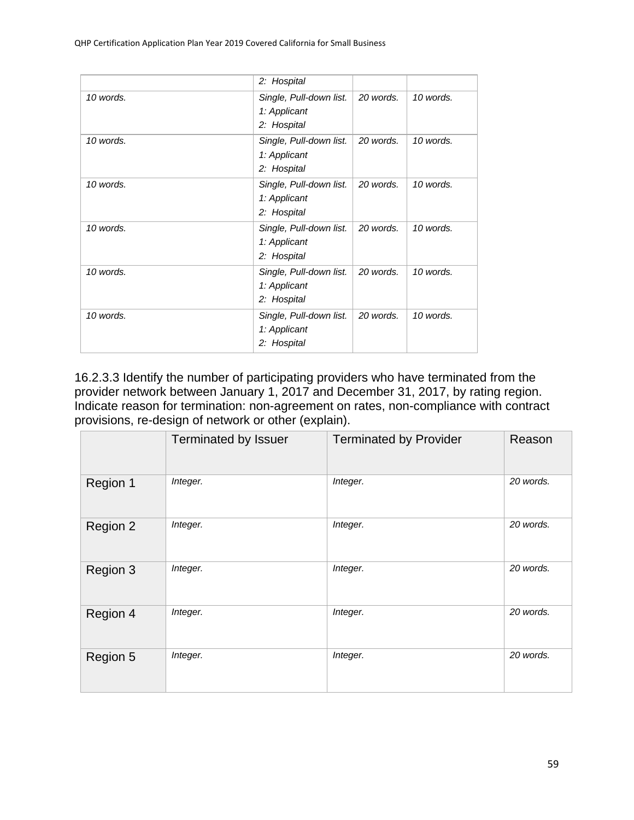QHP Certification Application Plan Year 2019 Covered California for Small Business

|           | 2: Hospital                                            |           |           |
|-----------|--------------------------------------------------------|-----------|-----------|
| 10 words. | Single, Pull-down list.<br>1: Applicant<br>2: Hospital | 20 words. | 10 words. |
| 10 words. | Single, Pull-down list.<br>1: Applicant<br>2: Hospital | 20 words. | 10 words. |
| 10 words. | Single, Pull-down list.<br>1: Applicant<br>2: Hospital | 20 words. | 10 words. |
| 10 words. | Single, Pull-down list.<br>1: Applicant<br>2: Hospital | 20 words. | 10 words. |
| 10 words. | Single, Pull-down list.<br>1: Applicant<br>2: Hospital | 20 words. | 10 words. |
| 10 words. | Single, Pull-down list.<br>1: Applicant<br>2: Hospital | 20 words. | 10 words. |

16.2.3.3 Identify the number of participating providers who have terminated from the provider network between January 1, 2017 and December 31, 2017, by rating region. Indicate reason for termination: non-agreement on rates, non-compliance with contract provisions, re-design of network or other (explain).

|          | <b>Terminated by Issuer</b> | <b>Terminated by Provider</b> | Reason    |
|----------|-----------------------------|-------------------------------|-----------|
| Region 1 | Integer.                    | Integer.                      | 20 words. |
| Region 2 | Integer.                    | Integer.                      | 20 words. |
| Region 3 | Integer.                    | Integer.                      | 20 words. |
| Region 4 | Integer.                    | Integer.                      | 20 words. |
| Region 5 | Integer.                    | Integer.                      | 20 words. |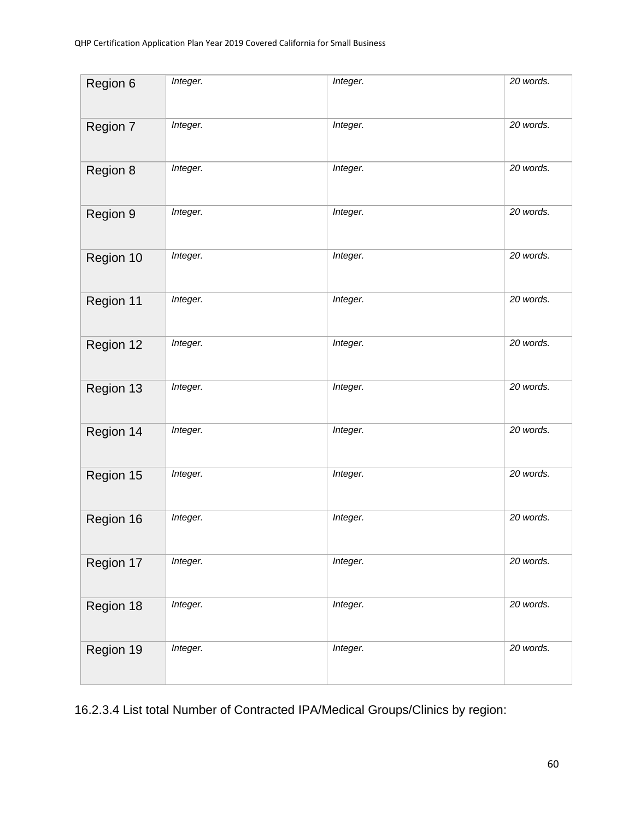| Region 6  | Integer. | Integer. | 20 words. |
|-----------|----------|----------|-----------|
| Region 7  | Integer. | Integer. | 20 words. |
| Region 8  | Integer. | Integer. | 20 words. |
| Region 9  | Integer. | Integer. | 20 words. |
| Region 10 | Integer. | Integer. | 20 words. |
| Region 11 | Integer. | Integer. | 20 words. |
| Region 12 | Integer. | Integer. | 20 words. |
| Region 13 | Integer. | Integer. | 20 words. |
| Region 14 | Integer. | Integer. | 20 words. |
| Region 15 | Integer. | Integer. | 20 words. |
| Region 16 | Integer. | Integer. | 20 words. |
| Region 17 | Integer. | Integer. | 20 words. |
| Region 18 | Integer. | Integer. | 20 words. |
| Region 19 | Integer. | Integer. | 20 words. |

16.2.3.4 List total Number of Contracted IPA/Medical Groups/Clinics by region: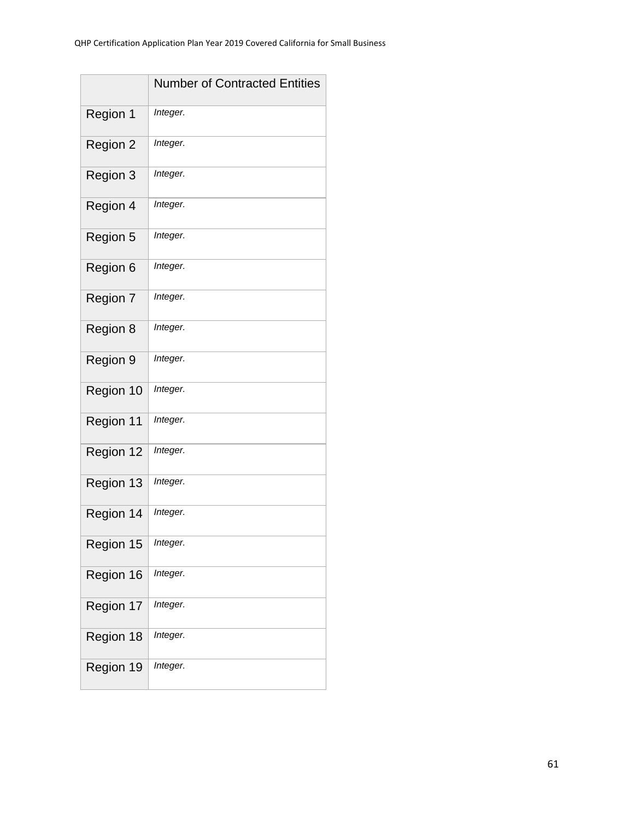|           | <b>Number of Contracted Entities</b> |
|-----------|--------------------------------------|
| Region 1  | Integer.                             |
| Region 2  | Integer.                             |
| Region 3  | Integer.                             |
| Region 4  | Integer.                             |
| Region 5  | Integer.                             |
| Region 6  | Integer.                             |
| Region 7  | Integer.                             |
| Region 8  | Integer.                             |
| Region 9  | Integer.                             |
| Region 10 | Integer.                             |
| Region 11 | Integer.                             |
| Region 12 | Integer.                             |
| Region 13 | Integer.                             |
| Region 14 | Integer.                             |
| Region 15 | Integer.                             |
| Region 16 | Integer.                             |
| Region 17 | Integer.                             |
| Region 18 | Integer.                             |
| Region 19 | Integer.                             |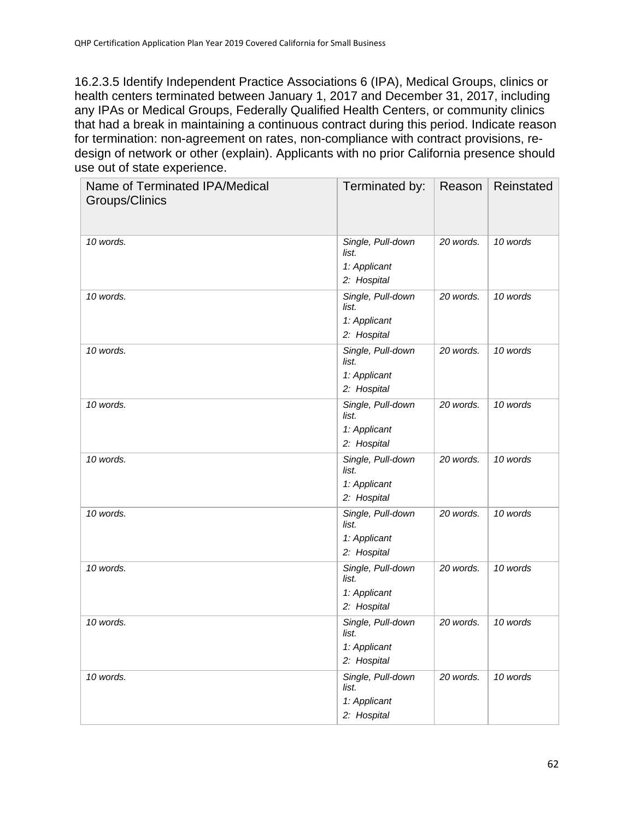16.2.3.5 Identify Independent Practice Associations 6 (IPA), Medical Groups, clinics or health centers terminated between January 1, 2017 and December 31, 2017, including any IPAs or Medical Groups, Federally Qualified Health Centers, or community clinics that had a break in maintaining a continuous contract during this period. Indicate reason for termination: non-agreement on rates, non-compliance with contract provisions, redesign of network or other (explain). Applicants with no prior California presence should use out of state experience.

| Name of Terminated IPA/Medical<br>Groups/Clinics | Terminated by:                                            | Reason    | Reinstated |
|--------------------------------------------------|-----------------------------------------------------------|-----------|------------|
| 10 words.                                        | Single, Pull-down<br>list.<br>1: Applicant<br>2: Hospital | 20 words. | 10 words   |
| 10 words.                                        | Single, Pull-down<br>list.<br>1: Applicant<br>2: Hospital | 20 words. | 10 words   |
| 10 words.                                        | Single, Pull-down<br>list.<br>1: Applicant<br>2: Hospital | 20 words. | 10 words   |
| 10 words.                                        | Single, Pull-down<br>list.<br>1: Applicant<br>2: Hospital | 20 words. | 10 words   |
| 10 words.                                        | Single, Pull-down<br>list.<br>1: Applicant<br>2: Hospital | 20 words. | 10 words   |
| 10 words.                                        | Single, Pull-down<br>list.<br>1: Applicant<br>2: Hospital | 20 words. | 10 words   |
| 10 words.                                        | Single, Pull-down<br>list.<br>1: Applicant<br>2: Hospital | 20 words. | 10 words   |
| 10 words.                                        | Single, Pull-down<br>list.<br>1: Applicant<br>2: Hospital | 20 words. | 10 words   |
| 10 words.                                        | Single, Pull-down<br>list.<br>1: Applicant<br>2: Hospital | 20 words. | 10 words   |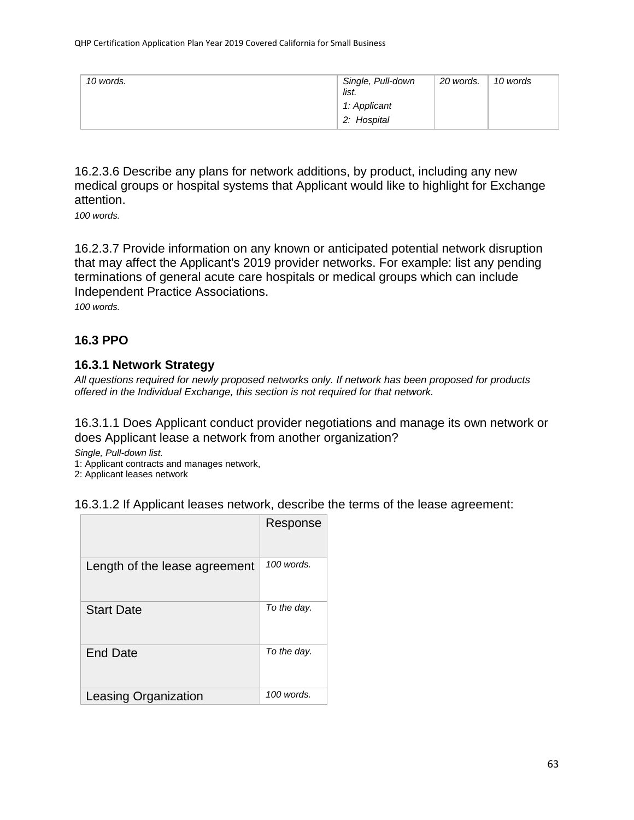| 10 words. | Single, Pull-down<br>list. | 20 words. | 10 words |
|-----------|----------------------------|-----------|----------|
|           | 1: Applicant               |           |          |
|           | 2: Hospital                |           |          |

16.2.3.6 Describe any plans for network additions, by product, including any new medical groups or hospital systems that Applicant would like to highlight for Exchange attention.

*100 words.*

16.2.3.7 Provide information on any known or anticipated potential network disruption that may affect the Applicant's 2019 provider networks. For example: list any pending terminations of general acute care hospitals or medical groups which can include Independent Practice Associations.

*100 words.*

### **16.3 PPO**

### **16.3.1 Network Strategy**

*All questions required for newly proposed networks only. If network has been proposed for products offered in the Individual Exchange, this section is not required for that network.* 

16.3.1.1 Does Applicant conduct provider negotiations and manage its own network or does Applicant lease a network from another organization?

*Single, Pull-down list.*

1: Applicant contracts and manages network,

2: Applicant leases network

16.3.1.2 If Applicant leases network, describe the terms of the lease agreement:

|                               | Response    |
|-------------------------------|-------------|
| Length of the lease agreement | 100 words.  |
| <b>Start Date</b>             | To the day. |
| End Date                      | To the day. |
| Leasing Organization          | 100 words.  |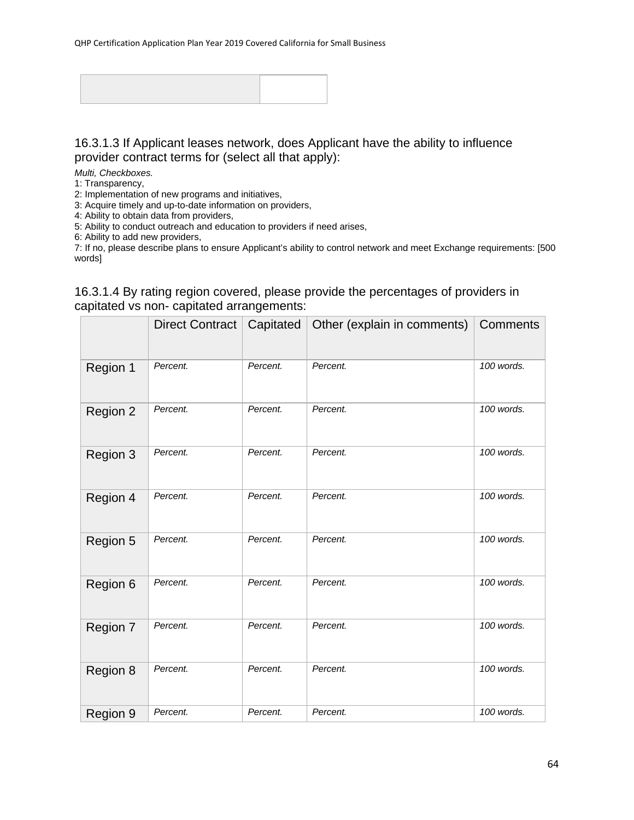#### 16.3.1.3 If Applicant leases network, does Applicant have the ability to influence provider contract terms for (select all that apply):

*Multi, Checkboxes.*

1: Transparency,

2: Implementation of new programs and initiatives,

3: Acquire timely and up-to-date information on providers,

4: Ability to obtain data from providers,

5: Ability to conduct outreach and education to providers if need arises,

6: Ability to add new providers,

7: If no, please describe plans to ensure Applicant's ability to control network and meet Exchange requirements: [500 words]

#### 16.3.1.4 By rating region covered, please provide the percentages of providers in capitated vs non- capitated arrangements:

|          | <b>Direct Contract</b> | Capitated | Other (explain in comments) | Comments   |
|----------|------------------------|-----------|-----------------------------|------------|
| Region 1 | Percent.               | Percent.  | Percent.                    | 100 words. |
| Region 2 | Percent.               | Percent.  | Percent.                    | 100 words. |
| Region 3 | Percent.               | Percent.  | Percent.                    | 100 words. |
| Region 4 | Percent.               | Percent.  | Percent.                    | 100 words. |
| Region 5 | Percent.               | Percent.  | Percent.                    | 100 words. |
| Region 6 | Percent.               | Percent.  | Percent.                    | 100 words. |
| Region 7 | Percent.               | Percent.  | Percent.                    | 100 words. |
| Region 8 | Percent.               | Percent.  | Percent.                    | 100 words. |
| Region 9 | Percent.               | Percent.  | Percent.                    | 100 words. |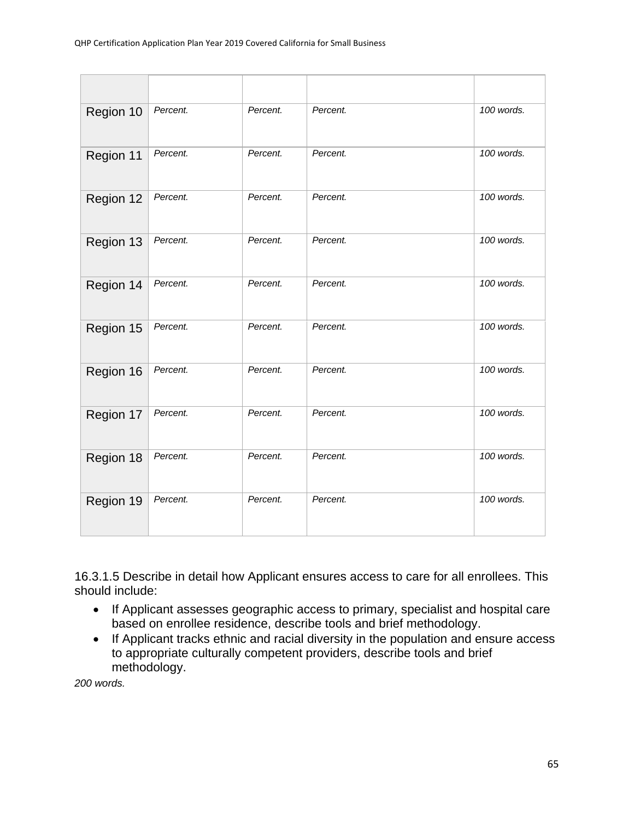| Region 10 | Percent. | Percent. | Percent. | 100 words. |
|-----------|----------|----------|----------|------------|
| Region 11 | Percent. | Percent. | Percent. | 100 words. |
| Region 12 | Percent. | Percent. | Percent. | 100 words. |
| Region 13 | Percent. | Percent. | Percent. | 100 words. |
| Region 14 | Percent. | Percent. | Percent. | 100 words. |
| Region 15 | Percent. | Percent. | Percent. | 100 words. |
| Region 16 | Percent. | Percent. | Percent. | 100 words. |
| Region 17 | Percent. | Percent. | Percent. | 100 words. |
| Region 18 | Percent. | Percent. | Percent. | 100 words. |
| Region 19 | Percent. | Percent. | Percent. | 100 words. |

16.3.1.5 Describe in detail how Applicant ensures access to care for all enrollees. This should include:

- If Applicant assesses geographic access to primary, specialist and hospital care based on enrollee residence, describe tools and brief methodology.
- If Applicant tracks ethnic and racial diversity in the population and ensure access to appropriate culturally competent providers, describe tools and brief methodology.

*200 words.*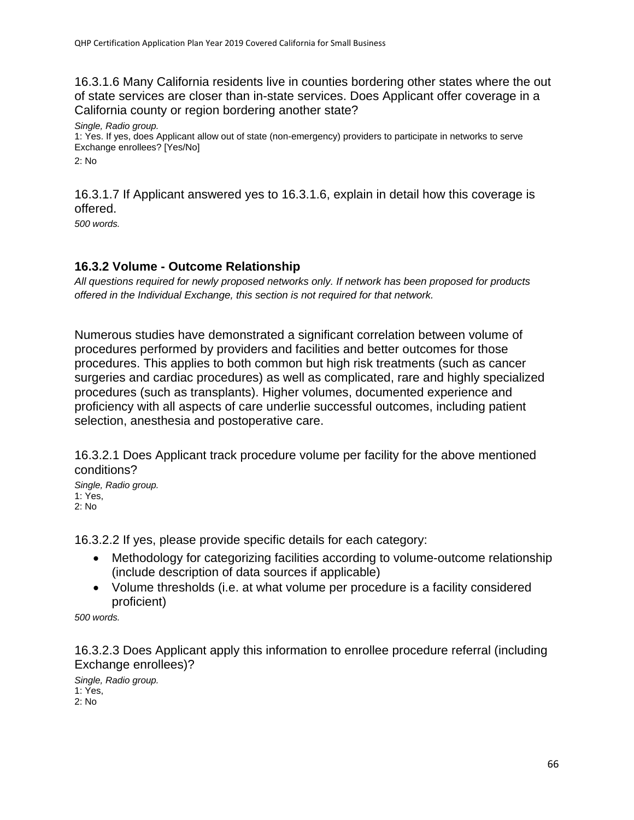16.3.1.6 Many California residents live in counties bordering other states where the out of state services are closer than in-state services. Does Applicant offer coverage in a California county or region bordering another state?

*Single, Radio group.* 1: Yes. If yes, does Applicant allow out of state (non-emergency) providers to participate in networks to serve Exchange enrollees? [Yes/No]

2: No

16.3.1.7 If Applicant answered yes to 16.3.1.6, explain in detail how this coverage is offered.

*500 words.*

#### **16.3.2 Volume - Outcome Relationship**

*All questions required for newly proposed networks only. If network has been proposed for products offered in the Individual Exchange, this section is not required for that network.*

Numerous studies have demonstrated a significant correlation between volume of procedures performed by providers and facilities and better outcomes for those procedures. This applies to both common but high risk treatments (such as cancer surgeries and cardiac procedures) as well as complicated, rare and highly specialized procedures (such as transplants). Higher volumes, documented experience and proficiency with all aspects of care underlie successful outcomes, including patient selection, anesthesia and postoperative care.

16.3.2.1 Does Applicant track procedure volume per facility for the above mentioned conditions?

*Single, Radio group.* 1: Yes, 2: No

16.3.2.2 If yes, please provide specific details for each category:

- Methodology for categorizing facilities according to volume-outcome relationship (include description of data sources if applicable)
- Volume thresholds (i.e. at what volume per procedure is a facility considered proficient)

*500 words.*

16.3.2.3 Does Applicant apply this information to enrollee procedure referral (including Exchange enrollees)?

*Single, Radio group.* 1: Yes, 2: No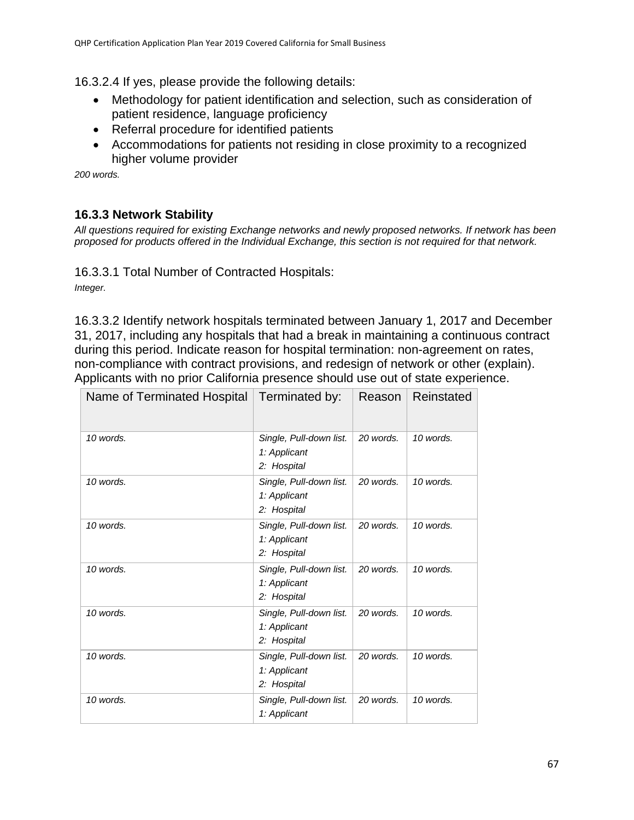16.3.2.4 If yes, please provide the following details:

- Methodology for patient identification and selection, such as consideration of patient residence, language proficiency
- Referral procedure for identified patients
- Accommodations for patients not residing in close proximity to a recognized higher volume provider

*200 words.*

### **16.3.3 Network Stability**

*All questions required for existing Exchange networks and newly proposed networks. If network has been proposed for products offered in the Individual Exchange, this section is not required for that network.* 

16.3.3.1 Total Number of Contracted Hospitals:

*Integer.*

16.3.3.2 Identify network hospitals terminated between January 1, 2017 and December 31, 2017, including any hospitals that had a break in maintaining a continuous contract during this period. Indicate reason for hospital termination: non-agreement on rates, non-compliance with contract provisions, and redesign of network or other (explain). Applicants with no prior California presence should use out of state experience.

| Name of Terminated Hospital | Terminated by:                                         | Reason    | Reinstated |
|-----------------------------|--------------------------------------------------------|-----------|------------|
| 10 words.                   | Single, Pull-down list.<br>1: Applicant<br>2: Hospital | 20 words. | 10 words.  |
| 10 words.                   | Single, Pull-down list.<br>1: Applicant<br>2: Hospital | 20 words. | 10 words.  |
| 10 words.                   | Single, Pull-down list.<br>1: Applicant<br>2: Hospital | 20 words. | 10 words.  |
| 10 words.                   | Single, Pull-down list.<br>1: Applicant<br>2: Hospital | 20 words. | 10 words.  |
| 10 words.                   | Single, Pull-down list.<br>1: Applicant<br>2: Hospital | 20 words. | 10 words.  |
| 10 words.                   | Single, Pull-down list.<br>1: Applicant<br>2: Hospital | 20 words. | 10 words.  |
| 10 words.                   | Single, Pull-down list.<br>1: Applicant                | 20 words. | 10 words.  |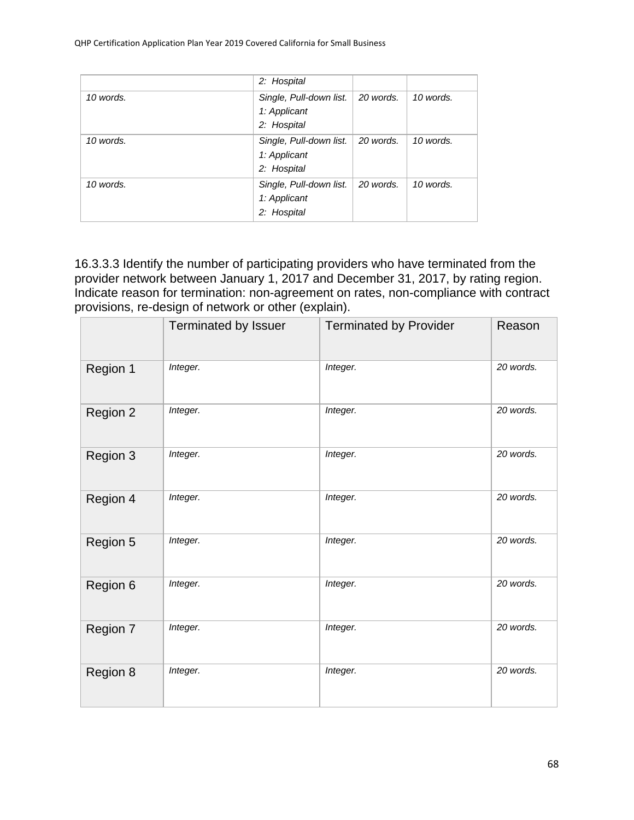|           | 2: Hospital                                            |           |           |
|-----------|--------------------------------------------------------|-----------|-----------|
| 10 words. | Single, Pull-down list.<br>1: Applicant<br>2: Hospital | 20 words. | 10 words. |
| 10 words. | Single, Pull-down list.<br>1: Applicant<br>2: Hospital | 20 words. | 10 words. |
| 10 words. | Single, Pull-down list.<br>1: Applicant<br>2: Hospital | 20 words. | 10 words. |

16.3.3.3 Identify the number of participating providers who have terminated from the provider network between January 1, 2017 and December 31, 2017, by rating region. Indicate reason for termination: non-agreement on rates, non-compliance with contract provisions, re-design of network or other (explain).

|          | Terminated by Issuer | <b>Terminated by Provider</b> | Reason    |
|----------|----------------------|-------------------------------|-----------|
| Region 1 | Integer.             | Integer.                      | 20 words. |
| Region 2 | Integer.             | Integer.                      | 20 words. |
| Region 3 | Integer.             | Integer.                      | 20 words. |
| Region 4 | Integer.             | Integer.                      | 20 words. |
| Region 5 | Integer.             | Integer.                      | 20 words. |
| Region 6 | Integer.             | Integer.                      | 20 words. |
| Region 7 | Integer.             | Integer.                      | 20 words. |
| Region 8 | Integer.             | Integer.                      | 20 words. |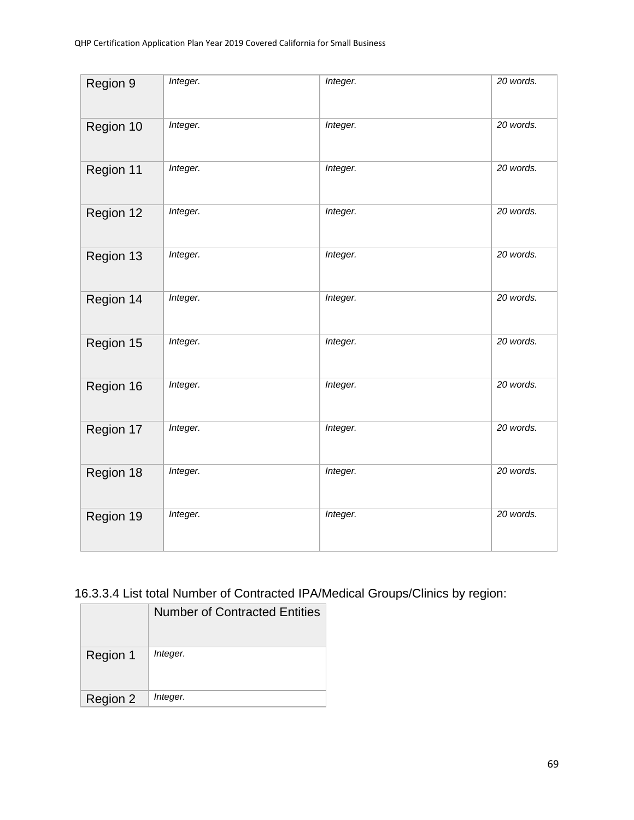| Region 9  | Integer. | Integer. | 20 words. |
|-----------|----------|----------|-----------|
| Region 10 | Integer. | Integer. | 20 words. |
| Region 11 | Integer. | Integer. | 20 words. |
| Region 12 | Integer. | Integer. | 20 words. |
| Region 13 | Integer. | Integer. | 20 words. |
| Region 14 | Integer. | Integer. | 20 words. |
| Region 15 | Integer. | Integer. | 20 words. |
| Region 16 | Integer. | Integer. | 20 words. |
| Region 17 | Integer. | Integer. | 20 words. |
| Region 18 | Integer. | Integer. | 20 words. |
| Region 19 | Integer. | Integer. | 20 words. |

16.3.3.4 List total Number of Contracted IPA/Medical Groups/Clinics by region:

|          | <b>Number of Contracted Entities</b> |
|----------|--------------------------------------|
| Region 1 | Integer.                             |
| Region 2 | Integer.                             |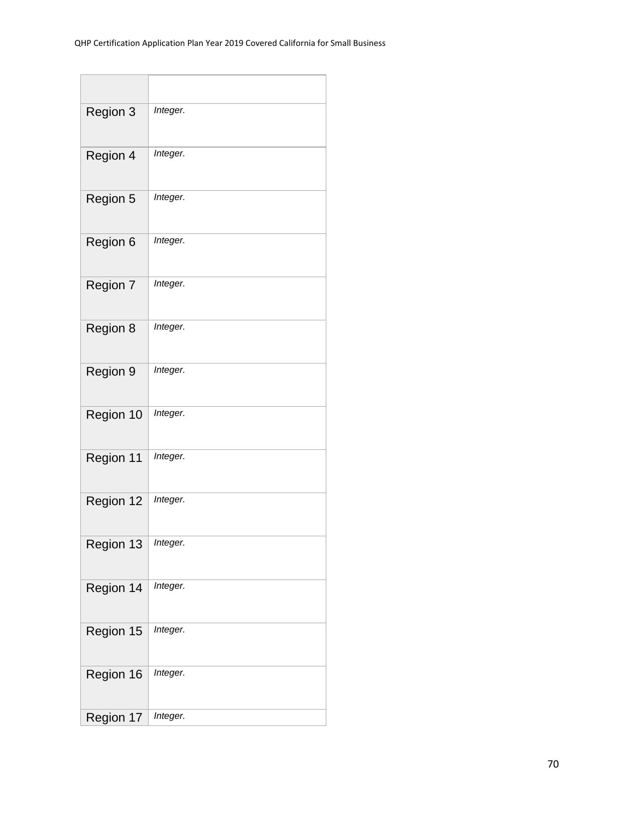| Region 3  | Integer. |
|-----------|----------|
| Region 4  | Integer. |
| Region 5  | Integer. |
| Region 6  | Integer. |
| Region 7  | Integer. |
| Region 8  | Integer. |
| Region 9  | Integer. |
| Region 10 | Integer. |
| Region 11 | Integer. |
| Region 12 | Integer. |
| Region 13 | Integer. |
| Region 14 | Integer. |
| Region 15 | Integer. |
| Region 16 | Integer. |
| Region 17 | Integer. |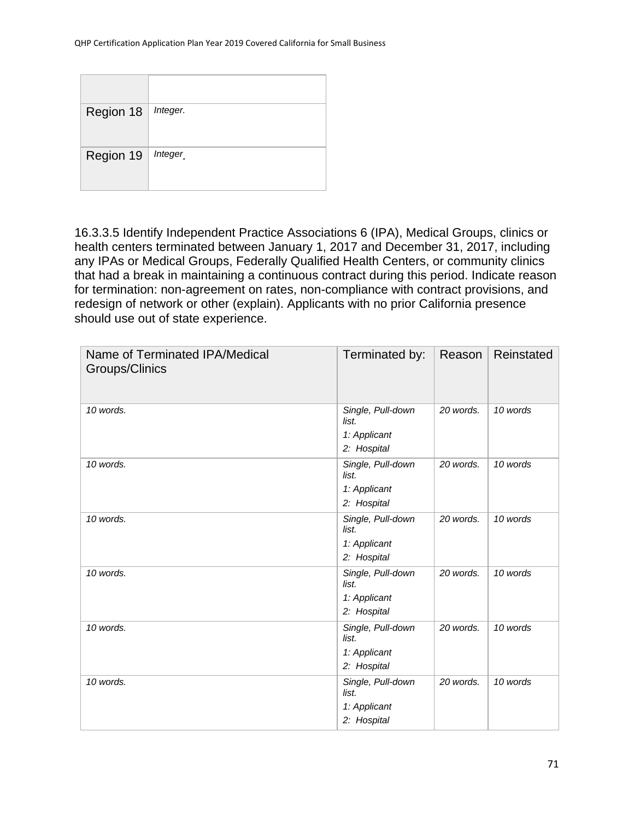| Region 18 | Integer. |
|-----------|----------|
| Region 19 | Integer  |

16.3.3.5 Identify Independent Practice Associations 6 (IPA), Medical Groups, clinics or health centers terminated between January 1, 2017 and December 31, 2017, including any IPAs or Medical Groups, Federally Qualified Health Centers, or community clinics that had a break in maintaining a continuous contract during this period. Indicate reason for termination: non-agreement on rates, non-compliance with contract provisions, and redesign of network or other (explain). Applicants with no prior California presence should use out of state experience.

| Name of Terminated IPA/Medical<br>Groups/Clinics | Terminated by:                                            | Reason    | Reinstated |
|--------------------------------------------------|-----------------------------------------------------------|-----------|------------|
| 10 words.                                        | Single, Pull-down<br>list.<br>1: Applicant<br>2: Hospital | 20 words. | 10 words   |
| 10 words.                                        | Single, Pull-down<br>list.<br>1: Applicant<br>2: Hospital | 20 words. | 10 words   |
| 10 words.                                        | Single, Pull-down<br>list.<br>1: Applicant<br>2: Hospital | 20 words. | 10 words   |
| 10 words.                                        | Single, Pull-down<br>list.<br>1: Applicant<br>2: Hospital | 20 words. | 10 words   |
| 10 words.                                        | Single, Pull-down<br>list.<br>1: Applicant<br>2: Hospital | 20 words. | 10 words   |
| 10 words.                                        | Single, Pull-down<br>list.<br>1: Applicant<br>2: Hospital | 20 words. | 10 words   |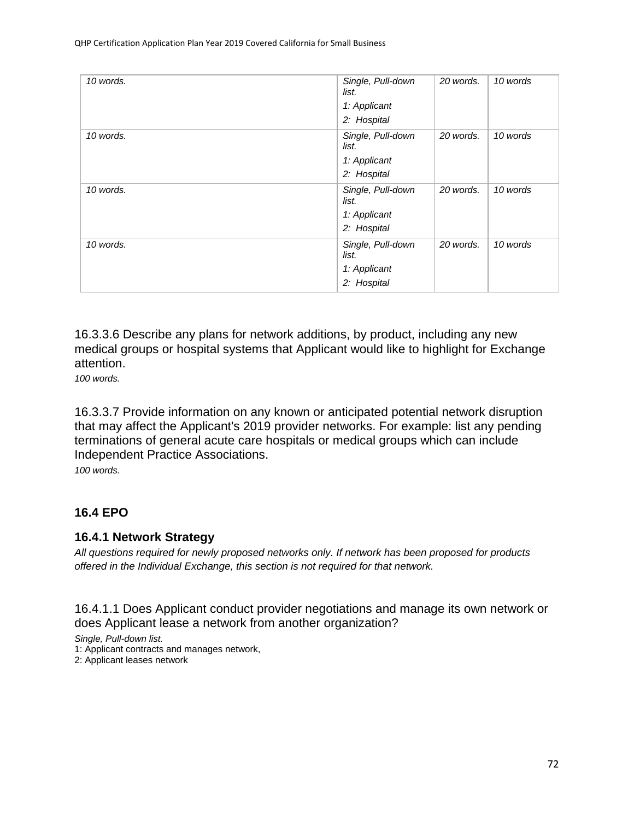| 10 words. | Single, Pull-down<br>list. | 20 words. | 10 words |
|-----------|----------------------------|-----------|----------|
|           | 1: Applicant               |           |          |
|           | 2: Hospital                |           |          |
| 10 words. | Single, Pull-down<br>list. | 20 words. | 10 words |
|           | 1: Applicant               |           |          |
|           | 2: Hospital                |           |          |
| 10 words. | Single, Pull-down<br>list. | 20 words. | 10 words |
|           | 1: Applicant               |           |          |
|           | 2: Hospital                |           |          |
| 10 words. | Single, Pull-down<br>list. | 20 words. | 10 words |
|           | 1: Applicant               |           |          |
|           | 2: Hospital                |           |          |

16.3.3.6 Describe any plans for network additions, by product, including any new medical groups or hospital systems that Applicant would like to highlight for Exchange attention.

*100 words.*

16.3.3.7 Provide information on any known or anticipated potential network disruption that may affect the Applicant's 2019 provider networks. For example: list any pending terminations of general acute care hospitals or medical groups which can include Independent Practice Associations.

*100 words.*

#### **16.4 EPO**

#### **16.4.1 Network Strategy**

*All questions required for newly proposed networks only. If network has been proposed for products offered in the Individual Exchange, this section is not required for that network.*

16.4.1.1 Does Applicant conduct provider negotiations and manage its own network or does Applicant lease a network from another organization?

*Single, Pull-down list.*

1: Applicant contracts and manages network,

2: Applicant leases network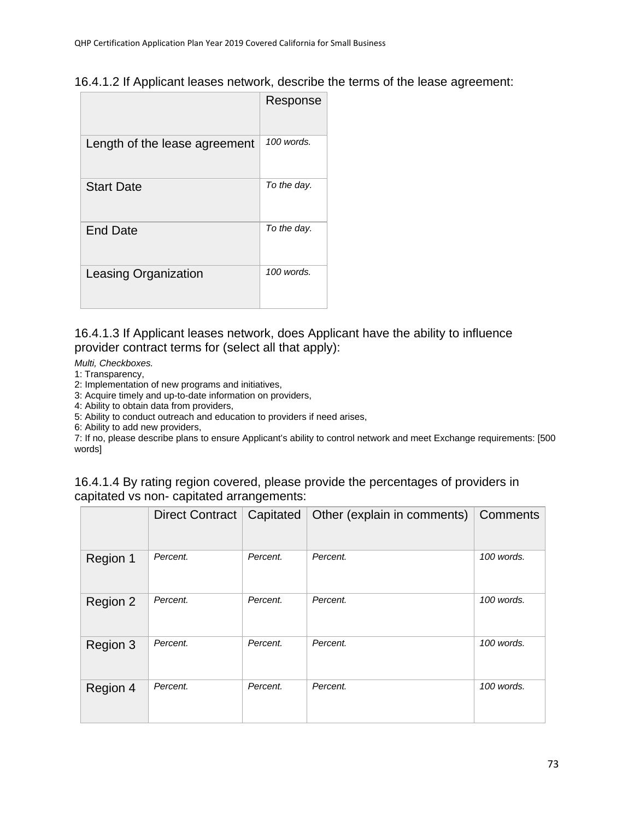| 16.4.1.2 If Applicant leases network, describe the terms of the lease agreement: |  |  |
|----------------------------------------------------------------------------------|--|--|
|                                                                                  |  |  |

|                               | Response    |
|-------------------------------|-------------|
| Length of the lease agreement | 100 words.  |
| <b>Start Date</b>             | To the day. |
| End Date                      | To the day. |
| <b>Leasing Organization</b>   | 100 words.  |

16.4.1.3 If Applicant leases network, does Applicant have the ability to influence provider contract terms for (select all that apply):

*Multi, Checkboxes.*

1: Transparency,

2: Implementation of new programs and initiatives,

3: Acquire timely and up-to-date information on providers,

4: Ability to obtain data from providers,

5: Ability to conduct outreach and education to providers if need arises,

6: Ability to add new providers,

7: If no, please describe plans to ensure Applicant's ability to control network and meet Exchange requirements: [500 words]

| 16.4.1.4 By rating region covered, please provide the percentages of providers in |
|-----------------------------------------------------------------------------------|
| capitated vs non- capitated arrangements:                                         |

|          | <b>Direct Contract</b> | Capitated | Other (explain in comments) | Comments   |
|----------|------------------------|-----------|-----------------------------|------------|
| Region 1 | Percent.               | Percent.  | Percent.                    | 100 words. |
| Region 2 | Percent.               | Percent.  | Percent.                    | 100 words. |
| Region 3 | Percent.               | Percent.  | Percent.                    | 100 words. |
| Region 4 | Percent.               | Percent.  | Percent.                    | 100 words. |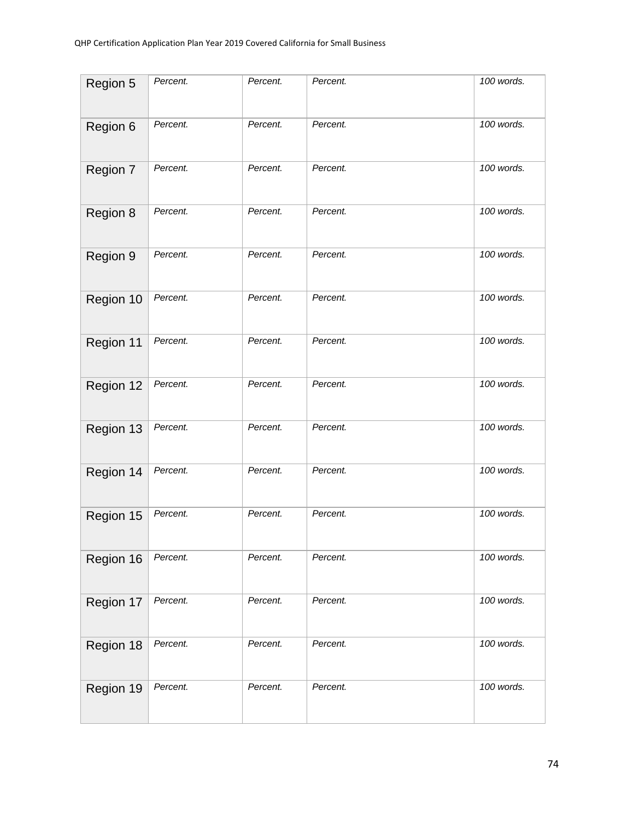| Region 5  | Percent. | Percent. | Percent. | 100 words. |
|-----------|----------|----------|----------|------------|
| Region 6  | Percent. | Percent. | Percent. | 100 words. |
| Region 7  | Percent. | Percent. | Percent. | 100 words. |
| Region 8  | Percent. | Percent. | Percent. | 100 words. |
| Region 9  | Percent. | Percent. | Percent. | 100 words. |
| Region 10 | Percent. | Percent. | Percent. | 100 words. |
| Region 11 | Percent. | Percent. | Percent. | 100 words. |
| Region 12 | Percent. | Percent. | Percent. | 100 words. |
| Region 13 | Percent. | Percent. | Percent. | 100 words. |
| Region 14 | Percent. | Percent. | Percent. | 100 words. |
| Region 15 | Percent. | Percent. | Percent. | 100 words. |
| Region 16 | Percent. | Percent. | Percent. | 100 words. |
| Region 17 | Percent. | Percent. | Percent. | 100 words. |
| Region 18 | Percent. | Percent. | Percent. | 100 words. |
| Region 19 | Percent. | Percent. | Percent. | 100 words. |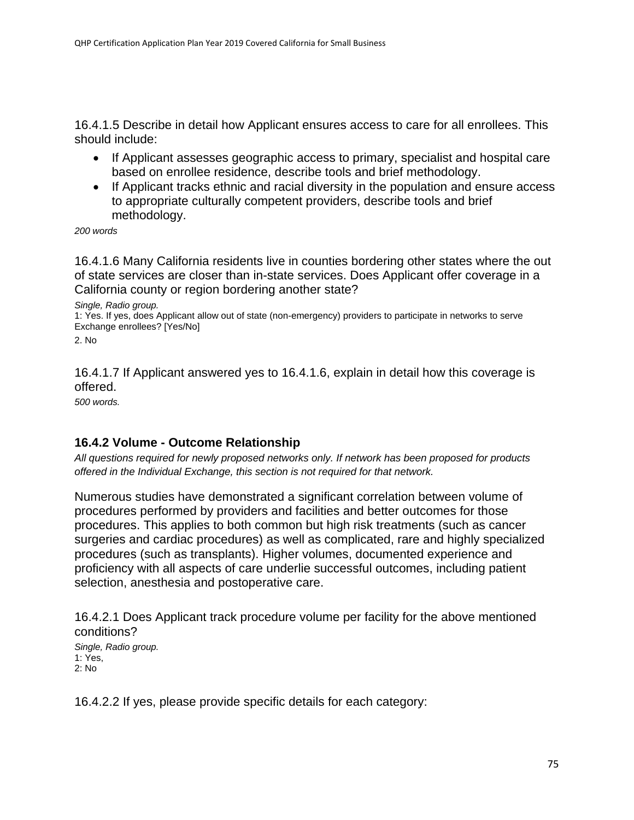16.4.1.5 Describe in detail how Applicant ensures access to care for all enrollees. This should include:

- If Applicant assesses geographic access to primary, specialist and hospital care based on enrollee residence, describe tools and brief methodology.
- If Applicant tracks ethnic and racial diversity in the population and ensure access to appropriate culturally competent providers, describe tools and brief methodology.

*200 words* 

16.4.1.6 Many California residents live in counties bordering other states where the out of state services are closer than in-state services. Does Applicant offer coverage in a California county or region bordering another state?

*Single, Radio group.*

1: Yes. If yes, does Applicant allow out of state (non-emergency) providers to participate in networks to serve Exchange enrollees? [Yes/No]

2. No

16.4.1.7 If Applicant answered yes to 16.4.1.6, explain in detail how this coverage is offered.

*500 words.* 

#### **16.4.2 Volume - Outcome Relationship**

*All questions required for newly proposed networks only. If network has been proposed for products offered in the Individual Exchange, this section is not required for that network.*

Numerous studies have demonstrated a significant correlation between volume of procedures performed by providers and facilities and better outcomes for those procedures. This applies to both common but high risk treatments (such as cancer surgeries and cardiac procedures) as well as complicated, rare and highly specialized procedures (such as transplants). Higher volumes, documented experience and proficiency with all aspects of care underlie successful outcomes, including patient selection, anesthesia and postoperative care.

16.4.2.1 Does Applicant track procedure volume per facility for the above mentioned conditions?

*Single, Radio group.* 1: Yes, 2: No

16.4.2.2 If yes, please provide specific details for each category: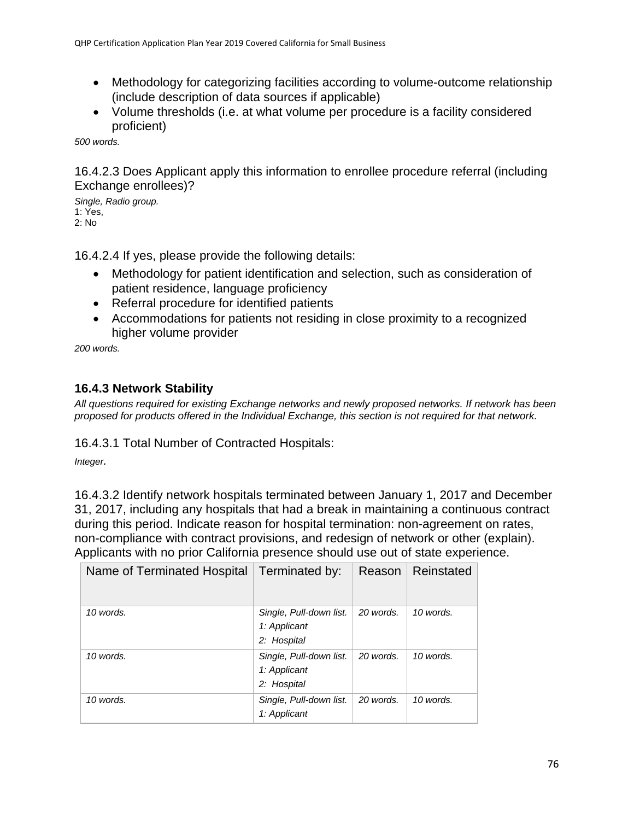- Methodology for categorizing facilities according to volume-outcome relationship (include description of data sources if applicable)
- Volume thresholds (i.e. at what volume per procedure is a facility considered proficient)

*500 words.*

16.4.2.3 Does Applicant apply this information to enrollee procedure referral (including Exchange enrollees)?

*Single, Radio group.* 1: Yes, 2: No

16.4.2.4 If yes, please provide the following details:

- Methodology for patient identification and selection, such as consideration of patient residence, language proficiency
- Referral procedure for identified patients
- Accommodations for patients not residing in close proximity to a recognized higher volume provider

*200 words.*

# **16.4.3 Network Stability**

*All questions required for existing Exchange networks and newly proposed networks. If network has been proposed for products offered in the Individual Exchange, this section is not required for that network.* 

16.4.3.1 Total Number of Contracted Hospitals:

*Integer.*

16.4.3.2 Identify network hospitals terminated between January 1, 2017 and December 31, 2017, including any hospitals that had a break in maintaining a continuous contract during this period. Indicate reason for hospital termination: non-agreement on rates, non-compliance with contract provisions, and redesign of network or other (explain). Applicants with no prior California presence should use out of state experience.

| Name of Terminated Hospital | Terminated by:                                         | Reason    | Reinstated |
|-----------------------------|--------------------------------------------------------|-----------|------------|
| 10 words.                   | Single, Pull-down list.<br>1: Applicant<br>2: Hospital | 20 words. | 10 words.  |
| 10 words.                   | Single, Pull-down list.<br>1: Applicant<br>2: Hospital | 20 words. | 10 words.  |
| 10 words.                   | Single, Pull-down list.<br>1: Applicant                | 20 words. | 10 words.  |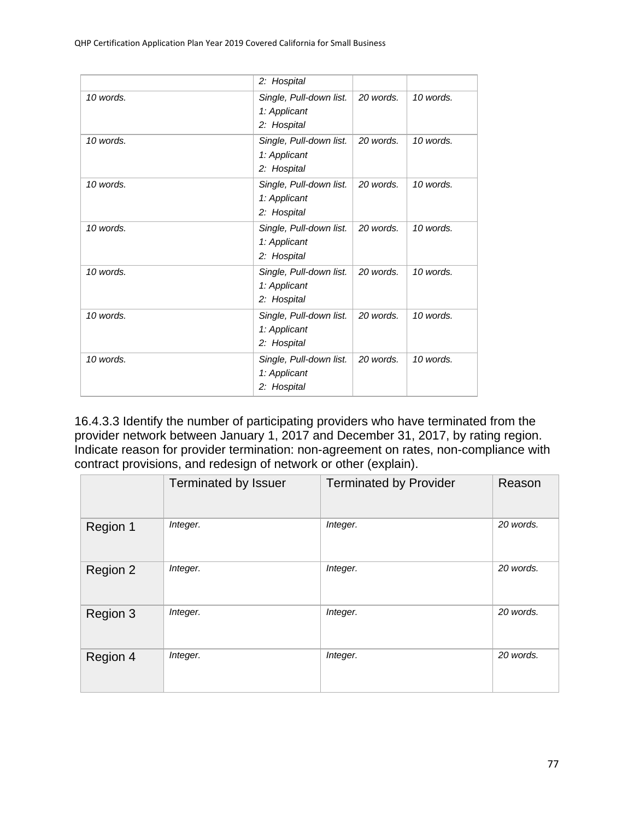QHP Certification Application Plan Year 2019 Covered California for Small Business

|           | 2: Hospital                                            |           |           |
|-----------|--------------------------------------------------------|-----------|-----------|
| 10 words. | Single, Pull-down list.<br>1: Applicant<br>2: Hospital | 20 words. | 10 words. |
| 10 words. | Single, Pull-down list.<br>1: Applicant<br>2: Hospital | 20 words. | 10 words. |
| 10 words. | Single, Pull-down list.<br>1: Applicant<br>2: Hospital | 20 words. | 10 words. |
| 10 words. | Single, Pull-down list.<br>1: Applicant<br>2: Hospital | 20 words. | 10 words. |
| 10 words. | Single, Pull-down list.<br>1: Applicant<br>2: Hospital | 20 words. | 10 words. |
| 10 words. | Single, Pull-down list.<br>1: Applicant<br>2: Hospital | 20 words. | 10 words. |
| 10 words. | Single, Pull-down list.<br>1: Applicant<br>2: Hospital | 20 words. | 10 words. |

16.4.3.3 Identify the number of participating providers who have terminated from the provider network between January 1, 2017 and December 31, 2017, by rating region. Indicate reason for provider termination: non-agreement on rates, non-compliance with contract provisions, and redesign of network or other (explain).

|          | Terminated by Issuer | <b>Terminated by Provider</b> | Reason    |
|----------|----------------------|-------------------------------|-----------|
| Region 1 | Integer.             | Integer.                      | 20 words. |
| Region 2 | Integer.             | Integer.                      | 20 words. |
| Region 3 | Integer.             | Integer.                      | 20 words. |
| Region 4 | Integer.             | Integer.                      | 20 words. |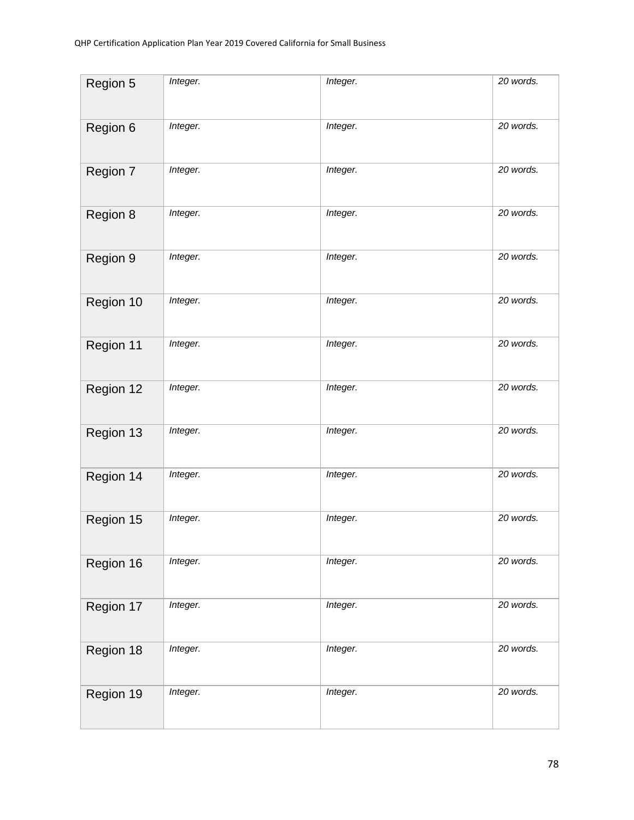| Region 5  | Integer. | Integer. | 20 words. |
|-----------|----------|----------|-----------|
| Region 6  | Integer. | Integer. | 20 words. |
| Region 7  | Integer. | Integer. | 20 words. |
| Region 8  | Integer. | Integer. | 20 words. |
| Region 9  | Integer. | Integer. | 20 words. |
| Region 10 | Integer. | Integer. | 20 words. |
| Region 11 | Integer. | Integer. | 20 words. |
| Region 12 | Integer. | Integer. | 20 words. |
| Region 13 | Integer. | Integer. | 20 words. |
| Region 14 | Integer. | Integer. | 20 words. |
| Region 15 | Integer. | Integer. | 20 words. |
| Region 16 | Integer. | Integer. | 20 words. |
| Region 17 | Integer. | Integer. | 20 words. |
| Region 18 | Integer. | Integer. | 20 words. |
| Region 19 | Integer. | Integer. | 20 words. |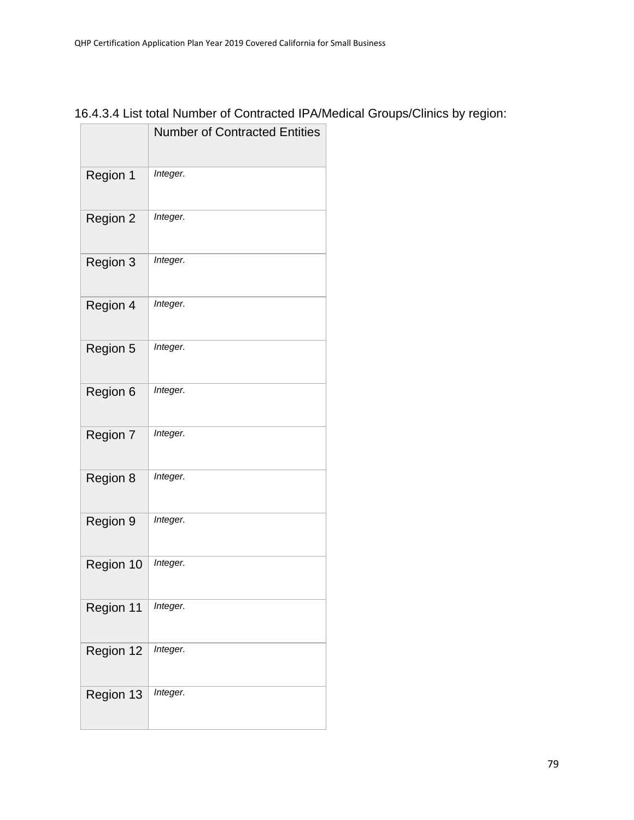| 16.4.3.4 List total Number of Contracted IPA/Medical Groups/Clinics by region: |  |
|--------------------------------------------------------------------------------|--|
|--------------------------------------------------------------------------------|--|

|           | <b>Number of Contracted Entities</b> |
|-----------|--------------------------------------|
| Region 1  | Integer.                             |
| Region 2  | Integer.                             |
| Region 3  | Integer.                             |
| Region 4  | Integer.                             |
| Region 5  | Integer.                             |
| Region 6  | Integer.                             |
| Region 7  | Integer.                             |
| Region 8  | Integer.                             |
| Region 9  | Integer.                             |
| Region 10 | Integer.                             |
| Region 11 | Integer.                             |
| Region 12 | Integer.                             |
| Region 13 | Integer.                             |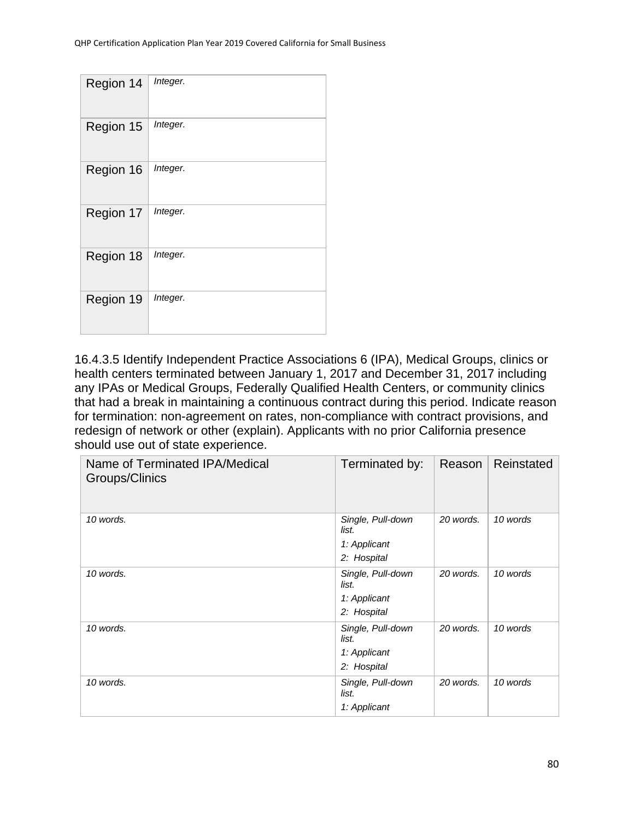| Region 14 | Integer. |
|-----------|----------|
| Region 15 | Integer. |
| Region 16 | Integer. |
| Region 17 | Integer. |
| Region 18 | Integer. |
| Region 19 | Integer. |

16.4.3.5 Identify Independent Practice Associations 6 (IPA), Medical Groups, clinics or health centers terminated between January 1, 2017 and December 31, 2017 including any IPAs or Medical Groups, Federally Qualified Health Centers, or community clinics that had a break in maintaining a continuous contract during this period. Indicate reason for termination: non-agreement on rates, non-compliance with contract provisions, and redesign of network or other (explain). Applicants with no prior California presence should use out of state experience.

| Name of Terminated IPA/Medical<br>Groups/Clinics | Terminated by:             | Reason    | Reinstated |
|--------------------------------------------------|----------------------------|-----------|------------|
| 10 words.                                        | Single, Pull-down<br>list. | 20 words. | 10 words   |
|                                                  | 1: Applicant               |           |            |
|                                                  | 2: Hospital                |           |            |
| 10 words.                                        | Single, Pull-down<br>list. | 20 words. | 10 words   |
|                                                  | 1: Applicant               |           |            |
|                                                  | 2: Hospital                |           |            |
| 10 words.                                        | Single, Pull-down<br>list. | 20 words. | 10 words   |
|                                                  | 1: Applicant               |           |            |
|                                                  | 2: Hospital                |           |            |
| 10 words.                                        | Single, Pull-down<br>list. | 20 words. | 10 words   |
|                                                  | 1: Applicant               |           |            |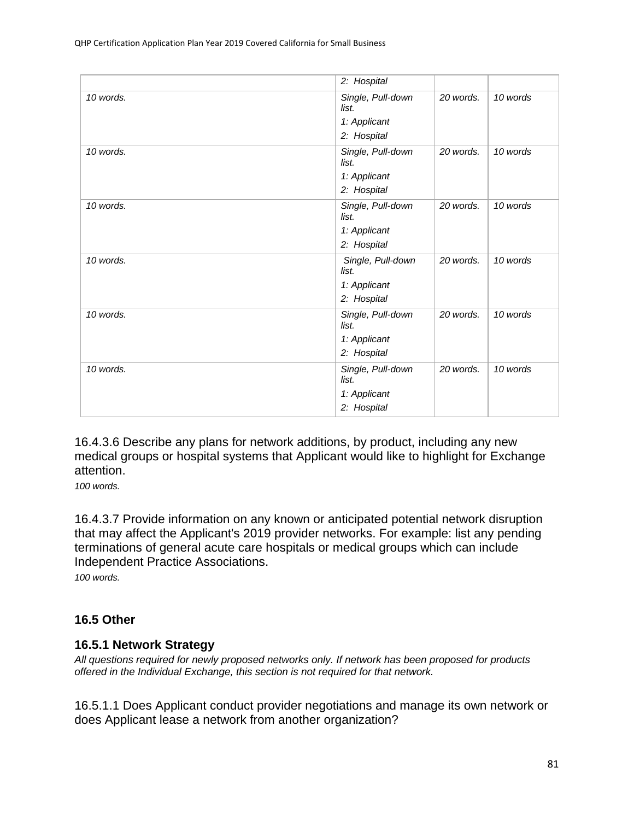|           | 2: Hospital                |           |          |
|-----------|----------------------------|-----------|----------|
| 10 words. | Single, Pull-down<br>list. | 20 words. | 10 words |
|           | 1: Applicant               |           |          |
|           | 2: Hospital                |           |          |
| 10 words. | Single, Pull-down<br>list. | 20 words. | 10 words |
|           | 1: Applicant               |           |          |
|           | 2: Hospital                |           |          |
| 10 words. | Single, Pull-down<br>list. | 20 words. | 10 words |
|           | 1: Applicant               |           |          |
|           | 2: Hospital                |           |          |
| 10 words. | Single, Pull-down<br>list. | 20 words. | 10 words |
|           | 1: Applicant               |           |          |
|           | 2: Hospital                |           |          |
| 10 words. | Single, Pull-down<br>list. | 20 words. | 10 words |
|           | 1: Applicant               |           |          |
|           | 2: Hospital                |           |          |
| 10 words. | Single, Pull-down<br>list. | 20 words. | 10 words |
|           | 1: Applicant               |           |          |
|           | 2: Hospital                |           |          |

16.4.3.6 Describe any plans for network additions, by product, including any new medical groups or hospital systems that Applicant would like to highlight for Exchange attention.

*100 words.*

16.4.3.7 Provide information on any known or anticipated potential network disruption that may affect the Applicant's 2019 provider networks. For example: list any pending terminations of general acute care hospitals or medical groups which can include Independent Practice Associations.

*100 words.*

# **16.5 Other**

# **16.5.1 Network Strategy**

*All questions required for newly proposed networks only. If network has been proposed for products offered in the Individual Exchange, this section is not required for that network.* 

16.5.1.1 Does Applicant conduct provider negotiations and manage its own network or does Applicant lease a network from another organization?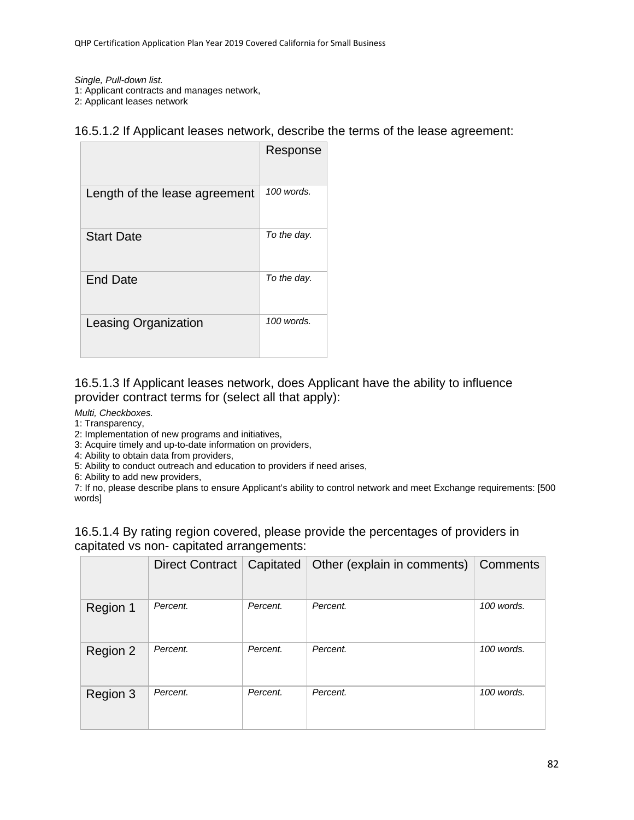*Single, Pull-down list.*

1: Applicant contracts and manages network,

2: Applicant leases network

#### 16.5.1.2 If Applicant leases network, describe the terms of the lease agreement:

|                               | Response    |
|-------------------------------|-------------|
| Length of the lease agreement | 100 words.  |
| <b>Start Date</b>             | To the day. |
| End Date                      | To the day. |
| Leasing Organization          | 100 words.  |

#### 16.5.1.3 If Applicant leases network, does Applicant have the ability to influence provider contract terms for (select all that apply):

*Multi, Checkboxes.*

1: Transparency,

2: Implementation of new programs and initiatives,

3: Acquire timely and up-to-date information on providers,

4: Ability to obtain data from providers,

5: Ability to conduct outreach and education to providers if need arises,

6: Ability to add new providers,

7: If no, please describe plans to ensure Applicant's ability to control network and meet Exchange requirements: [500 words]

16.5.1.4 By rating region covered, please provide the percentages of providers in capitated vs non- capitated arrangements:

|          | <b>Direct Contract</b> | Capitated | Other (explain in comments) | Comments   |
|----------|------------------------|-----------|-----------------------------|------------|
| Region 1 | Percent.               | Percent.  | Percent.                    | 100 words. |
| Region 2 | Percent.               | Percent.  | Percent.                    | 100 words. |
| Region 3 | Percent.               | Percent.  | Percent.                    | 100 words. |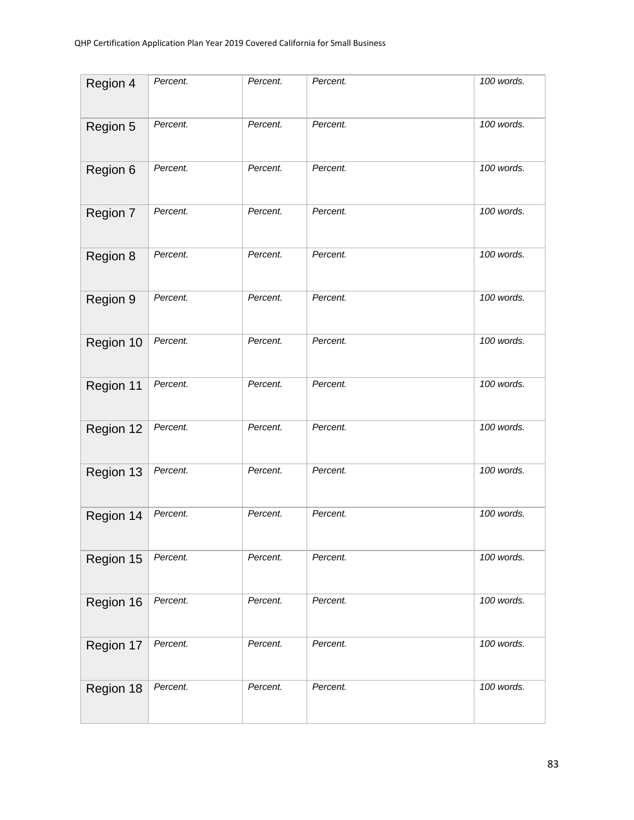| Region 4  | Percent. | Percent. | Percent. | 100 words. |
|-----------|----------|----------|----------|------------|
|           |          |          |          |            |
| Region 5  | Percent. | Percent. | Percent. | 100 words. |
|           |          |          |          |            |
| Region 6  | Percent. | Percent. | Percent. | 100 words. |
|           |          |          |          |            |
| Region 7  | Percent. | Percent. | Percent. | 100 words. |
|           |          |          |          |            |
| Region 8  | Percent. | Percent. | Percent. | 100 words. |
|           |          |          |          |            |
| Region 9  | Percent. | Percent. | Percent. | 100 words. |
|           |          |          |          |            |
| Region 10 | Percent. | Percent. | Percent. | 100 words. |
|           |          |          |          |            |
| Region 11 | Percent. | Percent. | Percent. | 100 words. |
|           |          |          |          |            |
| Region 12 | Percent. | Percent. | Percent. | 100 words. |
|           |          |          |          |            |
| Region 13 | Percent. | Percent. | Percent. | 100 words. |
|           |          |          |          |            |
| Region 14 | Percent. | Percent. | Percent. | 100 words. |
|           |          |          |          |            |
| Region 15 | Percent. | Percent. | Percent. | 100 words. |
|           |          |          |          |            |
| Region 16 | Percent. | Percent. | Percent. | 100 words. |
|           |          |          |          |            |
| Region 17 | Percent. | Percent. | Percent. | 100 words. |
|           |          |          |          |            |
| Region 18 | Percent. | Percent. | Percent. | 100 words. |
|           |          |          |          |            |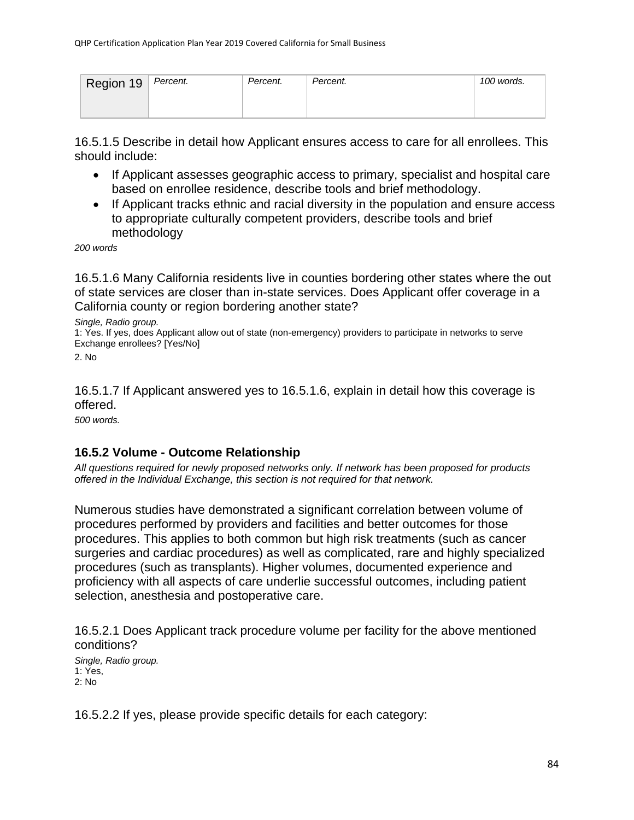| Region 19 | Percent. | Percent. | Percent. | 100 words. |
|-----------|----------|----------|----------|------------|
|           |          |          |          |            |

16.5.1.5 Describe in detail how Applicant ensures access to care for all enrollees. This should include:

- If Applicant assesses geographic access to primary, specialist and hospital care based on enrollee residence, describe tools and brief methodology.
- If Applicant tracks ethnic and racial diversity in the population and ensure access to appropriate culturally competent providers, describe tools and brief methodology

*200 words* 

16.5.1.6 Many California residents live in counties bordering other states where the out of state services are closer than in-state services. Does Applicant offer coverage in a California county or region bordering another state?

*Single, Radio group.*

1: Yes. If yes, does Applicant allow out of state (non-emergency) providers to participate in networks to serve Exchange enrollees? [Yes/No]

2. No

16.5.1.7 If Applicant answered yes to 16.5.1.6, explain in detail how this coverage is offered.

*500 words.*

#### **16.5.2 Volume - Outcome Relationship**

*All questions required for newly proposed networks only. If network has been proposed for products offered in the Individual Exchange, this section is not required for that network.* 

Numerous studies have demonstrated a significant correlation between volume of procedures performed by providers and facilities and better outcomes for those procedures. This applies to both common but high risk treatments (such as cancer surgeries and cardiac procedures) as well as complicated, rare and highly specialized procedures (such as transplants). Higher volumes, documented experience and proficiency with all aspects of care underlie successful outcomes, including patient selection, anesthesia and postoperative care.

16.5.2.1 Does Applicant track procedure volume per facility for the above mentioned conditions?

*Single, Radio group.* 1: Yes, 2: No

16.5.2.2 If yes, please provide specific details for each category: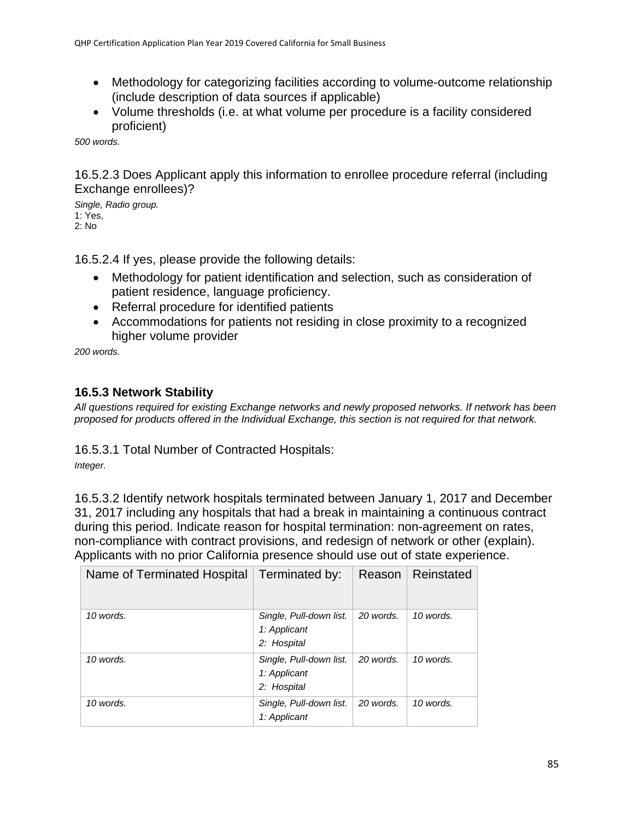- Methodology for categorizing facilities according to volume-outcome relationship (include description of data sources if applicable)
- Volume thresholds (i.e. at what volume per procedure is a facility considered proficient)

*500 words.*

16.5.2.3 Does Applicant apply this information to enrollee procedure referral (including Exchange enrollees)?

*Single, Radio group.* 1: Yes, 2: No

16.5.2.4 If yes, please provide the following details:

- Methodology for patient identification and selection, such as consideration of patient residence, language proficiency.
- Referral procedure for identified patients
- Accommodations for patients not residing in close proximity to a recognized higher volume provider

*200 words.*

# **16.5.3 Network Stability**

*All questions required for existing Exchange networks and newly proposed networks. If network has been proposed for products offered in the Individual Exchange, this section is not required for that network.* 

16.5.3.1 Total Number of Contracted Hospitals:

*Integer.*

16.5.3.2 Identify network hospitals terminated between January 1, 2017 and December 31, 2017 including any hospitals that had a break in maintaining a continuous contract during this period. Indicate reason for hospital termination: non-agreement on rates, non-compliance with contract provisions, and redesign of network or other (explain). Applicants with no prior California presence should use out of state experience.

| Name of Terminated Hospital | Terminated by:                                         | Reason    | Reinstated |
|-----------------------------|--------------------------------------------------------|-----------|------------|
| 10 words.                   | Single, Pull-down list.<br>1: Applicant<br>2: Hospital | 20 words. | 10 words.  |
| 10 words.                   | Single, Pull-down list.<br>1: Applicant<br>2: Hospital | 20 words. | 10 words.  |
| 10 words.                   | Single, Pull-down list.<br>1: Applicant                | 20 words. | 10 words.  |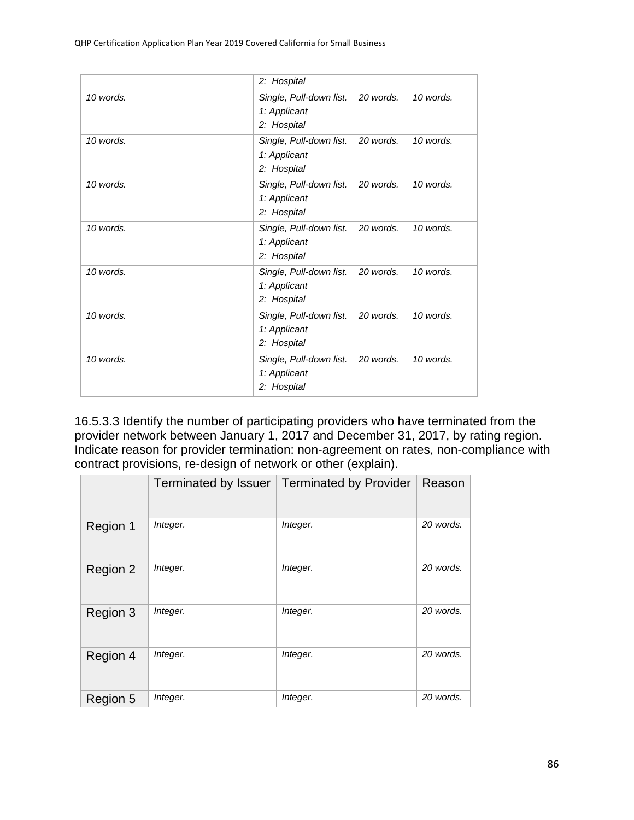|           | 2: Hospital                                            |           |           |
|-----------|--------------------------------------------------------|-----------|-----------|
| 10 words. | Single, Pull-down list.<br>1: Applicant<br>2: Hospital | 20 words. | 10 words. |
| 10 words. | Single, Pull-down list.<br>1: Applicant<br>2: Hospital | 20 words. | 10 words. |
| 10 words. | Single, Pull-down list.<br>1: Applicant<br>2: Hospital | 20 words. | 10 words. |
| 10 words. | Single, Pull-down list.<br>1: Applicant<br>2: Hospital | 20 words. | 10 words. |
| 10 words. | Single, Pull-down list.<br>1: Applicant<br>2: Hospital | 20 words. | 10 words. |
| 10 words. | Single, Pull-down list.<br>1: Applicant<br>2: Hospital | 20 words. | 10 words. |
| 10 words. | Single, Pull-down list.<br>1: Applicant<br>2: Hospital | 20 words. | 10 words. |

16.5.3.3 Identify the number of participating providers who have terminated from the provider network between January 1, 2017 and December 31, 2017, by rating region. Indicate reason for provider termination: non-agreement on rates, non-compliance with contract provisions, re-design of network or other (explain).

|          | Terminated by Issuer | Terminated by Provider | Reason    |
|----------|----------------------|------------------------|-----------|
| Region 1 | Integer.             | Integer.               | 20 words. |
| Region 2 | Integer.             | Integer.               | 20 words. |
| Region 3 | Integer.             | Integer.               | 20 words. |
| Region 4 | Integer.             | Integer.               | 20 words. |
| Region 5 | Integer.             | Integer.               | 20 words. |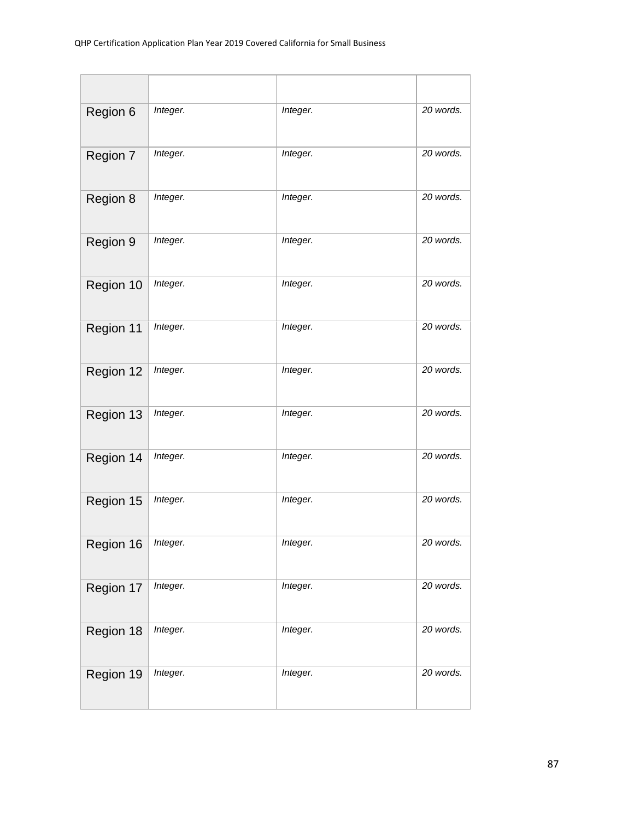| Region 6  | Integer. | Integer. | 20 words. |
|-----------|----------|----------|-----------|
| Region 7  | Integer. | Integer. | 20 words. |
| Region 8  | Integer. | Integer. | 20 words. |
| Region 9  | Integer. | Integer. | 20 words. |
| Region 10 | Integer. | Integer. | 20 words. |
| Region 11 | Integer. | Integer. | 20 words. |
| Region 12 | Integer. | Integer. | 20 words. |
| Region 13 | Integer. | Integer. | 20 words. |
| Region 14 | Integer. | Integer. | 20 words. |
| Region 15 | Integer. | Integer. | 20 words. |
| Region 16 | Integer. | Integer. | 20 words. |
| Region 17 | Integer. | Integer. | 20 words. |
| Region 18 | Integer. | Integer. | 20 words. |
| Region 19 | Integer. | Integer. | 20 words. |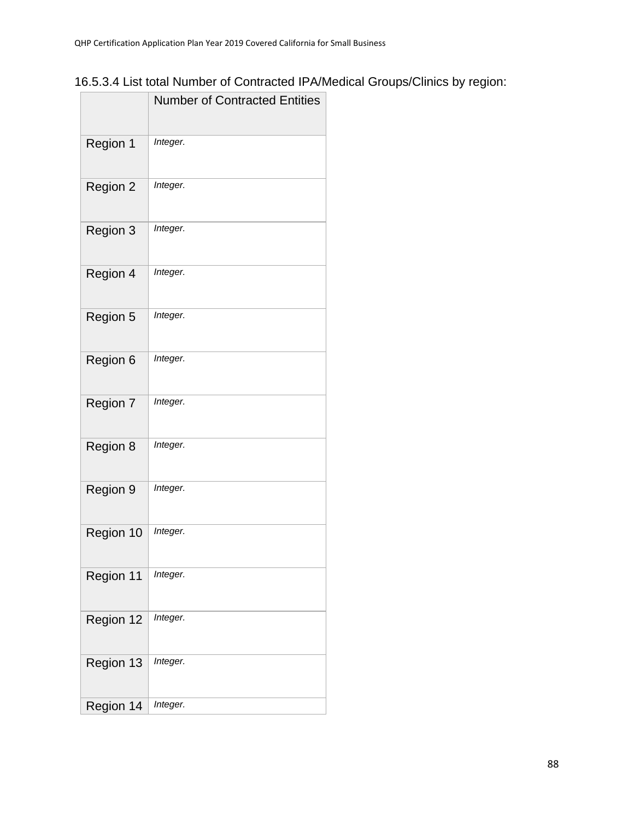| 16.5.3.4 List total Number of Contracted IPA/Medical Groups/Clinics by region: |  |
|--------------------------------------------------------------------------------|--|
|--------------------------------------------------------------------------------|--|

|           | <b>Number of Contracted Entities</b> |
|-----------|--------------------------------------|
|           | Integer.                             |
| Region 1  |                                      |
| Region 2  | Integer.                             |
| Region 3  | Integer.                             |
| Region 4  | Integer.                             |
| Region 5  | Integer.                             |
| Region 6  | Integer.                             |
| Region 7  | Integer.                             |
| Region 8  | Integer.                             |
| Region 9  | Integer.                             |
| Region 10 | Integer.                             |
| Region 11 | Integer.                             |
| Region 12 | Integer.                             |
| Region 13 | Integer.                             |
| Region 14 | Integer.                             |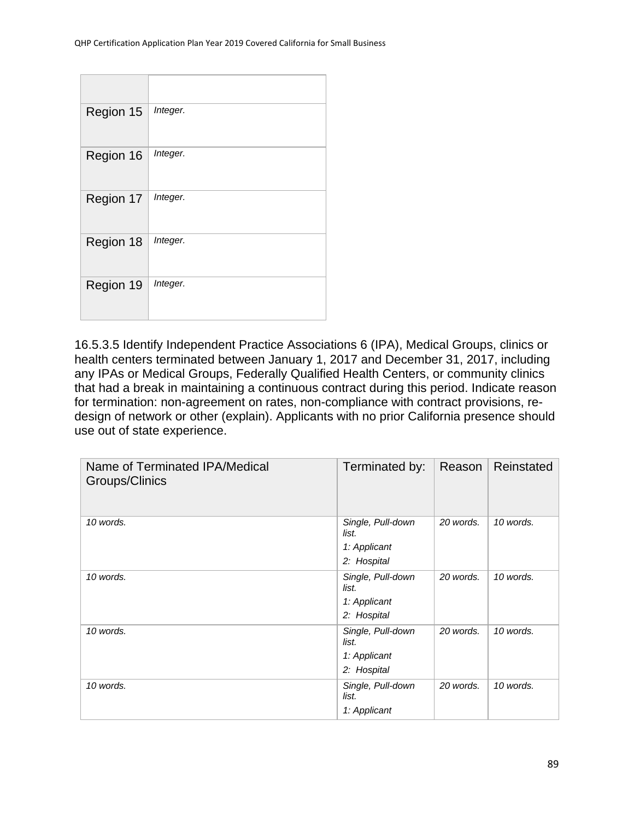| Region 15 | Integer. |
|-----------|----------|
| Region 16 | Integer. |
| Region 17 | Integer. |
| Region 18 | Integer. |
| Region 19 | Integer. |

16.5.3.5 Identify Independent Practice Associations 6 (IPA), Medical Groups, clinics or health centers terminated between January 1, 2017 and December 31, 2017, including any IPAs or Medical Groups, Federally Qualified Health Centers, or community clinics that had a break in maintaining a continuous contract during this period. Indicate reason for termination: non-agreement on rates, non-compliance with contract provisions, redesign of network or other (explain). Applicants with no prior California presence should use out of state experience.

| Name of Terminated IPA/Medical<br>Groups/Clinics | Terminated by:                                            | Reason    | Reinstated |
|--------------------------------------------------|-----------------------------------------------------------|-----------|------------|
| 10 words.                                        | Single, Pull-down<br>list.<br>1: Applicant<br>2: Hospital | 20 words. | 10 words.  |
| 10 words.                                        | Single, Pull-down<br>list.<br>1: Applicant<br>2: Hospital | 20 words. | 10 words.  |
| 10 words.                                        | Single, Pull-down<br>list.<br>1: Applicant<br>2: Hospital | 20 words. | 10 words.  |
| 10 words.                                        | Single, Pull-down<br>list.<br>1: Applicant                | 20 words. | 10 words.  |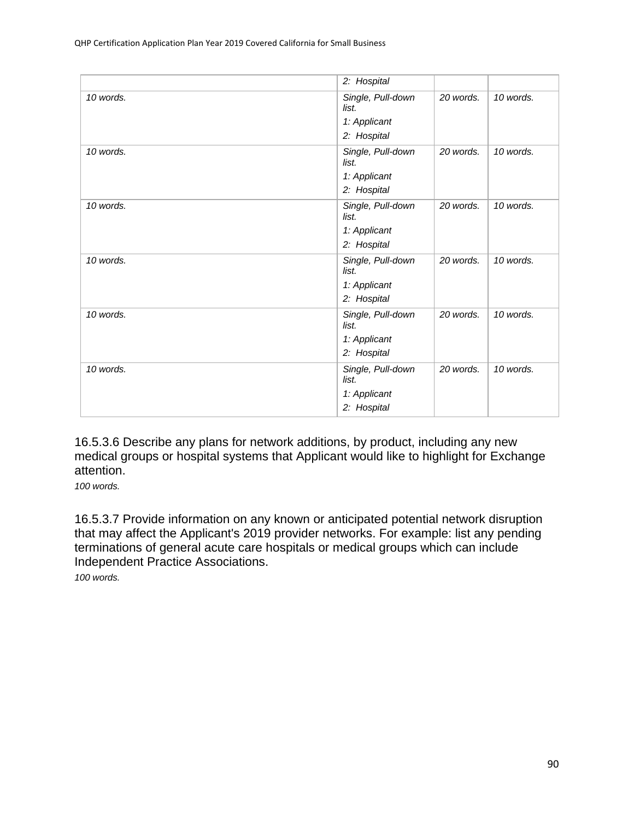|           | 2: Hospital                |           |           |
|-----------|----------------------------|-----------|-----------|
| 10 words. | Single, Pull-down<br>list. | 20 words. | 10 words. |
|           | 1: Applicant               |           |           |
|           | 2: Hospital                |           |           |
| 10 words. | Single, Pull-down<br>list. | 20 words. | 10 words. |
|           | 1: Applicant               |           |           |
|           | 2: Hospital                |           |           |
| 10 words. | Single, Pull-down<br>list. | 20 words. | 10 words. |
|           | 1: Applicant               |           |           |
|           | 2: Hospital                |           |           |
| 10 words. | Single, Pull-down<br>list. | 20 words. | 10 words. |
|           | 1: Applicant               |           |           |
|           | 2: Hospital                |           |           |
| 10 words. | Single, Pull-down<br>list. | 20 words. | 10 words. |
|           | 1: Applicant               |           |           |
|           | 2: Hospital                |           |           |
| 10 words. | Single, Pull-down<br>list. | 20 words. | 10 words. |
|           | 1: Applicant               |           |           |
|           | 2: Hospital                |           |           |

16.5.3.6 Describe any plans for network additions, by product, including any new medical groups or hospital systems that Applicant would like to highlight for Exchange attention.

*100 words.*

16.5.3.7 Provide information on any known or anticipated potential network disruption that may affect the Applicant's 2019 provider networks. For example: list any pending terminations of general acute care hospitals or medical groups which can include Independent Practice Associations.

*100 words.*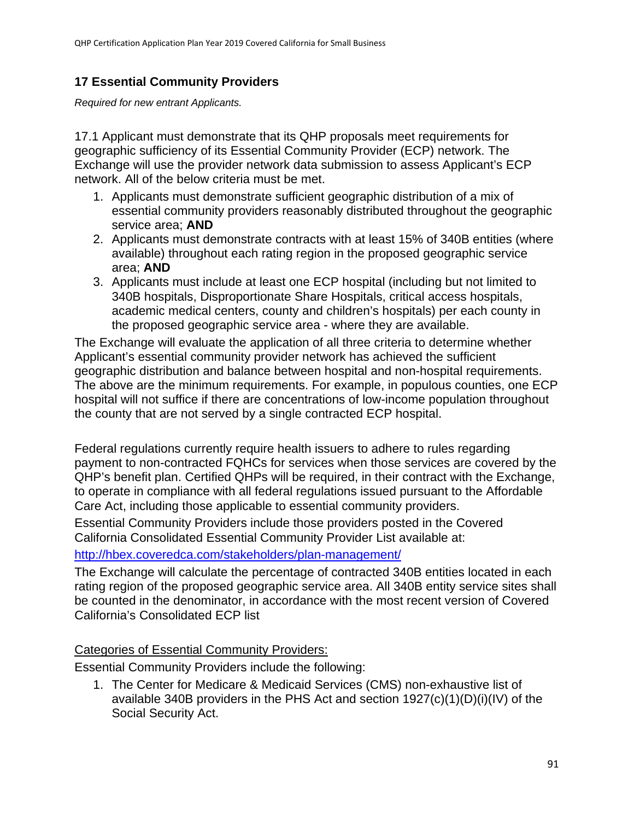# **17 Essential Community Providers**

*Required for new entrant Applicants.*

17.1 Applicant must demonstrate that its QHP proposals meet requirements for geographic sufficiency of its Essential Community Provider (ECP) network. The Exchange will use the provider network data submission to assess Applicant's ECP network. All of the below criteria must be met.

- 1. Applicants must demonstrate sufficient geographic distribution of a mix of essential community providers reasonably distributed throughout the geographic service area; **AND**
- 2. Applicants must demonstrate contracts with at least 15% of 340B entities (where available) throughout each rating region in the proposed geographic service area; **AND**
- 3. Applicants must include at least one ECP hospital (including but not limited to 340B hospitals, Disproportionate Share Hospitals, critical access hospitals, academic medical centers, county and children's hospitals) per each county in the proposed geographic service area - where they are available.

The Exchange will evaluate the application of all three criteria to determine whether Applicant's essential community provider network has achieved the sufficient geographic distribution and balance between hospital and non-hospital requirements. The above are the minimum requirements. For example, in populous counties, one ECP hospital will not suffice if there are concentrations of low-income population throughout the county that are not served by a single contracted ECP hospital.

Federal regulations currently require health issuers to adhere to rules regarding payment to non-contracted FQHCs for services when those services are covered by the QHP's benefit plan. Certified QHPs will be required, in their contract with the Exchange, to operate in compliance with all federal regulations issued pursuant to the Affordable Care Act, including those applicable to essential community providers.

Essential Community Providers include those providers posted in the Covered California Consolidated Essential Community Provider List available at:

http://hbex.coveredca.com/stakeholders/plan-management/

The Exchange will calculate the percentage of contracted 340B entities located in each rating region of the proposed geographic service area. All 340B entity service sites shall be counted in the denominator, in accordance with the most recent version of Covered California's Consolidated ECP list

# Categories of Essential Community Providers:

Essential Community Providers include the following:

1. The Center for Medicare & Medicaid Services (CMS) non-exhaustive list of available 340B providers in the PHS Act and section 1927(c)(1)(D)(i)(IV) of the Social Security Act.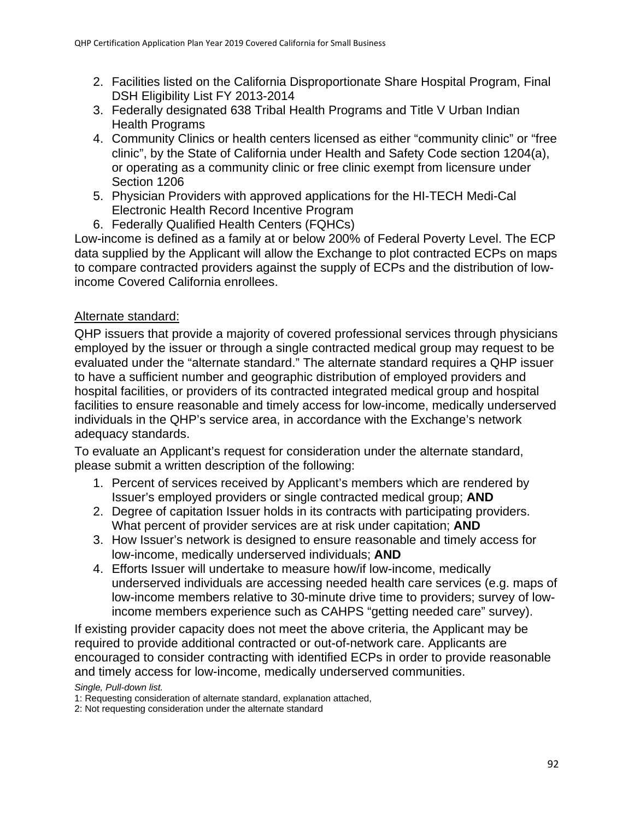- 2. Facilities listed on the California Disproportionate Share Hospital Program, Final DSH Eligibility List FY 2013-2014
- 3. Federally designated 638 Tribal Health Programs and Title V Urban Indian Health Programs
- 4. Community Clinics or health centers licensed as either "community clinic" or "free clinic", by the State of California under Health and Safety Code section 1204(a), or operating as a community clinic or free clinic exempt from licensure under Section 1206
- 5. Physician Providers with approved applications for the HI-TECH Medi-Cal Electronic Health Record Incentive Program
- 6. Federally Qualified Health Centers (FQHCs)

Low-income is defined as a family at or below 200% of Federal Poverty Level. The ECP data supplied by the Applicant will allow the Exchange to plot contracted ECPs on maps to compare contracted providers against the supply of ECPs and the distribution of lowincome Covered California enrollees.

#### Alternate standard:

QHP issuers that provide a majority of covered professional services through physicians employed by the issuer or through a single contracted medical group may request to be evaluated under the "alternate standard." The alternate standard requires a QHP issuer to have a sufficient number and geographic distribution of employed providers and hospital facilities, or providers of its contracted integrated medical group and hospital facilities to ensure reasonable and timely access for low-income, medically underserved individuals in the QHP's service area, in accordance with the Exchange's network adequacy standards.

To evaluate an Applicant's request for consideration under the alternate standard, please submit a written description of the following:

- 1. Percent of services received by Applicant's members which are rendered by Issuer's employed providers or single contracted medical group; **AND**
- 2. Degree of capitation Issuer holds in its contracts with participating providers. What percent of provider services are at risk under capitation; **AND**
- 3. How Issuer's network is designed to ensure reasonable and timely access for low-income, medically underserved individuals; **AND**
- 4. Efforts Issuer will undertake to measure how/if low-income, medically underserved individuals are accessing needed health care services (e.g. maps of low-income members relative to 30-minute drive time to providers; survey of lowincome members experience such as CAHPS "getting needed care" survey).

If existing provider capacity does not meet the above criteria, the Applicant may be required to provide additional contracted or out-of-network care. Applicants are encouraged to consider contracting with identified ECPs in order to provide reasonable and timely access for low-income, medically underserved communities.

*Single, Pull-down list.*

<sup>1:</sup> Requesting consideration of alternate standard, explanation attached,

<sup>2:</sup> Not requesting consideration under the alternate standard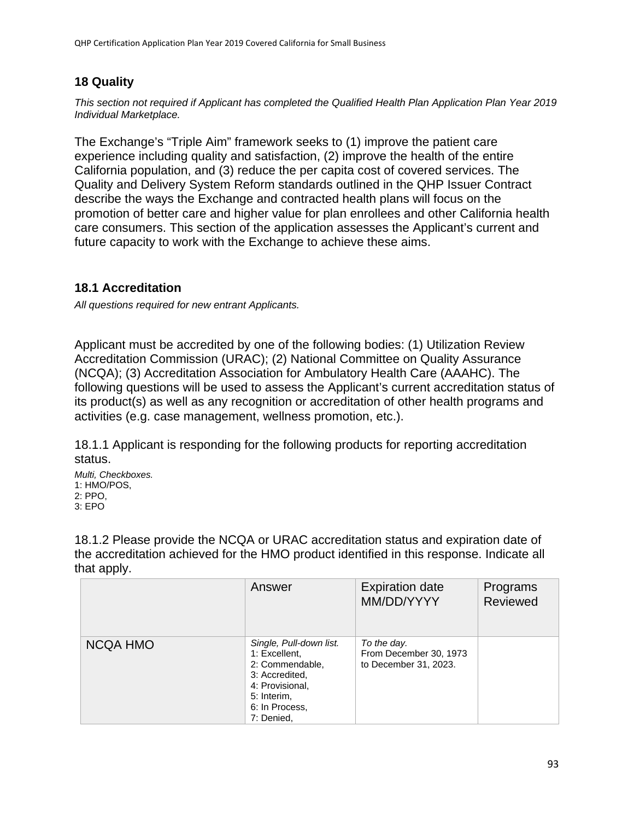# **18 Quality**

*This section not required if Applicant has completed the Qualified Health Plan Application Plan Year 2019 Individual Marketplace.* 

The Exchange's "Triple Aim" framework seeks to (1) improve the patient care experience including quality and satisfaction, (2) improve the health of the entire California population, and (3) reduce the per capita cost of covered services. The Quality and Delivery System Reform standards outlined in the QHP Issuer Contract describe the ways the Exchange and contracted health plans will focus on the promotion of better care and higher value for plan enrollees and other California health care consumers. This section of the application assesses the Applicant's current and future capacity to work with the Exchange to achieve these aims.

# **18.1 Accreditation**

*All questions required for new entrant Applicants.* 

Applicant must be accredited by one of the following bodies: (1) Utilization Review Accreditation Commission (URAC); (2) National Committee on Quality Assurance (NCQA); (3) Accreditation Association for Ambulatory Health Care (AAAHC). The following questions will be used to assess the Applicant's current accreditation status of its product(s) as well as any recognition or accreditation of other health programs and activities (e.g. case management, wellness promotion, etc.).

18.1.1 Applicant is responding for the following products for reporting accreditation status.

*Multi, Checkboxes.* 1: HMO/POS, 2: PPO, 3: EPO

18.1.2 Please provide the NCQA or URAC accreditation status and expiration date of the accreditation achieved for the HMO product identified in this response. Indicate all that apply.

|                 | Answer                                                                                                                                          | <b>Expiration date</b><br>MM/DD/YYYY                           | Programs<br>Reviewed |
|-----------------|-------------------------------------------------------------------------------------------------------------------------------------------------|----------------------------------------------------------------|----------------------|
| <b>NCQA HMO</b> | Single, Pull-down list.<br>1: Excellent,<br>2: Commendable,<br>3: Accredited,<br>4: Provisional.<br>5: Interim,<br>6: In Process,<br>7: Denied, | To the day.<br>From December 30, 1973<br>to December 31, 2023. |                      |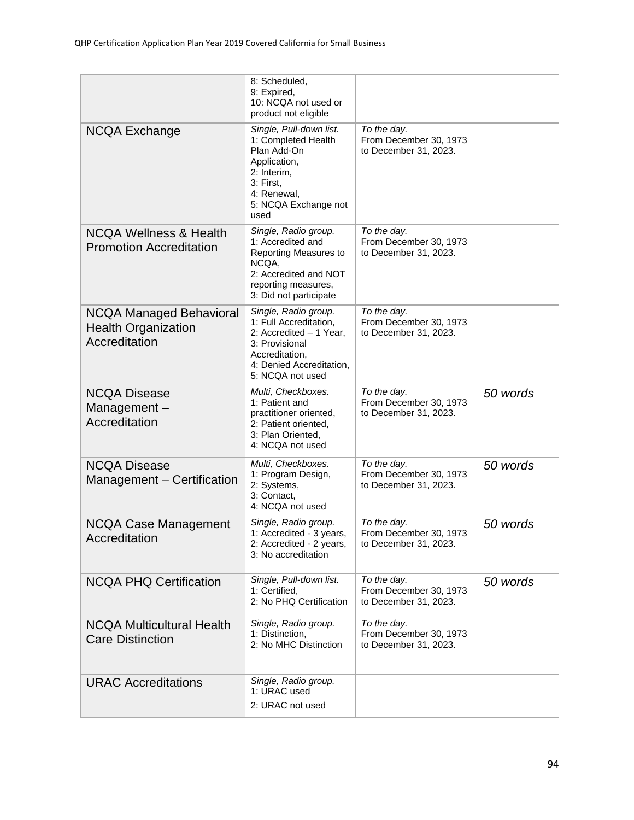|                                                                               | 8: Scheduled,<br>9: Expired,<br>10: NCQA not used or<br>product not eligible                                                                                  |                                                                |          |
|-------------------------------------------------------------------------------|---------------------------------------------------------------------------------------------------------------------------------------------------------------|----------------------------------------------------------------|----------|
| NCQA Exchange                                                                 | Single, Pull-down list.<br>1: Completed Health<br>Plan Add-On<br>Application,<br>2: Interim,<br>3: First.<br>4: Renewal,<br>5: NCQA Exchange not<br>used      | To the day.<br>From December 30, 1973<br>to December 31, 2023. |          |
| <b>NCQA Wellness &amp; Health</b><br><b>Promotion Accreditation</b>           | Single, Radio group.<br>1: Accredited and<br>Reporting Measures to<br>NCQA,<br>2: Accredited and NOT<br>reporting measures,<br>3: Did not participate         | To the day.<br>From December 30, 1973<br>to December 31, 2023. |          |
| <b>NCQA Managed Behavioral</b><br><b>Health Organization</b><br>Accreditation | Single, Radio group.<br>1: Full Accreditation,<br>2: Accredited - 1 Year,<br>3: Provisional<br>Accreditation,<br>4: Denied Accreditation,<br>5: NCQA not used | To the day.<br>From December 30, 1973<br>to December 31, 2023. |          |
| <b>NCQA Disease</b><br>Management-<br>Accreditation                           | Multi, Checkboxes.<br>1: Patient and<br>practitioner oriented,<br>2: Patient oriented,<br>3: Plan Oriented,<br>4: NCQA not used                               | To the day.<br>From December 30, 1973<br>to December 31, 2023. | 50 words |
| <b>NCQA Disease</b><br>Management - Certification                             | Multi, Checkboxes.<br>1: Program Design,<br>2: Systems,<br>3: Contact,<br>4: NCQA not used                                                                    | To the day.<br>From December 30, 1973<br>to December 31, 2023. | 50 words |
| <b>NCQA Case Management</b><br>Accreditation                                  | Single, Radio group.<br>1: Accredited - 3 years,<br>2: Accredited - 2 years,<br>3: No accreditation                                                           | To the day.<br>From December 30, 1973<br>to December 31, 2023. | 50 words |
| <b>NCQA PHQ Certification</b>                                                 | Single, Pull-down list.<br>1: Certified,<br>2: No PHQ Certification                                                                                           | To the day.<br>From December 30, 1973<br>to December 31, 2023. | 50 words |
| <b>NCQA Multicultural Health</b><br><b>Care Distinction</b>                   | Single, Radio group.<br>1: Distinction,<br>2: No MHC Distinction                                                                                              | To the day.<br>From December 30, 1973<br>to December 31, 2023. |          |
| <b>URAC Accreditations</b>                                                    | Single, Radio group.<br>1: URAC used<br>2: URAC not used                                                                                                      |                                                                |          |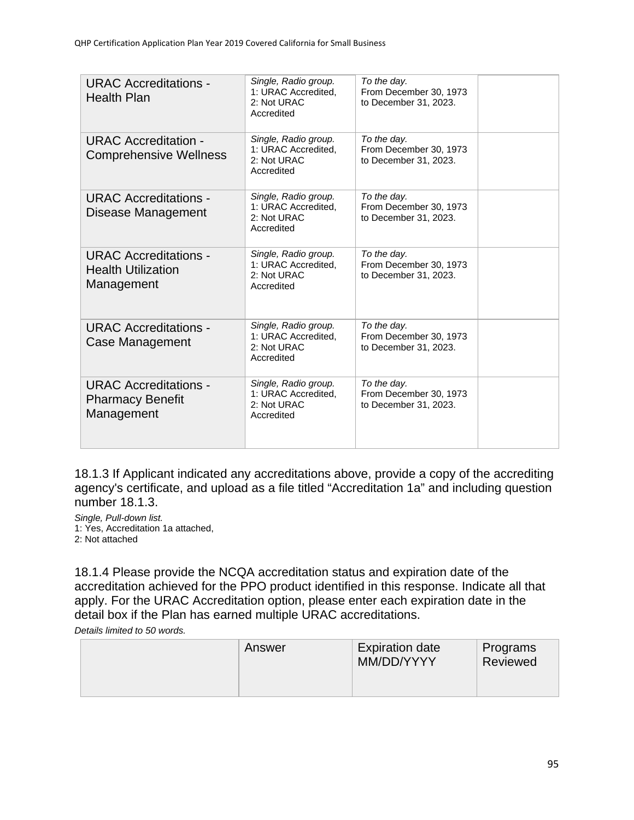| <b>URAC Accreditations -</b><br><b>Health Plan</b>                      | Single, Radio group.<br>1: URAC Accredited,<br>2: Not URAC<br>Accredited | To the day.<br>From December 30, 1973<br>to December 31, 2023. |  |
|-------------------------------------------------------------------------|--------------------------------------------------------------------------|----------------------------------------------------------------|--|
| <b>URAC Accreditation -</b><br><b>Comprehensive Wellness</b>            | Single, Radio group.<br>1: URAC Accredited,<br>2: Not URAC<br>Accredited | To the day.<br>From December 30, 1973<br>to December 31, 2023. |  |
| <b>URAC Accreditations -</b><br>Disease Management                      | Single, Radio group.<br>1: URAC Accredited,<br>2: Not URAC<br>Accredited | To the day.<br>From December 30, 1973<br>to December 31, 2023. |  |
| <b>URAC Accreditations -</b><br><b>Health Utilization</b><br>Management | Single, Radio group.<br>1: URAC Accredited.<br>2: Not URAC<br>Accredited | To the day.<br>From December 30, 1973<br>to December 31, 2023. |  |
| <b>URAC Accreditations -</b><br>Case Management                         | Single, Radio group.<br>1: URAC Accredited,<br>2: Not URAC<br>Accredited | To the day.<br>From December 30, 1973<br>to December 31, 2023. |  |
| <b>URAC Accreditations -</b><br><b>Pharmacy Benefit</b><br>Management   | Single, Radio group.<br>1: URAC Accredited,<br>2: Not URAC<br>Accredited | To the day.<br>From December 30, 1973<br>to December 31, 2023. |  |

18.1.3 If Applicant indicated any accreditations above, provide a copy of the accrediting agency's certificate, and upload as a file titled "Accreditation 1a" and including question number 18.1.3.

*Single, Pull-down list.* 1: Yes, Accreditation 1a attached,

2: Not attached

18.1.4 Please provide the NCQA accreditation status and expiration date of the accreditation achieved for the PPO product identified in this response. Indicate all that apply. For the URAC Accreditation option, please enter each expiration date in the detail box if the Plan has earned multiple URAC accreditations.

*Details limited to 50 words.*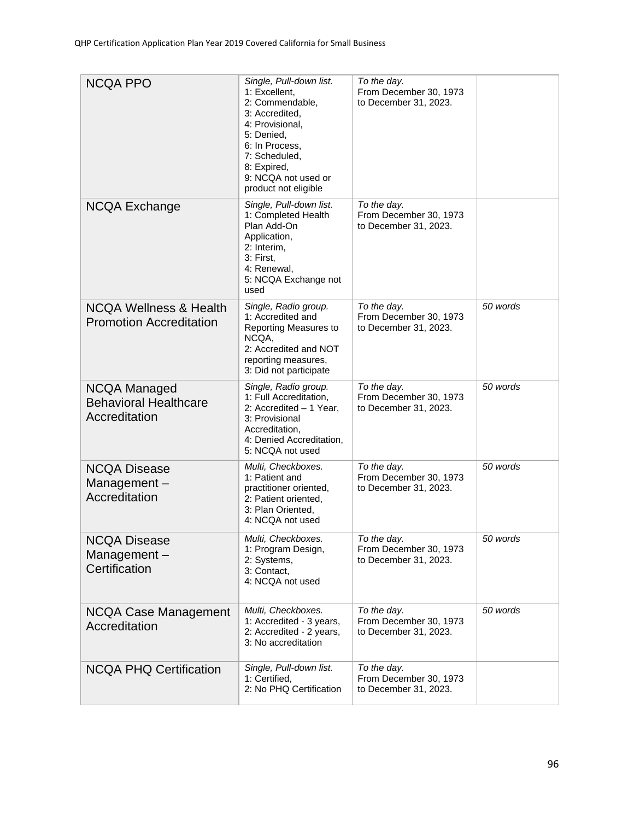| <b>NCQA PPO</b>                                                      | Single, Pull-down list.<br>1: Excellent,<br>2: Commendable,<br>3: Accredited,<br>4: Provisional,<br>5: Denied,<br>6: In Process,<br>7: Scheduled,<br>8: Expired,<br>9: NCQA not used or<br>product not eligible | To the day.<br>From December 30, 1973<br>to December 31, 2023. |          |
|----------------------------------------------------------------------|-----------------------------------------------------------------------------------------------------------------------------------------------------------------------------------------------------------------|----------------------------------------------------------------|----------|
| NCQA Exchange                                                        | Single, Pull-down list.<br>1: Completed Health<br>Plan Add-On<br>Application,<br>2: Interim,<br>3: First.<br>4: Renewal,<br>5: NCQA Exchange not<br>used                                                        | To the day.<br>From December 30, 1973<br>to December 31, 2023. |          |
| <b>NCQA Wellness &amp; Health</b><br><b>Promotion Accreditation</b>  | Single, Radio group.<br>1: Accredited and<br>Reporting Measures to<br>NCQA.<br>2: Accredited and NOT<br>reporting measures,<br>3: Did not participate                                                           | To the day.<br>From December 30, 1973<br>to December 31, 2023. | 50 words |
| <b>NCQA Managed</b><br><b>Behavioral Healthcare</b><br>Accreditation | Single, Radio group.<br>1: Full Accreditation,<br>2: Accredited - 1 Year,<br>3: Provisional<br>Accreditation,<br>4: Denied Accreditation,<br>5: NCQA not used                                                   | To the day.<br>From December 30, 1973<br>to December 31, 2023. | 50 words |
| <b>NCQA Disease</b><br>Management-<br>Accreditation                  | Multi, Checkboxes.<br>1: Patient and<br>practitioner oriented,<br>2: Patient oriented,<br>3: Plan Oriented,<br>4: NCQA not used                                                                                 | To the day.<br>From December 30, 1973<br>to December 31, 2023. | 50 words |
| <b>NCQA Disease</b><br>Management-<br>Certification                  | Multi, Checkboxes.<br>1: Program Design,<br>2: Systems,<br>3: Contact,<br>4: NCQA not used                                                                                                                      | To the day.<br>From December 30, 1973<br>to December 31, 2023. | 50 words |
| <b>NCQA Case Management</b><br>Accreditation                         | Multi, Checkboxes.<br>1: Accredited - 3 years,<br>2: Accredited - 2 years,<br>3: No accreditation                                                                                                               | To the day.<br>From December 30, 1973<br>to December 31, 2023. | 50 words |
| <b>NCQA PHQ Certification</b>                                        | Single, Pull-down list.<br>1: Certified,<br>2: No PHQ Certification                                                                                                                                             | To the day.<br>From December 30, 1973<br>to December 31, 2023. |          |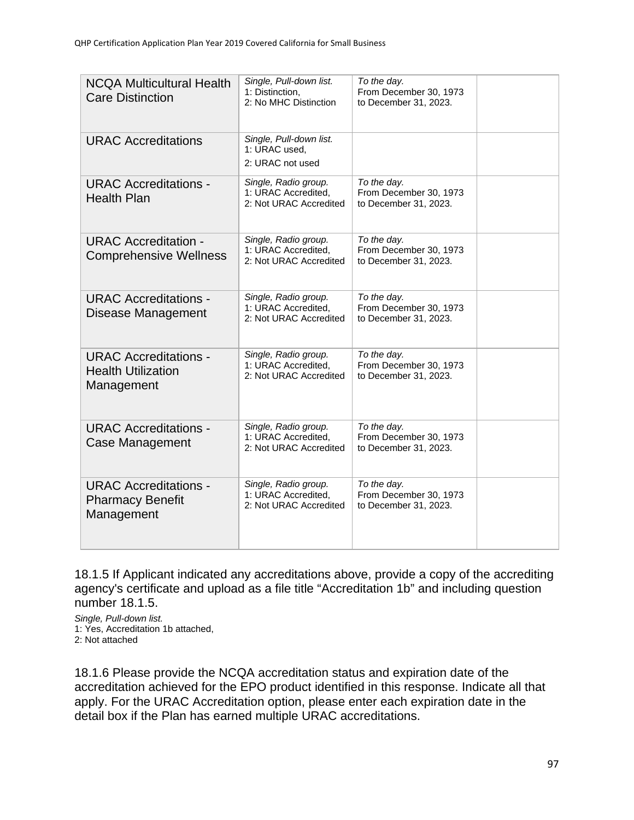| <b>NCQA Multicultural Health</b><br><b>Care Distinction</b>             | Single, Pull-down list.<br>1: Distinction,<br>2: No MHC Distinction   | To the day.<br>From December 30, 1973<br>to December 31, 2023. |  |
|-------------------------------------------------------------------------|-----------------------------------------------------------------------|----------------------------------------------------------------|--|
| <b>URAC Accreditations</b>                                              | Single, Pull-down list.<br>1: URAC used,<br>2: URAC not used          |                                                                |  |
| <b>URAC Accreditations -</b><br><b>Health Plan</b>                      | Single, Radio group.<br>1: URAC Accredited,<br>2: Not URAC Accredited | To the day.<br>From December 30, 1973<br>to December 31, 2023. |  |
| <b>URAC Accreditation -</b><br><b>Comprehensive Wellness</b>            | Single, Radio group.<br>1: URAC Accredited,<br>2: Not URAC Accredited | To the day.<br>From December 30, 1973<br>to December 31, 2023. |  |
| <b>URAC Accreditations -</b><br>Disease Management                      | Single, Radio group.<br>1: URAC Accredited,<br>2: Not URAC Accredited | To the day.<br>From December 30, 1973<br>to December 31, 2023. |  |
| <b>URAC Accreditations -</b><br><b>Health Utilization</b><br>Management | Single, Radio group.<br>1: URAC Accredited,<br>2: Not URAC Accredited | To the day.<br>From December 30, 1973<br>to December 31, 2023. |  |
| <b>URAC Accreditations -</b><br>Case Management                         | Single, Radio group.<br>1: URAC Accredited,<br>2: Not URAC Accredited | To the day.<br>From December 30, 1973<br>to December 31, 2023. |  |
| <b>URAC Accreditations -</b><br><b>Pharmacy Benefit</b><br>Management   | Single, Radio group.<br>1: URAC Accredited,<br>2: Not URAC Accredited | To the day.<br>From December 30, 1973<br>to December 31, 2023. |  |

18.1.5 If Applicant indicated any accreditations above, provide a copy of the accrediting agency's certificate and upload as a file title "Accreditation 1b" and including question number 18.1.5.

*Single, Pull-down list.* 1: Yes, Accreditation 1b attached, 2: Not attached

18.1.6 Please provide the NCQA accreditation status and expiration date of the accreditation achieved for the EPO product identified in this response. Indicate all that apply. For the URAC Accreditation option, please enter each expiration date in the detail box if the Plan has earned multiple URAC accreditations.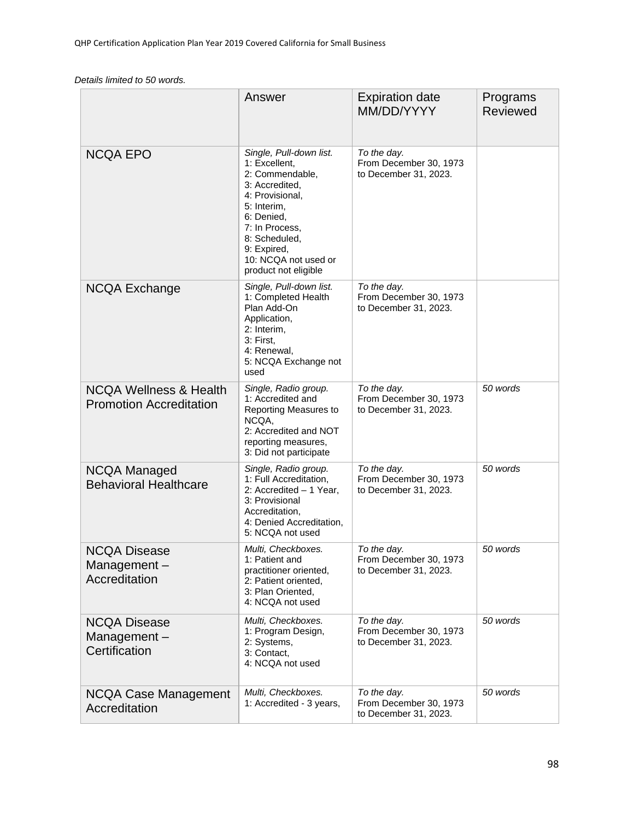#### *Details limited to 50 words.*

|                                                          | Answer                                                                                                                                                                                                                          | <b>Expiration date</b><br>MM/DD/YYYY                           | Programs<br><b>Reviewed</b> |
|----------------------------------------------------------|---------------------------------------------------------------------------------------------------------------------------------------------------------------------------------------------------------------------------------|----------------------------------------------------------------|-----------------------------|
| <b>NCQA EPO</b>                                          | Single, Pull-down list.<br>1: Excellent,<br>2: Commendable,<br>3: Accredited,<br>4: Provisional,<br>5: Interim,<br>6: Denied,<br>7: In Process,<br>8: Scheduled,<br>9: Expired,<br>10: NCQA not used or<br>product not eligible | To the day.<br>From December 30, 1973<br>to December 31, 2023. |                             |
| NCQA Exchange                                            | Single, Pull-down list.<br>1: Completed Health<br>Plan Add-On<br>Application,<br>2: Interim,<br>3: First,<br>4: Renewal,<br>5: NCQA Exchange not<br>used                                                                        | To the day.<br>From December 30, 1973<br>to December 31, 2023. |                             |
| NCQA Wellness & Health<br><b>Promotion Accreditation</b> | Single, Radio group.<br>1: Accredited and<br>Reporting Measures to<br>NCQA.<br>2: Accredited and NOT<br>reporting measures,<br>3: Did not participate                                                                           | To the day.<br>From December 30, 1973<br>to December 31, 2023. | 50 words                    |
| <b>NCQA Managed</b><br><b>Behavioral Healthcare</b>      | Single, Radio group.<br>1: Full Accreditation,<br>2: Accredited - 1 Year,<br>3: Provisional<br>Accreditation,<br>4: Denied Accreditation,<br>5: NCQA not used                                                                   | To the day.<br>From December 30, 1973<br>to December 31, 2023. | 50 words                    |
| <b>NCQA Disease</b><br>Management-<br>Accreditation      | Multi, Checkboxes.<br>1: Patient and<br>practitioner oriented,<br>2: Patient oriented,<br>3: Plan Oriented,<br>4: NCQA not used                                                                                                 | To the day.<br>From December 30, 1973<br>to December 31, 2023. | 50 words                    |
| <b>NCQA Disease</b><br>Management-<br>Certification      | Multi, Checkboxes.<br>1: Program Design,<br>2: Systems,<br>3: Contact,<br>4: NCQA not used                                                                                                                                      | To the day.<br>From December 30, 1973<br>to December 31, 2023. | 50 words                    |
| NCQA Case Management<br>Accreditation                    | Multi, Checkboxes.<br>1: Accredited - 3 years,                                                                                                                                                                                  | To the day.<br>From December 30, 1973<br>to December 31, 2023. | 50 words                    |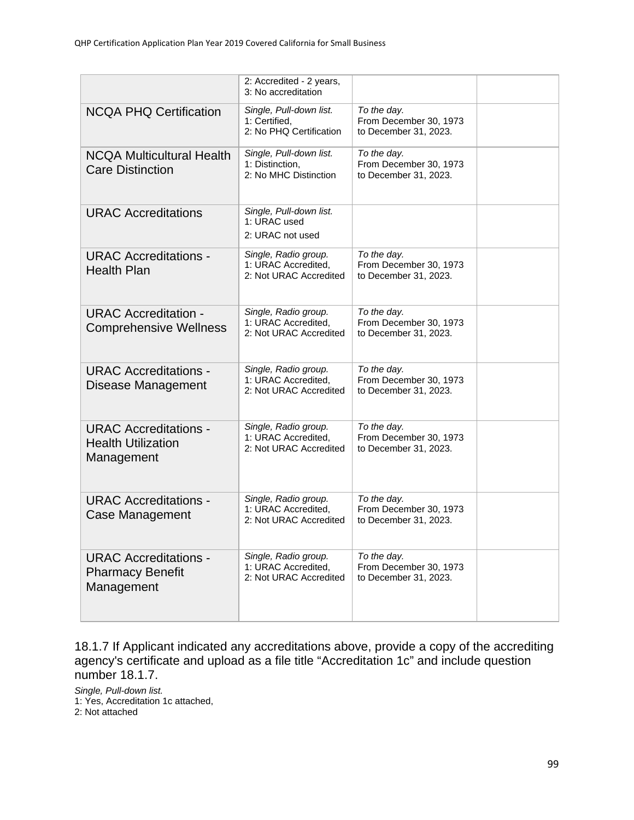|                                                                         | 2: Accredited - 2 years,<br>3: No accreditation                       |                                                                |  |
|-------------------------------------------------------------------------|-----------------------------------------------------------------------|----------------------------------------------------------------|--|
| <b>NCQA PHQ Certification</b>                                           | Single, Pull-down list.<br>1: Certified,<br>2: No PHQ Certification   | To the day.<br>From December 30, 1973<br>to December 31, 2023. |  |
| <b>NCQA Multicultural Health</b><br><b>Care Distinction</b>             | Single, Pull-down list.<br>1: Distinction,<br>2: No MHC Distinction   | To the day.<br>From December 30, 1973<br>to December 31, 2023. |  |
| <b>URAC Accreditations</b>                                              | Single, Pull-down list.<br>1: URAC used<br>2: URAC not used           |                                                                |  |
| <b>URAC Accreditations -</b><br><b>Health Plan</b>                      | Single, Radio group.<br>1: URAC Accredited,<br>2: Not URAC Accredited | To the day.<br>From December 30, 1973<br>to December 31, 2023. |  |
| <b>URAC Accreditation -</b><br><b>Comprehensive Wellness</b>            | Single, Radio group.<br>1: URAC Accredited,<br>2: Not URAC Accredited | To the day.<br>From December 30, 1973<br>to December 31, 2023. |  |
| <b>URAC Accreditations -</b><br>Disease Management                      | Single, Radio group.<br>1: URAC Accredited,<br>2: Not URAC Accredited | To the day.<br>From December 30, 1973<br>to December 31, 2023. |  |
| <b>URAC Accreditations -</b><br><b>Health Utilization</b><br>Management | Single, Radio group.<br>1: URAC Accredited,<br>2: Not URAC Accredited | To the day.<br>From December 30, 1973<br>to December 31, 2023. |  |
| <b>URAC Accreditations -</b><br>Case Management                         | Single, Radio group.<br>1: URAC Accredited,<br>2: Not URAC Accredited | To the day.<br>From December 30, 1973<br>to December 31, 2023. |  |
| <b>URAC Accreditations -</b><br><b>Pharmacy Benefit</b><br>Management   | Single, Radio group.<br>1: URAC Accredited,<br>2: Not URAC Accredited | To the day.<br>From December 30, 1973<br>to December 31, 2023. |  |

18.1.7 If Applicant indicated any accreditations above, provide a copy of the accrediting agency's certificate and upload as a file title "Accreditation 1c" and include question number 18.1.7.

*Single, Pull-down list.* 1: Yes, Accreditation 1c attached, 2: Not attached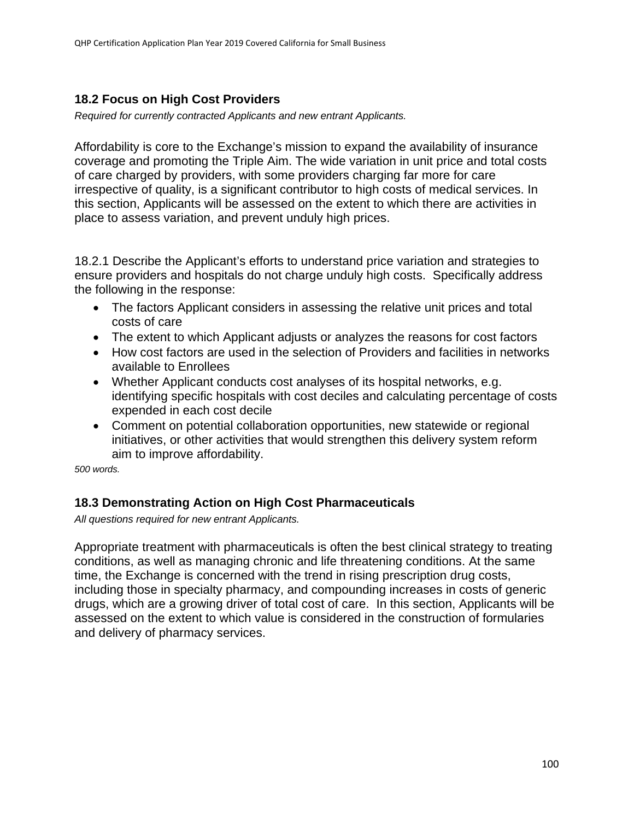### **18.2 Focus on High Cost Providers**

*Required for currently contracted Applicants and new entrant Applicants.* 

Affordability is core to the Exchange's mission to expand the availability of insurance coverage and promoting the Triple Aim. The wide variation in unit price and total costs of care charged by providers, with some providers charging far more for care irrespective of quality, is a significant contributor to high costs of medical services. In this section, Applicants will be assessed on the extent to which there are activities in place to assess variation, and prevent unduly high prices.

18.2.1 Describe the Applicant's efforts to understand price variation and strategies to ensure providers and hospitals do not charge unduly high costs. Specifically address the following in the response:

- The factors Applicant considers in assessing the relative unit prices and total costs of care
- The extent to which Applicant adjusts or analyzes the reasons for cost factors
- How cost factors are used in the selection of Providers and facilities in networks available to Enrollees
- Whether Applicant conducts cost analyses of its hospital networks, e.g. identifying specific hospitals with cost deciles and calculating percentage of costs expended in each cost decile
- Comment on potential collaboration opportunities, new statewide or regional initiatives, or other activities that would strengthen this delivery system reform aim to improve affordability.

*500 words.* 

# **18.3 Demonstrating Action on High Cost Pharmaceuticals**

*All questions required for new entrant Applicants.* 

Appropriate treatment with pharmaceuticals is often the best clinical strategy to treating conditions, as well as managing chronic and life threatening conditions. At the same time, the Exchange is concerned with the trend in rising prescription drug costs, including those in specialty pharmacy, and compounding increases in costs of generic drugs, which are a growing driver of total cost of care. In this section, Applicants will be assessed on the extent to which value is considered in the construction of formularies and delivery of pharmacy services.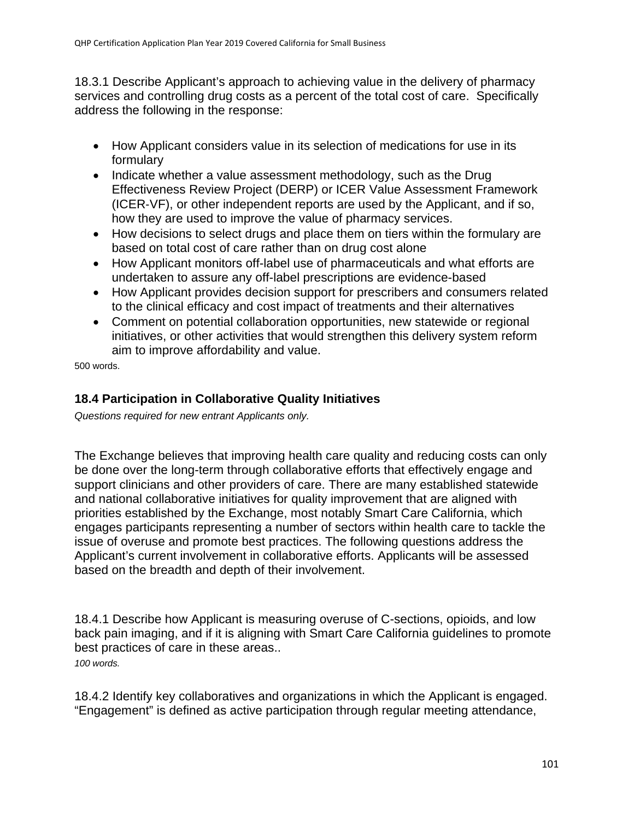18.3.1 Describe Applicant's approach to achieving value in the delivery of pharmacy services and controlling drug costs as a percent of the total cost of care. Specifically address the following in the response:

- How Applicant considers value in its selection of medications for use in its formulary
- Indicate whether a value assessment methodology, such as the Drug Effectiveness Review Project (DERP) or ICER Value Assessment Framework (ICER‐VF), or other independent reports are used by the Applicant, and if so, how they are used to improve the value of pharmacy services.
- How decisions to select drugs and place them on tiers within the formulary are based on total cost of care rather than on drug cost alone
- How Applicant monitors off-label use of pharmaceuticals and what efforts are undertaken to assure any off-label prescriptions are evidence-based
- How Applicant provides decision support for prescribers and consumers related to the clinical efficacy and cost impact of treatments and their alternatives
- Comment on potential collaboration opportunities, new statewide or regional initiatives, or other activities that would strengthen this delivery system reform aim to improve affordability and value.

500 words.

# **18.4 Participation in Collaborative Quality Initiatives**

*Questions required for new entrant Applicants only.*

The Exchange believes that improving health care quality and reducing costs can only be done over the long-term through collaborative efforts that effectively engage and support clinicians and other providers of care. There are many established statewide and national collaborative initiatives for quality improvement that are aligned with priorities established by the Exchange, most notably Smart Care California, which engages participants representing a number of sectors within health care to tackle the issue of overuse and promote best practices. The following questions address the Applicant's current involvement in collaborative efforts. Applicants will be assessed based on the breadth and depth of their involvement.

18.4.1 Describe how Applicant is measuring overuse of C-sections, opioids, and low back pain imaging, and if it is aligning with Smart Care California guidelines to promote best practices of care in these areas.. *100 words.*

18.4.2 Identify key collaboratives and organizations in which the Applicant is engaged. "Engagement" is defined as active participation through regular meeting attendance,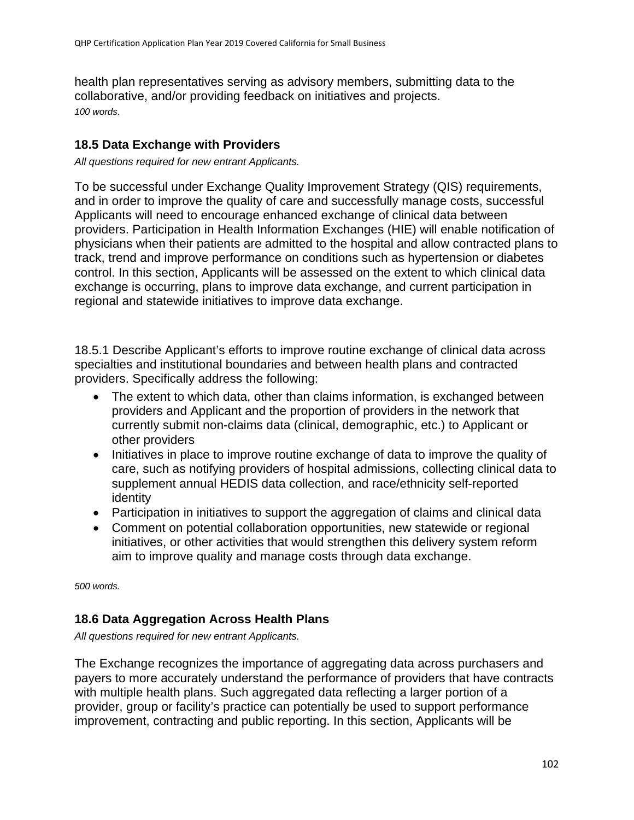health plan representatives serving as advisory members, submitting data to the collaborative, and/or providing feedback on initiatives and projects. *100 words*.

#### **18.5 Data Exchange with Providers**

*All questions required for new entrant Applicants.* 

To be successful under Exchange Quality Improvement Strategy (QIS) requirements, and in order to improve the quality of care and successfully manage costs, successful Applicants will need to encourage enhanced exchange of clinical data between providers. Participation in Health Information Exchanges (HIE) will enable notification of physicians when their patients are admitted to the hospital and allow contracted plans to track, trend and improve performance on conditions such as hypertension or diabetes control. In this section, Applicants will be assessed on the extent to which clinical data exchange is occurring, plans to improve data exchange, and current participation in regional and statewide initiatives to improve data exchange.

18.5.1 Describe Applicant's efforts to improve routine exchange of clinical data across specialties and institutional boundaries and between health plans and contracted providers. Specifically address the following:

- The extent to which data, other than claims information, is exchanged between providers and Applicant and the proportion of providers in the network that currently submit non-claims data (clinical, demographic, etc.) to Applicant or other providers
- Initiatives in place to improve routine exchange of data to improve the quality of care, such as notifying providers of hospital admissions, collecting clinical data to supplement annual HEDIS data collection, and race/ethnicity self-reported identity
- Participation in initiatives to support the aggregation of claims and clinical data
- Comment on potential collaboration opportunities, new statewide or regional initiatives, or other activities that would strengthen this delivery system reform aim to improve quality and manage costs through data exchange.

*500 words.* 

#### **18.6 Data Aggregation Across Health Plans**

*All questions required for new entrant Applicants.* 

The Exchange recognizes the importance of aggregating data across purchasers and payers to more accurately understand the performance of providers that have contracts with multiple health plans. Such aggregated data reflecting a larger portion of a provider, group or facility's practice can potentially be used to support performance improvement, contracting and public reporting. In this section, Applicants will be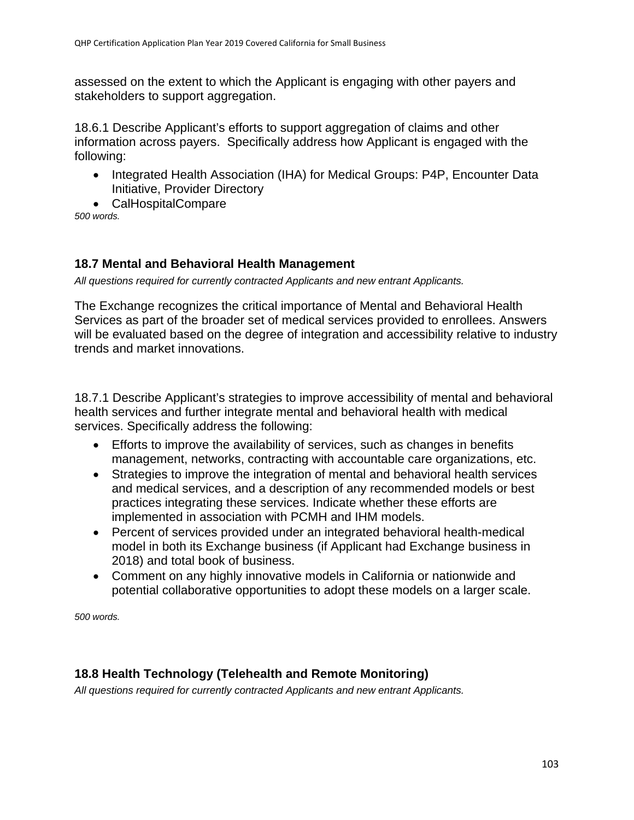assessed on the extent to which the Applicant is engaging with other payers and stakeholders to support aggregation.

18.6.1 Describe Applicant's efforts to support aggregation of claims and other information across payers. Specifically address how Applicant is engaged with the following:

- Integrated Health Association (IHA) for Medical Groups: P4P, Encounter Data Initiative, Provider Directory
- CalHospitalCompare

*500 words.*

#### **18.7 Mental and Behavioral Health Management**

*All questions required for currently contracted Applicants and new entrant Applicants.*

The Exchange recognizes the critical importance of Mental and Behavioral Health Services as part of the broader set of medical services provided to enrollees. Answers will be evaluated based on the degree of integration and accessibility relative to industry trends and market innovations.

18.7.1 Describe Applicant's strategies to improve accessibility of mental and behavioral health services and further integrate mental and behavioral health with medical services. Specifically address the following:

- Efforts to improve the availability of services, such as changes in benefits management, networks, contracting with accountable care organizations, etc.
- Strategies to improve the integration of mental and behavioral health services and medical services, and a description of any recommended models or best practices integrating these services. Indicate whether these efforts are implemented in association with PCMH and IHM models.
- Percent of services provided under an integrated behavioral health-medical model in both its Exchange business (if Applicant had Exchange business in 2018) and total book of business.
- Comment on any highly innovative models in California or nationwide and potential collaborative opportunities to adopt these models on a larger scale.

*500 words.*

# **18.8 Health Technology (Telehealth and Remote Monitoring)**

*All questions required for currently contracted Applicants and new entrant Applicants.*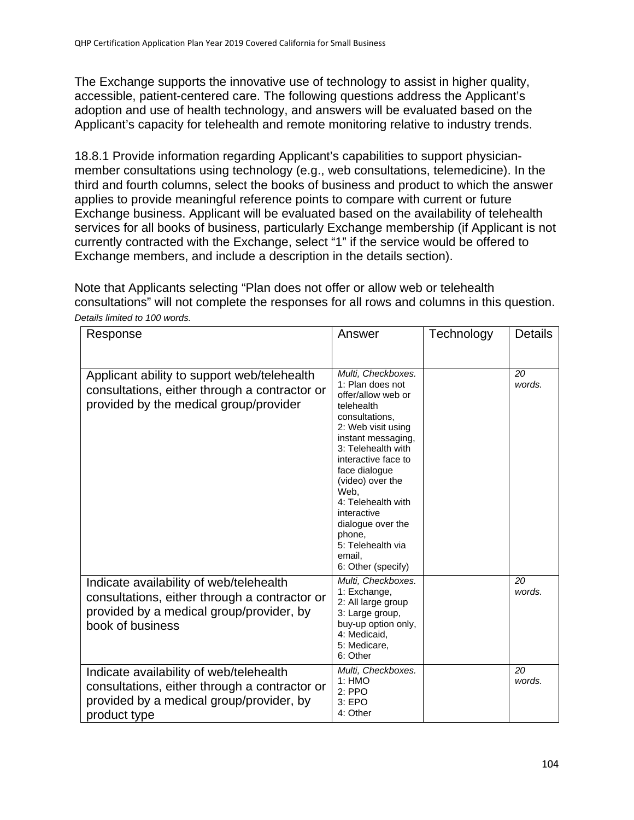The Exchange supports the innovative use of technology to assist in higher quality, accessible, patient-centered care. The following questions address the Applicant's adoption and use of health technology, and answers will be evaluated based on the Applicant's capacity for telehealth and remote monitoring relative to industry trends.

18.8.1 Provide information regarding Applicant's capabilities to support physicianmember consultations using technology (e.g., web consultations, telemedicine). In the third and fourth columns, select the books of business and product to which the answer applies to provide meaningful reference points to compare with current or future Exchange business. Applicant will be evaluated based on the availability of telehealth services for all books of business, particularly Exchange membership (if Applicant is not currently contracted with the Exchange, select "1" if the service would be offered to Exchange members, and include a description in the details section).

Note that Applicants selecting "Plan does not offer or allow web or telehealth consultations" will not complete the responses for all rows and columns in this question.

| Response                                                                                                                                                 | Answer                                                                                                                                                                                                                                                                                      | Technology | <b>Details</b> |
|----------------------------------------------------------------------------------------------------------------------------------------------------------|---------------------------------------------------------------------------------------------------------------------------------------------------------------------------------------------------------------------------------------------------------------------------------------------|------------|----------------|
| Applicant ability to support web/telehealth<br>consultations, either through a contractor or                                                             | Multi, Checkboxes.<br>1: Plan does not<br>offer/allow web or                                                                                                                                                                                                                                |            | 20<br>words.   |
| provided by the medical group/provider                                                                                                                   | telehealth<br>consultations,<br>2: Web visit using<br>instant messaging,<br>3: Telehealth with<br>interactive face to<br>face dialogue<br>(video) over the<br>Web.<br>4: Telehealth with<br>interactive<br>dialogue over the<br>phone,<br>5: Telehealth via<br>email.<br>6: Other (specify) |            |                |
| Indicate availability of web/telehealth<br>consultations, either through a contractor or<br>provided by a medical group/provider, by<br>book of business | Multi, Checkboxes.<br>1: Exchange,<br>2: All large group<br>3: Large group,<br>buy-up option only,<br>4: Medicaid,<br>5: Medicare.<br>6: Other                                                                                                                                              |            | 20<br>words.   |
| Indicate availability of web/telehealth<br>consultations, either through a contractor or<br>provided by a medical group/provider, by<br>product type     | Multi, Checkboxes.<br>1:HMO<br>2: PPO<br>3: EPO<br>4: Other                                                                                                                                                                                                                                 |            | 20<br>words.   |

*Details limited to 100 words.*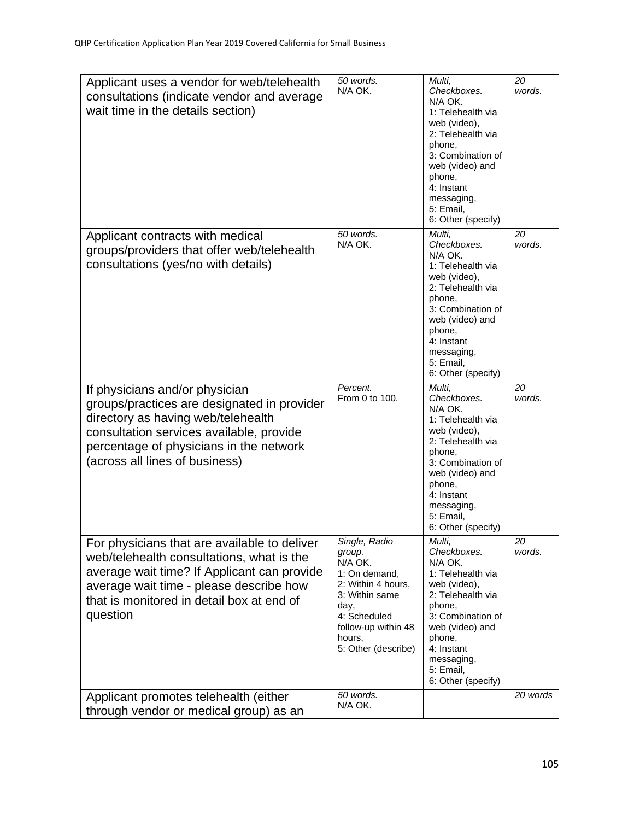| Applicant uses a vendor for web/telehealth<br>consultations (indicate vendor and average<br>wait time in the details section)                                                                                                                | 50 words.<br>N/A OK.                                                                                                                                                        | Multi,<br>Checkboxes.<br>N/A OK.<br>1: Telehealth via<br>web (video),<br>2: Telehealth via<br>phone,<br>3: Combination of<br>web (video) and<br>phone,<br>4: Instant<br>messaging,<br>5: Email.<br>6: Other (specify) | 20<br>words. |
|----------------------------------------------------------------------------------------------------------------------------------------------------------------------------------------------------------------------------------------------|-----------------------------------------------------------------------------------------------------------------------------------------------------------------------------|-----------------------------------------------------------------------------------------------------------------------------------------------------------------------------------------------------------------------|--------------|
| Applicant contracts with medical<br>groups/providers that offer web/telehealth<br>consultations (yes/no with details)                                                                                                                        | 50 words.<br>N/A OK.                                                                                                                                                        | Multi,<br>Checkboxes.<br>N/A OK.<br>1: Telehealth via<br>web (video),<br>2: Telehealth via<br>phone,<br>3: Combination of<br>web (video) and<br>phone,<br>4: Instant<br>messaging,<br>5: Email.<br>6: Other (specify) | 20<br>words. |
| If physicians and/or physician<br>groups/practices are designated in provider<br>directory as having web/telehealth<br>consultation services available, provide<br>percentage of physicians in the network<br>(across all lines of business) | Percent.<br>From 0 to 100.                                                                                                                                                  | Multi,<br>Checkboxes.<br>N/A OK.<br>1: Telehealth via<br>web (video),<br>2: Telehealth via<br>phone,<br>3: Combination of<br>web (video) and<br>phone,<br>4: Instant<br>messaging,<br>5: Email,<br>6: Other (specify) | 20<br>words. |
| For physicians that are available to deliver<br>web/telehealth consultations, what is the<br>average wait time? If Applicant can provide<br>average wait time - please describe how<br>that is monitored in detail box at end of<br>question | Single, Radio<br>group.<br>N/A OK.<br>1: On demand,<br>2: Within 4 hours,<br>3: Within same<br>day,<br>4: Scheduled<br>follow-up within 48<br>hours,<br>5: Other (describe) | Multi.<br>Checkboxes.<br>N/A OK.<br>1: Telehealth via<br>web (video),<br>2: Telehealth via<br>phone,<br>3: Combination of<br>web (video) and<br>phone,<br>4: Instant<br>messaging,<br>5: Email,<br>6: Other (specify) | 20<br>words. |
| Applicant promotes telehealth (either<br>through vendor or medical group) as an                                                                                                                                                              | 50 words.<br>N/A OK.                                                                                                                                                        |                                                                                                                                                                                                                       | 20 words     |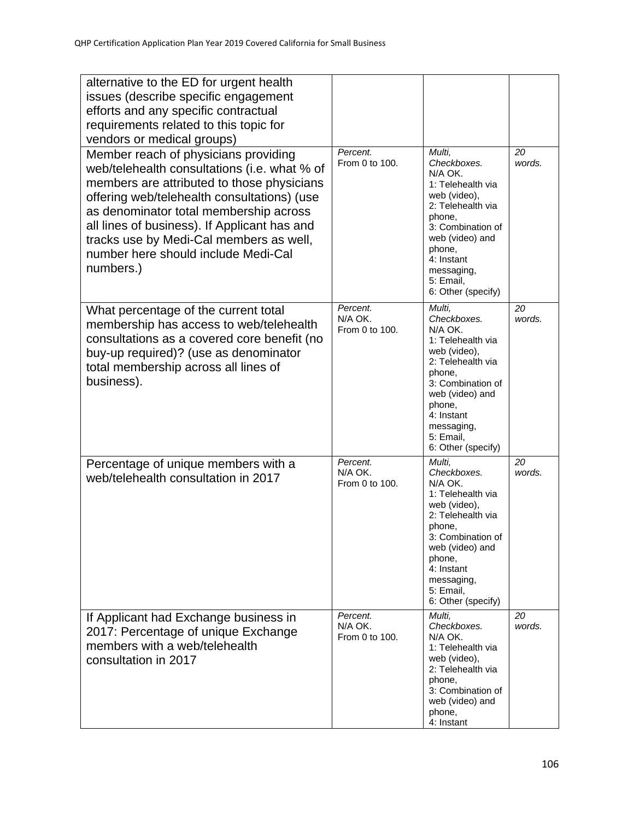| alternative to the ED for urgent health<br>issues (describe specific engagement<br>efforts and any specific contractual<br>requirements related to this topic for<br>vendors or medical groups)                                                                                                                                                                            |                                       |                                                                                                                                                                                                                       |              |
|----------------------------------------------------------------------------------------------------------------------------------------------------------------------------------------------------------------------------------------------------------------------------------------------------------------------------------------------------------------------------|---------------------------------------|-----------------------------------------------------------------------------------------------------------------------------------------------------------------------------------------------------------------------|--------------|
| Member reach of physicians providing<br>web/telehealth consultations (i.e. what % of<br>members are attributed to those physicians<br>offering web/telehealth consultations) (use<br>as denominator total membership across<br>all lines of business). If Applicant has and<br>tracks use by Medi-Cal members as well,<br>number here should include Medi-Cal<br>numbers.) | Percent.<br>From 0 to 100.            | Multi,<br>Checkboxes.<br>N/A OK.<br>1: Telehealth via<br>web (video),<br>2: Telehealth via<br>phone,<br>3: Combination of<br>web (video) and<br>phone,<br>4: Instant<br>messaging,<br>5: Email,<br>6: Other (specify) | 20<br>words. |
| What percentage of the current total<br>membership has access to web/telehealth<br>consultations as a covered core benefit (no<br>buy-up required)? (use as denominator<br>total membership across all lines of<br>business).                                                                                                                                              | Percent.<br>N/A OK.<br>From 0 to 100. | Multi,<br>Checkboxes.<br>N/A OK.<br>1: Telehealth via<br>web (video),<br>2: Telehealth via<br>phone,<br>3: Combination of<br>web (video) and<br>phone,<br>4: Instant<br>messaging,<br>5: Email,<br>6: Other (specify) | 20<br>words. |
| Percentage of unique members with a<br>web/telehealth consultation in 2017                                                                                                                                                                                                                                                                                                 | Percent.<br>N/A OK.<br>From 0 to 100. | Multi,<br>Checkboxes.<br>N/A OK.<br>1: Telehealth via<br>web (video),<br>2: Telehealth via<br>phone,<br>3: Combination of<br>web (video) and<br>phone,<br>4: Instant<br>messaging,<br>5: Email,<br>6: Other (specify) | 20<br>words. |
| If Applicant had Exchange business in<br>2017: Percentage of unique Exchange<br>members with a web/telehealth<br>consultation in 2017                                                                                                                                                                                                                                      | Percent.<br>N/A OK.<br>From 0 to 100. | Multi,<br>Checkboxes.<br>N/A OK.<br>1: Telehealth via<br>web (video),<br>2: Telehealth via<br>phone,<br>3: Combination of<br>web (video) and<br>phone,<br>4: Instant                                                  | 20<br>words. |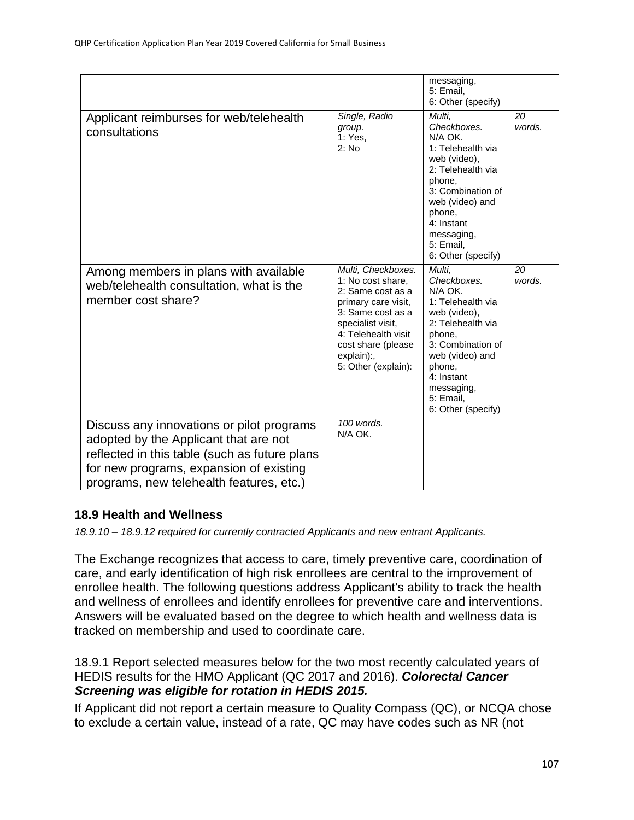|                                                                                                                                                                                                                            |                                                                                                                                                                                                                 | messaging,<br>5: Email.<br>6: Other (specify)                                                                                                                                                                         |              |
|----------------------------------------------------------------------------------------------------------------------------------------------------------------------------------------------------------------------------|-----------------------------------------------------------------------------------------------------------------------------------------------------------------------------------------------------------------|-----------------------------------------------------------------------------------------------------------------------------------------------------------------------------------------------------------------------|--------------|
| Applicant reimburses for web/telehealth<br>consultations                                                                                                                                                                   | Single, Radio<br>group.<br>1: Yes,<br>2: No                                                                                                                                                                     | Multi,<br>Checkboxes.<br>N/A OK.<br>1: Telehealth via<br>web (video),<br>2: Telehealth via<br>phone.<br>3: Combination of<br>web (video) and<br>phone,<br>4: Instant<br>messaging,<br>5: Email,<br>6: Other (specify) | 20<br>words. |
| Among members in plans with available<br>web/telehealth consultation, what is the<br>member cost share?                                                                                                                    | Multi, Checkboxes.<br>1: No cost share,<br>2: Same cost as a<br>primary care visit,<br>3: Same cost as a<br>specialist visit.<br>4: Telehealth visit<br>cost share (please<br>explain):,<br>5: Other (explain): | Multi.<br>Checkboxes.<br>N/A OK.<br>1: Telehealth via<br>web (video),<br>2: Telehealth via<br>phone.<br>3: Combination of<br>web (video) and<br>phone,<br>4: Instant<br>messaging,<br>5: Email,<br>6: Other (specify) | 20<br>words. |
| Discuss any innovations or pilot programs<br>adopted by the Applicant that are not<br>reflected in this table (such as future plans<br>for new programs, expansion of existing<br>programs, new telehealth features, etc.) | 100 words.<br>N/A OK.                                                                                                                                                                                           |                                                                                                                                                                                                                       |              |

#### **18.9 Health and Wellness**

*18.9.10 – 18.9.12 required for currently contracted Applicants and new entrant Applicants.*

The Exchange recognizes that access to care, timely preventive care, coordination of care, and early identification of high risk enrollees are central to the improvement of enrollee health. The following questions address Applicant's ability to track the health and wellness of enrollees and identify enrollees for preventive care and interventions. Answers will be evaluated based on the degree to which health and wellness data is tracked on membership and used to coordinate care.

18.9.1 Report selected measures below for the two most recently calculated years of HEDIS results for the HMO Applicant (QC 2017 and 2016). *Colorectal Cancer Screening was eligible for rotation in HEDIS 2015.*

If Applicant did not report a certain measure to Quality Compass (QC), or NCQA chose to exclude a certain value, instead of a rate, QC may have codes such as NR (not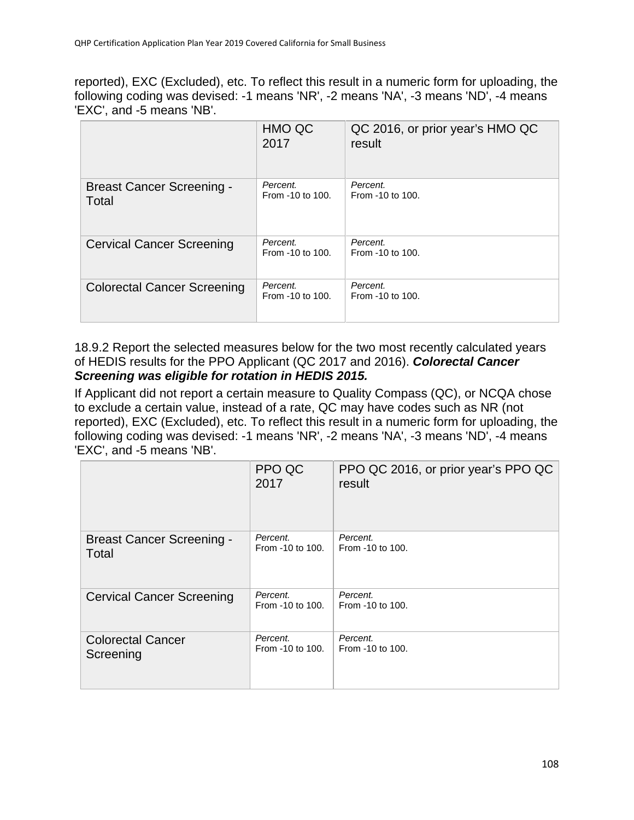reported), EXC (Excluded), etc. To reflect this result in a numeric form for uploading, the following coding was devised: -1 means 'NR', -2 means 'NA', -3 means 'ND', -4 means 'EXC', and -5 means 'NB'.

|                                           | HMO QC<br>2017               | QC 2016, or prior year's HMO QC<br>result |
|-------------------------------------------|------------------------------|-------------------------------------------|
| <b>Breast Cancer Screening -</b><br>Total | Percent.<br>From -10 to 100. | Percent.<br>From -10 to 100.              |
| <b>Cervical Cancer Screening</b>          | Percent.<br>From -10 to 100. | Percent.<br>From -10 to 100.              |
| <b>Colorectal Cancer Screening</b>        | Percent.<br>From -10 to 100. | Percent.<br>From -10 to 100.              |

18.9.2 Report the selected measures below for the two most recently calculated years of HEDIS results for the PPO Applicant (QC 2017 and 2016). *Colorectal Cancer Screening was eligible for rotation in HEDIS 2015.*

If Applicant did not report a certain measure to Quality Compass (QC), or NCQA chose to exclude a certain value, instead of a rate, QC may have codes such as NR (not reported), EXC (Excluded), etc. To reflect this result in a numeric form for uploading, the following coding was devised: -1 means 'NR', -2 means 'NA', -3 means 'ND', -4 means 'EXC', and -5 means 'NB'.

|                                  | PPO QC<br>2017               | PPO QC 2016, or prior year's PPO QC<br>result |
|----------------------------------|------------------------------|-----------------------------------------------|
| <b>Breast Cancer Screening -</b> | Percent.                     | Percent.                                      |
| Total                            | From -10 to 100.             | From -10 to 100.                              |
| <b>Cervical Cancer Screening</b> | Percent.<br>From -10 to 100. | Percent.<br>From -10 to 100.                  |
| <b>Colorectal Cancer</b>         | Percent.                     | Percent.                                      |
| Screening                        | From -10 to 100.             | From -10 to 100.                              |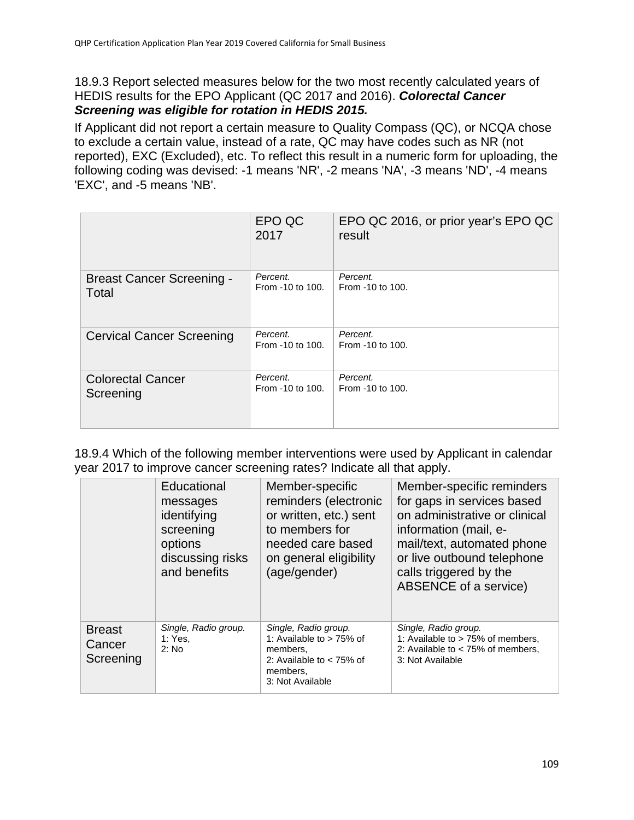18.9.3 Report selected measures below for the two most recently calculated years of HEDIS results for the EPO Applicant (QC 2017 and 2016). *Colorectal Cancer Screening was eligible for rotation in HEDIS 2015.*

If Applicant did not report a certain measure to Quality Compass (QC), or NCQA chose to exclude a certain value, instead of a rate, QC may have codes such as NR (not reported), EXC (Excluded), etc. To reflect this result in a numeric form for uploading, the following coding was devised: -1 means 'NR', -2 means 'NA', -3 means 'ND', -4 means 'EXC', and -5 means 'NB'.

|                                  | EPO QC<br>2017               | EPO QC 2016, or prior year's EPO QC<br>result |
|----------------------------------|------------------------------|-----------------------------------------------|
| <b>Breast Cancer Screening -</b> | Percent.                     | Percent.                                      |
| Total                            | From -10 to 100.             | From -10 to 100.                              |
| <b>Cervical Cancer Screening</b> | Percent.<br>From -10 to 100. | Percent.<br>From -10 to 100.                  |
| <b>Colorectal Cancer</b>         | Percent.                     | Percent.                                      |
| Screening                        | From -10 to 100.             | From -10 to 100.                              |

18.9.4 Which of the following member interventions were used by Applicant in calendar year 2017 to improve cancer screening rates? Indicate all that apply.

|                                      | Educational<br>messages<br>identifying<br>screening<br>options<br>discussing risks<br>and benefits | Member-specific<br>reminders (electronic<br>or written, etc.) sent<br>to members for<br>needed care based<br>on general eligibility<br>(age/gender) | Member-specific reminders<br>for gaps in services based<br>on administrative or clinical<br>information (mail, e-<br>mail/text, automated phone<br>or live outbound telephone<br>calls triggered by the<br>ABSENCE of a service) |
|--------------------------------------|----------------------------------------------------------------------------------------------------|-----------------------------------------------------------------------------------------------------------------------------------------------------|----------------------------------------------------------------------------------------------------------------------------------------------------------------------------------------------------------------------------------|
| <b>Breast</b><br>Cancer<br>Screening | Single, Radio group.<br>1: Yes.<br>2: No                                                           | Single, Radio group.<br>1: Available to $> 75\%$ of<br>members,<br>2: Available to $<$ 75% of<br>members,<br>3: Not Available                       | Single, Radio group.<br>1: Available to > 75% of members,<br>2: Available to $<$ 75% of members,<br>3: Not Available                                                                                                             |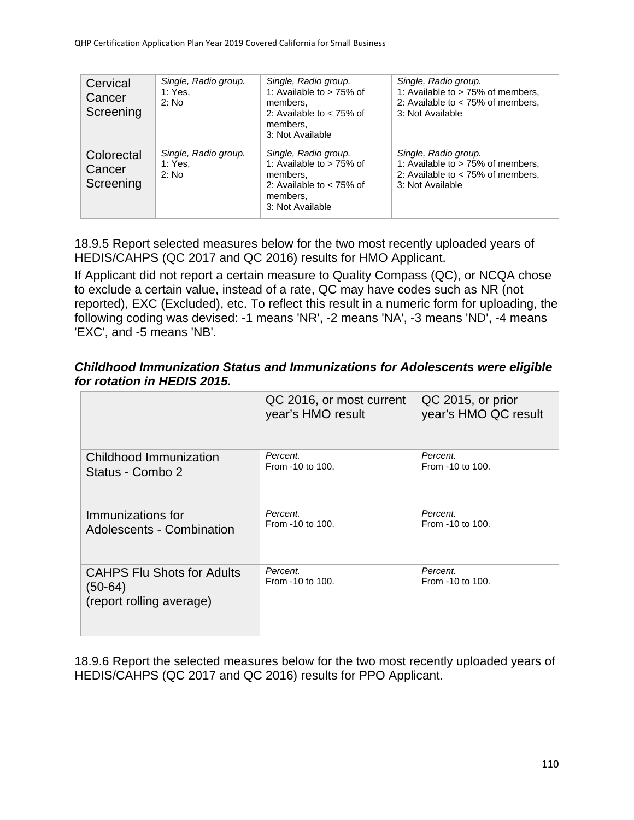| Cervical<br>Cancer<br>Screening   | Single, Radio group.<br>1: Yes.<br>2: No   | Single, Radio group.<br>1: Available to $> 75\%$ of<br>members,<br>2: Available to $<$ 75% of<br>members.<br>3: Not Available | Single, Radio group.<br>1: Available to > 75% of members,<br>2: Available to $<$ 75% of members,<br>3: Not Available |
|-----------------------------------|--------------------------------------------|-------------------------------------------------------------------------------------------------------------------------------|----------------------------------------------------------------------------------------------------------------------|
| Colorectal<br>Cancer<br>Screening | Single, Radio group.<br>1: Yes.<br>$2:$ No | Single, Radio group.<br>1: Available to $> 75\%$ of<br>members.<br>2: Available to $<$ 75% of<br>members,<br>3: Not Available | Single, Radio group.<br>1: Available to > 75% of members,<br>2: Available to $<$ 75% of members,<br>3: Not Available |

18.9.5 Report selected measures below for the two most recently uploaded years of HEDIS/CAHPS (QC 2017 and QC 2016) results for HMO Applicant.

If Applicant did not report a certain measure to Quality Compass (QC), or NCQA chose to exclude a certain value, instead of a rate, QC may have codes such as NR (not reported), EXC (Excluded), etc. To reflect this result in a numeric form for uploading, the following coding was devised: -1 means 'NR', -2 means 'NA', -3 means 'ND', -4 means 'EXC', and -5 means 'NB'.

#### *Childhood Immunization Status and Immunizations for Adolescents were eligible for rotation in HEDIS 2015.*

|                                                                   | QC 2016, or most current<br>year's HMO result | QC 2015, or prior<br>year's HMO QC result |
|-------------------------------------------------------------------|-----------------------------------------------|-------------------------------------------|
| Childhood Immunization                                            | Percent.                                      | Percent.                                  |
| Status - Combo 2                                                  | From -10 to 100.                              | From -10 to 100.                          |
| Immunizations for                                                 | Percent.                                      | Percent.                                  |
| Adolescents - Combination                                         | From $-10$ to $100$ .                         | From -10 to 100.                          |
| CAHPS Flu Shots for Adults<br>(50-64)<br>(report rolling average) | Percent.<br>From -10 to 100.                  | Percent.<br>From -10 to 100.              |

18.9.6 Report the selected measures below for the two most recently uploaded years of HEDIS/CAHPS (QC 2017 and QC 2016) results for PPO Applicant.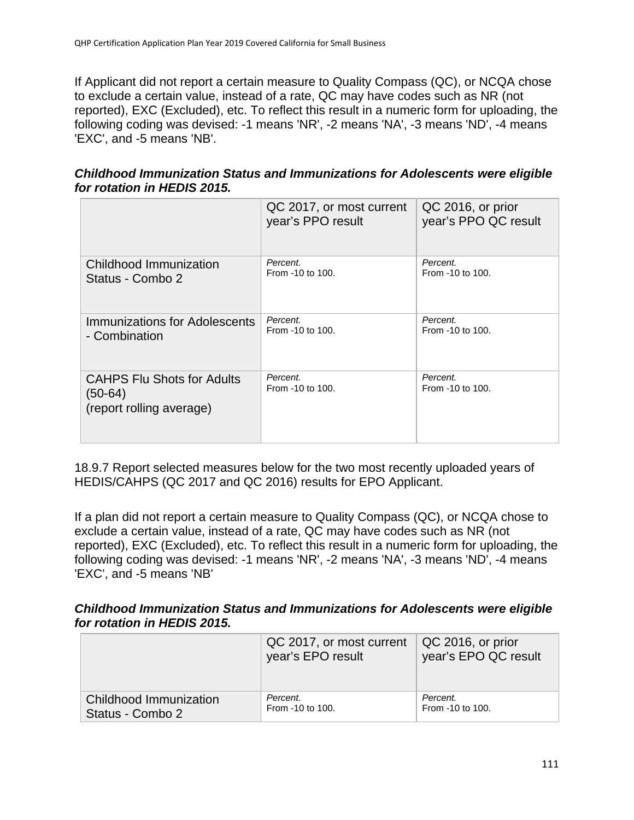If Applicant did not report a certain measure to Quality Compass (QC), or NCQA chose to exclude a certain value, instead of a rate, QC may have codes such as NR (not reported), EXC (Excluded), etc. To reflect this result in a numeric form for uploading, the following coding was devised: -1 means 'NR', -2 means 'NA', -3 means 'ND', -4 means 'EXC', and -5 means 'NB'.

| Childhood Immunization Status and Immunizations for Adolescents were eligible |  |
|-------------------------------------------------------------------------------|--|
| for rotation in HEDIS 2015.                                                   |  |

|                                                                            | QC 2017, or most current<br>year's PPO result | QC 2016, or prior<br>year's PPO QC result |
|----------------------------------------------------------------------------|-----------------------------------------------|-------------------------------------------|
| Childhood Immunization                                                     | Percent.                                      | Percent.                                  |
| Status - Combo 2                                                           | From -10 to 100.                              | From -10 to 100.                          |
| Immunizations for Adolescents                                              | Percent.                                      | Percent.                                  |
| - Combination                                                              | From -10 to 100.                              | From -10 to 100.                          |
| <b>CAHPS Flu Shots for Adults</b><br>$(50-64)$<br>(report rolling average) | Percent.<br>From -10 to 100.                  | Percent.<br>From -10 to 100.              |

18.9.7 Report selected measures below for the two most recently uploaded years of HEDIS/CAHPS (QC 2017 and QC 2016) results for EPO Applicant.

If a plan did not report a certain measure to Quality Compass (QC), or NCQA chose to exclude a certain value, instead of a rate, QC may have codes such as NR (not reported), EXC (Excluded), etc. To reflect this result in a numeric form for uploading, the following coding was devised: -1 means 'NR', -2 means 'NA', -3 means 'ND', -4 means 'EXC', and -5 means 'NB'

### *Childhood Immunization Status and Immunizations for Adolescents were eligible for rotation in HEDIS 2015.*

|                        | $QC$ 2017, or most current $\vert QC$ 2016, or prior<br>year's EPO result | year's EPO QC result |
|------------------------|---------------------------------------------------------------------------|----------------------|
| Childhood Immunization | Percent.                                                                  | Percent.             |
| Status - Combo 2       | From -10 to 100.                                                          | From -10 to 100.     |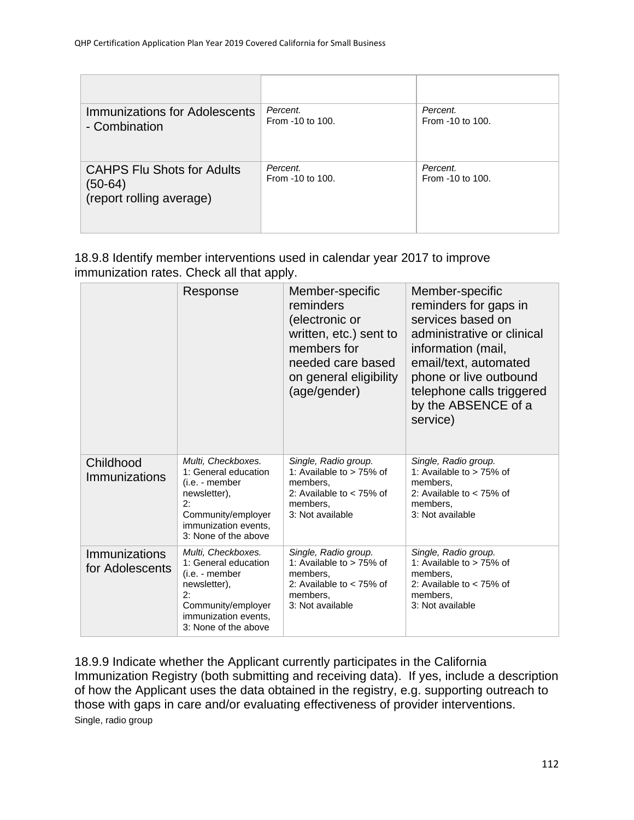| Immunizations for Adolescents<br>- Combination                             | Percent.<br>From -10 to 100. | Percent.<br>From -10 to 100. |
|----------------------------------------------------------------------------|------------------------------|------------------------------|
| <b>CAHPS Flu Shots for Adults</b><br>$(50-64)$<br>(report rolling average) | Percent.<br>From -10 to 100. | Percent.<br>From -10 to 100. |

18.9.8 Identify member interventions used in calendar year 2017 to improve immunization rates. Check all that apply.

|                                         | Response                                                                                                                                                 | Member-specific<br>reminders<br>(electronic or<br>written, etc.) sent to<br>members for<br>needed care based<br>on general eligibility<br>(age/gender) | Member-specific<br>reminders for gaps in<br>services based on<br>administrative or clinical<br>information (mail,<br>email/text, automated<br>phone or live outbound<br>telephone calls triggered<br>by the ABSENCE of a<br>service) |
|-----------------------------------------|----------------------------------------------------------------------------------------------------------------------------------------------------------|--------------------------------------------------------------------------------------------------------------------------------------------------------|--------------------------------------------------------------------------------------------------------------------------------------------------------------------------------------------------------------------------------------|
| Childhood<br>Immunizations              | Multi, Checkboxes.<br>1: General education<br>(i.e. - member<br>newsletter),<br>2:<br>Community/employer<br>immunization events.<br>3: None of the above | Single, Radio group.<br>1: Available to $> 75\%$ of<br>members,<br>2: Available to $<$ 75% of<br>members.<br>3: Not available                          | Single, Radio group.<br>1: Available to $> 75\%$ of<br>members,<br>2: Available to $<$ 75% of<br>members.<br>3: Not available                                                                                                        |
| <b>Immunizations</b><br>for Adolescents | Multi, Checkboxes.<br>1: General education<br>(i.e. - member<br>newsletter),<br>2:<br>Community/employer<br>immunization events,<br>3: None of the above | Single, Radio group.<br>1: Available to $> 75\%$ of<br>members.<br>2: Available to $<$ 75% of<br>members,<br>3: Not available                          | Single, Radio group.<br>1: Available to $> 75\%$ of<br>members,<br>2: Available to $<$ 75% of<br>members,<br>3: Not available                                                                                                        |

18.9.9 Indicate whether the Applicant currently participates in the California Immunization Registry (both submitting and receiving data). If yes, include a description of how the Applicant uses the data obtained in the registry, e.g. supporting outreach to those with gaps in care and/or evaluating effectiveness of provider interventions. Single, radio group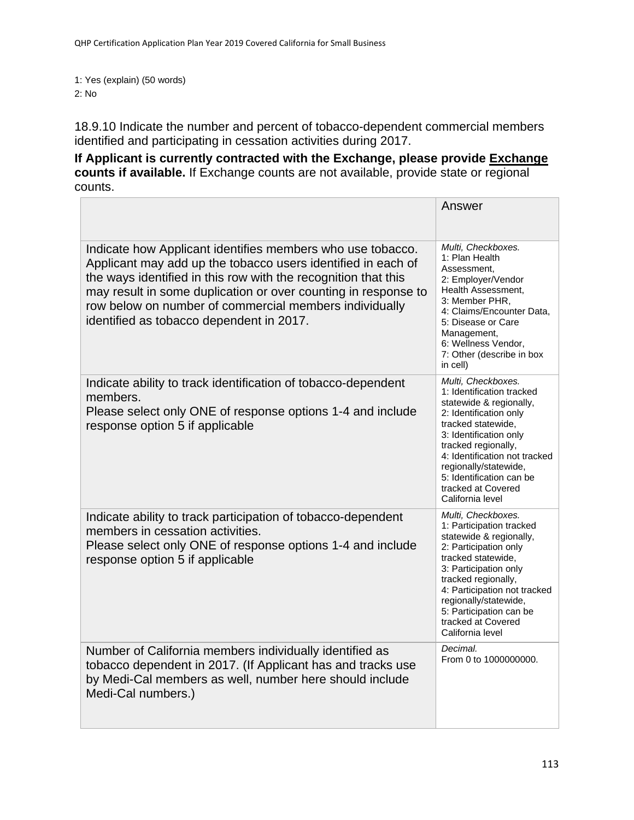1: Yes (explain) (50 words) 2: No

18.9.10 Indicate the number and percent of tobacco-dependent commercial members identified and participating in cessation activities during 2017.

**If Applicant is currently contracted with the Exchange, please provide Exchange counts if available.** If Exchange counts are not available, provide state or regional counts.

|                                                                                                                                                                                                                                                                                                                                                                      | Answer                                                                                                                                                                                                                                                                                                      |
|----------------------------------------------------------------------------------------------------------------------------------------------------------------------------------------------------------------------------------------------------------------------------------------------------------------------------------------------------------------------|-------------------------------------------------------------------------------------------------------------------------------------------------------------------------------------------------------------------------------------------------------------------------------------------------------------|
| Indicate how Applicant identifies members who use tobacco.<br>Applicant may add up the tobacco users identified in each of<br>the ways identified in this row with the recognition that this<br>may result in some duplication or over counting in response to<br>row below on number of commercial members individually<br>identified as tobacco dependent in 2017. | Multi, Checkboxes.<br>1: Plan Health<br>Assessment.<br>2: Employer/Vendor<br>Health Assessment,<br>3: Member PHR,<br>4: Claims/Encounter Data.<br>5: Disease or Care<br>Management,<br>6: Wellness Vendor,<br>7: Other (describe in box<br>in cell)                                                         |
| Indicate ability to track identification of tobacco-dependent<br>members.<br>Please select only ONE of response options 1-4 and include<br>response option 5 if applicable                                                                                                                                                                                           | Multi, Checkboxes.<br>1: Identification tracked<br>statewide & regionally,<br>2: Identification only<br>tracked statewide.<br>3: Identification only<br>tracked regionally,<br>4: Identification not tracked<br>regionally/statewide,<br>5: Identification can be<br>tracked at Covered<br>California level |
| Indicate ability to track participation of tobacco-dependent<br>members in cessation activities.<br>Please select only ONE of response options 1-4 and include<br>response option 5 if applicable                                                                                                                                                                    | Multi, Checkboxes.<br>1: Participation tracked<br>statewide & regionally,<br>2: Participation only<br>tracked statewide,<br>3: Participation only<br>tracked regionally,<br>4: Participation not tracked<br>regionally/statewide,<br>5: Participation can be<br>tracked at Covered<br>California level      |
| Number of California members individually identified as<br>tobacco dependent in 2017. (If Applicant has and tracks use<br>by Medi-Cal members as well, number here should include<br>Medi-Cal numbers.)                                                                                                                                                              | Decimal.<br>From 0 to 1000000000.                                                                                                                                                                                                                                                                           |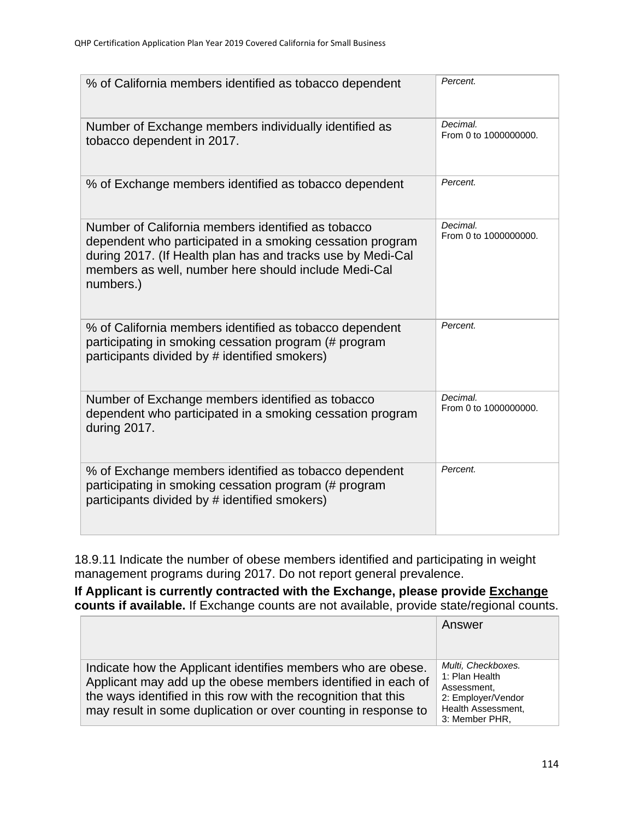| % of California members identified as tobacco dependent                                                                                                                                                                                             | Percent.                          |
|-----------------------------------------------------------------------------------------------------------------------------------------------------------------------------------------------------------------------------------------------------|-----------------------------------|
| Number of Exchange members individually identified as<br>tobacco dependent in 2017.                                                                                                                                                                 | Decimal.<br>From 0 to 1000000000. |
| % of Exchange members identified as tobacco dependent                                                                                                                                                                                               | Percent.                          |
| Number of California members identified as tobacco<br>dependent who participated in a smoking cessation program<br>during 2017. (If Health plan has and tracks use by Medi-Cal<br>members as well, number here should include Medi-Cal<br>numbers.) | Decimal.<br>From 0 to 1000000000. |
| % of California members identified as tobacco dependent<br>participating in smoking cessation program (# program<br>participants divided by # identified smokers)                                                                                   | Percent.                          |
| Number of Exchange members identified as tobacco<br>dependent who participated in a smoking cessation program<br>during 2017.                                                                                                                       | Decimal.<br>From 0 to 1000000000. |
| % of Exchange members identified as tobacco dependent<br>participating in smoking cessation program (# program<br>participants divided by # identified smokers)                                                                                     | Percent.                          |

18.9.11 Indicate the number of obese members identified and participating in weight management programs during 2017. Do not report general prevalence.

**If Applicant is currently contracted with the Exchange, please provide Exchange counts if available.** If Exchange counts are not available, provide state/regional counts.

|                                                                                                                                                                                                                                                                  | Answer                                                                                                            |
|------------------------------------------------------------------------------------------------------------------------------------------------------------------------------------------------------------------------------------------------------------------|-------------------------------------------------------------------------------------------------------------------|
| Indicate how the Applicant identifies members who are obese.<br>Applicant may add up the obese members identified in each of<br>the ways identified in this row with the recognition that this<br>may result in some duplication or over counting in response to | Multi, Checkboxes.<br>1: Plan Health<br>Assessment,<br>2: Employer/Vendor<br>Health Assessment,<br>3: Member PHR, |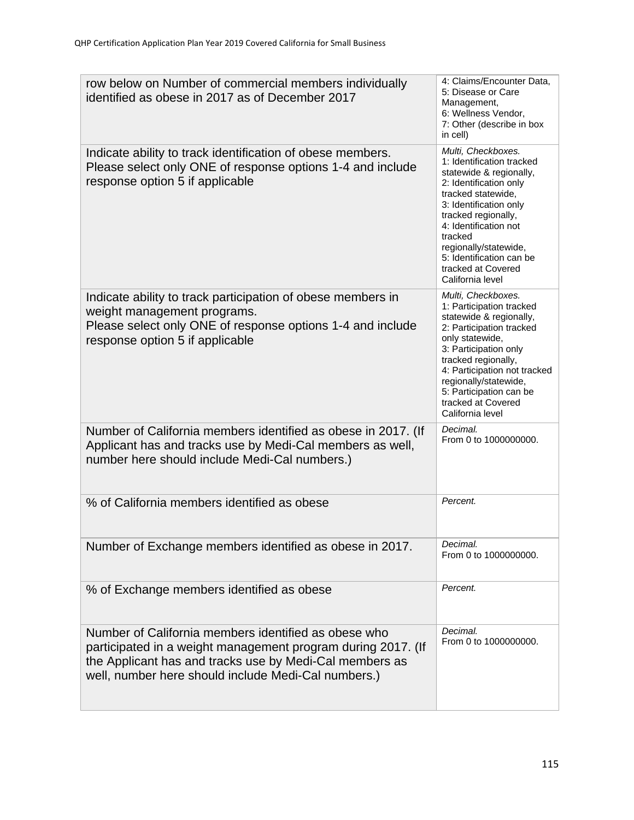| row below on Number of commercial members individually<br>identified as obese in 2017 as of December 2017                                                                                                                              | 4: Claims/Encounter Data,<br>5: Disease or Care<br>Management,<br>6: Wellness Vendor,<br>7: Other (describe in box<br>in cell)                                                                                                                                                                                 |
|----------------------------------------------------------------------------------------------------------------------------------------------------------------------------------------------------------------------------------------|----------------------------------------------------------------------------------------------------------------------------------------------------------------------------------------------------------------------------------------------------------------------------------------------------------------|
| Indicate ability to track identification of obese members.<br>Please select only ONE of response options 1-4 and include<br>response option 5 if applicable                                                                            | Multi, Checkboxes.<br>1: Identification tracked<br>statewide & regionally,<br>2: Identification only<br>tracked statewide,<br>3: Identification only<br>tracked regionally,<br>4: Identification not<br>tracked<br>regionally/statewide,<br>5: Identification can be<br>tracked at Covered<br>California level |
| Indicate ability to track participation of obese members in<br>weight management programs.<br>Please select only ONE of response options 1-4 and include<br>response option 5 if applicable                                            | Multi, Checkboxes.<br>1: Participation tracked<br>statewide & regionally,<br>2: Participation tracked<br>only statewide,<br>3: Participation only<br>tracked regionally,<br>4: Participation not tracked<br>regionally/statewide,<br>5: Participation can be<br>tracked at Covered<br>California level         |
| Number of California members identified as obese in 2017. (If<br>Applicant has and tracks use by Medi-Cal members as well,<br>number here should include Medi-Cal numbers.)                                                            | Decimal.<br>From 0 to 1000000000.                                                                                                                                                                                                                                                                              |
| % of California members identified as obese                                                                                                                                                                                            | Percent.                                                                                                                                                                                                                                                                                                       |
| Number of Exchange members identified as obese in 2017.                                                                                                                                                                                | Decimal.<br>From 0 to 1000000000.                                                                                                                                                                                                                                                                              |
| % of Exchange members identified as obese                                                                                                                                                                                              | Percent.                                                                                                                                                                                                                                                                                                       |
| Number of California members identified as obese who<br>participated in a weight management program during 2017. (If<br>the Applicant has and tracks use by Medi-Cal members as<br>well, number here should include Medi-Cal numbers.) | Decimal.<br>From 0 to 1000000000.                                                                                                                                                                                                                                                                              |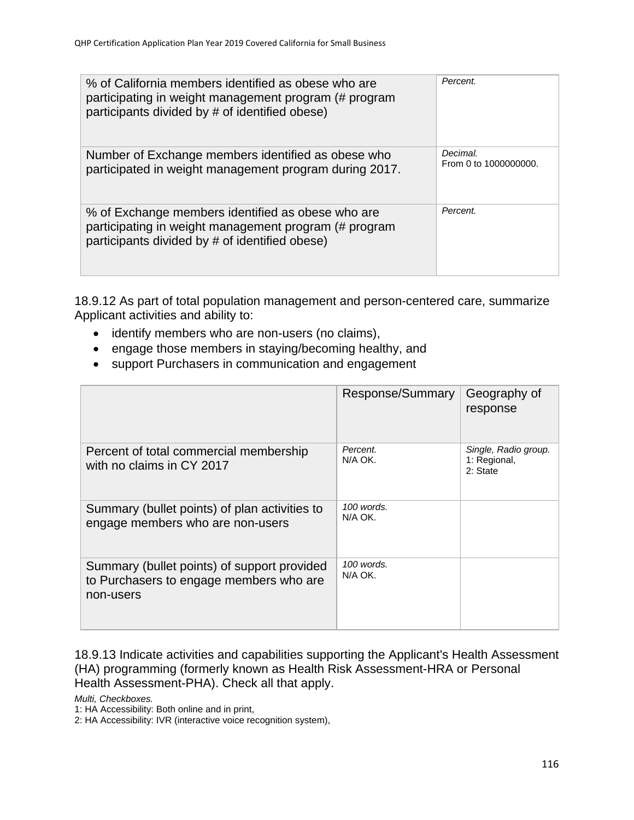| % of California members identified as obese who are<br>participating in weight management program (# program<br>participants divided by # of identified obese) | Percent.                          |
|----------------------------------------------------------------------------------------------------------------------------------------------------------------|-----------------------------------|
| Number of Exchange members identified as obese who<br>participated in weight management program during 2017.                                                   | Decimal.<br>From 0 to 1000000000. |
| % of Exchange members identified as obese who are<br>participating in weight management program (# program<br>participants divided by # of identified obese)   | Percent.                          |

18.9.12 As part of total population management and person-centered care, summarize Applicant activities and ability to:

- identify members who are non-users (no claims),
- engage those members in staying/becoming healthy, and
- support Purchasers in communication and engagement

|                                                                                                     | Response/Summary      | Geography of<br>response                         |
|-----------------------------------------------------------------------------------------------------|-----------------------|--------------------------------------------------|
| Percent of total commercial membership<br>with no claims in CY 2017                                 | Percent.<br>N/A OK.   | Single, Radio group.<br>1: Regional,<br>2: State |
| Summary (bullet points) of plan activities to<br>engage members who are non-users                   | 100 words.<br>N/A OK. |                                                  |
| Summary (bullet points) of support provided<br>to Purchasers to engage members who are<br>non-users | 100 words.<br>N/A OK. |                                                  |

18.9.13 Indicate activities and capabilities supporting the Applicant's Health Assessment (HA) programming (formerly known as Health Risk Assessment-HRA or Personal Health Assessment-PHA). Check all that apply.

*Multi, Checkboxes.*

1: HA Accessibility: Both online and in print,

2: HA Accessibility: IVR (interactive voice recognition system),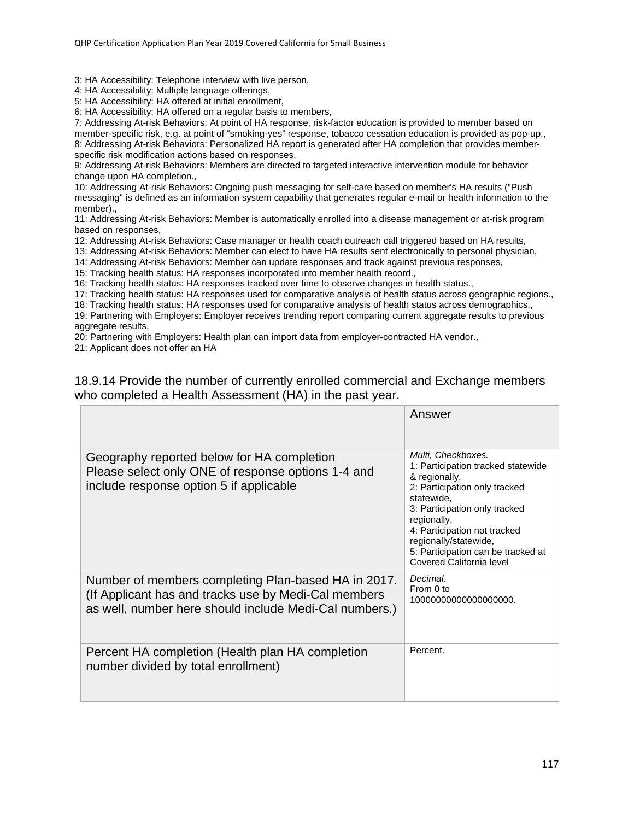3: HA Accessibility: Telephone interview with live person,

4: HA Accessibility: Multiple language offerings,

5: HA Accessibility: HA offered at initial enrollment,

6: HA Accessibility: HA offered on a regular basis to members,

7: Addressing At-risk Behaviors: At point of HA response, risk-factor education is provided to member based on member-specific risk, e.g. at point of "smoking-yes" response, tobacco cessation education is provided as pop-up., 8: Addressing At-risk Behaviors: Personalized HA report is generated after HA completion that provides memberspecific risk modification actions based on responses,

9: Addressing At-risk Behaviors: Members are directed to targeted interactive intervention module for behavior change upon HA completion.,

10: Addressing At-risk Behaviors: Ongoing push messaging for self-care based on member's HA results ("Push messaging" is defined as an information system capability that generates regular e-mail or health information to the member).,

11: Addressing At-risk Behaviors: Member is automatically enrolled into a disease management or at-risk program based on responses,

12: Addressing At-risk Behaviors: Case manager or health coach outreach call triggered based on HA results,

13: Addressing At-risk Behaviors: Member can elect to have HA results sent electronically to personal physician,

14: Addressing At-risk Behaviors: Member can update responses and track against previous responses,

15: Tracking health status: HA responses incorporated into member health record.,

16: Tracking health status: HA responses tracked over time to observe changes in health status.,

17: Tracking health status: HA responses used for comparative analysis of health status across geographic regions.,

18: Tracking health status: HA responses used for comparative analysis of health status across demographics., 19: Partnering with Employers: Employer receives trending report comparing current aggregate results to previous aggregate results,

20: Partnering with Employers: Health plan can import data from employer-contracted HA vendor.,

21: Applicant does not offer an HA

| 18.9.14 Provide the number of currently enrolled commercial and Exchange members |
|----------------------------------------------------------------------------------|
| who completed a Health Assessment (HA) in the past year.                         |

|                                                                                                                                                                       | Answer                                                                                                                                                                                                                                                                                              |
|-----------------------------------------------------------------------------------------------------------------------------------------------------------------------|-----------------------------------------------------------------------------------------------------------------------------------------------------------------------------------------------------------------------------------------------------------------------------------------------------|
| Geography reported below for HA completion<br>Please select only ONE of response options 1-4 and<br>include response option 5 if applicable                           | Multi, Checkboxes.<br>1: Participation tracked statewide<br>& regionally,<br>2: Participation only tracked<br>statewide,<br>3: Participation only tracked<br>regionally,<br>4: Participation not tracked<br>regionally/statewide,<br>5: Participation can be tracked at<br>Covered California level |
| Number of members completing Plan-based HA in 2017.<br>(If Applicant has and tracks use by Medi-Cal members<br>as well, number here should include Medi-Cal numbers.) | Decimal.<br>From 0 to<br>10000000000000000000.                                                                                                                                                                                                                                                      |
| Percent HA completion (Health plan HA completion<br>number divided by total enrollment)                                                                               | Percent.                                                                                                                                                                                                                                                                                            |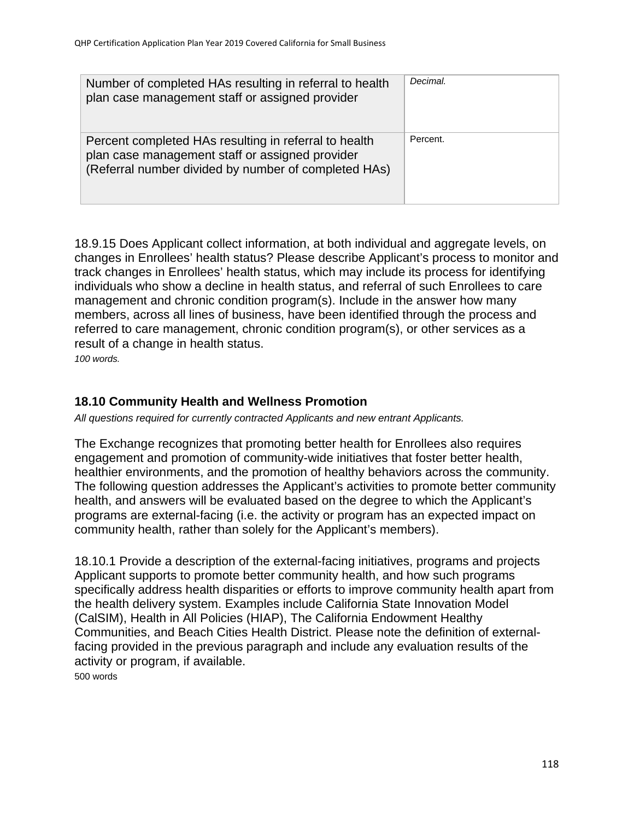| Number of completed HAs resulting in referral to health<br>plan case management staff or assigned provider                                                       | Decimal. |
|------------------------------------------------------------------------------------------------------------------------------------------------------------------|----------|
| Percent completed HAs resulting in referral to health<br>plan case management staff or assigned provider<br>(Referral number divided by number of completed HAs) | Percent. |

18.9.15 Does Applicant collect information, at both individual and aggregate levels, on changes in Enrollees' health status? Please describe Applicant's process to monitor and track changes in Enrollees' health status, which may include its process for identifying individuals who show a decline in health status, and referral of such Enrollees to care management and chronic condition program(s). Include in the answer how many members, across all lines of business, have been identified through the process and referred to care management, chronic condition program(s), or other services as a result of a change in health status.

*100 words.*

### **18.10 Community Health and Wellness Promotion**

*All questions required for currently contracted Applicants and new entrant Applicants.*

The Exchange recognizes that promoting better health for Enrollees also requires engagement and promotion of community-wide initiatives that foster better health, healthier environments, and the promotion of healthy behaviors across the community. The following question addresses the Applicant's activities to promote better community health, and answers will be evaluated based on the degree to which the Applicant's programs are external-facing (i.e. the activity or program has an expected impact on community health, rather than solely for the Applicant's members).

18.10.1 Provide a description of the external-facing initiatives, programs and projects Applicant supports to promote better community health, and how such programs specifically address health disparities or efforts to improve community health apart from the health delivery system. Examples include California State Innovation Model (CalSIM), Health in All Policies (HIAP), The California Endowment Healthy Communities, and Beach Cities Health District. Please note the definition of externalfacing provided in the previous paragraph and include any evaluation results of the activity or program, if available.

500 words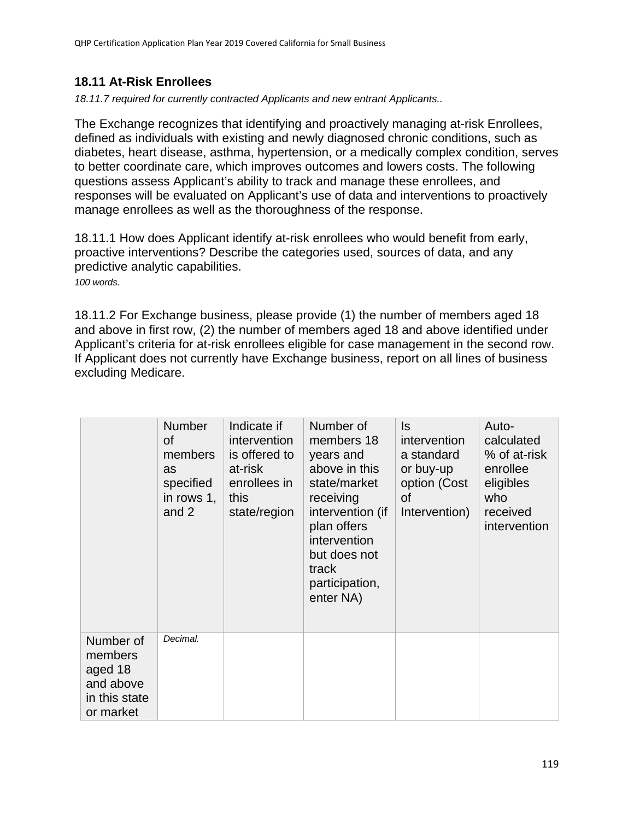## **18.11 At-Risk Enrollees**

*18.11.7 required for currently contracted Applicants and new entrant Applicants..* 

The Exchange recognizes that identifying and proactively managing at-risk Enrollees, defined as individuals with existing and newly diagnosed chronic conditions, such as diabetes, heart disease, asthma, hypertension, or a medically complex condition, serves to better coordinate care, which improves outcomes and lowers costs. The following questions assess Applicant's ability to track and manage these enrollees, and responses will be evaluated on Applicant's use of data and interventions to proactively manage enrollees as well as the thoroughness of the response.

18.11.1 How does Applicant identify at-risk enrollees who would benefit from early, proactive interventions? Describe the categories used, sources of data, and any predictive analytic capabilities. *100 words.* 

18.11.2 For Exchange business, please provide (1) the number of members aged 18 and above in first row, (2) the number of members aged 18 and above identified under Applicant's criteria for at-risk enrollees eligible for case management in the second row. If Applicant does not currently have Exchange business, report on all lines of business excluding Medicare.

|                                                                            | <b>Number</b><br><b>of</b><br>members<br><b>as</b><br>specified<br>in rows 1,<br>and 2 | Indicate if<br>intervention<br>is offered to<br>at-risk<br>enrollees in<br>this<br>state/region | Number of<br>members 18<br>years and<br>above in this<br>state/market<br>receiving<br>intervention (if<br>plan offers<br>intervention<br>but does not<br>track<br>participation,<br>enter NA) | $\sf ls$<br>intervention<br>a standard<br>or buy-up<br>option (Cost<br>Οf<br>Intervention) | Auto-<br>calculated<br>% of at-risk<br>enrollee<br>eligibles<br>who<br>received<br>intervention |
|----------------------------------------------------------------------------|----------------------------------------------------------------------------------------|-------------------------------------------------------------------------------------------------|-----------------------------------------------------------------------------------------------------------------------------------------------------------------------------------------------|--------------------------------------------------------------------------------------------|-------------------------------------------------------------------------------------------------|
| Number of<br>members<br>aged 18<br>and above<br>in this state<br>or market | Decimal.                                                                               |                                                                                                 |                                                                                                                                                                                               |                                                                                            |                                                                                                 |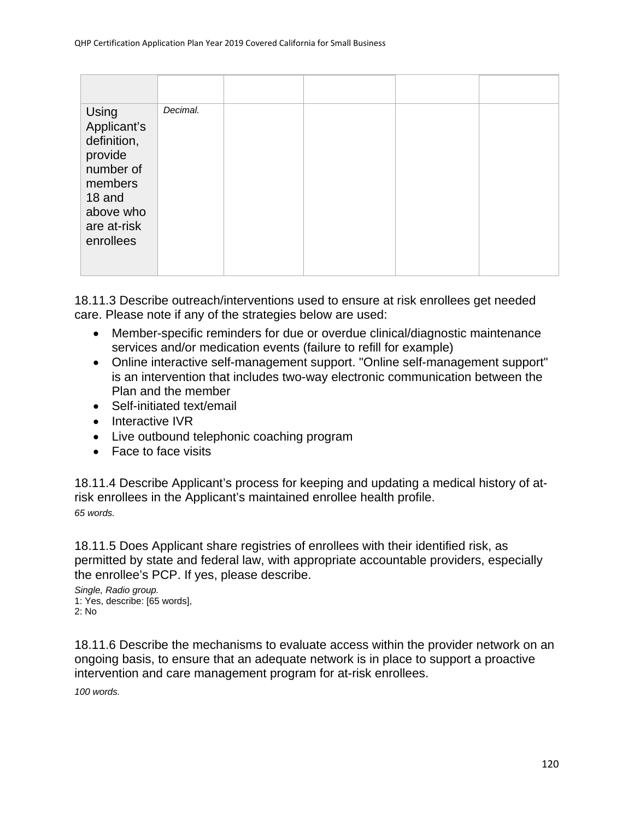| Using<br>Applicant's<br>definition,<br>provide<br>number of<br>members<br>18 and<br>above who<br>are at-risk<br>enrollees | Decimal. |  |  |
|---------------------------------------------------------------------------------------------------------------------------|----------|--|--|

18.11.3 Describe outreach/interventions used to ensure at risk enrollees get needed care. Please note if any of the strategies below are used:

- Member-specific reminders for due or overdue clinical/diagnostic maintenance services and/or medication events (failure to refill for example)
- Online interactive self-management support. "Online self-management support" is an intervention that includes two-way electronic communication between the Plan and the member
- Self-initiated text/email
- Interactive IVR
- Live outbound telephonic coaching program
- Face to face visits

18.11.4 Describe Applicant's process for keeping and updating a medical history of atrisk enrollees in the Applicant's maintained enrollee health profile. *65 words.*

18.11.5 Does Applicant share registries of enrollees with their identified risk, as permitted by state and federal law, with appropriate accountable providers, especially the enrollee's PCP. If yes, please describe.

*Single, Radio group.* 1: Yes, describe: [65 words], 2: No

18.11.6 Describe the mechanisms to evaluate access within the provider network on an ongoing basis, to ensure that an adequate network is in place to support a proactive intervention and care management program for at-risk enrollees.

*100 words.*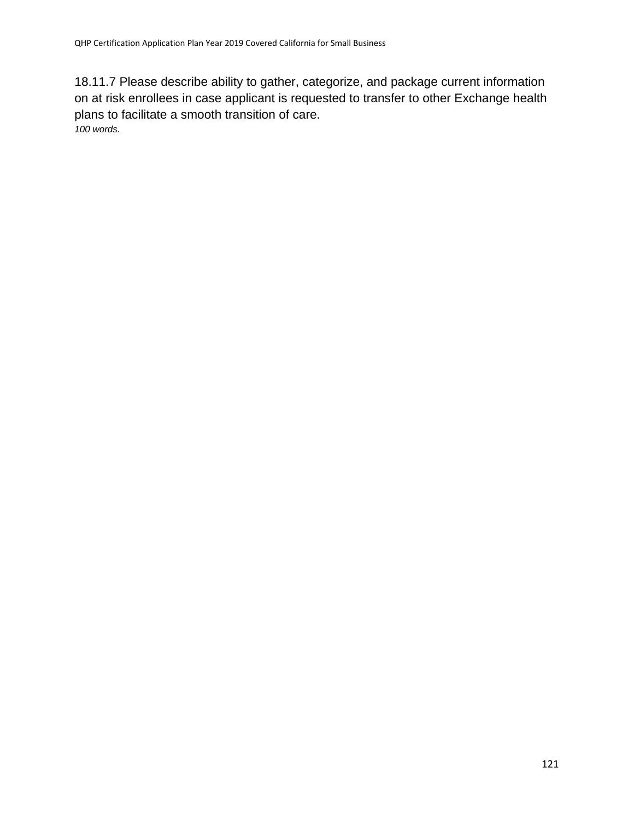18.11.7 Please describe ability to gather, categorize, and package current information on at risk enrollees in case applicant is requested to transfer to other Exchange health plans to facilitate a smooth transition of care. *100 words.*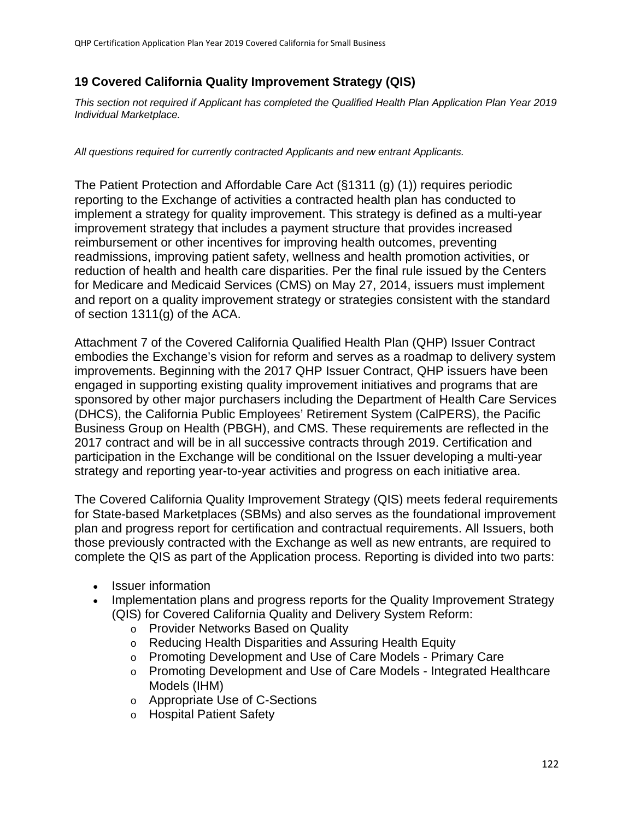## **19 Covered California Quality Improvement Strategy (QIS)**

*This section not required if Applicant has completed the Qualified Health Plan Application Plan Year 2019 Individual Marketplace.* 

*All questions required for currently contracted Applicants and new entrant Applicants.* 

The Patient Protection and Affordable Care Act (§1311 (g) (1)) requires periodic reporting to the Exchange of activities a contracted health plan has conducted to implement a strategy for quality improvement. This strategy is defined as a multi-year improvement strategy that includes a payment structure that provides increased reimbursement or other incentives for improving health outcomes, preventing readmissions, improving patient safety, wellness and health promotion activities, or reduction of health and health care disparities. Per the final rule issued by the Centers for Medicare and Medicaid Services (CMS) on May 27, 2014, issuers must implement and report on a quality improvement strategy or strategies consistent with the standard of section 1311(g) of the ACA.

Attachment 7 of the Covered California Qualified Health Plan (QHP) Issuer Contract embodies the Exchange's vision for reform and serves as a roadmap to delivery system improvements. Beginning with the 2017 QHP Issuer Contract, QHP issuers have been engaged in supporting existing quality improvement initiatives and programs that are sponsored by other major purchasers including the Department of Health Care Services (DHCS), the California Public Employees' Retirement System (CalPERS), the Pacific Business Group on Health (PBGH), and CMS. These requirements are reflected in the 2017 contract and will be in all successive contracts through 2019. Certification and participation in the Exchange will be conditional on the Issuer developing a multi-year strategy and reporting year-to-year activities and progress on each initiative area.

The Covered California Quality Improvement Strategy (QIS) meets federal requirements for State-based Marketplaces (SBMs) and also serves as the foundational improvement plan and progress report for certification and contractual requirements. All Issuers, both those previously contracted with the Exchange as well as new entrants, are required to complete the QIS as part of the Application process. Reporting is divided into two parts:

- Issuer information
- Implementation plans and progress reports for the Quality Improvement Strategy (QIS) for Covered California Quality and Delivery System Reform:
	- o Provider Networks Based on Quality
	- o Reducing Health Disparities and Assuring Health Equity
	- o Promoting Development and Use of Care Models Primary Care
	- o Promoting Development and Use of Care Models Integrated Healthcare Models (IHM)
	- o Appropriate Use of C-Sections
	- o Hospital Patient Safety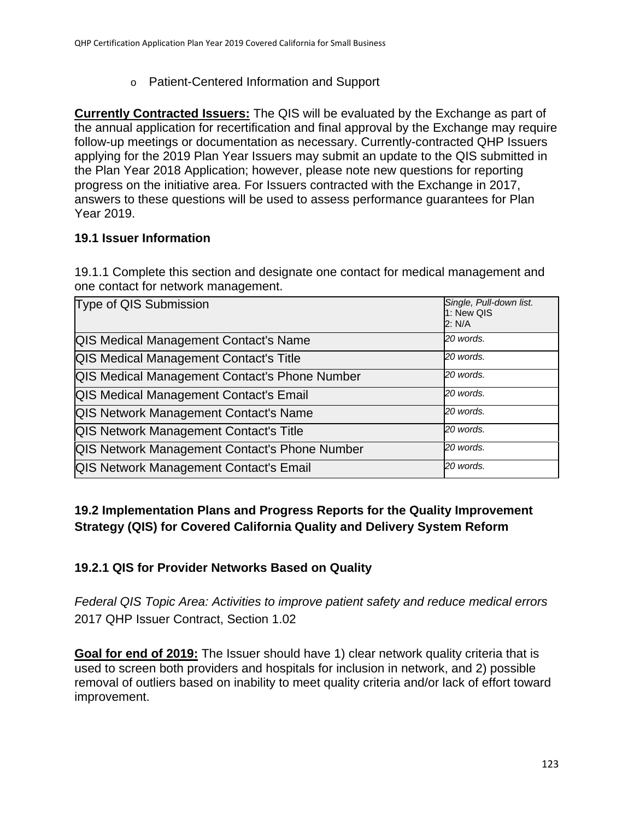o Patient-Centered Information and Support

**Currently Contracted Issuers:** The QIS will be evaluated by the Exchange as part of the annual application for recertification and final approval by the Exchange may require follow-up meetings or documentation as necessary. Currently-contracted QHP Issuers applying for the 2019 Plan Year Issuers may submit an update to the QIS submitted in the Plan Year 2018 Application; however, please note new questions for reporting progress on the initiative area. For Issuers contracted with the Exchange in 2017, answers to these questions will be used to assess performance guarantees for Plan Year 2019.

# **19.1 Issuer Information**

19.1.1 Complete this section and designate one contact for medical management and one contact for network management.

| Type of QIS Submission                               | Single, Pull-down list.<br>1: New QIS<br>2: N/A |
|------------------------------------------------------|-------------------------------------------------|
| <b>QIS Medical Management Contact's Name</b>         | 20 words.                                       |
| <b>QIS Medical Management Contact's Title</b>        | 20 words.                                       |
| <b>QIS Medical Management Contact's Phone Number</b> | 20 words.                                       |
| <b>QIS Medical Management Contact's Email</b>        | 20 words.                                       |
| <b>QIS Network Management Contact's Name</b>         | 20 words.                                       |
| <b>QIS Network Management Contact's Title</b>        | 20 words.                                       |
| <b>QIS Network Management Contact's Phone Number</b> | 20 words.                                       |
| <b>QIS Network Management Contact's Email</b>        | 20 words.                                       |

# **19.2 Implementation Plans and Progress Reports for the Quality Improvement Strategy (QIS) for Covered California Quality and Delivery System Reform**

# **19.2.1 QIS for Provider Networks Based on Quality**

*Federal QIS Topic Area: Activities to improve patient safety and reduce medical errors* 2017 QHP Issuer Contract, Section 1.02

**Goal for end of 2019:** The Issuer should have 1) clear network quality criteria that is used to screen both providers and hospitals for inclusion in network, and 2) possible removal of outliers based on inability to meet quality criteria and/or lack of effort toward improvement.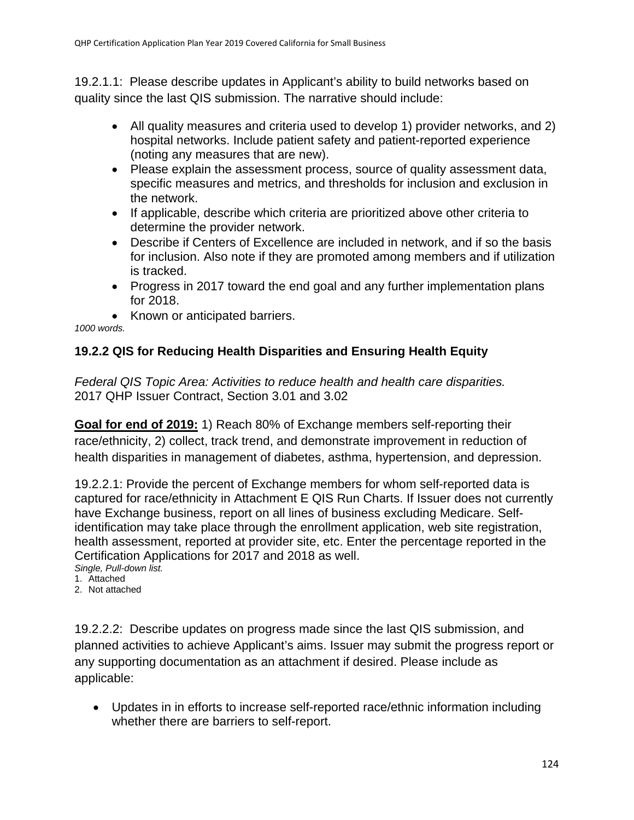19.2.1.1: Please describe updates in Applicant's ability to build networks based on quality since the last QIS submission. The narrative should include:

- All quality measures and criteria used to develop 1) provider networks, and 2) hospital networks. Include patient safety and patient-reported experience (noting any measures that are new).
- Please explain the assessment process, source of quality assessment data, specific measures and metrics, and thresholds for inclusion and exclusion in the network.
- If applicable, describe which criteria are prioritized above other criteria to determine the provider network.
- Describe if Centers of Excellence are included in network, and if so the basis for inclusion. Also note if they are promoted among members and if utilization is tracked.
- Progress in 2017 toward the end goal and any further implementation plans for 2018.
- Known or anticipated barriers.

*1000 words.*

# **19.2.2 QIS for Reducing Health Disparities and Ensuring Health Equity**

*Federal QIS Topic Area: Activities to reduce health and health care disparities.*  2017 QHP Issuer Contract, Section 3.01 and 3.02

**Goal for end of 2019:** 1) Reach 80% of Exchange members self-reporting their race/ethnicity, 2) collect, track trend, and demonstrate improvement in reduction of health disparities in management of diabetes, asthma, hypertension, and depression.

19.2.2.1: Provide the percent of Exchange members for whom self-reported data is captured for race/ethnicity in Attachment E QIS Run Charts. If Issuer does not currently have Exchange business, report on all lines of business excluding Medicare. Selfidentification may take place through the enrollment application, web site registration, health assessment, reported at provider site, etc. Enter the percentage reported in the Certification Applications for 2017 and 2018 as well.

*Single, Pull-down list.*

- 1. Attached
- 2. Not attached

19.2.2.2: Describe updates on progress made since the last QIS submission, and planned activities to achieve Applicant's aims. Issuer may submit the progress report or any supporting documentation as an attachment if desired. Please include as applicable:

 Updates in in efforts to increase self-reported race/ethnic information including whether there are barriers to self-report.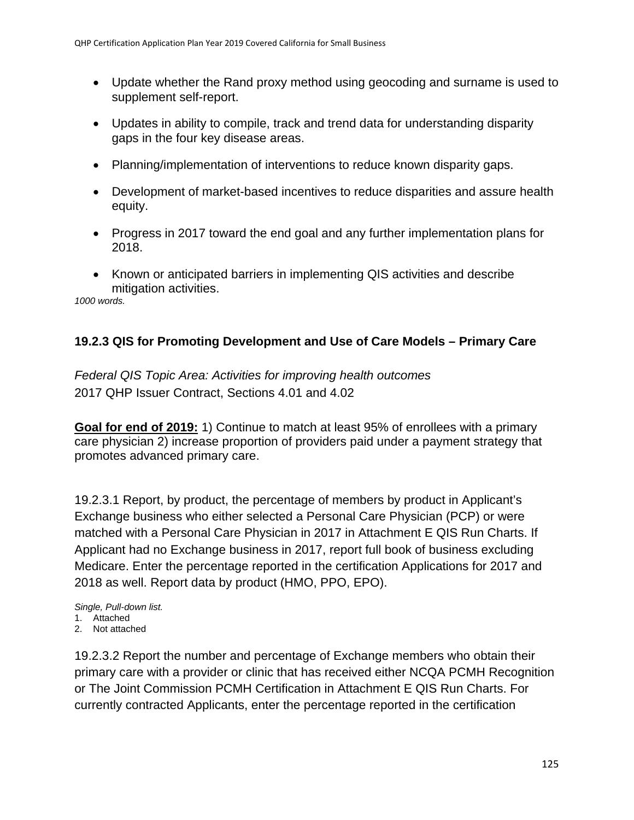- Update whether the Rand proxy method using geocoding and surname is used to supplement self-report.
- Updates in ability to compile, track and trend data for understanding disparity gaps in the four key disease areas.
- Planning/implementation of interventions to reduce known disparity gaps.
- Development of market-based incentives to reduce disparities and assure health equity.
- Progress in 2017 toward the end goal and any further implementation plans for 2018.
- Known or anticipated barriers in implementing QIS activities and describe mitigation activities.

*1000 words.*

# **19.2.3 QIS for Promoting Development and Use of Care Models – Primary Care**

*Federal QIS Topic Area: Activities for improving health outcomes*  2017 QHP Issuer Contract, Sections 4.01 and 4.02

**Goal for end of 2019:** 1) Continue to match at least 95% of enrollees with a primary care physician 2) increase proportion of providers paid under a payment strategy that promotes advanced primary care.

19.2.3.1 Report, by product, the percentage of members by product in Applicant's Exchange business who either selected a Personal Care Physician (PCP) or were matched with a Personal Care Physician in 2017 in Attachment E QIS Run Charts. If Applicant had no Exchange business in 2017, report full book of business excluding Medicare. Enter the percentage reported in the certification Applications for 2017 and 2018 as well. Report data by product (HMO, PPO, EPO).

*Single, Pull-down list.*  1. Attached 2. Not attached

19.2.3.2 Report the number and percentage of Exchange members who obtain their primary care with a provider or clinic that has received either NCQA PCMH Recognition or The Joint Commission PCMH Certification in Attachment E QIS Run Charts. For currently contracted Applicants, enter the percentage reported in the certification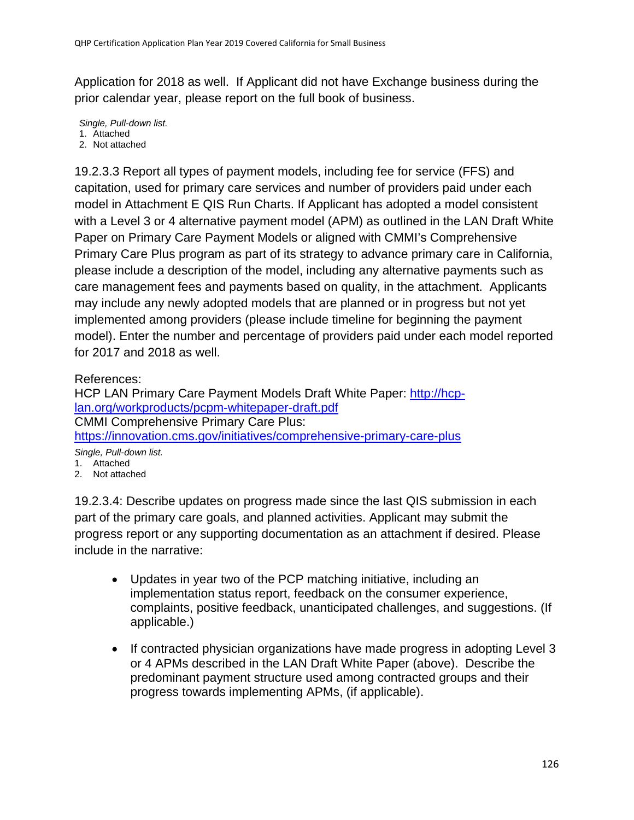Application for 2018 as well. If Applicant did not have Exchange business during the prior calendar year, please report on the full book of business.

*Single, Pull-down list.*  1. Attached 2. Not attached

19.2.3.3 Report all types of payment models, including fee for service (FFS) and capitation, used for primary care services and number of providers paid under each model in Attachment E QIS Run Charts. If Applicant has adopted a model consistent with a Level 3 or 4 alternative payment model (APM) as outlined in the LAN Draft White Paper on Primary Care Payment Models or aligned with CMMI's Comprehensive Primary Care Plus program as part of its strategy to advance primary care in California, please include a description of the model, including any alternative payments such as care management fees and payments based on quality, in the attachment. Applicants may include any newly adopted models that are planned or in progress but not yet implemented among providers (please include timeline for beginning the payment model). Enter the number and percentage of providers paid under each model reported for 2017 and 2018 as well.

References: HCP LAN Primary Care Payment Models Draft White Paper: http://hcplan.org/workproducts/pcpm-whitepaper-draft.pdf CMMI Comprehensive Primary Care Plus: https://innovation.cms.gov/initiatives/comprehensive-primary-care-plus *Single, Pull-down list.*  1. Attached

2. Not attached

19.2.3.4: Describe updates on progress made since the last QIS submission in each part of the primary care goals, and planned activities. Applicant may submit the progress report or any supporting documentation as an attachment if desired. Please include in the narrative:

- Updates in year two of the PCP matching initiative, including an implementation status report, feedback on the consumer experience, complaints, positive feedback, unanticipated challenges, and suggestions. (If applicable.)
- If contracted physician organizations have made progress in adopting Level 3 or 4 APMs described in the LAN Draft White Paper (above). Describe the predominant payment structure used among contracted groups and their progress towards implementing APMs, (if applicable).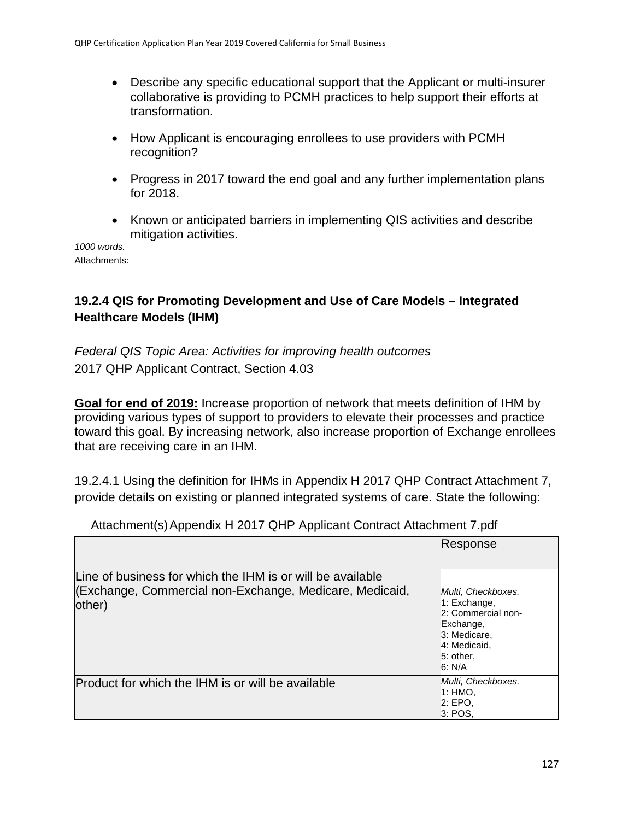- Describe any specific educational support that the Applicant or multi-insurer collaborative is providing to PCMH practices to help support their efforts at transformation.
- How Applicant is encouraging enrollees to use providers with PCMH recognition?
- Progress in 2017 toward the end goal and any further implementation plans for 2018.
- Known or anticipated barriers in implementing QIS activities and describe mitigation activities.

*1000 words.*  Attachments:

## **19.2.4 QIS for Promoting Development and Use of Care Models – Integrated Healthcare Models (IHM)**

*Federal QIS Topic Area: Activities for improving health outcomes* 2017 QHP Applicant Contract, Section 4.03

**Goal for end of 2019:** Increase proportion of network that meets definition of IHM by providing various types of support to providers to elevate their processes and practice toward this goal. By increasing network, also increase proportion of Exchange enrollees that are receiving care in an IHM.

19.2.4.1 Using the definition for IHMs in Appendix H 2017 QHP Contract Attachment 7, provide details on existing or planned integrated systems of care. State the following:

Attachment(s) Appendix H 2017 QHP Applicant Contract Attachment 7.pdf

|                                                                                                                                 | Response                                                                                                                     |
|---------------------------------------------------------------------------------------------------------------------------------|------------------------------------------------------------------------------------------------------------------------------|
| Line of business for which the IHM is or will be available<br>(Exchange, Commercial non-Exchange, Medicare, Medicaid,<br>other) | Multi, Checkboxes.<br>1: Exchange,<br>2: Commercial non-<br>Exchange,<br>3: Medicare.<br>4: Medicaid.<br>5: other,<br>6: N/A |
| Product for which the IHM is or will be available                                                                               | Multi, Checkboxes.<br>1: HMO.<br>2: EPO<br>3: POS.                                                                           |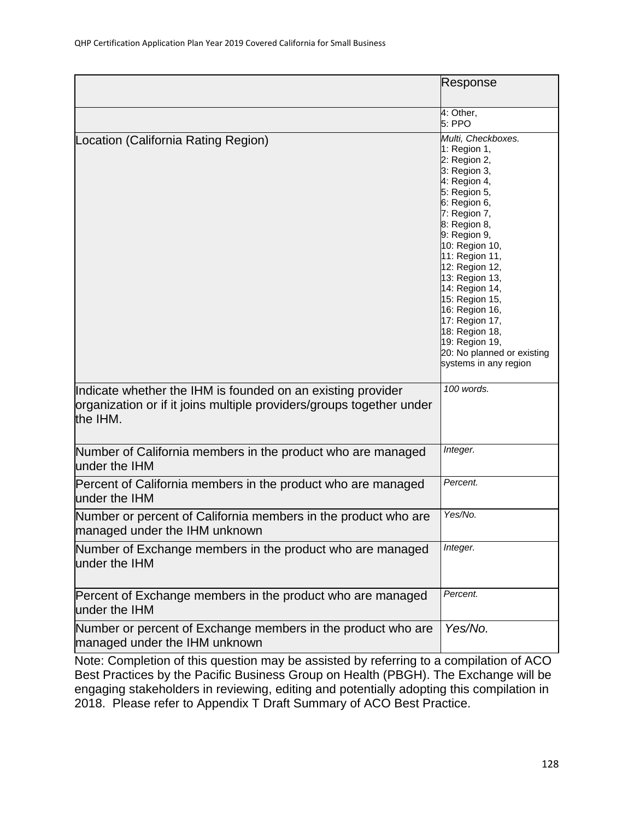|                                                                                                                                                                                         | Response                                                                                                                                                                                                                                                                                                                                                                                                         |
|-----------------------------------------------------------------------------------------------------------------------------------------------------------------------------------------|------------------------------------------------------------------------------------------------------------------------------------------------------------------------------------------------------------------------------------------------------------------------------------------------------------------------------------------------------------------------------------------------------------------|
|                                                                                                                                                                                         | 4: Other,<br>5: PPO                                                                                                                                                                                                                                                                                                                                                                                              |
| Location (California Rating Region)                                                                                                                                                     | Multi, Checkboxes.<br>1: Region $1$ ,<br>2: Region 2,<br>3: Region 3,<br>4: Region 4,<br>5: Region 5,<br>6: Region 6,<br>7: Region 7,<br>8: Region 8,<br>9: Region 9,<br>10: Region 10,<br>11: Region 11,<br>12: Region 12,<br>13: Region 13,<br>14: Region 14,<br>15: Region 15,<br>16: Region 16,<br>17: Region 17,<br>18: Region 18,<br>19: Region 19,<br>20: No planned or existing<br>systems in any region |
| Indicate whether the IHM is founded on an existing provider<br>organization or if it joins multiple providers/groups together under<br>the IHM.                                         | 100 words.                                                                                                                                                                                                                                                                                                                                                                                                       |
| Number of California members in the product who are managed<br>under the IHM                                                                                                            | Integer.                                                                                                                                                                                                                                                                                                                                                                                                         |
| Percent of California members in the product who are managed<br>under the IHM                                                                                                           | Percent.                                                                                                                                                                                                                                                                                                                                                                                                         |
| Number or percent of California members in the product who are<br>managed under the IHM unknown                                                                                         | Yes/No.                                                                                                                                                                                                                                                                                                                                                                                                          |
| Number of Exchange members in the product who are managed<br>under the IHM                                                                                                              | Integer.                                                                                                                                                                                                                                                                                                                                                                                                         |
| Percent of Exchange members in the product who are managed<br>under the IHM                                                                                                             | Percent.                                                                                                                                                                                                                                                                                                                                                                                                         |
| Number or percent of Exchange members in the product who are<br>managed under the IHM unknown<br>Note: Completion of this question may be essisted by referring to a compilation of ACO | Yes/No.                                                                                                                                                                                                                                                                                                                                                                                                          |

Note: Completion of this question may be assisted by referring to a compilation of ACO Best Practices by the Pacific Business Group on Health (PBGH). The Exchange will be engaging stakeholders in reviewing, editing and potentially adopting this compilation in 2018. Please refer to Appendix T Draft Summary of ACO Best Practice.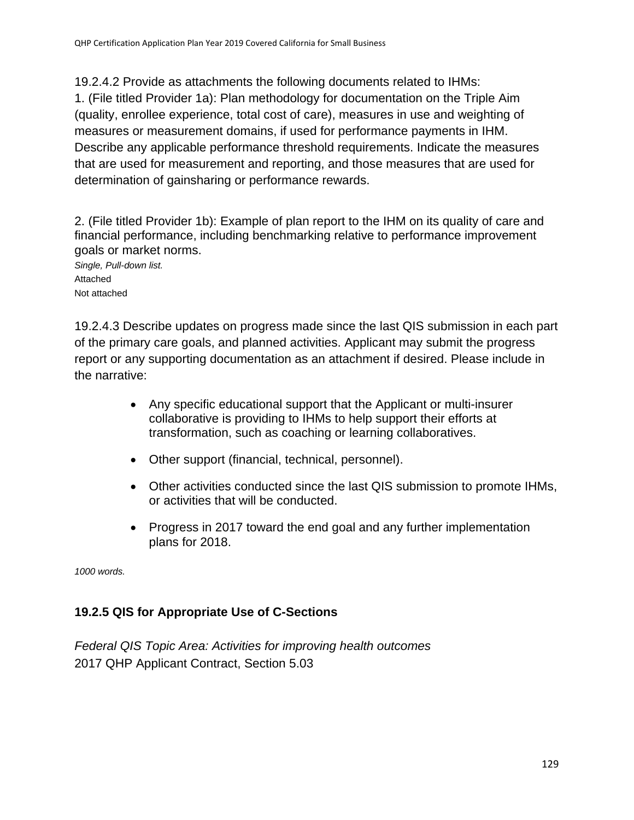19.2.4.2 Provide as attachments the following documents related to IHMs: 1. (File titled Provider 1a): Plan methodology for documentation on the Triple Aim (quality, enrollee experience, total cost of care), measures in use and weighting of measures or measurement domains, if used for performance payments in IHM. Describe any applicable performance threshold requirements. Indicate the measures that are used for measurement and reporting, and those measures that are used for determination of gainsharing or performance rewards.

2. (File titled Provider 1b): Example of plan report to the IHM on its quality of care and financial performance, including benchmarking relative to performance improvement goals or market norms.

*Single, Pull-down list.*  Attached Not attached

19.2.4.3 Describe updates on progress made since the last QIS submission in each part of the primary care goals, and planned activities. Applicant may submit the progress report or any supporting documentation as an attachment if desired. Please include in the narrative:

- Any specific educational support that the Applicant or multi-insurer collaborative is providing to IHMs to help support their efforts at transformation, such as coaching or learning collaboratives.
- Other support (financial, technical, personnel).
- Other activities conducted since the last QIS submission to promote IHMs, or activities that will be conducted.
- Progress in 2017 toward the end goal and any further implementation plans for 2018.

*1000 words.* 

# **19.2.5 QIS for Appropriate Use of C-Sections**

*Federal QIS Topic Area: Activities for improving health outcomes* 2017 QHP Applicant Contract, Section 5.03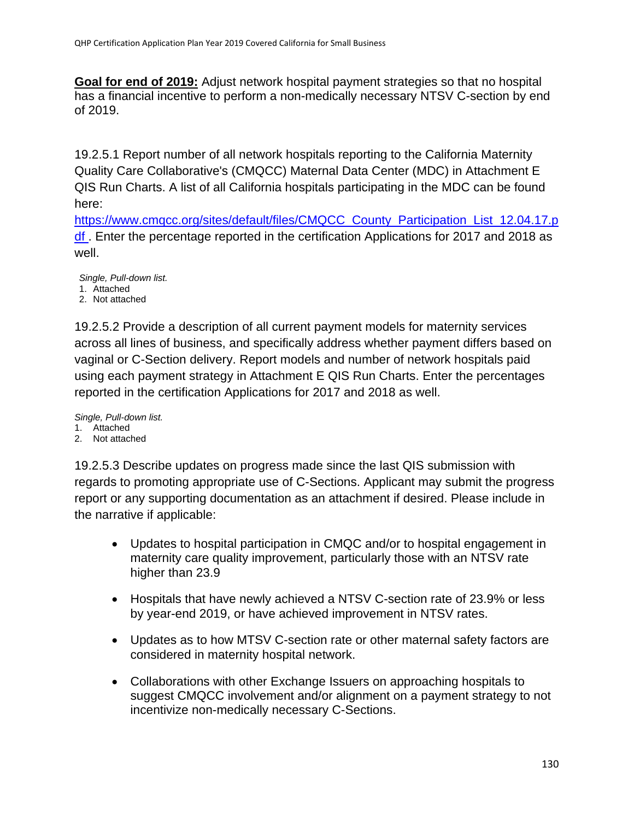**Goal for end of 2019:** Adjust network hospital payment strategies so that no hospital has a financial incentive to perform a non-medically necessary NTSV C-section by end of 2019.

19.2.5.1 Report number of all network hospitals reporting to the California Maternity Quality Care Collaborative's (CMQCC) Maternal Data Center (MDC) in Attachment E QIS Run Charts. A list of all California hospitals participating in the MDC can be found here:

https://www.cmqcc.org/sites/default/files/CMQCC\_County\_Participation\_List\_12.04.17.p df . Enter the percentage reported in the certification Applications for 2017 and 2018 as well.

*Single, Pull-down list.*  1. Attached

2. Not attached

19.2.5.2 Provide a description of all current payment models for maternity services across all lines of business, and specifically address whether payment differs based on vaginal or C-Section delivery. Report models and number of network hospitals paid using each payment strategy in Attachment E QIS Run Charts. Enter the percentages reported in the certification Applications for 2017 and 2018 as well.

*Single, Pull-down list.*  1. Attached

2. Not attached

19.2.5.3 Describe updates on progress made since the last QIS submission with regards to promoting appropriate use of C-Sections. Applicant may submit the progress report or any supporting documentation as an attachment if desired. Please include in the narrative if applicable:

- Updates to hospital participation in CMQC and/or to hospital engagement in maternity care quality improvement, particularly those with an NTSV rate higher than 23.9
- Hospitals that have newly achieved a NTSV C-section rate of 23.9% or less by year-end 2019, or have achieved improvement in NTSV rates.
- Updates as to how MTSV C-section rate or other maternal safety factors are considered in maternity hospital network.
- Collaborations with other Exchange Issuers on approaching hospitals to suggest CMQCC involvement and/or alignment on a payment strategy to not incentivize non-medically necessary C-Sections.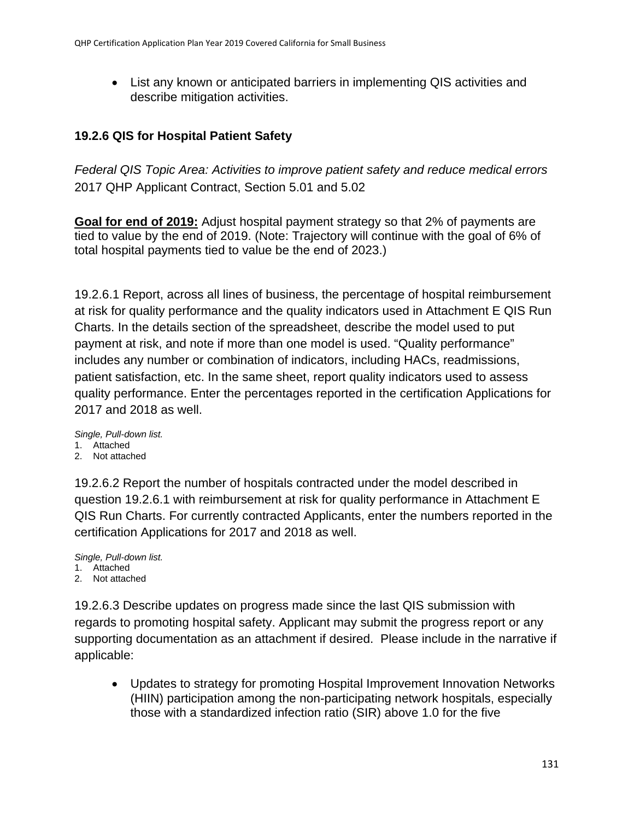List any known or anticipated barriers in implementing QIS activities and describe mitigation activities.

### **19.2.6 QIS for Hospital Patient Safety**

*Federal QIS Topic Area: Activities to improve patient safety and reduce medical errors* 2017 QHP Applicant Contract, Section 5.01 and 5.02

**Goal for end of 2019:** Adjust hospital payment strategy so that 2% of payments are tied to value by the end of 2019. (Note: Trajectory will continue with the goal of 6% of total hospital payments tied to value be the end of 2023.)

19.2.6.1 Report, across all lines of business, the percentage of hospital reimbursement at risk for quality performance and the quality indicators used in Attachment E QIS Run Charts. In the details section of the spreadsheet, describe the model used to put payment at risk, and note if more than one model is used. "Quality performance" includes any number or combination of indicators, including HACs, readmissions, patient satisfaction, etc. In the same sheet, report quality indicators used to assess quality performance. Enter the percentages reported in the certification Applications for 2017 and 2018 as well.

*Single, Pull-down list.*  1. Attached 2. Not attached

19.2.6.2 Report the number of hospitals contracted under the model described in question 19.2.6.1 with reimbursement at risk for quality performance in Attachment E QIS Run Charts. For currently contracted Applicants, enter the numbers reported in the certification Applications for 2017 and 2018 as well.

*Single, Pull-down list.*  1. Attached

2. Not attached

19.2.6.3 Describe updates on progress made since the last QIS submission with regards to promoting hospital safety. Applicant may submit the progress report or any supporting documentation as an attachment if desired. Please include in the narrative if applicable:

 Updates to strategy for promoting Hospital Improvement Innovation Networks (HIIN) participation among the non-participating network hospitals, especially those with a standardized infection ratio (SIR) above 1.0 for the five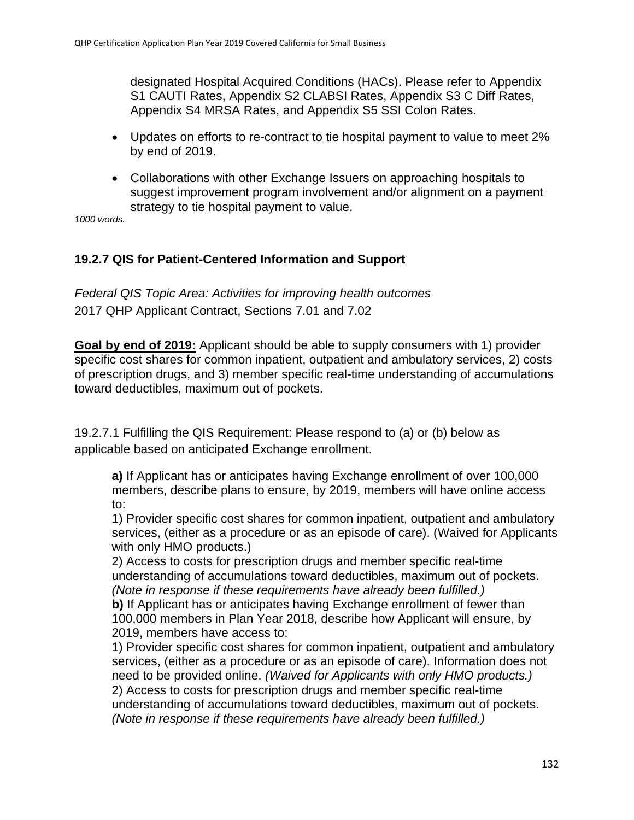designated Hospital Acquired Conditions (HACs). Please refer to Appendix S1 CAUTI Rates, Appendix S2 CLABSI Rates, Appendix S3 C Diff Rates, Appendix S4 MRSA Rates, and Appendix S5 SSI Colon Rates.

- Updates on efforts to re-contract to tie hospital payment to value to meet 2% by end of 2019.
- Collaborations with other Exchange Issuers on approaching hospitals to suggest improvement program involvement and/or alignment on a payment strategy to tie hospital payment to value.

*1000 words.* 

### **19.2.7 QIS for Patient-Centered Information and Support**

*Federal QIS Topic Area: Activities for improving health outcomes* 2017 QHP Applicant Contract, Sections 7.01 and 7.02

**Goal by end of 2019:** Applicant should be able to supply consumers with 1) provider specific cost shares for common inpatient, outpatient and ambulatory services, 2) costs of prescription drugs, and 3) member specific real-time understanding of accumulations toward deductibles, maximum out of pockets.

19.2.7.1 Fulfilling the QIS Requirement: Please respond to (a) or (b) below as applicable based on anticipated Exchange enrollment.

**a)** If Applicant has or anticipates having Exchange enrollment of over 100,000 members, describe plans to ensure, by 2019, members will have online access to:

1) Provider specific cost shares for common inpatient, outpatient and ambulatory services, (either as a procedure or as an episode of care). (Waived for Applicants with only HMO products.)

2) Access to costs for prescription drugs and member specific real-time understanding of accumulations toward deductibles, maximum out of pockets. *(Note in response if these requirements have already been fulfilled.)*

**b)** If Applicant has or anticipates having Exchange enrollment of fewer than 100,000 members in Plan Year 2018, describe how Applicant will ensure, by 2019, members have access to:

1) Provider specific cost shares for common inpatient, outpatient and ambulatory services, (either as a procedure or as an episode of care). Information does not need to be provided online. *(Waived for Applicants with only HMO products.)* 2) Access to costs for prescription drugs and member specific real-time understanding of accumulations toward deductibles, maximum out of pockets. *(Note in response if these requirements have already been fulfilled.)*